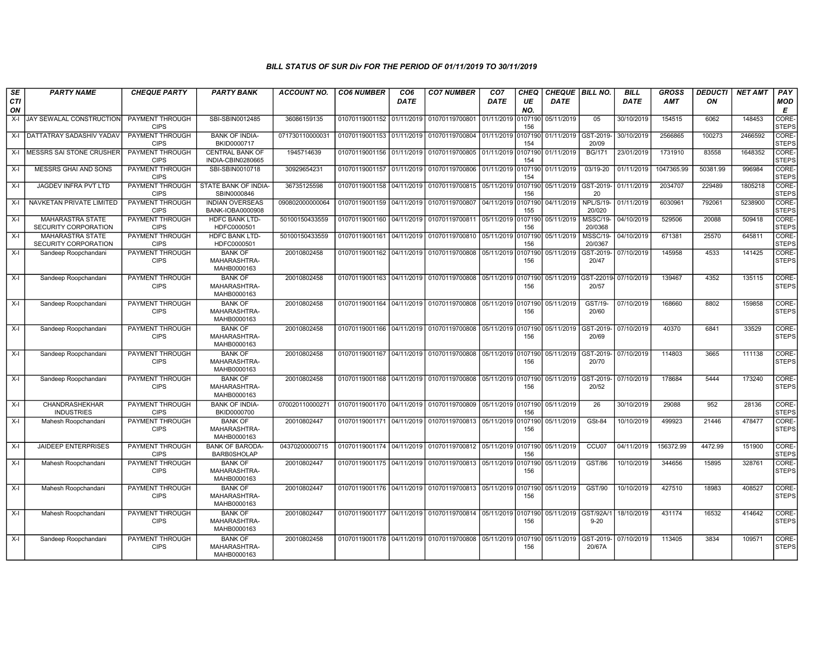| SE               | <b>PARTY NAME</b>                               | <b>CHEQUE PARTY</b>                   | <b>PARTY BANK</b>                             | <b>ACCOUNT NO.</b> | <b>CO6 NUMBER</b>         | CO <sub>6</sub> | <b>CO7 NUMBER</b>                                   | CO <sub>7</sub>    | CHEQ           | CHEQUE   BILL NO. |                            | <b>BILL</b> | <b>GROSS</b> | <b>DEDUCTI</b> | <b>NET AMT</b> | PAY                   |
|------------------|-------------------------------------------------|---------------------------------------|-----------------------------------------------|--------------------|---------------------------|-----------------|-----------------------------------------------------|--------------------|----------------|-------------------|----------------------------|-------------|--------------|----------------|----------------|-----------------------|
| <b>CTI</b><br>ON |                                                 |                                       |                                               |                    |                           | DATE            |                                                     | DATE               | UE<br>NO.      | DATE              |                            | DATE        | <b>AMT</b>   | ON             |                | <b>MOD</b><br>E       |
| X-I              | JAY SEWALAL CONSTRUCTION                        | PAYMENT THROUGH<br><b>CIPS</b>        | SBI-SBIN0012485                               | 36086159135        | 01070119001152            | 01/11/2019      | 01070119700801                                      | 01/11/2019         | 107190<br>156  | 05/11/2019        | 05                         | 30/10/2019  | 154515       | 6062           | 148453         | CORE-<br><b>STEPS</b> |
| X-I              | I DATTATRAY SADASHIV YADAV                      | PAYMENT THROUGH<br><b>CIPS</b>        | <b>BANK OF INDIA-</b><br>BKID0000717          | 07173011000003     | 01070119001153            | 01/11/2019      | 01070119700804 01/11/2019                           |                    | 107190<br>154  | 01/11/2019        | GST-2019<br>20/09          | 30/10/2019  | 2566865      | 100273         | 2466592        | CORE-<br><b>STEPS</b> |
| $X-I$            | MESSRS SAI STONE CRUSHER                        | PAYMENT THROUGH<br><b>CIPS</b>        | <b>CENTRAL BANK OF</b><br>INDIA-CBIN0280665   | 1945714639         | 01070119001156 01/11/2019 |                 | 01070119700805                                      | 01/11/2019         | 0107190<br>154 | 01/11/2019        | <b>BG/171</b>              | 23/01/2019  | 1731910      | 83558          | 1648352        | CORE-<br><b>STEPS</b> |
| X-I              | <b>MESSRS GHAI AND SONS</b>                     | <b>PAYMENT THROUGH</b><br><b>CIPS</b> | SBI-SBIN0010718                               | 30929654231        | 01070119001157 01/11/2019 |                 | 01070119700806 01/11/2019                           |                    | 0107190<br>154 | 01/11/2019        | $03/19-20$                 | 01/11/2019  | 1047365.99   | 50381.99       | 996984         | CORE-<br><b>STEPS</b> |
| X-I              | <b>JAGDEV INFRA PVT LTD</b>                     | PAYMENT THROUGH<br><b>CIPS</b>        | STATE BANK OF INDIA-<br>SBIN0000846           | 36735125598        | 01070119001158            | 04/11/2019      | 01070119700815 05/11/2019                           |                    | 0107190<br>156 | 05/11/2019        | GST-2019-<br>20            | 01/11/2019  | 2034707      | 229489         | 1805218        | CORE-<br><b>STEPS</b> |
| X-I              | NAVKETAN PRIVATE LIMITED                        | PAYMENT THROUGH<br><b>CIPS</b>        | <b>INDIAN OVERSEAS</b><br>BANK-IOBA0000908    | 090802000000064    | 01070119001159 04/11/2019 |                 | 01070119700807                                      | 04/11/2019         | 0107190<br>155 | 04/11/2019        | <b>NPL/S/19-</b><br>20/020 | 01/11/2019  | 6030961      | 792061         | 5238900        | CORE-<br><b>STEPS</b> |
| $X-I$            | MAHARASTRA STATE<br>SECURITY CORPORATION        | <b>PAYMENT THROUGH</b><br><b>CIPS</b> | <b>HDFC BANK LTD-</b><br>HDFC0000501          | 50100150433559     | 01070119001160            | 04/11/2019      | 01070119700811 05/11/2019                           |                    | 0107190<br>156 | 05/11/2019        | <b>MSSC/19-</b><br>20/0368 | 04/10/2019  | 529506       | 20088          | 509418         | CORE-<br><b>STEPS</b> |
| X-I              | <b>MAHARASTRA STATE</b><br>SECURITY CORPORATION | <b>PAYMENT THROUGH</b><br><b>CIPS</b> | HDFC BANK LTD-<br>HDFC0000501                 | 50100150433559     | 01070119001161 04/11/2019 |                 | 01070119700810 05/11/2019                           |                    | 107190<br>156  | 05/11/2019        | <b>MSSC/19-</b><br>20/0367 | 04/10/2019  | 671381       | 25570          | 645811         | CORE-<br><b>STEPS</b> |
| X-I              | Sandeep Roopchandani                            | <b>PAYMENT THROUGH</b><br><b>CIPS</b> | <b>BANK OF</b><br>MAHARASHTRA-<br>MAHB0000163 | 20010802458        | 01070119001162            | 04/11/2019      | 01070119700808                                      | 05/11/2019         | 0107190<br>156 | 05/11/2019        | GST-2019<br>20/47          | 07/10/2019  | 145958       | 4533           | 141425         | CORE-<br><b>STEPS</b> |
| X-I              | Sandeep Roopchandani                            | PAYMENT THROUGH<br><b>CIPS</b>        | <b>BANK OF</b><br>MAHARASHTRA-<br>MAHB0000163 | 20010802458        | 01070119001163            | 04/11/2019      | 01070119700808 05/11/2019 0107190                   |                    | 156            | 05/11/2019        | GST-22019-<br>20/57        | 07/10/2019  | 139467       | 4352           | 135115         | CORE-<br><b>STEPS</b> |
| X-I              | Sandeep Roopchandani                            | PAYMENT THROUGH<br><b>CIPS</b>        | <b>BANK OF</b><br>MAHARASHTRA-<br>MAHB0000163 | 20010802458        | 01070119001164            | 04/11/2019      | 01070119700808                                      | 05/11/2019 0107190 | 156            | 05/11/2019        | GST/19-<br>20/60           | 07/10/2019  | 168660       | 8802           | 159858         | CORE-<br><b>STEPS</b> |
| X-I              | Sandeep Roopchandani                            | PAYMENT THROUGH<br><b>CIPS</b>        | <b>BANK OF</b><br>MAHARASHTRA-<br>MAHB0000163 | 20010802458        | 01070119001166            | 04/11/2019      | 01070119700808                                      | 05/11/2019 0107190 | 156            | 05/11/2019        | GST-2019<br>20/69          | 07/10/2019  | 40370        | 6841           | 33529          | CORE-<br><b>STEPS</b> |
| $X-I$            | Sandeep Roopchandani                            | PAYMENT THROUGH<br><b>CIPS</b>        | <b>BANK OF</b><br>MAHARASHTRA-<br>MAHB0000163 | 20010802458        | 01070119001167 04/11/2019 |                 | 01070119700808                                      | 05/11/2019 0107190 | 156            | 05/11/2019        | GST-2019-<br>20/70         | 07/10/2019  | 114803       | 3665           | 111138         | CORE-<br><b>STEPS</b> |
| $X-I$            | Sandeep Roopchandani                            | PAYMENT THROUGH<br><b>CIPS</b>        | <b>BANK OF</b><br>MAHARASHTRA-<br>MAHB0000163 | 20010802458        | 01070119001168 04/11/2019 |                 | 01070119700808                                      | 05/11/2019 0107190 | 156            | 05/11/2019        | GST-2019-<br>20/52         | 07/10/2019  | 178684       | 5444           | 173240         | CORE-<br><b>STEPS</b> |
| $X-I$            | CHANDRASHEKHAR<br><b>INDUSTRIES</b>             | PAYMENT THROUGH<br><b>CIPS</b>        | <b>BANK OF INDIA-</b><br>BKID0000700          | 070020110000271    | 01070119001170 04/11/2019 |                 | 01070119700809 05/11/2019 0107190                   |                    | 156            | 05/11/2019        | 26                         | 30/10/2019  | 29088        | 952            | 28136          | CORE-<br><b>STEPS</b> |
| X-I              | Mahesh Roopchandani                             | PAYMENT THROUGH<br><b>CIPS</b>        | <b>BANK OF</b><br>MAHARASHTRA-<br>MAHB0000163 | 20010802447        |                           |                 | 01070119001171 04/11/2019 01070119700813 05/11/2019 |                    | 0107190<br>156 | 05/11/2019        | <b>GSt-84</b>              | 10/10/2019  | 499923       | 21446          | 478477         | CORE-<br><b>STEPS</b> |
| X-I              | <b>JAIDEEP ENTERPRISES</b>                      | <b>PAYMENT THROUGH</b><br><b>CIPS</b> | <b>BANK OF BARODA-</b><br><b>BARB0SHOLAP</b>  | 04370200000715     |                           |                 | 01070119001174 04/11/2019 01070119700812 05/11/2019 |                    | 0107190<br>156 | 05/11/2019        | CCU07                      | 04/11/2019  | 156372.99    | 4472.99        | 151900         | CORE-<br><b>STEPS</b> |
| $X-I$            | Mahesh Roopchandani                             | PAYMENT THROUGH<br><b>CIPS</b>        | <b>BANK OF</b><br>MAHARASHTRA-<br>MAHB0000163 | 20010802447        | 01070119001175 04/11/2019 |                 | 01070119700813 05/11/2019                           |                    | 0107190<br>156 | 05/11/2019        | <b>GST/86</b>              | 10/10/2019  | 344656       | 15895          | 328761         | CORE-<br><b>STEPS</b> |
| $X-I$            | Mahesh Roopchandani                             | <b>PAYMENT THROUGH</b><br><b>CIPS</b> | <b>BANK OF</b><br>MAHARASHTRA-<br>MAHB0000163 | 20010802447        | 01070119001176 04/11/2019 |                 | 01070119700813 05/11/2019 0107190                   |                    | 156            | 05/11/2019        | GST/90                     | 10/10/2019  | 427510       | 18983          | 408527         | CORE-<br><b>STEPS</b> |
| X-I              | Mahesh Roopchandani                             | PAYMENT THROUGH<br><b>CIPS</b>        | <b>BANK OF</b><br>MAHARASHTRA-<br>MAHB0000163 | 20010802447        | 01070119001177 04/11/2019 |                 | 01070119700814 05/11/2019                           |                    | 0107190<br>156 | 05/11/2019        | GST/92A/1<br>$9 - 20$      | 18/10/2019  | 431174       | 16532          | 414642         | CORE-<br><b>STEPS</b> |
| X-I              | Sandeep Roopchandani                            | PAYMENT THROUGH<br><b>CIPS</b>        | <b>BANK OF</b><br>MAHARASHTRA-<br>MAHB0000163 | 20010802458        | 01070119001178 04/11/2019 |                 | 01070119700808                                      | 05/11/2019         | 0107190<br>156 | 05/11/2019        | GST-2019<br>20/67A         | 07/10/2019  | 113405       | 3834           | 109571         | CORE-<br><b>STEPS</b> |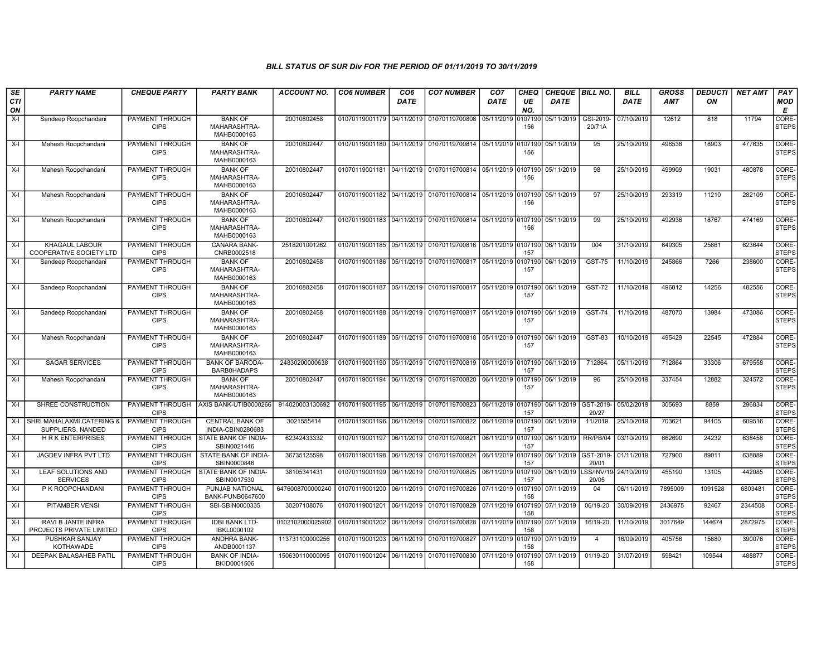| SE               | <b>PARTY NAME</b>                                | <b>CHEQUE PARTY</b>                   | <b>PARTY BANK</b>                             | <b>ACCOUNT NO.</b> | <b>CO6 NUMBER</b>         | CO <sub>6</sub> | <b>CO7 NUMBER</b>                                                 | CO <sub>7</sub>    | CHEQ           | CHEQUE   BILL NO. |                     | <b>BILL</b> | <b>GROSS</b> | <i><b>DEDUCTI</b></i> | <b>NET AMT</b> | PAY                         |
|------------------|--------------------------------------------------|---------------------------------------|-----------------------------------------------|--------------------|---------------------------|-----------------|-------------------------------------------------------------------|--------------------|----------------|-------------------|---------------------|-------------|--------------|-----------------------|----------------|-----------------------------|
| <b>CTI</b><br>ON |                                                  |                                       |                                               |                    |                           | <b>DATE</b>     |                                                                   | <b>DATE</b>        | UE<br>NO.      | <b>DATE</b>       |                     | <b>DATE</b> | <b>AMT</b>   | ON                    |                | <b>MOD</b><br>E             |
| $X-I$            | Sandeep Roopchandani                             | PAYMENT THROUGH<br><b>CIPS</b>        | <b>BANK OF</b><br>MAHARASHTRA-                | 20010802458        | 01070119001179 04/11/2019 |                 | 01070119700808                                                    | 05/11/2019         | 0107190<br>156 | 05/11/2019        | GSt-2019-<br>20/71A | 07/10/2019  | 12612        | 818                   | 11794          | CORE-<br><b>STEPS</b>       |
|                  |                                                  |                                       | MAHB0000163                                   |                    |                           |                 |                                                                   |                    |                |                   |                     |             |              |                       |                |                             |
| $X-I$            | Mahesh Roopchandani                              | <b>PAYMENT THROUGH</b><br><b>CIPS</b> | <b>BANK OF</b><br>MAHARASHTRA-<br>MAHB0000163 | 20010802447        | 01070119001180 04/11/2019 |                 | 01070119700814 05/11/2019 0107190                                 |                    | 156            | 05/11/2019        | 95                  | 25/10/2019  | 496538       | 18903                 | 477635         | <b>CORE</b><br><b>STEPS</b> |
| $X-I$            | Mahesh Roopchandani                              | PAYMENT THROUGH<br><b>CIPS</b>        | <b>BANK OF</b><br>MAHARASHTRA-<br>MAHB0000163 | 20010802447        | 01070119001181 04/11/2019 |                 | 01070119700814 05/11/2019                                         |                    | 0107190<br>156 | 05/11/2019        | 98                  | 25/10/2019  | 499909       | 19031                 | 480878         | <b>CORE</b><br>STEPS        |
| X-I              | Mahesh Roopchandani                              | PAYMENT THROUGH<br><b>CIPS</b>        | <b>BANK OF</b><br>MAHARASHTRA-<br>MAHB0000163 | 20010802447        |                           |                 | 01070119001182 04/11/2019 01070119700814 05/11/2019 0107190       |                    | 156            | 05/11/2019        | 97                  | 25/10/2019  | 293319       | 11210                 | 282109         | CORE-<br><b>STEPS</b>       |
| $X-I$            | Mahesh Roopchandani                              | PAYMENT THROUGH<br><b>CIPS</b>        | <b>BANK OF</b><br>MAHARASHTRA-<br>MAHB0000163 | 20010802447        | 01070119001183 04/11/2019 |                 | 01070119700814 05/11/2019                                         |                    | 0107190<br>156 | 05/11/2019        | 99                  | 25/10/2019  | 492936       | 18767                 | 474169         | <b>CORE</b><br><b>STEPS</b> |
| $X-I$            | KHAGAUL LABOUR<br><b>COOPERATIVE SOCIETY LTD</b> | PAYMENT THROUGH<br><b>CIPS</b>        | <b>CANARA BANK-</b><br>CNRB0002518            | 2518201001262      | 01070119001185 05/11/2019 |                 | 01070119700816 05/11/2019 0107190                                 |                    | 157            | 06/11/2019        | 004                 | 31/10/2019  | 649305       | 25661                 | 623644         | <b>CORE</b><br><b>STEPS</b> |
| X-I              | Sandeep Roopchandani                             | PAYMENT THROUGH                       | <b>BANK OF</b>                                | 20010802458        | 01070119001186            | 05/11/2019      | 01070119700817 05/11/2019 0107190                                 |                    |                | 06/11/2019        | <b>GST-75</b>       | 11/10/2019  | 245866       | 7266                  | 238600         | CORE-                       |
|                  |                                                  | <b>CIPS</b>                           | MAHARASHTRA-<br>MAHB0000163                   |                    |                           |                 |                                                                   |                    | 157            |                   |                     |             |              |                       |                | <b>STEPS</b>                |
| X-I              | Sandeep Roopchandani                             | PAYMENT THROUGH<br><b>CIPS</b>        | <b>BANK OF</b><br>MAHARASHTRA-<br>MAHB0000163 | 20010802458        | 01070119001187 05/11/2019 |                 | 01070119700817 05/11/2019 0107190                                 |                    | 157            | 06/11/2019        | <b>GST-72</b>       | 11/10/2019  | 496812       | 14256                 | 482556         | CORE-<br><b>STEPS</b>       |
| X-I              | Sandeep Roopchandani                             | PAYMENT THROUGH<br><b>CIPS</b>        | <b>BANK OF</b><br>MAHARASHTRA-<br>MAHB0000163 | 20010802458        |                           |                 | 01070119001188 05/11/2019 01070119700817 05/11/2019 0107190       |                    | 157            | 06/11/2019        | <b>GST-74</b>       | 11/10/2019  | 487070       | 13984                 | 473086         | CORE-<br><b>STEPS</b>       |
| $X-I$            | Mahesh Roopchandani                              | <b>PAYMENT THROUGH</b><br><b>CIPS</b> | <b>BANK OF</b><br>MAHARASHTRA-<br>MAHB0000163 | 20010802447        |                           |                 | 01070119001189   05/11/2019   01070119700818   05/11/2019 0107190 |                    | 157            | 06/11/2019        | GST-83              | 10/10/2019  | 495429       | 22545                 | 472884         | CORE-<br><b>STEPS</b>       |
| $X-I$            | <b>SAGAR SERVICES</b>                            | PAYMENT THROUGH<br><b>CIPS</b>        | <b>BANK OF BARODA-</b><br>BARB0HADAPS         | 24830200000638     | 01070119001190 05/11/2019 |                 | 01070119700819 05/11/2019 0107190                                 |                    | 157            | 06/11/2019        | 712864              | 05/11/2019  | 712864       | 33306                 | 679558         | <b>CORE</b><br><b>STEPS</b> |
| $X-I$            | Mahesh Roopchandani                              | <b>PAYMENT THROUGH</b><br><b>CIPS</b> | <b>BANK OF</b><br>MAHARASHTRA-<br>MAHB0000163 | 20010802447        | 01070119001194            | 06/11/2019      | 01070119700820 06/11/2019 0107190                                 |                    | 157            | 06/11/2019        | 96                  | 25/10/2019  | 337454       | 12882                 | 324572         | CORE-<br><b>STEPS</b>       |
| $X-I$            | SHREE CONSTRUCTION                               | PAYMENT THROUGH<br><b>CIPS</b>        | AXIS BANK-UTIB0000266                         | 914020003130692    | 01070119001195            | 06/11/2019      | 01070119700823                                                    | 06/11/2019 0107190 | 157            | 06/11/2019        | GST-2019<br>20/27   | 05/02/2019  | 305693       | 8859                  | 296834         | CORE-<br>STEPS              |
| $X-I$            | SHRI MAHALAXMI CATERING<br>SUPPLIERS, NANDED     | <b>PAYMENT THROUGH</b><br><b>CIPS</b> | <b>CENTRAL BANK OF</b><br>INDIA-CBIN0280683   | 3021555414         | 01070119001196            | 06/11/2019      | 01070119700822 06/11/2019 0107190                                 |                    | 157            | 06/11/2019        | 11/2019             | 25/10/2019  | 703621       | 94105                 | 609516         | CORE-<br>STEPS              |
| X-I              | <b>HRK ENTERPRISES</b>                           | PAYMENT THROUGH<br><b>CIPS</b>        | STATE BANK OF INDIA-<br>SBIN0021446           | 62342433332        | 01070119001197 06/11/2019 |                 | 01070119700821                                                    | 06/11/2019 0107190 | 157            | 06/11/2019        | RR/PB/04            | 03/10/2019  | 662690       | 24232                 | 638458         | CORE-<br><b>STEPS</b>       |
| X-I              | JAGDEV INFRA PVT LTD                             | <b>PAYMENT THROUGH</b><br><b>CIPS</b> | STATE BANK OF INDIA-<br>SBIN0000846           | 36735125598        | 01070119001198            | 06/11/2019      | 01070119700824 06/11/2019 0107190                                 |                    | 157            | 06/11/2019        | GST-2019-<br>20/01  | 01/11/2019  | 727900       | 89011                 | 638889         | CORE-<br>STEPS              |
| X-I              | <b>LEAF SOLUTIONS AND</b><br><b>SERVICES</b>     | PAYMENT THROUGH<br><b>CIPS</b>        | STATE BANK OF INDIA-<br>SBIN0017530           | 38105341431        | 01070119001199            | 06/11/2019      | 01070119700825                                                    | 06/11/2019 0107190 | 157            | 06/11/2019        | SS/INV/19<br>20/05  | 24/10/2019  | 455190       | 13105                 | 442085         | CORE-<br><b>STEPS</b>       |
| X-I              | P K ROOPCHANDANI                                 | PAYMENT THROUGH<br><b>CIPS</b>        | PUNJAB NATIONAL<br>BANK-PUNB0647600           | 6476008700000240   | 01070119001200            | 06/11/2019      | 01070119700826                                                    | 07/11/2019 0107190 | 158            | 07/11/2019        | 04                  | 06/11/2019  | 7895009      | 1091528               | 6803481        | CORE-<br><b>STEPS</b>       |
| X-I              | PITAMBER VENSI                                   | <b>PAYMENT THROUGH</b><br><b>CIPS</b> | SBI-SBIN0000335                               | 30207108076        | 01070119001201            | 06/11/2019      | 01070119700829                                                    | 07/11/2019         | 0107190<br>158 | 07/11/2019        | 06/19-20            | 30/09/2019  | 2436975      | 92467                 | 2344508        | CORE-<br><b>STEPS</b>       |
| $X-I$            | RAVI B JANTE INFRA<br>PROJECTS PRIVATE LIMITED   | <b>PAYMENT THROUGH</b><br><b>CIPS</b> | <b>IDBI BANK LTD-</b><br>IBKL0000102          | 0102102000025902   | 01070119001202 06/11/2019 |                 | 01070119700828 07/11/2019 0107190                                 |                    | 158            | 07/11/2019        | 16/19-20            | 11/10/2019  | 3017649      | 144674                | 2872975        | CORE-<br>STEPS              |
| X-I              | PUSHKAR SANJAY<br>KOTHAWADE                      | PAYMENT THROUGH<br><b>CIPS</b>        | <b>ANDHRA BANK-</b><br>ANDB0001137            | 113731100000256    | 01070119001203 06/11/2019 |                 | 01070119700827 07/11/2019 0107190                                 |                    | 158            | 07/11/2019        | 4                   | 16/09/2019  | 405756       | 15680                 | 390076         | CORE-<br><b>STEPS</b>       |
| X-I              | DEEPAK BALASAHEB PATIL                           | PAYMENT THROUGH<br><b>CIPS</b>        | <b>BANK OF INDIA-</b><br>BKID0001506          | 150630110000095    | 01070119001204            | 06/11/2019      | 01070119700830                                                    | 07/11/2019         | 0107190<br>158 | 07/11/2019        | 01/19-20            | 31/07/2019  | 598421       | 109544                | 488877         | CORE-<br>STEPS              |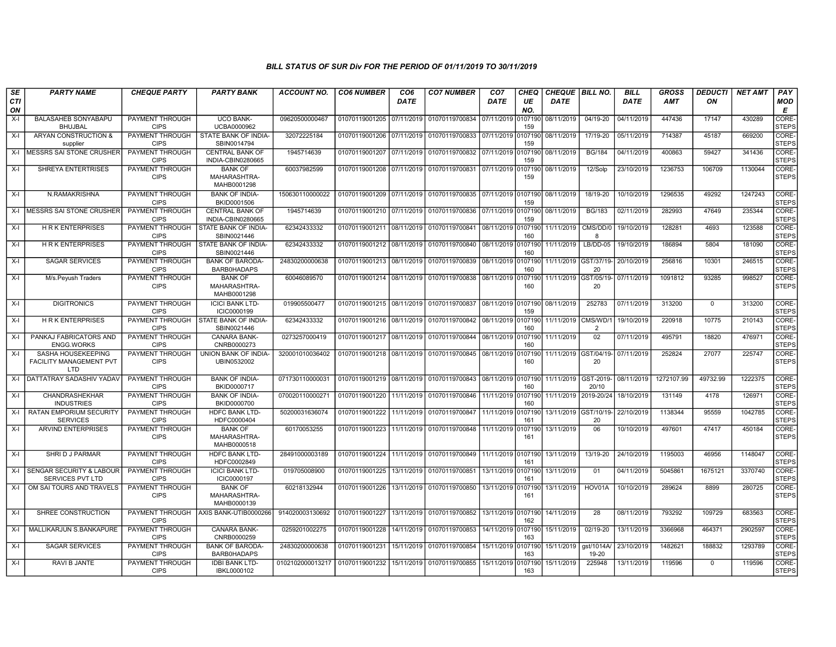| SE        | <b>PARTY NAME</b>                                                  | <b>CHEQUE PARTY</b>                   | <b>PARTY BANK</b>                             | <b>ACCOUNT NO.</b> | <b>CO6 NUMBER</b>         | CO <sub>6</sub> | <b>CO7 NUMBER</b>         | CO <sub>7</sub>    | <b>CHEQ</b>    | <b>CHEQUE   BILL NO.</b> |                             | <b>BILL</b> | <b>GROSS</b> | <b>DEDUCTI</b> | <b>NET AMT</b> | PAY                         |
|-----------|--------------------------------------------------------------------|---------------------------------------|-----------------------------------------------|--------------------|---------------------------|-----------------|---------------------------|--------------------|----------------|--------------------------|-----------------------------|-------------|--------------|----------------|----------------|-----------------------------|
| CTI<br>ON |                                                                    |                                       |                                               |                    |                           | DATE            |                           | DATE               | UE<br>NO.      | <b>DATE</b>              |                             | <b>DATE</b> | <b>AMT</b>   | ON             |                | <b>MOD</b><br>Е             |
| $X-I$     | <b>BALASAHEB SONYABAPU</b><br><b>BHUJBAL</b>                       | PAYMENT THROUGH<br><b>CIPS</b>        | <b>UCO BANK-</b><br>UCBA0000962               | 09620500000467     | 01070119001205            | 07/11/2019      | 01070119700834            | 07/11/2019         | 107190<br>159  | 08/11/2019               | 04/19-20                    | 04/11/2019  | 447436       | 17147          | 430289         | <b>CORE</b><br><b>STEPS</b> |
| $X-I$     | <b>ARYAN CONSTRUCTION &amp;</b><br>supplier                        | PAYMENT THROUGH<br><b>CIPS</b>        | STATE BANK OF INDIA-<br>SBIN0014794           | 32072225184        | 01070119001206            | 07/11/2019      | 01070119700833            | 07/11/2019         | 0107190<br>159 | 08/11/2019               | 17/19-20                    | 05/11/2019  | 714387       | 45187          | 669200         | CORE-<br><b>STEPS</b>       |
| $X-I$     | <b>MESSRS SAI STONE CRUSHER</b>                                    | PAYMENT THROUGH<br><b>CIPS</b>        | <b>CENTRAL BANK OF</b><br>INDIA-CBIN0280665   | 1945714639         | 01070119001207            | 07/11/2019      | 01070119700832            | 07/11/2019         | 0107190<br>159 | 08/11/2019               | <b>BG/184</b>               | 04/11/2019  | 400863       | 59427          | 341436         | CORE-<br><b>STEPS</b>       |
| $X-I$     | <b>SHREYA ENTERTRISES</b>                                          | PAYMENT THROUGH<br><b>CIPS</b>        | <b>BANK OF</b><br>MAHARASHTRA-<br>MAHB0001298 | 60037982599        | 01070119001208 07/11/2019 |                 | 01070119700831            | 07/11/2019         | 0107190<br>159 | 08/11/2019               | 12/Solp                     | 23/10/2019  | 1236753      | 106709         | 1130044        | CORE-<br><b>STEPS</b>       |
| $X-I$     | N.RAMAKRISHNA                                                      | PAYMENT THROUGH<br><b>CIPS</b>        | <b>BANK OF INDIA-</b><br>BKID0001506          | 150630110000022    | 01070119001209 07/11/2019 |                 | 01070119700835            | 07/11/2019         | 0107190<br>159 | 08/11/2019               | 18/19-20                    | 10/10/2019  | 1296535      | 49292          | 1247243        | CORE-<br><b>STEPS</b>       |
| $X-I$     | <b>MESSRS SAI STONE CRUSHER</b>                                    | PAYMENT THROUGH<br><b>CIPS</b>        | <b>CENTRAL BANK OF</b><br>INDIA-CBIN0280665   | 1945714639         | 01070119001210 07/11/2019 |                 | 01070119700836            | 07/11/2019         | 0107190<br>159 | 08/11/2019               | <b>BG/183</b>               | 02/11/2019  | 282993       | 47649          | 235344         | CORE-<br><b>STEPS</b>       |
| $X-I$     | <b>HRK ENTERPRISES</b>                                             | PAYMENT THROUGH<br><b>CIPS</b>        | STATE BANK OF INDIA-<br>SBIN0021446           | 62342433332        | 01070119001211            | 08/11/2019      | 01070119700841            | 08/11/2019         | 0107190<br>160 | 11/11/2019               | CMS/DD/0<br>-8              | 19/10/2019  | 128281       | 4693           | 123588         | CORE-<br><b>STEPS</b>       |
| $X-I$     | <b>HRK ENTERPRISES</b>                                             | PAYMENT THROUGH<br><b>CIPS</b>        | STATE BANK OF INDIA-<br>SBIN0021446           | 62342433332        | 01070119001212            | 08/11/2019      | 01070119700840            | 08/11/2019         | 0107190<br>160 | 11/11/2019               | $LB/DD-05$                  | 19/10/2019  | 186894       | 5804           | 181090         | CORE-<br><b>STEPS</b>       |
| $X-I$     | <b>SAGAR SERVICES</b>                                              | PAYMENT THROUGH<br><b>CIPS</b>        | <b>BANK OF BARODA-</b><br><b>BARB0HADAPS</b>  | 24830200000638     | 01070119001213            | 08/11/2019      | 01070119700839            | 08/11/2019         | 107190<br>160  |                          | 11/11/2019 GST/37/19-<br>20 | 20/10/2019  | 256816       | 10301          | 246515         | CORE-<br><b>STEPS</b>       |
| X-I       | M/s.Peyush Traders                                                 | PAYMENT THROUGH<br><b>CIPS</b>        | <b>BANK OF</b><br>MAHARASHTRA-<br>MAHB0001298 | 60046089570        | 01070119001214            | 08/11/2019      | 01070119700838            | 08/11/2019         | 0107190<br>160 |                          | 11/11/2019 GST/05/19-<br>20 | 07/11/2019  | 1091812      | 93285          | 998527         | CORE-<br><b>STEPS</b>       |
| $X-I$     | <b>DIGITRONICS</b>                                                 | PAYMENT THROUGH<br><b>CIPS</b>        | <b>ICICI BANK LTD-</b><br>ICIC0000199         | 019905500477       | 01070119001215            | 08/11/2019      | 01070119700837            | 08/11/2019         | 0107190<br>159 | 08/11/2019               | 252783                      | 07/11/2019  | 313200       | $\mathbf 0$    | 313200         | CORE-<br><b>STEPS</b>       |
| $X-I$     | <b>HRK ENTERPRISES</b>                                             | PAYMENT THROUGH<br><b>CIPS</b>        | <b>STATE BANK OF INDIA-</b><br>SBIN0021446    | 62342433332        | 01070119001216            | 08/11/2019      | 01070119700842            | 08/11/2019         | 107190<br>160  | 11/11/2019               | CMS/WD/1<br>$\mathcal{P}$   | 19/10/2019  | 220918       | 10775          | 210143         | CORE-<br><b>STEPS</b>       |
| $X-I$     | PANKAJ FABRICATORS AND<br><b>ENGG.WORKS</b>                        | <b>PAYMENT THROUGH</b><br><b>CIPS</b> | <b>CANARA BANK-</b><br>CNRB0000273            | 0273257000419      | 01070119001217 08/11/2019 |                 | 01070119700844            | 08/11/2019         | 0107190<br>160 | 11/11/2019               | 02                          | 07/11/2019  | 495791       | 18820          | 476971         | CORE-<br><b>STEPS</b>       |
| $X-I$     | SASHA HOUSEKEEPING<br><b>FACILITY MANAGEMENT PVT</b><br><b>LTD</b> | PAYMENT THROUGH<br><b>CIPS</b>        | UNION BANK OF INDIA-<br>UBIN0532002           | 320001010036402    | 01070119001218 08/11/2019 |                 | 01070119700845            | 08/11/2019         | 107190<br>160  |                          | 11/11/2019 GST/04/19-<br>20 | 07/11/2019  | 252824       | 27077          | 225747         | CORE-<br><b>STEPS</b>       |
| X-I       | <b>DATTATRAY SADASHIV YADAV</b>                                    | PAYMENT THROUGH<br><b>CIPS</b>        | <b>BANK OF INDIA-</b><br>BKID0000717          | 071730110000031    | 01070119001219 08/11/2019 |                 | 01070119700843 08/11/2019 |                    | 0107190<br>160 | 11/11/2019               | GST-2019-<br>20/10          | 08/11/2019  | 1272107.99   | 49732.99       | 1222375        | CORE-<br><b>STEPS</b>       |
| X-I       | <b>CHANDRASHEKHAR</b><br><b>INDUSTRIES</b>                         | PAYMENT THROUGH<br><b>CIPS</b>        | <b>BANK OF INDIA-</b><br>BKID0000700          | 070020110000271    | 01070119001220            | 11/11/2019      | 01070119700846            | 11/11/2019         | 0107190<br>160 | 11/11/2019               | 2019-20/24                  | 18/10/2019  | 131149       | 4178           | 126971         | CORE-<br><b>STEPS</b>       |
| $X-I$     | RATAN EMPORIUM SECURITY<br><b>SERVICES</b>                         | <b>PAYMENT THROUGH</b><br><b>CIPS</b> | <b>HDFC BANK LTD-</b><br>HDFC0000404          | 50200031636074     | 01070119001222            | 11/11/2019      | 01070119700847            | 11/11/2019         | 107190<br>161  | 13/11/2019 GST/10/19     | 20                          | 22/10/2019  | 1138344      | 95559          | 1042785        | CORE-<br><b>STEPS</b>       |
| $X-I$     | <b>ARVIND ENTERPRISES</b>                                          | PAYMENT THROUGH<br><b>CIPS</b>        | <b>BANK OF</b><br>MAHARASHTRA-<br>MAHB0000518 | 60170053255        | 01070119001223            |                 | 11/11/2019 01070119700848 | 11/11/2019 0107190 | 161            | 13/11/2019               | 06                          | 10/10/2019  | 497601       | 47417          | 450184         | CORE-<br><b>STEPS</b>       |
| $X-I$     | SHRI D J PARMAR                                                    | PAYMENT THROUGH<br><b>CIPS</b>        | <b>HDFC BANK LTD-</b><br>HDFC0002849          | 28491000003189     | 01070119001224            | 11/11/2019      | 01070119700849            | 11/11/2019         | 0107190<br>161 | 13/11/2019               | 13/19-20                    | 24/10/2019  | 1195003      | 46956          | 1148047        | CORE-<br><b>STEPS</b>       |
| $X-I$     | <b>SENGAR SECURITY &amp; LABOUR</b><br><b>SERVICES PVT LTD</b>     | PAYMENT THROUGH<br><b>CIPS</b>        | <b>ICICI BANK LTD-</b><br>ICIC0000197         | 019705008900       | 01070119001225            | 13/11/2019      | 01070119700851            | 13/11/2019         | 0107190<br>161 | 13/11/2019               | 01                          | 04/11/2019  | 5045861      | 1675121        | 3370740        | CORE-<br><b>STEPS</b>       |
| $X-I$     | OM SAI TOURS AND TRAVELS                                           | PAYMENT THROUGH<br><b>CIPS</b>        | <b>BANK OF</b><br>MAHARASHTRA-<br>MAHB0000139 | 60218132944        | 01070119001226            | 13/11/2019      | 01070119700850            | 13/11/2019         | 0107190<br>161 | 13/11/2019               | HOV01A                      | 10/10/2019  | 289624       | 8899           | 280725         | CORE-<br><b>STEPS</b>       |
| $X-I$     | SHREE CONSTRUCTION                                                 | PAYMENT THROUGH<br><b>CIPS</b>        | AXIS BANK-UTIB0000266                         | 914020003130692    | 01070119001227            | 13/11/2019      | 01070119700852            | 13/11/2019         | 0107190<br>162 | 14/11/2019               | 28                          | 08/11/2019  | 793292       | 109729         | 683563         | CORE-<br><b>STEPS</b>       |
| $X-I$     | MALLIKARJUN S.BANKAPURE                                            | PAYMENT THROUGH<br><b>CIPS</b>        | <b>CANARA BANK-</b><br>CNRB0000259            | 0259201002275      | 01070119001228            | 14/11/2019      | 01070119700853            | 14/11/2019         | 0107190<br>163 | 15/11/2019               | 02/19-20                    | 13/11/2019  | 3366968      | 464371         | 2902597        | CORE-<br><b>STEPS</b>       |
| $X-I$     | <b>SAGAR SERVICES</b>                                              | PAYMENT THROUGH<br><b>CIPS</b>        | <b>BANK OF BARODA-</b><br><b>BARB0HADAPS</b>  | 24830200000638     | 01070119001231            | 15/11/2019      | 01070119700854            | 15/11/2019         | 0107190<br>163 | 15/11/2019               | gst/1014A/<br>19-20         | 23/10/2019  | 1482621      | 188832         | 1293789        | CORE-<br><b>STEPS</b>       |
| $X-I$     | RAVI B JANTE                                                       | PAYMENT THROUGH<br><b>CIPS</b>        | <b>IDBI BANK LTD-</b><br>IBKL0000102          | 0102102000013217   | 01070119001232            | 15/11/2019      | 01070119700855            | 15/11/2019         | 0107190<br>163 | 15/11/2019               | 225948                      | 13/11/2019  | 119596       | $\mathbf 0$    | 119596         | CORE-<br><b>STEPS</b>       |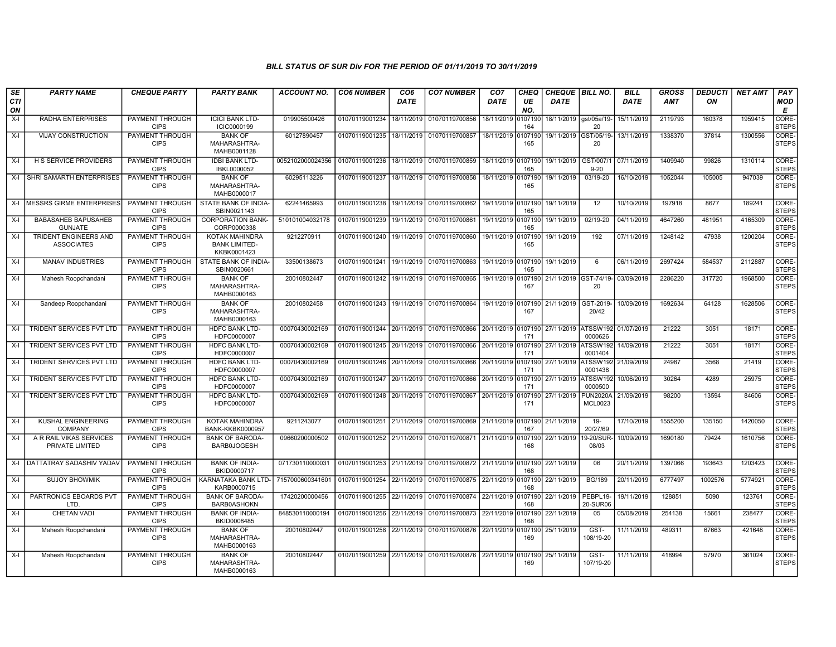| SE               | <b>PARTY NAME</b>                            | <b>CHEQUE PARTY</b>                   | <b>PARTY BANK</b>                                     | <b>ACCOUNT NO.</b> | <b>CO6 NUMBER</b>         | CO <sub>6</sub> | <b>CO7 NUMBER</b>                                   | CO <sub>7</sub>    | <b>CHEQ</b>    | <b>CHEQUE   BILL NO.</b> |                                        | <b>BILL</b> | <b>GROSS</b> | <b>DEDUCTI</b> | <b>NET AMT</b> | PAY                   |
|------------------|----------------------------------------------|---------------------------------------|-------------------------------------------------------|--------------------|---------------------------|-----------------|-----------------------------------------------------|--------------------|----------------|--------------------------|----------------------------------------|-------------|--------------|----------------|----------------|-----------------------|
| <b>CTI</b><br>ON |                                              |                                       |                                                       |                    |                           | <b>DATE</b>     |                                                     | <b>DATE</b>        | UE<br>NO.      | <b>DATE</b>              |                                        | <b>DATE</b> | <b>AMT</b>   | ON             |                | <b>MOD</b><br>Е       |
| $X-I$            | RADHA ENTERPRISES                            | PAYMENT THROUGH<br><b>CIPS</b>        | <b>ICICI BANK LTD-</b><br>ICIC0000199                 | 019905500426       | 01070119001234            | 18/11/2019      | 01070119700856                                      | 18/11/2019         | 107190<br>164  | 18/11/2019               | gst/05a/19-<br>20                      | 15/11/2019  | 2119793      | 160378         | 1959415        | CORE-<br><b>STEPS</b> |
| $X-I$            | <b>VIJAY CONSTRUCTION</b>                    | PAYMENT THROUGH<br><b>CIPS</b>        | <b>BANK OF</b><br>MAHARASHTRA-<br>MAHB0001128         | 60127890457        | 01070119001235            | 18/11/2019      | 01070119700857                                      | 18/11/2019         | 0107190<br>165 | 19/11/2019 GST/05/19-    | 20                                     | 13/11/2019  | 1338370      | 37814          | 1300556        | CORE-<br><b>STEPS</b> |
| X-I              | <b>H S SERVICE PROVIDERS</b>                 | PAYMENT THROUGH<br><b>CIPS</b>        | <b>IDBI BANK LTD-</b><br>IBKL0000052                  | 0052102000024356   | 01070119001236            | 18/11/2019      | 01070119700859                                      | 18/11/2019         | 0107190<br>165 | 19/11/2019               | GST/007/<br>$9 - 20$                   | 07/11/2019  | 1409940      | 99826          | 1310114        | CORE-<br><b>STEPS</b> |
| $X-I$            | SHRI SAMARTH ENTERPRISES                     | PAYMENT THROUGH<br><b>CIPS</b>        | <b>BANK OF</b><br>MAHARASHTRA-<br>MAHB0000017         | 60295113226        | 01070119001237            | 18/11/2019      | 01070119700858                                      | 18/11/2019         | 107190<br>165  | 19/11/2019               | 03/19-20                               | 16/10/2019  | 1052044      | 105005         | 947039         | CORE-<br><b>STEPS</b> |
| $X-I$            | <b>IMESSRS GIRME ENTERPRISES</b>             | PAYMENT THROUGH<br><b>CIPS</b>        | STATE BANK OF INDIA-<br>SBIN0021143                   | 62241465993        | 01070119001238            | 19/11/2019      | 01070119700862 19/11/2019 0107190                   |                    | 165            | 19/11/2019               | 12                                     | 10/10/2019  | 197918       | 8677           | 189241         | CORE-<br><b>STEPS</b> |
| X-I              | <b>BABASAHEB BAPUSAHEB</b><br><b>GUNJATE</b> | PAYMENT THROUGH<br><b>CIPS</b>        | <b>CORPORATION BANK-</b><br>CORP0000338               | 510101004032178    | 01070119001239            | 19/11/2019      | 01070119700861                                      | 19/11/2019         | 0107190<br>165 | 19/11/2019               | 02/19-20                               | 04/11/2019  | 4647260      | 481951         | 4165309        | CORE-<br><b>STEPS</b> |
| X-I              | TRIDENT ENGINEERS AND<br><b>ASSOCIATES</b>   | PAYMENT THROUGH<br><b>CIPS</b>        | KOTAK MAHINDRA<br><b>BANK LIMITED-</b><br>KKBK0001423 | 9212270911         | 01070119001240            | 19/11/2019      | 01070119700860                                      | 19/11/2019         | 107190<br>165  | 19/11/2019               | 192                                    | 07/11/2019  | 1248142      | 47938          | 1200204        | CORE-<br><b>STEPS</b> |
| X-I              | <b>MANAV INDUSTRIES</b>                      | PAYMENT THROUGH<br><b>CIPS</b>        | STATE BANK OF INDIA-<br>SBIN0020661                   | 33500138673        | 01070119001241            | 19/11/2019      | 01070119700863                                      | 19/11/2019         | 0107190<br>165 | 19/11/2019               | 6                                      | 06/11/2019  | 2697424      | 584537         | 2112887        | CORE-<br><b>STEPS</b> |
| X-I              | Mahesh Roopchandani                          | PAYMENT THROUGH<br><b>CIPS</b>        | <b>BANK OF</b><br>MAHARASHTRA-<br>MAHB0000163         | 20010802447        | 01070119001242            | 19/11/2019      | 01070119700865                                      | 19/11/2019         | 0107190<br>167 |                          | 21/11/2019 GST-74/19- 03/09/2019<br>20 |             | 2286220      | 317720         | 1968500        | CORE-<br><b>STEPS</b> |
| X-I              | Sandeep Roopchandani                         | PAYMENT THROUGH<br><b>CIPS</b>        | <b>BANK OF</b><br>MAHARASHTRA-<br>MAHB0000163         | 20010802458        | 01070119001243            | 19/11/2019      | 01070119700864                                      | 19/11/2019         | 0107190<br>167 | 21/11/2019               | GST-2019<br>20/42                      | 10/09/2019  | 1692634      | 64128          | 1628506        | CORE-<br><b>STEPS</b> |
| X-I              | TRIDENT SERVICES PVT LTD                     | PAYMENT THROUGH<br><b>CIPS</b>        | <b>HDFC BANK LTD-</b><br>HDFC0000007                  | 00070430002169     | 01070119001244 20/11/2019 |                 | 01070119700866                                      | 20/11/2019 0107190 | 171            | 27/11/2019 ATSSW192      | 0000626                                | 01/07/2019  | 21222        | 3051           | 18171          | CORE-<br><b>STEPS</b> |
| X-I              | TRIDENT SERVICES PVT LTD                     | <b>PAYMENT THROUGH</b><br><b>CIPS</b> | <b>HDFC BANK LTD-</b><br>HDFC0000007                  | 00070430002169     | 01070119001245 20/11/2019 |                 | 01070119700866                                      | 20/11/2019         | 107190<br>171  | 27/11/2019               | ATSSW192<br>0001404                    | 14/09/2019  | 21222        | 3051           | 18171          | CORE-<br><b>STEPS</b> |
| $X-I$            | <b>TRIDENT SERVICES PVT LTD</b>              | PAYMENT THROUGH<br><b>CIPS</b>        | <b>HDFC BANK LTD-</b><br>HDFC0000007                  | 00070430002169     | 01070119001246            | 20/11/2019      | 01070119700866                                      | 20/11/2019         | 0107190<br>171 | 27/11/2019               | ATSSW192<br>0001438                    | 21/09/2019  | 24987        | 3568           | 21419          | CORE-<br><b>STEPS</b> |
| X-I              | TRIDENT SERVICES PVT LTD                     | PAYMENT THROUGH<br><b>CIPS</b>        | <b>HDFC BANK LTD-</b><br>HDFC0000007                  | 00070430002169     | 01070119001247            | 20/11/2019      | 01070119700866                                      | 20/11/2019         | 0107190<br>171 | 27/11/2019               | ATSSW192<br>0000500                    | 10/06/2019  | 30264        | 4289           | 25975          | CORE-<br><b>STEPS</b> |
| X-I              | TRIDENT SERVICES PVT LTD                     | <b>PAYMENT THROUGH</b><br><b>CIPS</b> | <b>HDFC BANK LTD-</b><br>HDFC0000007                  | 00070430002169     | 01070119001248            | 20/11/2019      | 01070119700867                                      | 20/11/2019         | 0107190<br>171 | 27/11/2019               | <b>PUN2020A</b><br><b>MCL0023</b>      | 21/09/2019  | 98200        | 13594          | 84606          | CORE-<br><b>STEPS</b> |
| $X-I$            | <b>KUSHAL ENGINEERING</b><br><b>COMPANY</b>  | PAYMENT THROUGH<br><b>CIPS</b>        | KOTAK MAHINDRA<br>BANK-KKBK0000957                    | 9211243077         | 01070119001251 21/11/2019 |                 | 01070119700869                                      | 21/11/2019         | 0107190<br>167 | 21/11/2019               | $19 -$<br>20/27/69                     | 17/10/2019  | 1555200      | 135150         | 1420050        | CORE-<br><b>STEPS</b> |
| X-I              | A R RAIL VIKAS SERVICES<br>PRIVATE LIMITED   | PAYMENT THROUGH<br><b>CIPS</b>        | <b>BANK OF BARODA-</b><br><b>BARB0JOGESH</b>          | 09660200000502     | 01070119001252            | 21/11/2019      | 01070119700871 21/11/2019                           |                    | 0107190<br>168 | 22/11/2019               | 19-20/SUR-<br>08/03                    | 10/09/2019  | 1690180      | 79424          | 1610756        | CORE-<br><b>STEPS</b> |
| $X-I$            | DATTATRAY SADASHIV YADAV                     | PAYMENT THROUGH<br><b>CIPS</b>        | <b>BANK OF INDIA-</b><br>BKID0000717                  | 071730110000031    | 01070119001253 21/11/2019 |                 | 01070119700872 21/11/2019                           |                    | 0107190<br>168 | 22/11/2019               | 06                                     | 20/11/2019  | 1397066      | 193643         | 1203423        | CORE-<br><b>STEPS</b> |
| $X-I$            | <b>SUJOY BHOWMIK</b>                         | PAYMENT THROUGH<br><b>CIPS</b>        | KARNATAKA BANK LTD-<br>KARB0000715                    | 7157000600341601   | 01070119001254            | 22/11/2019      | 01070119700875 22/11/2019                           |                    | 0107190<br>168 | 22/11/2019               | <b>BG/189</b>                          | 20/11/2019  | 6777497      | 1002576        | 5774921        | CORE-<br><b>STEPS</b> |
| X-I              | PARTRONICS EBOARDS PVT<br>LTD.               | PAYMENT THROUGH<br><b>CIPS</b>        | <b>BANK OF BARODA-</b><br><b>BARB0ASHOKN</b>          | 17420200000456     | 01070119001255            | 22/11/2019      | 01070119700874 22/11/2019                           |                    | 0107190<br>168 | 22/11/2019               | PEBPL19-<br>20-SUR06                   | 19/11/2019  | 128851       | 5090           | 123761         | CORE-<br><b>STEPS</b> |
| X-I              | <b>CHETAN VADI</b>                           | PAYMENT THROUGH<br><b>CIPS</b>        | <b>BANK OF INDIA-</b><br>BKID0008485                  | 848530110000194    | 01070119001256            | 22/11/2019      | 01070119700873 22/11/2019 0                         |                    | 0107190<br>168 | 22/11/2019               | 0 <sub>5</sub>                         | 05/08/2019  | 254138       | 15661          | 238477         | CORE-<br><b>STEPS</b> |
| X-I              | Mahesh Roopchandani                          | PAYMENT THROUGH<br><b>CIPS</b>        | <b>BANK OF</b><br>MAHARASHTRA-<br>MAHB0000163         | 20010802447        | 01070119001258            | 22/11/2019      | 01070119700876                                      | 22/11/2019         | 107190<br>169  | 25/11/2019               | GST-<br>108/19-20                      | 11/11/2019  | 489311       | 67663          | 421648         | CORE-<br><b>STEPS</b> |
| X-I              | Mahesh Roopchandani                          | PAYMENT THROUGH<br><b>CIPS</b>        | <b>BANK OF</b><br>MAHARASHTRA-<br>MAHB0000163         | 20010802447        |                           |                 | 01070119001259 22/11/2019 01070119700876 22/11/2019 |                    | 0107190<br>169 | 25/11/2019               | GST-<br>107/19-20                      | 11/11/2019  | 418994       | 57970          | 361024         | CORE-<br>STEPS        |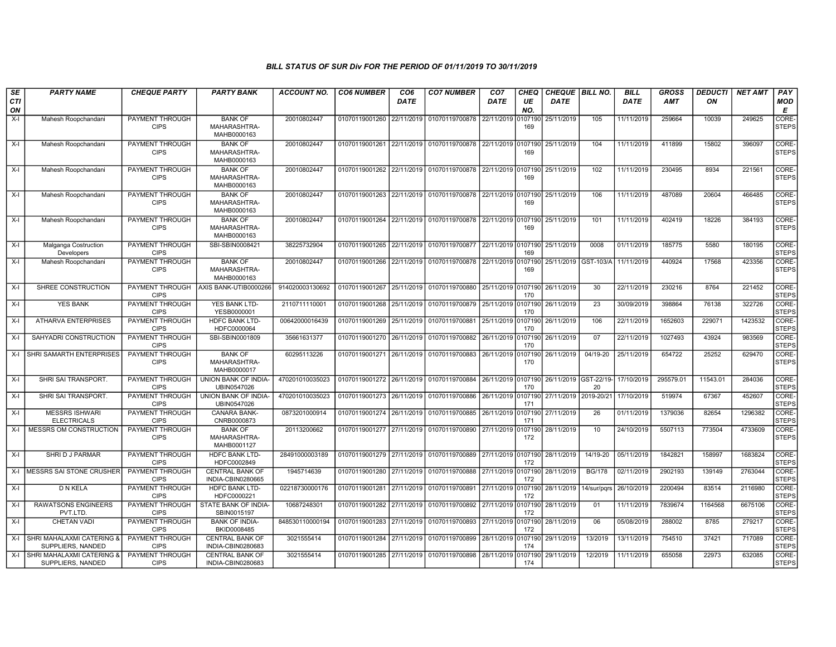| SE               | <b>PARTY NAME</b>                              | <b>CHEQUE PARTY</b>                   | <b>PARTY BANK</b>                             | <b>ACCOUNT NO.</b> | <b>CO6 NUMBER</b>         | CO <sub>6</sub> | <b>CO7 NUMBER</b>                                           | CO <sub>7</sub>    | CHEQ           | <b>CHEQUE   BILL NO.</b> |               | <b>BILL</b> | <b>GROSS</b> | <i><b>DEDUCTI</b></i> | <b>NET AMT</b> | <b>PAY</b>                  |
|------------------|------------------------------------------------|---------------------------------------|-----------------------------------------------|--------------------|---------------------------|-----------------|-------------------------------------------------------------|--------------------|----------------|--------------------------|---------------|-------------|--------------|-----------------------|----------------|-----------------------------|
| <b>CTI</b><br>ON |                                                |                                       |                                               |                    |                           | <b>DATE</b>     |                                                             | DATE               | UE<br>NO.      | <b>DATE</b>              |               | <b>DATE</b> | <b>AMT</b>   | ON                    |                | <b>MOD</b><br>Е             |
| $X-I$            | Mahesh Roopchandani                            | PAYMENT THROUGH<br><b>CIPS</b>        | <b>BANK OF</b><br>MAHARASHTRA-<br>MAHB0000163 | 20010802447        | 01070119001260            | 22/11/2019      | 01070119700878                                              | 22/11/2019         | 107190<br>169  | 25/11/2019               | 105           | 11/11/2019  | 259664       | 10039                 | 249625         | <b>CORE</b><br><b>STEPS</b> |
| $X-I$            | Mahesh Roopchandani                            | PAYMENT THROUGH<br><b>CIPS</b>        | <b>BANK OF</b><br>MAHARASHTRA-<br>MAHB0000163 | 20010802447        |                           |                 | 01070119001261 22/11/2019 01070119700878 22/11/2019 0107190 |                    | 169            | 25/11/2019               | 104           | 11/11/2019  | 411899       | 15802                 | 396097         | CORE-<br><b>STEPS</b>       |
| $X-I$            | Mahesh Roopchandani                            | PAYMENT THROUGH<br><b>CIPS</b>        | <b>BANK OF</b><br>MAHARASHTRA-<br>MAHB0000163 | 20010802447        | 01070119001262            | 22/11/2019      | 01070119700878 22/11/2019 0107190                           |                    | 169            | 25/11/2019               | 102           | 11/11/2019  | 230495       | 8934                  | 221561         | <b>CORE</b><br>STEPS        |
| $X-I$            | Mahesh Roopchandani                            | PAYMENT THROUGH<br><b>CIPS</b>        | <b>BANK OF</b><br>MAHARASHTRA-<br>MAHB0000163 | 20010802447        | 01070119001263            | 22/11/2019      | 01070119700878 22/11/2019                                   |                    | 0107190<br>169 | 25/11/2019               | 106           | 11/11/2019  | 487089       | 20604                 | 466485         | CORE-<br><b>STEPS</b>       |
| $X-I$            | Mahesh Roopchandani                            | PAYMENT THROUGH<br><b>CIPS</b>        | <b>BANK OF</b><br>MAHARASHTRA-<br>MAHB0000163 | 20010802447        | 01070119001264 22/11/2019 |                 | 01070119700878 22/11/2019 0107190                           |                    | 169            | 25/11/2019               | 101           | 11/11/2019  | 402419       | 18226                 | 384193         | CORE-<br><b>STEPS</b>       |
| $X-I$            | Malganga Costruction<br>Developers             | PAYMENT THROUGH<br><b>CIPS</b>        | SBI-SBIN0008421                               | 38225732904        | 01070119001265            | 22/11/2019      | 01070119700877 22/11/2019 0107190                           |                    | 169            | 25/11/2019               | 0008          | 01/11/2019  | 185775       | 5580                  | 180195         | <b>CORE</b><br><b>STEPS</b> |
| $X-I$            | Mahesh Roopchandani                            | PAYMENT THROUGH<br><b>CIPS</b>        | <b>BANK OF</b><br>MAHARASHTRA-<br>MAHB0000163 | 20010802447        | 01070119001266            | 22/11/2019      | 01070119700878 22/11/2019 0107190                           |                    | 169            | 25/11/2019 GST-103/A     |               | 11/11/2019  | 440924       | 17568                 | 423356         | CORE-<br>STEPS              |
| $X-I$            | SHREE CONSTRUCTION                             | PAYMENT THROUGH<br><b>CIPS</b>        | AXIS BANK-UTIB0000266                         | 914020003130692    | 01070119001267            | 25/11/2019      | 01070119700880                                              | 25/11/2019 0107190 | 170            | 26/11/2019               | 30            | 22/11/2019  | 230216       | 8764                  | 221452         | CORE-<br><b>STEPS</b>       |
| $X-I$            | <b>YES BANK</b>                                | PAYMENT THROUGH<br><b>CIPS</b>        | YES BANK LTD-<br>YESB0000001                  | 2110711110001      | 01070119001268            | 25/11/2019      | 01070119700879 25/11/2019 0107190                           |                    | 170            | 26/11/2019               | 23            | 30/09/2019  | 398864       | 76138                 | 322726         | CORE-<br><b>STEPS</b>       |
| $X-I$            | <b>ATHARVA ENTERPRISES</b>                     | <b>PAYMENT THROUGH</b><br><b>CIPS</b> | <b>HDFC BANK LTD-</b><br>HDFC0000064          | 00642000016439     | 01070119001269            | 25/11/2019      | 01070119700881                                              | 25/11/2019         | 0107190<br>170 | 26/11/2019               | 106           | 22/11/2019  | 1652603      | 229071                | 1423532        | CORE-<br><b>STEPS</b>       |
| $X-I$            | SAHYADRI CONSTRUCTION                          | PAYMENT THROUGH<br><b>CIPS</b>        | SBI-SBIN0001809                               | 35661631377        | 01070119001270            | 26/11/2019      | 01070119700882                                              | 26/11/2019         | 0107190<br>170 | 26/11/2019               | 07            | 22/11/2019  | 1027493      | 43924                 | 983569         | CORE-<br><b>STEPS</b>       |
| $X-I$            | SHRI SAMARTH ENTERPRISES                       | PAYMENT THROUGH<br><b>CIPS</b>        | <b>BANK OF</b><br>MAHARASHTRA-<br>MAHB0000017 | 60295113226        | 01070119001271            | 26/11/2019      | 01070119700883                                              | 26/11/2019         | 0107190<br>170 | 26/11/2019               | 04/19-20      | 25/11/2019  | 654722       | 25252                 | 629470         | CORE-<br><b>STEPS</b>       |
| $X-I$            | SHRI SAI TRANSPORT.                            | PAYMENT THROUGH<br><b>CIPS</b>        | UNION BANK OF INDIA-<br>UBIN0547026           | 470201010035023    | 01070119001272            | 26/11/2019      | 01070119700884 26/11/2019 0107190                           |                    | 170            | 26/11/2019 GST-22/19-    | 20            | 17/10/2019  | 295579.01    | 11543.01              | 284036         | CORE-<br><b>STEPS</b>       |
| $X-I$            | SHRI SAI TRANSPORT.                            | PAYMENT THROUGH<br><b>CIPS</b>        | UNION BANK OF INDIA-<br>UBIN0547026           | 470201010035023    | 01070119001273            | 26/11/2019      | 01070119700886                                              | 26/11/2019         | 0107190<br>171 | 27/11/2019               | 2019-20/21    | 17/10/2019  | 519974       | 67367                 | 452607         | CORE-<br><b>STEPS</b>       |
| $X-I$            | <b>MESSRS ISHWARI</b><br><b>ELECTRICALS</b>    | PAYMENT THROUGH<br><b>CIPS</b>        | <b>CANARA BANK-</b><br>CNRB0000873            | 0873201000914      | 01070119001274            | 26/11/2019      | 01070119700885 26/11/2019 0107190                           |                    | 171            | 27/11/2019               | 26            | 01/11/2019  | 1379036      | 82654                 | 1296382        | CORE-<br><b>STEPS</b>       |
| $X-I$            | <b>MESSRS OM CONSTRUCTION</b>                  | <b>PAYMENT THROUGH</b><br><b>CIPS</b> | <b>BANK OF</b><br>MAHARASHTRA-<br>MAHB0001127 | 20113200662        | 01070119001277 27/11/2019 |                 | 01070119700890 27/11/2019 0107190                           |                    | 172            | 28/11/2019               | 10            | 24/10/2019  | 5507113      | 773504                | 4733609        | CORE-<br><b>STEPS</b>       |
| $X-I$            | SHRI D J PARMAR                                | PAYMENT THROUGH<br><b>CIPS</b>        | <b>HDFC BANK LTD-</b><br>HDFC0002849          | 28491000003189     | 01070119001279 27/11/2019 |                 | 01070119700889 27/11/2019 0107190                           |                    | 172            | 28/11/2019               | 14/19-20      | 05/11/2019  | 1842821      | 158997                | 1683824        | CORE-<br><b>STEPS</b>       |
| X-I              | MESSRS SAI STONE CRUSHER                       | PAYMENT THROUGH<br><b>CIPS</b>        | <b>CENTRAL BANK OF</b><br>INDIA-CBIN0280665   | 1945714639         | 01070119001280 27/11/2019 |                 | 01070119700888 27/11/2019                                   |                    | 0107190<br>172 | 28/11/2019               | <b>BG/178</b> | 02/11/2019  | 2902193      | 139149                | 2763044        | CORE-<br><b>STEPS</b>       |
| X-I              | <b>D N KELA</b>                                | <b>PAYMENT THROUGH</b><br><b>CIPS</b> | <b>HDFC BANK LTD-</b><br>HDFC0000221          | 02218730000176     | 01070119001281            | 27/11/2019      | 01070119700891                                              | 27/11/2019         | 0107190<br>172 | 28/11/2019               | 14/sur/pqrs   | 26/10/2019  | 2200494      | 83514                 | 2116980        | <b>CORE</b><br><b>STEPS</b> |
| $X-I$            | <b>RAWATSONS ENGINEERS</b><br>PVT.LTD.         | PAYMENT THROUGH<br><b>CIPS</b>        | STATE BANK OF INDIA-<br>SBIN0015197           | 10687248301        | 01070119001282            | 27/11/2019      | 01070119700892                                              | 27/11/2019         | 107190<br>172  | 28/11/2019               | 01            | 11/11/2019  | 7839674      | 1164568               | 6675106        | CORE-<br><b>STEPS</b>       |
| $X-I$            | <b>CHETAN VADI</b>                             | PAYMENT THROUGH<br><b>CIPS</b>        | <b>BANK OF INDIA-</b><br>BKID0008485          | 848530110000194    | 01070119001283            | 27/11/2019      | 01070119700893                                              | 27/11/2019         | 0107190<br>172 | 28/11/2019               | 06            | 05/08/2019  | 288002       | 8785                  | 279217         | CORE-<br><b>STEPS</b>       |
| $X-I$            | SHRI MAHALAXMI CATERING &<br>SUPPLIERS, NANDED | PAYMENT THROUGH<br><b>CIPS</b>        | <b>CENTRAL BANK OF</b><br>INDIA-CBIN0280683   | 3021555414         | 01070119001284 27/11/2019 |                 | 01070119700899 28/11/2019 0107190                           |                    | 174            | 29/11/2019               | 13/2019       | 13/11/2019  | 754510       | 37421                 | 717089         | CORE-<br><b>STEPS</b>       |
| X-I              | SHRI MAHALAXMI CATERING &<br>SUPPLIERS, NANDED | PAYMENT THROUGH<br><b>CIPS</b>        | <b>CENTRAL BANK OF</b><br>INDIA-CBIN0280683   | 3021555414         | 01070119001285 27/11/2019 |                 | 01070119700898 28/11/2019                                   |                    | 107190<br>174  | 29/11/2019               | 12/2019       | 11/11/2019  | 655058       | 22973                 | 632085         | CORE-<br><b>STEPS</b>       |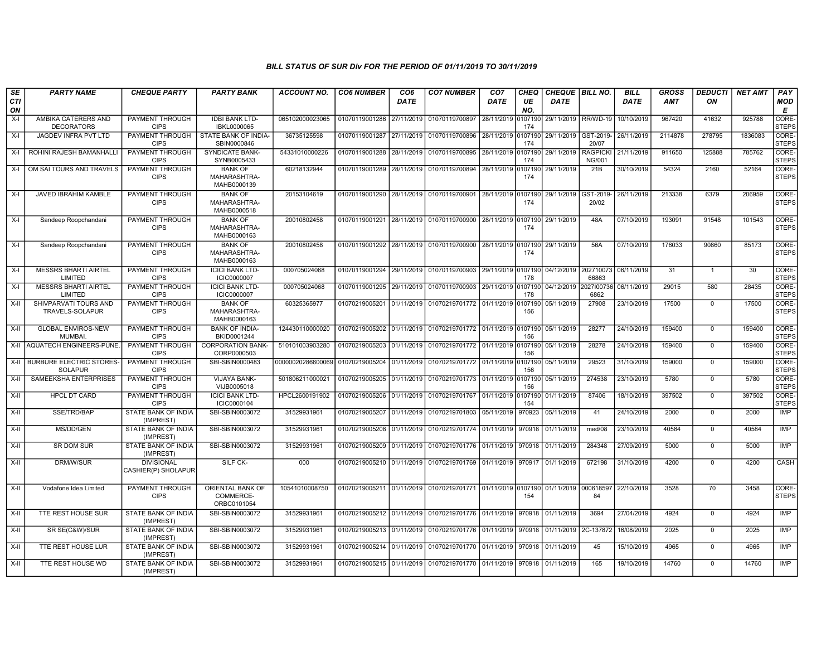| SE        | <b>PARTY NAME</b>                                 | <b>CHEQUE PARTY</b>                      | <b>PARTY BANK</b>                             | <b>ACCOUNT NO.</b> | <b>CO6 NUMBER</b>         | CO <sub>6</sub> | <b>CO7 NUMBER</b>                                                                | CO <sub>7</sub>    | <b>CHEQ</b>    | CHEQUE   BILL NO.     |                                          | <b>BILL</b> | <b>GROSS</b> | <b>DEDUCTI</b> | <b>NET AMT</b> | PAY                   |
|-----------|---------------------------------------------------|------------------------------------------|-----------------------------------------------|--------------------|---------------------------|-----------------|----------------------------------------------------------------------------------|--------------------|----------------|-----------------------|------------------------------------------|-------------|--------------|----------------|----------------|-----------------------|
| CTI<br>ON |                                                   |                                          |                                               |                    |                           | DATE            |                                                                                  | <b>DATE</b>        | UE<br>NO.      | <b>DATE</b>           |                                          | <b>DATE</b> | <b>AMT</b>   | ΟN             |                | <b>MOD</b><br>Е       |
| $X-I$     | AMBIKA CATERERS AND<br><b>DECORATORS</b>          | PAYMENT THROUGH<br><b>CIPS</b>           | <b>IDBI BANK LTD-</b><br>IBKL0000065          | 065102000023065    | 01070119001286            | 27/11/2019      | 01070119700897                                                                   | 28/11/2019         | 0107190<br>174 | 29/11/2019            | RR/WD-19                                 | 10/10/2019  | 967420       | 41632          | 925788         | CORE-<br><b>STEPS</b> |
| $X-I$     | <b>JAGDEV INFRA PVT LTD</b>                       | <b>PAYMENT THROUGH</b><br><b>CIPS</b>    | STATE BANK OF INDIA-<br>SBIN0000846           | 36735125598        | 01070119001287            | 27/11/2019      | 01070119700896                                                                   | 28/11/2019 0107190 | 174            | 29/11/2019            | GST-2019-<br>20/07                       | 26/11/2019  | 2114878      | 278795         | 1836083        | CORE-<br><b>STEPS</b> |
| $X-I$     | ROHINI RAJESH BAMANHALLI                          | <b>PAYMENT THROUGH</b><br><b>CIPS</b>    | <b>SYNDICATE BANK-</b><br>SYNB0005433         | 54331010000226     | 01070119001288 28/11/2019 |                 | 01070119700895 28/11/2019 0107190                                                |                    | 174            | 29/11/2019            | <b>RAGPICKI</b><br><b>NG/001</b>         | 21/11/2019  | 911650       | 125888         | 785762         | CORE-<br><b>STEPS</b> |
| $X-I$     | OM SAI TOURS AND TRAVELS                          | PAYMENT THROUGH<br><b>CIPS</b>           | <b>BANK OF</b><br>MAHARASHTRA-<br>MAHB0000139 | 60218132944        | 01070119001289 28/11/2019 |                 | 01070119700894 28/11/2019 0107190                                                |                    | 174            | 29/11/2019            | 21B                                      | 30/10/2019  | 54324        | 2160           | 52164          | CORE-<br><b>STEPS</b> |
| $X-I$     | JAVED IBRAHIM KAMBLE                              | PAYMENT THROUGH<br><b>CIPS</b>           | <b>BANK OF</b><br>MAHARASHTRA-<br>MAHB0000518 | 20153104619        | 01070119001290            | 28/11/2019      | 01070119700901                                                                   | 28/11/2019 0107190 | 174            | 29/11/2019            | GST-2019-<br>20/02                       | 26/11/2019  | 213338       | 6379           | 206959         | CORE-<br><b>STEPS</b> |
| $X-I$     | Sandeep Roopchandani                              | PAYMENT THROUGH<br><b>CIPS</b>           | <b>BANK OF</b><br>MAHARASHTRA-<br>MAHB0000163 | 20010802458        |                           |                 | 01070119001291 28/11/2019 01070119700900 28/11/2019 0107190                      |                    | 174            | 29/11/2019            | 48A                                      | 07/10/2019  | 193091       | 91548          | 101543         | CORE-<br><b>STEPS</b> |
| $X-I$     | Sandeep Roopchandani                              | PAYMENT THROUGH<br><b>CIPS</b>           | <b>BANK OF</b><br>MAHARASHTRA-<br>MAHB0000163 | 20010802458        |                           |                 | 01070119001292 28/11/2019 01070119700900 28/11/2019 0107190                      |                    | 174            | 29/11/2019            | 56A                                      | 07/10/2019  | 176033       | 90860          | 85173          | CORE-<br><b>STEPS</b> |
| $X-I$     | <b>MESSRS BHARTI AIRTEL</b><br>LIMITED            | PAYMENT THROUGH<br><b>CIPS</b>           | <b>ICICI BANK LTD-</b><br>ICIC0000007         | 000705024068       | 01070119001294 29/11/2019 |                 | 01070119700903 29/11/2019 0107190                                                |                    | 178            |                       | 04/12/2019 202710073 06/11/2019<br>66863 |             | 31           | $\mathbf{1}$   | 30             | CORE-<br><b>STEPS</b> |
| $X-I$     | <b>MESSRS BHARTI AIRTEL</b><br>LIMITED            | <b>PAYMENT THROUGH</b><br><b>CIPS</b>    | <b>ICICI BANK LTD-</b><br>ICIC0000007         | 000705024068       | 01070119001295 29/11/2019 |                 | 01070119700903 29/11/2019 0107190                                                |                    | 178            | 04/12/2019 2027/00736 | 6862                                     | 06/11/2019  | 29015        | 580            | 28435          | CORE-<br><b>STEPS</b> |
| $X-H$     | SHIVPARVATI TOURS AND<br>TRAVELS-SOLAPUR          | <b>PAYMENT THROUGH</b><br><b>CIPS</b>    | <b>BANK OF</b><br>MAHARASHTRA-<br>MAHB0000163 | 60325365977        |                           |                 | 01070219005201 01/11/2019 01070219701772 01/11/2019 0107190                      |                    | 156            | 05/11/2019            | 27908                                    | 23/10/2019  | 17500        | $\Omega$       | 17500          | CORE-<br><b>STEPS</b> |
| $X-H$     | <b>GLOBAL ENVIROS-NEW</b><br><b>MUMBAI</b>        | <b>PAYMENT THROUGH</b><br><b>CIPS</b>    | <b>BANK OF INDIA-</b><br>BKID0001244          | 124430110000020    | 01070219005202 01/11/2019 |                 | 01070219701772 01/11/2019 0107190                                                |                    | 156            | 05/11/2019            | 28277                                    | 24/10/2019  | 159400       | $\overline{0}$ | 159400         | CORE-<br><b>STEPS</b> |
|           | X-II AQUATECH ENGINEERS-PUNE.                     | <b>PAYMENT THROUGH</b><br><b>CIPS</b>    | <b>CORPORATION BANK-</b><br>CORP0000503       | 510101003903280    | 01070219005203 01/11/2019 |                 | 01070219701772 01/11/2019 0107190                                                |                    | 156            | 05/11/2019            | 28278                                    | 24/10/2019  | 159400       | $\mathbf 0$    | 159400         | CORE-<br><b>STEPS</b> |
| X-II      | <b>BURBURE ELECTRIC STORES-</b><br><b>SOLAPUR</b> | PAYMENT THROUGH<br><b>CIPS</b>           | SBI-SBIN0000483                               | 00000020286600069  | 01070219005204 01/11/2019 |                 | 01070219701772 01/11/2019 0107190                                                |                    | 156            | 05/11/2019            | 29523                                    | 31/10/2019  | 159000       | $\Omega$       | 159000         | CORE-<br><b>STEPS</b> |
| X-II      | SAMEEKSHA ENTERPRISES                             | PAYMENT THROUGH<br><b>CIPS</b>           | <b>VIJAYA BANK-</b><br>VIJB0005018            | 501806211000021    | 01070219005205 01/11/2019 |                 | 01070219701773 01/11/2019 0107190                                                |                    | 156            | 05/11/2019            | 274538                                   | 23/10/2019  | 5780         | $\overline{0}$ | 5780           | CORE-<br><b>STEPS</b> |
| $X-H$     | <b>HPCL DT CARD</b>                               | <b>PAYMENT THROUGH</b><br><b>CIPS</b>    | <b>ICICI BANK LTD-</b><br>ICIC0000104         | HPCL2600191902     | 01070219005206            | 01/11/2019      | 01070219701767 01/11/2019 0107190                                                |                    | 154            | 01/11/2019            | 87406                                    | 18/10/2019  | 397502       | $\mathbf 0$    | 397502         | CORE-<br><b>STEPS</b> |
| X-II      | SSE/TRD/BAP                                       | <b>STATE BANK OF INDIA</b><br>(IMPREST)  | SBI-SBIN0003072                               | 31529931961        | 01070219005207 01/11/2019 |                 | 01070219701803 05/11/2019 970923                                                 |                    |                | 05/11/2019            | 41                                       | 24/10/2019  | 2000         | $\mathbf 0$    | 2000           | IMP                   |
| X-II      | MS/DD/GEN                                         | STATE BANK OF INDIA<br>(IMPREST)         | SBI-SBIN0003072                               | 31529931961        | 01070219005208 01/11/2019 |                 | 01070219701774 01/11/2019 970918                                                 |                    |                | 01/11/2019            | med/08                                   | 23/10/2019  | 40584        | $\Omega$       | 40584          | IMP                   |
| $X-II$    | SR DOM SUR                                        | STATE BANK OF INDIA<br>(IMPREST)         | SBI-SBIN0003072                               | 31529931961        | 01070219005209 01/11/2019 |                 | 01070219701776 01/11/2019 970918                                                 |                    |                | 01/11/2019            | 284348                                   | 27/09/2019  | 5000         | $\overline{0}$ | 5000           | IMP                   |
| $X-II$    | DRM/W/SUR                                         | <b>DIVISIONAL</b><br>CASHIER(P) SHOLAPUR | SILF CK-                                      | 000                | 01070219005210 01/11/2019 |                 | 01070219701769 01/11/2019 970917                                                 |                    |                | 01/11/2019            | 672198                                   | 31/10/2019  | 4200         | $\overline{0}$ | 4200           | CASH                  |
| $X-II$    | Vodafone Idea Limited                             | PAYMENT THROUGH<br><b>CIPS</b>           | ORIENTAL BANK OF<br>COMMERCE-<br>ORBC0101054  | 10541010008750     |                           |                 | 01070219005211 01/11/2019 01070219701771 01/11/2019 0107190 01/11/2019 000618597 |                    | 154            |                       | 84                                       | 22/10/2019  | 3528         | 70             | 3458           | CORE-<br><b>STEPS</b> |
| $X-H$     | <b>TTE REST HOUSE SUR</b>                         | <b>STATE BANK OF INDIA</b><br>(IMPREST)  | SBI-SBIN0003072                               | 31529931961        | 01070219005212 01/11/2019 |                 | 01070219701776 01/11/2019                                                        |                    | 970918         | 01/11/2019            | 3694                                     | 27/04/2019  | 4924         | $\overline{0}$ | 4924           | <b>IMP</b>            |
| X-II      | SR SE(C&W)/SUR                                    | STATE BANK OF INDIA<br>(IMPREST)         | SBI-SBIN0003072                               | 31529931961        | 01070219005213 01/11/2019 |                 | 01070219701776 01/11/2019 970918                                                 |                    |                | 01/11/2019            | 2C-137872                                | 16/08/2019  | 2025         | $\mathbf 0$    | 2025           | IMP                   |
| $X-H$     | TTE REST HOUSE LUR                                | STATE BANK OF INDIA<br>(IMPREST)         | SBI-SBIN0003072                               | 31529931961        | 01070219005214 01/11/2019 |                 | 01070219701770 01/11/2019 970918                                                 |                    |                | 01/11/2019            | 45                                       | 15/10/2019  | 4965         | $\Omega$       | 4965           | <b>IMP</b>            |
| $X-H$     | TTE REST HOUSE WD                                 | <b>STATE BANK OF INDIA</b><br>(IMPREST)  | SBI-SBIN0003072                               | 31529931961        |                           |                 | 01070219005215 01/11/2019 01070219701770 01/11/2019 970918 01/11/2019            |                    |                |                       | 165                                      | 19/10/2019  | 14760        | $\mathbf 0$    | 14760          | <b>IMP</b>            |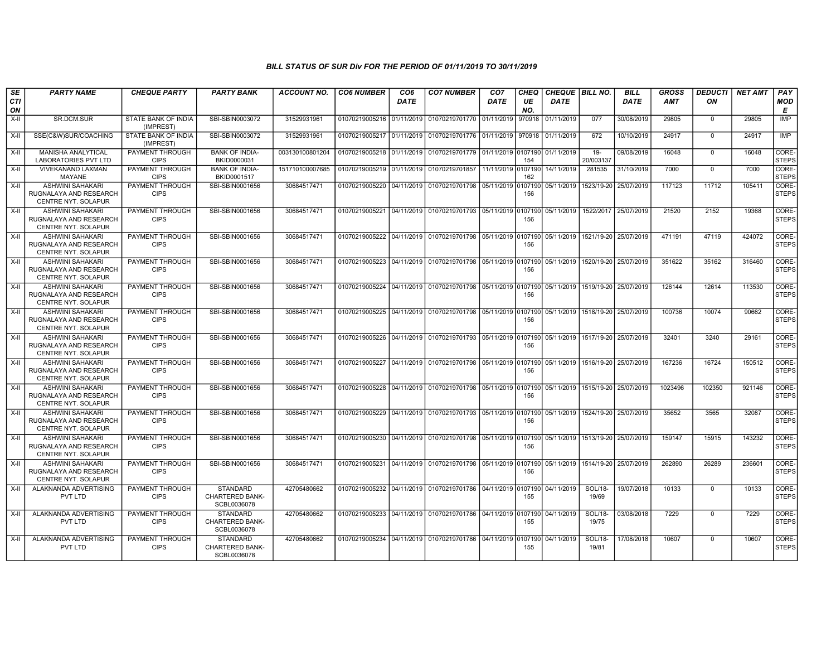| SE<br><b>CTI</b> | <b>PARTY NAME</b>                                                               | <b>CHEQUE PARTY</b>                   | <b>PARTY BANK</b>                                 | <b>ACCOUNT NO.</b> | <b>CO6 NUMBER</b>         | CO <sub>6</sub><br><b>DATE</b> | <b>CO7 NUMBER</b>                                           | CO <sub>7</sub><br>DATE | CHEQ<br>UE     | CHEQUE BILL NO.<br>DATE              |                     | <b>BILL</b><br><b>DATE</b> | <b>GROSS</b><br><b>AMT</b> | <b>DEDUCTI</b><br>ON | <b>NET AMT</b> | PAY<br>MOD            |
|------------------|---------------------------------------------------------------------------------|---------------------------------------|---------------------------------------------------|--------------------|---------------------------|--------------------------------|-------------------------------------------------------------|-------------------------|----------------|--------------------------------------|---------------------|----------------------------|----------------------------|----------------------|----------------|-----------------------|
| ON               |                                                                                 |                                       |                                                   |                    |                           |                                |                                                             |                         | NO.            |                                      |                     |                            |                            |                      |                | E                     |
| X-II             | SR.DCM.SUR                                                                      | STATE BANK OF INDIA<br>(IMPREST)      | SBI-SBIN0003072                                   | 31529931961        | 01070219005216 01/11/2019 |                                | 01070219701770 01/11/2019                                   |                         | 970918         | 01/11/2019                           | 077                 | 30/08/2019                 | 29805                      | $\mathbf 0$          | 29805          | <b>IMP</b>            |
| X-II             | SSE(C&W)SUR/COACHING                                                            | STATE BANK OF INDIA<br>(IMPREST)      | SBI-SBIN0003072                                   | 31529931961        | 01070219005217 01/11/2019 |                                | 01070219701776 01/11/2019                                   |                         | 970918         | 01/11/2019                           | 672                 | 10/10/2019                 | 24917                      | $\Omega$             | 24917          | <b>IMP</b>            |
| $X-II$           | MANISHA ANALYTICAL<br><b>LABORATORIES PVT LTD</b>                               | PAYMENT THROUGH<br><b>CIPS</b>        | <b>BANK OF INDIA-</b><br>BKID0000031              | 003130100801204    | 01070219005218 01/11/2019 |                                | 01070219701779 01/11/2019 0107190                           |                         | 154            | 01/11/2019                           | $19 -$<br>20/003137 | 09/08/2019                 | 16048                      | $\mathbf 0$          | 16048          | CORE-<br><b>STEPS</b> |
| X-II             | <b>VIVEKANAND LAXMAN</b><br><b>MAYANE</b>                                       | PAYMENT THROUGH<br><b>CIPS</b>        | <b>BANK OF INDIA-</b><br>BKID0001517              | 151710100007685    | 01070219005219 01/11/2019 |                                | 01070219701857                                              | 11/11/2019 0107190      | 162            | 14/11/2019                           | 281535              | 31/10/2019                 | 7000                       | $\Omega$             | 7000           | CORE-<br><b>STEPS</b> |
| X-II             | <b>ASHWINI SAHAKARI</b><br>RUGNALAYA AND RESEARCH<br>CENTRE NYT. SOLAPUR        | PAYMENT THROUGH<br><b>CIPS</b>        | SBI-SBIN0001656                                   | 30684517471        |                           |                                | 01070219005220 04/11/2019 01070219701798                    | 05/11/2019              | 0107190<br>156 | 05/11/2019                           |                     | 1523/19-20 25/07/2019      | 117123                     | 11712                | 105411         | CORE-<br><b>STEPS</b> |
| X-II             | <b>ASHWINI SAHAKARI</b><br>RUGNALAYA AND RESEARCH<br>CENTRE NYT. SOLAPUR        | PAYMENT THROUGH<br><b>CIPS</b>        | SBI-SBIN0001656                                   | 30684517471        |                           |                                | 01070219005221 04/11/2019 01070219701793 05/11/2019         |                         | 0107190<br>156 | 05/11/2019                           |                     | 1522/2017 25/07/2019       | 21520                      | 2152                 | 19368          | CORE-<br><b>STEPS</b> |
| X-II             | ASHWINI SAHAKARI<br>RUGNALAYA AND RESEARCH<br><b>CENTRE NYT, SOLAPUR</b>        | PAYMENT THROUGH<br><b>CIPS</b>        | SBI-SBIN0001656                                   | 30684517471        |                           |                                | 01070219005222 04/11/2019 01070219701798 05/11/2019         |                         | 0107190<br>156 | 05/11/2019   1521/19-20   25/07/2019 |                     |                            | 471191                     | 47119                | 424072         | CORE-<br><b>STEPS</b> |
| $X-II$           | <b>ASHWINI SAHAKARI</b><br>RUGNALAYA AND RESEARCH<br>CENTRE NYT. SOLAPUR        | PAYMENT THROUGH<br><b>CIPS</b>        | SBI-SBIN0001656                                   | 30684517471        |                           |                                | 01070219005223 04/11/2019 01070219701798 05/11/2019         |                         | 0107190<br>156 | 05/11/2019 1520/19-20 25/07/2019     |                     |                            | 351622                     | 35162                | 316460         | CORE-<br><b>STEPS</b> |
| X-II             | <b>ASHWINI SAHAKARI</b><br>RUGNALAYA AND RESEARCH<br>CENTRE NYT. SOLAPUR        | PAYMENT THROUGH<br><b>CIPS</b>        | SBI-SBIN0001656                                   | 30684517471        |                           |                                | 01070219005224   04/11/2019   01070219701798   05/11/2019   |                         | 0107190<br>156 | 05/11/2019 1519/19-20 25/07/2019     |                     |                            | 126144                     | 12614                | 113530         | CORE-<br><b>STEPS</b> |
| X-II             | <b>ASHWINI SAHAKARI</b><br>RUGNALAYA AND RESEARCH<br>CENTRE NYT. SOLAPUR        | PAYMENT THROUGH<br><b>CIPS</b>        | SBI-SBIN0001656                                   | 30684517471        |                           |                                | 01070219005225 04/11/2019 01070219701798 05/11/2019         |                         | 0107190<br>156 | 05/11/2019   1518/19-20   25/07/2019 |                     |                            | 100736                     | 10074                | 90662          | CORE-<br><b>STEPS</b> |
| X-II             | <b>ASHWINI SAHAKARI</b><br>RUGNALAYA AND RESEARCH<br>CENTRE NYT. SOLAPUR        | PAYMENT THROUGH<br><b>CIPS</b>        | SBI-SBIN0001656                                   | 30684517471        |                           |                                | 01070219005226 04/11/2019 01070219701793 05/11/2019         |                         | 0107190<br>156 | 05/11/2019   1517/19-20   25/07/2019 |                     |                            | 32401                      | 3240                 | 29161          | CORE-<br><b>STEPS</b> |
| X-II             | <b>ASHWINI SAHAKARI</b><br>RUGNALAYA AND RESEARCH<br>CENTRE NYT. SOLAPUR        | PAYMENT THROUGH<br><b>CIPS</b>        | SBI-SBIN0001656                                   | 30684517471        |                           |                                | 01070219005227 04/11/2019 01070219701798 05/11/2019         |                         | 0107190<br>156 | 05/11/2019   1516/19-20   25/07/2019 |                     |                            | 167236                     | 16724                | 150512         | CORE-<br><b>STEPS</b> |
| X-II             | <b>ASHWINI SAHAKARI</b><br>RUGNALAYA AND RESEARCH<br>CENTRE NYT. SOLAPUR        | PAYMENT THROUGH<br><b>CIPS</b>        | SBI-SBIN0001656                                   | 30684517471        |                           |                                | 01070219005228 04/11/2019 01070219701798 05/11/2019         |                         | 0107190<br>156 | 05/11/2019   1515/19-20   25/07/2019 |                     |                            | 1023496                    | 102350               | 921146         | CORE-<br><b>STEPS</b> |
| X-II             | <b>ASHWINI SAHAKARI</b><br>RUGNALAYA AND RESEARCH<br><b>CENTRE NYT, SOLAPUR</b> | PAYMENT THROUGH<br><b>CIPS</b>        | SBI-SBIN0001656                                   | 30684517471        |                           |                                | 01070219005229 04/11/2019 01070219701793 05/11/2019         |                         | 0107190<br>156 | 05/11/2019 1524/19-20 25/07/2019     |                     |                            | 35652                      | 3565                 | 32087          | CORE-<br><b>STEPS</b> |
| $X-H$            | <b>ASHWINI SAHAKARI</b><br>RUGNALAYA AND RESEARCH<br>CENTRE NYT. SOLAPUR        | <b>PAYMENT THROUGH</b><br><b>CIPS</b> | SBI-SBIN0001656                                   | 30684517471        |                           |                                | 01070219005230 04/11/2019 01070219701798 05/11/2019         |                         | 0107190<br>156 | 05/11/2019 1513/19-20 25/07/2019     |                     |                            | 159147                     | 15915                | 143232         | CORE-<br><b>STEPS</b> |
| $X-II$           | <b>ASHWINI SAHAKARI</b><br>RUGNALAYA AND RESEARCH<br>CENTRE NYT. SOLAPUR        | <b>PAYMENT THROUGH</b><br><b>CIPS</b> | SBI-SBIN0001656                                   | 30684517471        |                           |                                | 01070219005231 04/11/2019 01070219701798 05/11/2019         |                         | 0107190<br>156 | 05/11/2019 1514/19-20 25/07/2019     |                     |                            | 262890                     | 26289                | 236601         | CORE-<br><b>STEPS</b> |
| X-II             | ALAKNANDA ADVERTISING<br>PVT LTD                                                | PAYMENT THROUGH<br><b>CIPS</b>        | STANDARD<br>CHARTERED BANK-<br>SCBL0036078        | 42705480662        |                           |                                | 01070219005232 04/11/2019 01070219701786 04/11/2019         |                         | 107190<br>155  | 04/11/2019                           | SOL/18-<br>19/69    | 19/07/2018                 | 10133                      | $\Omega$             | 10133          | CORE-<br><b>STEPS</b> |
| X-II             | ALAKNANDA ADVERTISING<br>PVT LTD                                                | PAYMENT THROUGH<br><b>CIPS</b>        | STANDARD<br><b>CHARTERED BANK-</b><br>SCBL0036078 | 42705480662        |                           |                                | 01070219005233 04/11/2019 01070219701786 04/11/2019 0107190 |                         | 155            | 04/11/2019                           | SOL/18-<br>19/75    | 03/08/2018                 | 7229                       | $\mathbf{0}$         | 7229           | CORE-<br><b>STEPS</b> |
| X-II             | ALAKNANDA ADVERTISING<br>PVT LTD                                                | PAYMENT THROUGH<br><b>CIPS</b>        | STANDARD<br>CHARTERED BANK-<br>SCBL0036078        | 42705480662        |                           |                                | 01070219005234 04/11/2019 01070219701786 04/11/2019         |                         | 0107190<br>155 | 04/11/2019                           | SOL/18-<br>19/81    | 17/08/2018                 | 10607                      | $\mathbf{0}$         | 10607          | CORE-<br><b>STEPS</b> |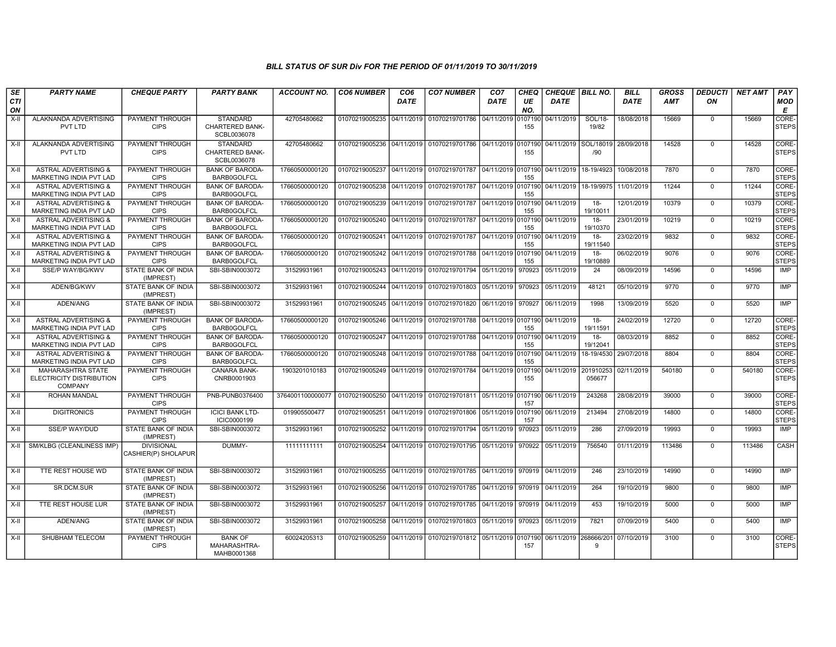| SE<br><b>CTI</b> | <b>PARTY NAME</b>                                               | <b>CHEQUE PARTY</b>                      | <b>PARTY BANK</b>                                        | <b>ACCOUNT NO.</b>                                                                     | <b>CO6 NUMBER</b>                        | CO <sub>6</sub><br><b>DATE</b> | <b>CO7 NUMBER</b>                                                                | CO <sub>7</sub><br><b>DATE</b> | <b>CHEQ</b><br>UE | <b>DATE</b>                   | CHEQUE BILL NO.     | <b>BILL</b><br>DATE | <b>GROSS</b><br><b>AMT</b> | <b>DEDUCTI</b><br>ON | <b>NET AMT</b> | PAY<br><b>MOD</b>     |
|------------------|-----------------------------------------------------------------|------------------------------------------|----------------------------------------------------------|----------------------------------------------------------------------------------------|------------------------------------------|--------------------------------|----------------------------------------------------------------------------------|--------------------------------|-------------------|-------------------------------|---------------------|---------------------|----------------------------|----------------------|----------------|-----------------------|
| ON               |                                                                 |                                          |                                                          |                                                                                        |                                          |                                |                                                                                  |                                | NO.               |                               |                     |                     |                            |                      |                | E                     |
| $X-II$           | ALAKNANDA ADVERTISING<br>PVT LTD                                | PAYMENT THROUGH<br><b>CIPS</b>           | <b>STANDARD</b><br><b>CHARTERED BANK-</b><br>SCBL0036078 | 42705480662                                                                            | 01070219005235 04/11/2019                |                                | 01070219701786                                                                   | 04/11/2019                     | 0107190<br>155    | 04/11/2019                    | SOL/18-<br>19/82    | 18/08/2018          | 15669                      | $\Omega$             | 15669          | CORE-<br><b>STEPS</b> |
| X-II             | ALAKNANDA ADVERTISING<br>PVT LTD                                | PAYMENT THROUGH<br><b>CIPS</b>           | <b>STANDARD</b><br>CHARTERED BANK-<br>SCBL0036078        | 42705480662                                                                            |                                          |                                | 01070219005236 04/11/2019 01070219701786 04/11/2019 0107190                      |                                | 155               | 04/11/2019 SOL/18019          | /90                 | 28/09/2018          | 14528                      | $\Omega$             | 14528          | CORE-<br><b>STEPS</b> |
| $X-II$           | <b>ASTRAL ADVERTISING &amp;</b><br>MARKETING INDIA PVT LAD      | <b>PAYMENT THROUGH</b><br><b>CIPS</b>    | <b>BANK OF BARODA-</b><br><b>BARB0GOLFCL</b>             | 17660500000120                                                                         |                                          |                                | 01070219005237 04/11/2019 01070219701787                                         | 04/11/2019 0107190             | 155               | 04/11/2019                    | 18-19/4923          | 10/08/2018          | 7870                       | $\mathbf{0}$         | 7870           | CORE-<br><b>STEPS</b> |
| X-II             | <b>ASTRAL ADVERTISING &amp;</b><br>MARKETING INDIA PVT LAD      | <b>PAYMENT THROUGH</b><br><b>CIPS</b>    | <b>BANK OF BARODA-</b><br><b>BARB0GOLFCL</b>             | 17660500000120                                                                         |                                          |                                | 01070219005238 04/11/2019 01070219701787                                         | 04/11/2019 0107190             | 155               | 04/11/2019                    | 18-19/9975          | 11/01/2019          | 11244                      | $\mathbf{0}$         | 11244          | CORE-<br><b>STEPS</b> |
| X-II             | <b>ASTRAL ADVERTISING &amp;</b><br>MARKETING INDIA PVT LAD      | <b>PAYMENT THROUGH</b><br><b>CIPS</b>    | <b>BANK OF BARODA-</b><br><b>BARB0GOLFCL</b>             | 17660500000120                                                                         |                                          |                                | 01070219005239 04/11/2019 01070219701787                                         | 04/11/2019 0107190             | 155               | 04/11/2019                    | $18 -$<br>19/10011  | 12/01/2019          | 10379                      | $\Omega$             | 10379          | CORE-<br><b>STEPS</b> |
| X-II             | <b>ASTRAL ADVERTISING &amp;</b><br>MARKETING INDIA PVT LAD      | PAYMENT THROUGH<br><b>CIPS</b>           | <b>BANK OF BARODA-</b><br>BARB0GOLFCL                    | 17660500000120                                                                         | 01070219005240 04/11/2019 01070219701787 |                                |                                                                                  | 04/11/2019 0107190             | 155               | 04/11/2019                    | $18 -$<br>19/10370  | 23/01/2019          | 10219                      | $\mathbf{0}$         | 10219          | CORE-<br><b>STEPS</b> |
| X-II             | <b>ASTRAL ADVERTISING &amp;</b><br>MARKETING INDIA PVT LAD      | PAYMENT THROUGH<br><b>CIPS</b>           | <b>BANK OF BARODA-</b><br><b>BARB0GOLFCL</b>             | 17660500000120                                                                         |                                          |                                | 01070219005241 04/11/2019 01070219701787                                         |                                | 155               | 04/11/2019 0107190 04/11/2019 | $18 -$<br>19/11540  | 23/02/2019          | 9832                       | $\mathbf{0}$         | 9832           | CORE-<br><b>STEPS</b> |
| X-II             | <b>ASTRAL ADVERTISING &amp;</b><br>MARKETING INDIA PVT LAD      | <b>PAYMENT THROUGH</b><br><b>CIPS</b>    | <b>BANK OF BARODA-</b><br><b>BARB0GOLFCL</b>             | 17660500000120                                                                         |                                          |                                | 01070219005242 04/11/2019 01070219701788 04/11/2019 0107190                      |                                | 155               | 04/11/2019                    | $18-$<br>19/10889   | 06/02/2019          | 9076                       | $\overline{0}$       | 9076           | CORE-<br><b>STEPS</b> |
| $X-H$            | SSE/P WAY/BG/KWV                                                | <b>STATE BANK OF INDIA</b><br>(IMPREST)  | SBI-SBIN0003072                                          | 31529931961                                                                            |                                          |                                | 01070219005243 04/11/2019 01070219701794                                         | 05/11/2019                     | 970923            | 05/11/2019                    | $\overline{24}$     | 08/09/2019          | 14596                      | $\overline{0}$       | 14596          | IMP                   |
| X-II             | ADEN/BG/KWV                                                     | STATE BANK OF INDIA<br>(IMPREST)         | SBI-SBIN0003072                                          | 31529931961                                                                            |                                          |                                | 01070219005244 04/11/2019 01070219701803                                         | 05/11/2019                     | 970923            | 05/11/2019                    | 48121               | 05/10/2019          | 9770                       | $\Omega$             | 9770           | IMP                   |
| X-II             | ADEN/ANG                                                        | STATE BANK OF INDIA<br>(IMPREST)         | SBI-SBIN0003072                                          | 31529931961                                                                            |                                          |                                | 01070219005245   04/11/2019   01070219701820   06/11/2019   970927               |                                |                   | 06/11/2019                    | 1998                | 13/09/2019          | 5520                       | $\Omega$             | 5520           | <b>IMP</b>            |
| $X-H$            | <b>ASTRAL ADVERTISING &amp;</b><br>MARKETING INDIA PVT LAD      | <b>PAYMENT THROUGH</b><br><b>CIPS</b>    | <b>BANK OF BARODA-</b><br><b>BARB0GOLFCL</b>             | 17660500000120                                                                         | 01070219005246 04/11/2019 01070219701788 |                                |                                                                                  | 04/11/2019 0107190             | 155               | 04/11/2019                    | $18-$<br>19/11591   | 24/02/2019          | 12720                      | $\mathbf{0}$         | 12720          | CORE-<br><b>STEPS</b> |
| X-II             | <b>ASTRAL ADVERTISING &amp;</b><br>MARKETING INDIA PVT LAD      | <b>PAYMENT THROUGH</b><br><b>CIPS</b>    | <b>BANK OF BARODA-</b><br><b>BARB0GOLFCL</b>             | 17660500000120                                                                         |                                          |                                | 01070219005247   04/11/2019   01070219701788   04/11/2019   0107190   04/11/2019 |                                | 155               |                               | $18-$<br>19/12041   | 08/03/2019          | 8852                       | $\mathbf 0$          | 8852           | CORE-<br><b>STEPS</b> |
| X-II             | <b>ASTRAL ADVERTISING &amp;</b><br>MARKETING INDIA PVT LAD      | <b>PAYMENT THROUGH</b><br><b>CIPS</b>    | <b>BANK OF BARODA-</b><br><b>BARB0GOLFCL</b>             | 17660500000120                                                                         |                                          |                                | 01070219005248 04/11/2019 01070219701788                                         | 04/11/2019 0107190             | 155               | 04/11/2019                    | 18-19/4530          | 29/07/2018          | 8804                       | $\mathbf 0$          | 8804           | CORE-<br><b>STEPS</b> |
| X-II             | MAHARASHTRA STATE<br>ELECTRICITY DISTRIBUTION<br><b>COMPANY</b> | PAYMENT THROUGH<br><b>CIPS</b>           | CANARA BANK-<br>CNRB0001903                              | 1903201010183                                                                          |                                          |                                | 01070219005249 04/11/2019 01070219701784                                         | 04/11/2019 0107190             | 155               | 04/11/2019                    | 201910253<br>056677 | 02/11/2019          | 540180                     | $\mathbf 0$          | 540180         | CORE-<br><b>STEPS</b> |
| X-II             | ROHAN MANDAL                                                    | PAYMENT THROUGH<br><b>CIPS</b>           | PNB-PUNB0376400                                          | 3764001100000077   01070219005250   04/11/2019   01070219701811   05/11/2019   0107190 |                                          |                                |                                                                                  |                                | 157               | 06/11/2019                    | 243268              | 28/08/2019          | 39000                      | $\mathbf 0$          | 39000          | CORE-<br><b>STEPS</b> |
| X-II             | <b>DIGITRONICS</b>                                              | <b>PAYMENT THROUGH</b><br><b>CIPS</b>    | <b>ICICI BANK LTD-</b><br>ICIC0000199                    | 019905500477                                                                           | 01070219005251                           |                                | 04/11/2019 01070219701806 05/11/2019 0107190                                     |                                | 157               | 06/11/2019                    | 213494              | 27/08/2019          | 14800                      | $\Omega$             | 14800          | CORE-<br><b>STEPS</b> |
| $X-H$            | <b>SSE/P WAY/DUD</b>                                            | STATE BANK OF INDIA<br>(IMPREST)         | SBI-SBIN0003072                                          | 31529931961                                                                            |                                          |                                | 01070219005252 04/11/2019 01070219701794 05/11/2019                              |                                | 970923            | 05/11/2019                    | 286                 | 27/09/2019          | 19993                      | $\overline{0}$       | 19993          | IMP                   |
|                  | X-II   SM/KLBG (CLEANLINESS IMP)                                | <b>DIVISIONAL</b><br>CASHIER(P) SHOLAPUR | DUMMY-                                                   | 11111111111                                                                            |                                          |                                | 01070219005254 04/11/2019 01070219701795 05/11/2019                              |                                | 970922            | 05/11/2019                    | 756540              | 01/11/2019          | 113486                     | $\Omega$             | 113486         | CASH                  |
| X-II             | <b>TTE REST HOUSE WD</b>                                        | STATE BANK OF INDIA<br>(IMPREST)         | SBI-SBIN0003072                                          | 31529931961                                                                            |                                          |                                | 01070219005255 04/11/2019 01070219701785 04/11/2019                              |                                | 970919            | 04/11/2019                    | 246                 | 23/10/2019          | 14990                      | $\overline{0}$       | 14990          | <b>IMP</b>            |
| X-II             | SR.DCM.SUR                                                      | <b>STATE BANK OF INDIA</b><br>(IMPREST)  | SBI-SBIN0003072                                          | 31529931961                                                                            |                                          |                                | 01070219005256 04/11/2019 01070219701785                                         | 04/11/2019 970919              |                   | 04/11/2019                    | 264                 | 19/10/2019          | 9800                       | $\mathbf 0$          | 9800           | <b>IMP</b>            |
| X-II             | TTE REST HOUSE LUR                                              | <b>STATE BANK OF INDIA</b><br>(IMPREST)  | SBI-SBIN0003072                                          | 31529931961                                                                            |                                          |                                | 01070219005257 04/11/2019 01070219701785 04/11/2019 970919                       |                                |                   | 04/11/2019                    | 453                 | 19/10/2019          | 5000                       | $\mathbf 0$          | 5000           | <b>IMP</b>            |
| X-II             | ADEN/ANG                                                        | STATE BANK OF INDIA<br>(IMPREST)         | SBI-SBIN0003072                                          | 31529931961                                                                            |                                          |                                | 01070219005258 04/11/2019 01070219701803 05/11/2019                              |                                | 970923            | 05/11/2019                    | 7821                | 07/09/2019          | 5400                       | $\mathbf 0$          | 5400           | <b>IMP</b>            |
| X-II             | SHUBHAM TELECOM                                                 | PAYMENT THROUGH<br><b>CIPS</b>           | <b>BANK OF</b><br>MAHARASHTRA-<br>MAHB0001368            | 60024205313                                                                            |                                          |                                | 01070219005259 04/11/2019 01070219701812 05/11/2019 0107190                      |                                | 157               | 06/11/2019                    | 268666/201<br>9     | 07/10/2019          | 3100                       | $\Omega$             | 3100           | CORE-<br><b>STEPS</b> |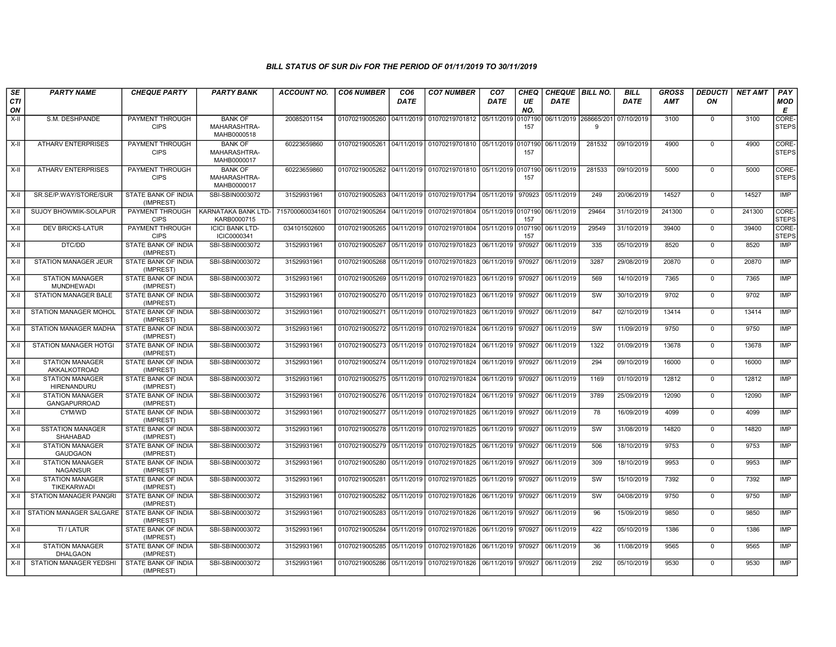| <b>SE</b><br>CTI | <b>PARTY NAME</b>                             | <b>CHEQUE PARTY</b>                     | <b>PARTY BANK</b>                             | <b>ACCOUNT NO.</b> | <b>CO6 NUMBER</b>                        | CO <sub>6</sub><br><b>DATE</b> | <b>CO7 NUMBER</b>                                           | CO <sub>7</sub><br><b>DATE</b> | <b>CHEQ</b><br>UE | CHEQUE   BILL NO.<br><b>DATE</b> |        | <b>BILL</b><br><b>DATE</b> | <b>GROSS</b><br><b>AMT</b> | <b>DEDUCTI</b><br>ΟN | <b>NET AMT</b> | PAY<br><b>MOD</b>     |
|------------------|-----------------------------------------------|-----------------------------------------|-----------------------------------------------|--------------------|------------------------------------------|--------------------------------|-------------------------------------------------------------|--------------------------------|-------------------|----------------------------------|--------|----------------------------|----------------------------|----------------------|----------------|-----------------------|
| ON               |                                               |                                         |                                               |                    |                                          |                                |                                                             |                                | NO.               |                                  |        |                            |                            |                      |                | Е                     |
| $X-H$            | S.M. DESHPANDE                                | PAYMENT THROUGH<br><b>CIPS</b>          | <b>BANK OF</b><br>MAHARASHTRA-<br>MAHB0000518 | 20085201154        |                                          |                                | 01070219005260 04/11/2019 01070219701812 05/11/2019         |                                | 0107190<br>157    | 06/11/2019 268665/20             | 9      | 07/10/2019                 | 3100                       | $\mathbf 0$          | 3100           | CORE-<br><b>STEPS</b> |
| X-II             | <b>ATHARV ENTERPRISES</b>                     | PAYMENT THROUGH<br><b>CIPS</b>          | <b>BANK OF</b><br>MAHARASHTRA-<br>MAHB0000017 | 60223659860        |                                          |                                | 01070219005261 04/11/2019 01070219701810 05/11/2019 0107190 |                                | 157               | 06/11/2019                       | 281532 | 09/10/2019                 | 4900                       | $\mathbf 0$          | 4900           | CORE-<br><b>STEPS</b> |
| $X-II$           | <b>ATHARV ENTERPRISES</b>                     | PAYMENT THROUGH<br><b>CIPS</b>          | <b>BANK OF</b><br>MAHARASHTRA-<br>MAHB0000017 | 60223659860        |                                          |                                | 01070219005262 04/11/2019 01070219701810 05/11/2019 0107190 |                                | 157               | 06/11/2019                       | 281533 | 09/10/2019                 | 5000                       | $\mathbf 0$          | 5000           | CORE-<br><b>STEPS</b> |
| X-II             | SR.SE/P.WAY/STORE/SUR                         | STATE BANK OF INDIA<br>(IMPREST)        | SBI-SBIN0003072                               | 31529931961        |                                          |                                | 01070219005263 04/11/2019 01070219701794 05/11/2019         |                                | 970923            | 05/11/2019                       | 249    | 20/06/2019                 | 14527                      | $\mathbf 0$          | 14527          | IMP                   |
| X-II             | <b>SUJOY BHOWMIK-SOLAPUR</b>                  | PAYMENT THROUGH<br><b>CIPS</b>          | KARNATAKA BANK LTD-<br>KARB0000715            | 7157000600341601   |                                          |                                | 01070219005264 04/11/2019 01070219701804                    | 05/11/2019 0107190             | 157               | 06/11/2019                       | 29464  | 31/10/2019                 | 241300                     | $\mathbf 0$          | 241300         | CORE-<br><b>STEPS</b> |
| $X-H$            | <b>DEV BRICKS-LATUR</b>                       | PAYMENT THROUGH<br><b>CIPS</b>          | <b>ICICI BANK LTD-</b><br>ICIC0000341         | 034101502600       |                                          |                                | 01070219005265 04/11/2019 01070219701804 05/11/2019 0107190 |                                | 157               | 06/11/2019                       | 29549  | 31/10/2019                 | 39400                      | $\mathbf 0$          | 39400          | CORE-<br><b>STEPS</b> |
| $X-H$            | DTC/DD                                        | <b>STATE BANK OF INDIA</b><br>(IMPREST) | SBI-SBIN0003072                               | 31529931961        |                                          |                                | 01070219005267 05/11/2019 01070219701823                    | 06/11/2019                     | 970927            | 06/11/2019                       | 335    | 05/10/2019                 | 8520                       | 0                    | 8520           | IMP                   |
| X-II             | <b>STATION MANAGER JEUR</b>                   | STATE BANK OF INDIA<br>(IMPREST)        | SBI-SBIN0003072                               | 31529931961        |                                          |                                | 01070219005268 05/11/2019 01070219701823                    | 06/11/2019                     | 970927            | 06/11/2019                       | 3287   | 29/08/2019                 | 20870                      | $\mathbf 0$          | 20870          | IMP                   |
| X-II             | <b>STATION MANAGER</b><br>MUNDHEWADI          | STATE BANK OF INDIA<br>(IMPREST)        | SBI-SBIN0003072                               | 31529931961        |                                          |                                | 01070219005269 05/11/2019 01070219701823                    | 06/11/2019                     | 970927            | 06/11/2019                       | 569    | 14/10/2019                 | 7365                       | $\Omega$             | 7365           | <b>IMP</b>            |
| X-II             | STATION MANAGER BALE                          | STATE BANK OF INDIA<br>(IMPREST)        | SBI-SBIN0003072                               | 31529931961        | 01070219005270 05/11/2019 01070219701823 |                                |                                                             | 06/11/2019                     | 970927            | 06/11/2019                       | SW     | 30/10/2019                 | 9702                       | $\mathbf 0$          | 9702           | <b>IMP</b>            |
| $X-H$            | STATION MANAGER MOHOL                         | <b>STATE BANK OF INDIA</b><br>(IMPREST) | SBI-SBIN0003072                               | 31529931961        |                                          |                                | 01070219005271 05/11/2019 01070219701823                    | 06/11/2019                     | 970927            | 06/11/2019                       | 847    | 02/10/2019                 | 13414                      | $\mathbf 0$          | 13414          | <b>IMP</b>            |
| X-II             | STATION MANAGER MADHA                         | STATE BANK OF INDIA<br>(IMPREST)        | SBI-SBIN0003072                               | 31529931961        |                                          |                                | 01070219005272 05/11/2019 01070219701824                    | 06/11/2019                     | 970927            | 06/11/2019                       | SW     | 11/09/2019                 | 9750                       | $\mathbf 0$          | 9750           | IMP                   |
| $X-II$           | STATION MANAGER HOTGI                         | STATE BANK OF INDIA<br>(IMPREST)        | SBI-SBIN0003072                               | 31529931961        |                                          |                                | 01070219005273 05/11/2019 01070219701824                    | 06/11/2019                     | 970927            | 06/11/2019                       | 1322   | 01/09/2019                 | 13678                      | $\Omega$             | 13678          | <b>IMP</b>            |
| X-II             | <b>STATION MANAGER</b><br>AKKALKOTROAD        | <b>STATE BANK OF INDIA</b><br>(IMPREST) | SBI-SBIN0003072                               | 31529931961        |                                          |                                | 01070219005274 05/11/2019 01070219701824                    | 06/11/2019 970927              |                   | 06/11/2019                       | 294    | 09/10/2019                 | 16000                      | $\mathbf 0$          | 16000          | <b>IMP</b>            |
| $X-H$            | <b>STATION MANAGER</b><br>HIRENANDURU         | STATE BANK OF INDIA<br>(IMPREST)        | SBI-SBIN0003072                               | 31529931961        |                                          |                                | 01070219005275 05/11/2019 01070219701824                    | 06/11/2019                     | 970927            | 06/11/2019                       | 1169   | 01/10/2019                 | 12812                      | $\mathbf 0$          | 12812          | <b>IMP</b>            |
| X-II             | <b>STATION MANAGER</b><br><b>GANGAPURROAD</b> | STATE BANK OF INDIA<br>(IMPREST)        | SBI-SBIN0003072                               | 31529931961        |                                          |                                | 01070219005276 05/11/2019 01070219701824                    | 06/11/2019                     | 970927            | 06/11/2019                       | 3789   | 25/09/2019                 | 12090                      | $\mathbf 0$          | 12090          | IMP                   |
| X-II             | CYM/WD                                        | STATE BANK OF INDIA<br>(IMPREST)        | SBI-SBIN0003072                               | 31529931961        |                                          |                                | 01070219005277 05/11/2019 01070219701825                    | 06/11/2019 970927              |                   | 06/11/2019                       | 78     | 16/09/2019                 | 4099                       | $\mathbf 0$          | 4099           | <b>IMP</b>            |
| $X-H$            | <b>SSTATION MANAGER</b><br>SHAHABAD           | STATE BANK OF INDIA<br>(IMPREST)        | SBI-SBIN0003072                               | 31529931961        |                                          |                                | 01070219005278 05/11/2019 01070219701825                    | 06/11/2019                     | 970927            | 06/11/2019                       | SW     | 31/08/2019                 | 14820                      | 0                    | 14820          | <b>IMP</b>            |
| $X-H$            | <b>STATION MANAGER</b><br><b>GAUDGAON</b>     | <b>STATE BANK OF INDIA</b><br>(IMPREST) | SBI-SBIN0003072                               | 31529931961        |                                          |                                | 01070219005279 05/11/2019 01070219701825                    | 06/11/2019                     | 970927            | 06/11/2019                       | 506    | 18/10/2019                 | 9753                       | $\mathbf 0$          | 9753           | <b>IMP</b>            |
| X-II             | <b>STATION MANAGER</b><br><b>NAGANSUR</b>     | STATE BANK OF INDIA<br>(IMPREST)        | SBI-SBIN0003072                               | 31529931961        |                                          |                                | 01070219005280 05/11/2019 01070219701825 06/11/2019         |                                | 970927            | 06/11/2019                       | 309    | 18/10/2019                 | 9953                       | $\mathbf 0$          | 9953           | <b>IMP</b>            |
| X-II             | <b>STATION MANAGER</b><br>TIKEKARWADI         | STATE BANK OF INDIA<br>(IMPREST)        | SBI-SBIN0003072                               | 31529931961        |                                          |                                | 01070219005281 05/11/2019 01070219701825                    | 06/11/2019 970927              |                   | 06/11/2019                       | SW     | 15/10/2019                 | 7392                       | $\mathbf 0$          | 7392           | <b>IMP</b>            |
| $X-II$           | STATION MANAGER PANGRI                        | STATE BANK OF INDIA<br>(IMPREST)        | SBI-SBIN0003072                               | 31529931961        |                                          |                                | 01070219005282 05/11/2019 01070219701826                    | 06/11/2019                     | 970927            | 06/11/2019                       | SW     | 04/08/2019                 | 9750                       | $\mathbf 0$          | 9750           | <b>IMP</b>            |
| $X-H$            | STATION MANAGER SALGARE STATE BANK OF INDIA   | (IMPREST)                               | SBI-SBIN0003072                               | 31529931961        |                                          |                                | 01070219005283 05/11/2019 01070219701826                    | 06/11/2019                     | 970927            | 06/11/2019                       | 96     | 15/09/2019                 | 9850                       | $\mathbf 0$          | 9850           | <b>IMP</b>            |
| X-II             | TI / LATUR                                    | <b>STATE BANK OF INDIA</b><br>(IMPREST) | SBI-SBIN0003072                               | 31529931961        |                                          |                                | 01070219005284 05/11/2019 01070219701826 06/11/2019         |                                | 970927            | 06/11/2019                       | 422    | 05/10/2019                 | 1386                       | $\mathbf 0$          | 1386           | <b>IMP</b>            |
| X-II             | <b>STATION MANAGER</b><br><b>DHALGAON</b>     | STATE BANK OF INDIA<br>(IMPREST)        | SBI-SBIN0003072                               | 31529931961        |                                          |                                | 01070219005285 05/11/2019 01070219701826                    | 06/11/2019                     | 970927            | 06/11/2019                       | 36     | 11/08/2019                 | 9565                       | $\mathbf 0$          | 9565           | <b>IMP</b>            |
| X-II             | STATION MANAGER YEDSHI                        | STATE BANK OF INDIA<br>(IMPREST)        | SBI-SBIN0003072                               | 31529931961        |                                          |                                | 01070219005286 05/11/2019 01070219701826                    | 06/11/2019                     | 970927            | 06/11/2019                       | 292    | 05/10/2019                 | 9530                       | $\Omega$             | 9530           | <b>IMP</b>            |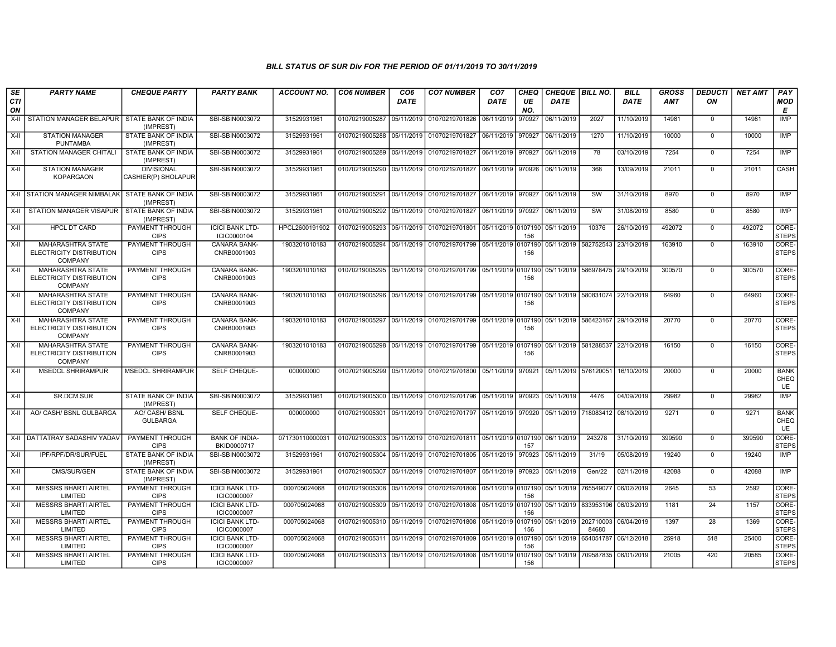| <b>SE</b><br>CTI<br>ON | <b>PARTY NAME</b>                                                      | <b>CHEQUE PARTY</b>                      | <b>PARTY BANK</b>                            | <b>ACCOUNT NO.</b> | <b>CO6 NUMBER</b>         | CO <sub>6</sub><br><b>DATE</b> | <b>CO7 NUMBER</b>                                                      | CO <sub>7</sub><br><b>DATE</b> | CHEQ<br>UE<br>NO. | <b>CHEQUE   BILL NO.</b><br><b>DATE</b>    |                                 | <b>BILL</b><br><b>DATE</b> | GROSS<br>AMT | <b>DEDUCTI</b><br>ON | <b>NET AMT</b> | PAY<br>MOD<br>Е           |
|------------------------|------------------------------------------------------------------------|------------------------------------------|----------------------------------------------|--------------------|---------------------------|--------------------------------|------------------------------------------------------------------------|--------------------------------|-------------------|--------------------------------------------|---------------------------------|----------------------------|--------------|----------------------|----------------|---------------------------|
| X-II                   | STATION MANAGER BELAPUR                                                | STATE BANK OF INDIA<br>(IMPREST)         | SBI-SBIN0003072                              | 31529931961        | 01070219005287            | 05/11/2019                     | 01070219701826                                                         | 06/11/2019                     | 970927            | 06/11/2019                                 | 2027                            | 11/10/2019                 | 14981        | $^{\circ}$           | 14981          | IMP                       |
| X-II                   | <b>STATION MANAGER</b><br><b>PUNTAMBA</b>                              | STATE BANK OF INDIA<br>(IMPREST)         | SBI-SBIN0003072                              | 31529931961        | 01070219005288 05/11/2019 |                                | 01070219701827                                                         | 06/11/2019                     | 970927            | 06/11/2019                                 | 1270                            | 11/10/2019                 | 10000        | $\overline{0}$       | 10000          | IMP                       |
| X-II                   | <b>STATION MANAGER CHITALI</b>                                         | STATE BANK OF INDIA<br>(IMPREST)         | SBI-SBIN0003072                              | 31529931961        |                           |                                | 01070219005289 05/11/2019 01070219701827                               | 06/11/2019                     | 970927            | 06/11/2019                                 | 78                              | 03/10/2019                 | 7254         | $\Omega$             | 7254           | <b>IMP</b>                |
| X-II                   | <b>STATION MANAGER</b><br><b>KOPARGAON</b>                             | <b>DIVISIONAL</b><br>CASHIER(P) SHOLAPUR | SBI-SBIN0003072                              | 31529931961        |                           |                                | 01070219005290 05/11/2019 01070219701827 06/11/2019                    |                                | 970926            | 06/11/2019                                 | 368                             | 13/09/2019                 | 21011        | $\mathbf 0$          | 21011          | CASH                      |
|                        | X-II STATION MANAGER NIMBALAK                                          | STATE BANK OF INDIA<br>(IMPREST)         | SBI-SBIN0003072                              | 31529931961        |                           |                                | 01070219005291 05/11/2019 01070219701827                               | 06/11/2019                     | 970927            | 06/11/2019                                 | SW                              | 31/10/2019                 | 8970         | $\mathbf 0$          | 8970           | IMP                       |
|                        | X-II STATION MANAGER VISAPUR                                           | STATE BANK OF INDIA<br>(IMPREST)         | SBI-SBIN0003072                              | 31529931961        | 01070219005292 05/11/2019 |                                | 01070219701827                                                         | 06/11/2019                     | 970927            | 06/11/2019                                 | SW                              | 31/08/2019                 | 8580         | $\mathbf 0$          | 8580           | IMP                       |
| X-II                   | <b>HPCL DT CARD</b>                                                    | PAYMENT THROUGH<br><b>CIPS</b>           | <b>ICICI BANK LTD-</b><br>ICIC0000104        | HPCL2600191902     | 01070219005293 05/11/2019 |                                | 01070219701801 05/11/2019 0107190                                      |                                | 156               | 05/11/2019                                 | 10376                           | 26/10/2019                 | 492072       | $\mathbf 0$          | 492072         | CORE-<br>STEPS            |
| X-II                   | <b>MAHARASHTRA STATE</b><br>ELECTRICITY DISTRIBUTION<br><b>COMPANY</b> | PAYMENT THROUGH<br><b>CIPS</b>           | <b>CANARA BANK-</b><br>CNRB0001903           | 1903201010183      | 01070219005294 05/11/2019 |                                | 01070219701799                                                         | 05/11/2019                     | 0107190<br>156    | 05/11/2019 582752543                       |                                 | 23/10/2019                 | 163910       | $\mathbf 0$          | 163910         | CORE-<br><b>STEPS</b>     |
| X-II                   | MAHARASHTRA STATE<br>ELECTRICITY DISTRIBUTION<br><b>COMPANY</b>        | <b>PAYMENT THROUGH</b><br><b>CIPS</b>    | CANARA BANK-<br>CNRB0001903                  | 1903201010183      |                           |                                | 01070219005295 05/11/2019 01070219701799 05/11/2019 0107190            |                                | 156               | 05/11/2019 586978475 29/10/2019            |                                 |                            | 300570       | $\mathbf 0$          | 300570         | CORE-<br><b>STEPS</b>     |
| X-II                   | <b>MAHARASHTRA STATE</b><br>ELECTRICITY DISTRIBUTION<br><b>COMPANY</b> | PAYMENT THROUGH<br><b>CIPS</b>           | <b>CANARA BANK-</b><br>CNRB0001903           | 1903201010183      |                           |                                | 01070219005296 05/11/2019 01070219701799 05/11/2019 0107190            |                                | 156               | 05/11/2019 580831074 22/10/2019            |                                 |                            | 64960        | $\mathbf 0$          | 64960          | CORE-<br><b>STEPS</b>     |
| X-II                   | <b>MAHARASHTRA STATE</b><br>ELECTRICITY DISTRIBUTION<br><b>COMPANY</b> | PAYMENT THROUGH<br><b>CIPS</b>           | <b>CANARA BANK-</b><br>CNRB0001903           | 1903201010183      |                           |                                | 01070219005297 05/11/2019 01070219701799 05/11/2019 0107190            |                                | 156               | 05/11/2019 586423167 29/10/2019            |                                 |                            | 20770        | $\Omega$             | 20770          | CORE-<br><b>STEPS</b>     |
| X-II                   | <b>MAHARASHTRA STATE</b><br>ELECTRICITY DISTRIBUTION<br><b>COMPANY</b> | <b>PAYMENT THROUGH</b><br><b>CIPS</b>    | <b>CANARA BANK-</b><br>CNRB0001903           | 1903201010183      |                           |                                | 01070219005298 05/11/2019 01070219701799 05/11/2019 0107190            |                                | 156               | 05/11/2019 581288537 22/10/2019            |                                 |                            | 16150        | $\mathbf 0$          | 16150          | CORE-<br><b>STEPS</b>     |
| X-II                   | <b>MSEDCL SHRIRAMPUR</b>                                               | <b>MSEDCL SHRIRAMPUR</b>                 | SELF CHEQUE-                                 | 000000000          |                           |                                | 01070219005299 05/11/2019 01070219701800 05/11/2019                    |                                | 970921            | 05/11/2019 576120051                       |                                 | 16/10/2019                 | 20000        | $\Omega$             | 20000          | <b>BANK</b><br>CHEQ<br>UE |
| X-II                   | SR.DCM.SUR                                                             | STATE BANK OF INDIA<br>(IMPREST)         | SBI-SBIN0003072                              | 31529931961        |                           |                                | 01070219005300 05/11/2019 01070219701796 05/11/2019                    |                                | 970923            | 05/11/2019                                 | 4476                            | 04/09/2019                 | 29982        | $\Omega$             | 29982          | <b>IMP</b>                |
| X-II                   | AO/ CASH/ BSNL GULBARGA                                                | AO/ CASH/ BSNL<br><b>GULBARGA</b>        | SELF CHEQUE-                                 | 000000000          | 01070219005301 05/11/2019 |                                | 01070219701797 05/11/2019                                              |                                | 970920            | 05/11/2019                                 |                                 | 718083412 08/10/2019       | 9271         | $\Omega$             | 9271           | <b>BANK</b><br>CHEQ<br>UE |
|                        | X-II DATTATRAY SADASHIV YADA\                                          | PAYMENT THROUGH<br><b>CIPS</b>           | <b>BANK OF INDIA-</b><br>BKID0000717         | 071730110000031    | 01070219005303            | 05/11/2019                     | 01070219701811 05/11/2019 0107190                                      |                                | 157               | 06/11/2019                                 | 243278                          | 31/10/2019                 | 399590       | $\mathbf 0$          | 399590         | CORE-<br><b>STEPS</b>     |
| X-II                   | IPF/RPF/DR/SUR/FUEL                                                    | STATE BANK OF INDIA<br>(IMPREST)         | SBI-SBIN0003072                              | 31529931961        | 01070219005304 05/11/2019 |                                | 01070219701805                                                         | 05/11/2019                     | 970923            | 05/11/2019                                 | 31/19                           | 05/08/2019                 | 19240        | $\mathbf 0$          | 19240          | <b>IMP</b>                |
| $X-H$                  | CMS/SUR/GEN                                                            | STATE BANK OF INDIA<br>(IMPREST)         | SBI-SBIN0003072                              | 31529931961        | 01070219005307            | 05/11/2019                     | 01070219701807                                                         | 05/11/2019                     | 970923            | 05/11/2019                                 | Gen/22                          | 02/11/2019                 | 42088        | $\mathbf 0$          | 42088          | <b>IMP</b>                |
| X-II                   | <b>MESSRS BHARTI AIRTEL</b><br>LIMITED                                 | PAYMENT THROUGH<br><b>CIPS</b>           | <b>ICICI BANK LTD-</b><br>ICIC0000007        | 000705024068       |                           |                                | 01070219005308 05/11/2019 01070219701808 05/11/2019 0107190 05/11/2019 |                                | 156               |                                            | 765549077                       | 06/02/2019                 | 2645         | 53                   | 2592           | CORE-<br><b>STEPS</b>     |
| X-II                   | <b>MESSRS BHARTI AIRTEL</b><br>LIMITED                                 | PAYMENT THROUGH<br><b>CIPS</b>           | <b>ICICI BANK LTD-</b><br><b>ICIC0000007</b> | 000705024068       | 01070219005309 05/11/2019 |                                | 01070219701808                                                         | 05/11/2019                     | 0107190<br>156    |                                            | 05/11/2019 833953196 06/03/2019 |                            | 1181         | 24                   | 1157           | CORE-<br><b>STEPS</b>     |
| X-II                   | <b>MESSRS BHARTI AIRTEL</b><br>LIMITED                                 | PAYMENT THROUGH<br><b>CIPS</b>           | <b>ICICI BANK LTD-</b><br><b>ICIC0000007</b> | 000705024068       | 01070219005310 05/11/2019 |                                | 01070219701808                                                         | 05/11/2019                     | 0107190<br>156    | 05/11/2019                                 | 202710003<br>84680              | 06/04/2019                 | 1397         | 28                   | 1369           | CORE-<br><b>STEPS</b>     |
| $X-II$                 | <b>MESSRS BHARTI AIRTEL</b><br>LIMITED                                 | PAYMENT THROUGH<br><b>CIPS</b>           | <b>ICICI BANK LTD-</b><br>ICIC0000007        | 000705024068       | 01070219005311 05/11/2019 |                                | 01070219701809 05/11/2019                                              |                                | 156               | 06/12/2018 65/11/2019 654051787 06/12/2018 |                                 |                            | 25918        | 518                  | 25400          | CORE-<br><b>STEPS</b>     |
| X-II                   | <b>MESSRS BHARTI AIRTEL</b><br>LIMITED                                 | PAYMENT THROUGH<br><b>CIPS</b>           | <b>ICICI BANK LTD-</b><br>ICIC0000007        | 000705024068       |                           |                                | 01070219005313 05/11/2019 01070219701808 05/11/2019                    |                                | 0107190<br>156    | 05/11/2019                                 | 709587835 06/01/2019            |                            | 21005        | 420                  | 20585          | CORE-<br><b>STEPS</b>     |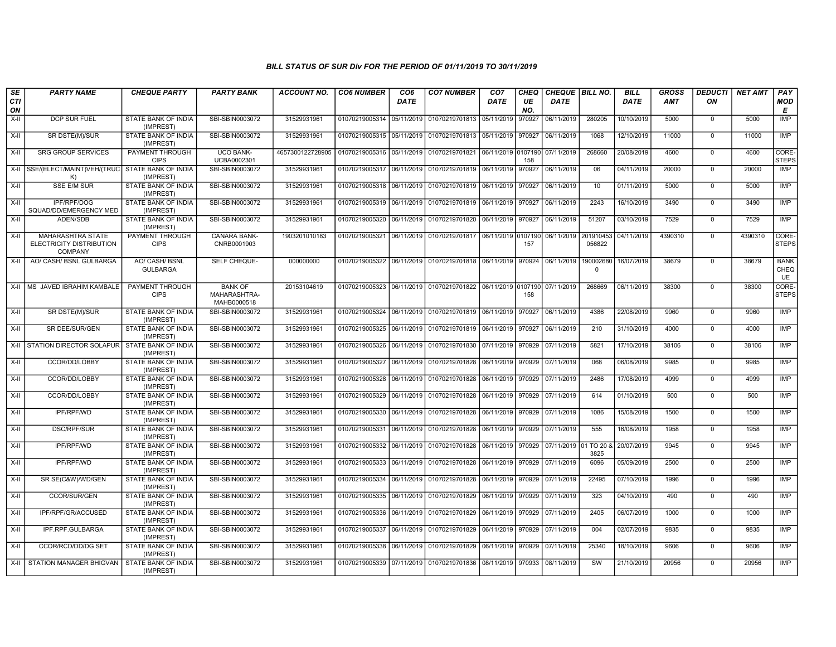| SE        | <b>PARTY NAME</b>                                               | <b>CHEQUE PARTY</b>                      | <b>PARTY BANK</b>                             | <b>ACCOUNT NO.</b> | <b>CO6 NUMBER</b>           | CO <sub>6</sub> | <b>CO7 NUMBER</b>                                          | CO <sub>7</sub>   | <b>CHEQ</b> | CHEQUE   BILL NO. |                          | <b>BILL</b> | GROSS      | <b>DEDUCTI</b> | <b>NET AMT</b> | <b>PAY</b>                |
|-----------|-----------------------------------------------------------------|------------------------------------------|-----------------------------------------------|--------------------|-----------------------------|-----------------|------------------------------------------------------------|-------------------|-------------|-------------------|--------------------------|-------------|------------|----------------|----------------|---------------------------|
| CTI<br>ON |                                                                 |                                          |                                               |                    |                             | DATE            |                                                            | DATE              | UE<br>NO.   | <b>DATE</b>       |                          | <b>DATE</b> | <b>AMT</b> | ON             |                | <b>MOD</b><br>Е           |
| X-II      | DCP SUR FUEL                                                    | STATE BANK OF INDIA<br>(IMPREST)         | SBI-SBIN0003072                               | 31529931961        | 01070219005314 05/11/2019   |                 | 01070219701813 05/11/2019                                  |                   | 970927      | 06/11/2019        | 280205                   | 10/10/2019  | 5000       | $\mathbf 0$    | 5000           | <b>IMP</b>                |
| $X-H$     | SR DSTE(M)/SUR                                                  | STATE BANK OF INDIA<br>(IMPREST)         | SBI-SBIN0003072                               | 31529931961        | 01070219005315 05/11/2019   |                 | 01070219701813 05/11/2019 970927                           |                   |             | 06/11/2019        | 1068                     | 12/10/2019  | 11000      | $\Omega$       | 11000          | <b>IMP</b>                |
| X-II      | <b>SRG GROUP SERVICES</b>                                       | PAYMENT THROUGH<br><b>CIPS</b>           | <b>UCO BANK-</b><br>UCBA0002301               | 4657300122728905   | 01070219005316 05/11/2019   |                 | 01070219701821 06/11/2019 0107190                          |                   | 158         | 07/11/2019        | 268660                   | 20/08/2019  | 4600       | $^{\circ}$     | 4600           | CORE-<br><b>STEPS</b>     |
|           | X-II SSE/(ELECT/MAINT)VEH/(TRUC<br>K)                           | <b>STATE BANK OF INDIA</b><br>(IMPREST)  | SBI-SBIN0003072                               | 31529931961        | 01070219005317 06/11/2019   |                 | 01070219701819 06/11/2019                                  |                   | 970927      | 06/11/2019        | 06                       | 04/11/2019  | 20000      | $\mathbf 0$    | 20000          | <b>IMP</b>                |
| X-II      | <b>SSE E/M SUR</b>                                              | STATE BANK OF INDIA<br>(IMPREST)         | SBI-SBIN0003072                               | 31529931961        | 01070219005318 06/11/2019   |                 | 01070219701819 06/11/2019                                  |                   | 970927      | 06/11/2019        | 10                       | 01/11/2019  | 5000       | $\mathbf 0$    | 5000           | IMP                       |
| X-II      | IPF/RPF/DOG<br>SQUAD/DD/EMERGENCY MED                           | STATE BANK OF INDIA<br>(IMPREST)         | SBI-SBIN0003072                               | 31529931961        | 01070219005319 06/11/2019   |                 | 01070219701819 06/11/2019 970927                           |                   |             | 06/11/2019        | 2243                     | 16/10/2019  | 3490       | $\mathbf 0$    | 3490           | IMP                       |
| X-II      | ADEN/SDB                                                        | STATE BANK OF INDIA<br>(IMPREST)         | SBI-SBIN0003072                               | 31529931961        | 01070219005320 06/11/2019   |                 | 01070219701820 06/11/2019 970927                           |                   |             | 06/11/2019        | 51207                    | 03/10/2019  | 7529       | $\Omega$       | 7529           | IMP                       |
| X-II      | MAHARASHTRA STATE<br>ELECTRICITY DISTRIBUTION<br><b>COMPANY</b> | <b>PAYMENT THROUGH</b><br><b>CIPS</b>    | CANARA BANK-<br>CNRB0001903                   | 1903201010183      | 01070219005321 06/11/2019   |                 | 01070219701817 06/11/2019 0107190                          |                   | 157         | 06/11/2019        | 201910453<br>056822      | 04/11/2019  | 4390310    | $\mathbf 0$    | 4390310        | CORE-<br><b>STEPS</b>     |
| X-II      | AO/ CASH/ BSNL GULBARGA                                         | <b>AO/ CASH/ BSNL</b><br><b>GULBARGA</b> | SELF CHEQUE-                                  | 000000000          |                             |                 | 01070219005322 06/11/2019 01070219701818 06/11/2019 970924 |                   |             | 06/11/2019        | 190002680<br>$\mathbf 0$ | 16/07/2019  | 38679      | $\mathbf 0$    | 38679          | <b>BANK</b><br>CHEQ<br>UE |
|           | X-II   MS JAVED IBRAHIM KAMBALE                                 | <b>PAYMENT THROUGH</b><br><b>CIPS</b>    | <b>BANK OF</b><br>MAHARASHTRA-<br>MAHB0000518 | 20153104619        | 01070219005323 06/11/2019   |                 | 01070219701822 06/11/2019 0107190                          |                   | 158         | 07/11/2019        | 268669                   | 06/11/2019  | 38300      | $\Omega$       | 38300          | CORE-<br><b>STEPS</b>     |
| $X-H$     | SR DSTE(M)/SUR                                                  | STATE BANK OF INDIA<br>(IMPREST)         | SBI-SBIN0003072                               | 31529931961        | 01070219005324 06/11/2019   |                 | 01070219701819 06/11/2019 970927                           |                   |             | 06/11/2019        | 4386                     | 22/08/2019  | 9960       | $\Omega$       | 9960           | <b>IMP</b>                |
| X-II      | SR DEE/SUR/GEN                                                  | STATE BANK OF INDIA<br>(IMPREST)         | SBI-SBIN0003072                               | 31529931961        | 01070219005325   06/11/2019 |                 | 01070219701819 06/11/2019 970927                           |                   |             | 06/11/2019        | 210                      | 31/10/2019  | 4000       | $^{\circ}$     | 4000           | IMP                       |
|           | X-II STATION DIRECTOR SOLAPUR                                   | <b>STATE BANK OF INDIA</b><br>(IMPREST)  | SBI-SBIN0003072                               | 31529931961        | 01070219005326 06/11/2019   |                 | 01070219701830 07/11/2019 970929                           |                   |             | 07/11/2019        | 5821                     | 17/10/2019  | 38106      | $\Omega$       | 38106          | <b>IMP</b>                |
| X-II      | CCOR/DD/LOBBY                                                   | STATE BANK OF INDIA<br>(IMPREST)         | SBI-SBIN0003072                               | 31529931961        | 01070219005327 06/11/2019   |                 | 01070219701828 06/11/2019 970929                           |                   |             | 07/11/2019        | 068                      | 06/08/2019  | 9985       | $\mathbf 0$    | 9985           | IMP                       |
| X-II      | CCOR/DD/LOBBY                                                   | STATE BANK OF INDIA<br>(IMPREST)         | SBI-SBIN0003072                               | 31529931961        | 01070219005328              | 06/11/2019      | 01070219701828 06/11/2019                                  |                   | 970929      | 07/11/2019        | 2486                     | 17/08/2019  | 4999       | $\mathbf 0$    | 4999           | <b>IMP</b>                |
| X-II      | CCOR/DD/LOBBY                                                   | <b>STATE BANK OF INDIA</b><br>(IMPREST)  | SBI-SBIN0003072                               | 31529931961        |                             |                 | 01070219005329 06/11/2019 01070219701828 06/11/2019 970929 |                   |             | 07/11/2019        | 614                      | 01/10/2019  | 500        | $\Omega$       | 500            | IMP                       |
| $X-H$     | IPF/RPF/WD                                                      | STATE BANK OF INDIA<br>(IMPREST)         | SBI-SBIN0003072                               | 31529931961        | 01070219005330              | 06/11/2019      | 01070219701828                                             | 06/11/2019 970929 |             | 07/11/2019        | 1086                     | 15/08/2019  | 1500       | $\Omega$       | 1500           | IMP                       |
| $X-II$    | <b>DSC/RPF/SUR</b>                                              | STATE BANK OF INDIA<br>(IMPREST)         | SBI-SBIN0003072                               | 31529931961        | 01070219005331              | 06/11/2019      | 01070219701828 06/11/2019 970929                           |                   |             | 07/11/2019        | 555                      | 16/08/2019  | 1958       | $\Omega$       | 1958           | <b>IMP</b>                |
| X-II      | <b>IPF/RPF/WD</b>                                               | <b>STATE BANK OF INDIA</b><br>(IMPREST)  | SBI-SBIN0003072                               | 31529931961        | 01070219005332 06/11/2019   |                 | 01070219701828 06/11/2019 970929                           |                   |             | 07/11/2019        | 01 TO 20 &<br>3825       | 20/07/2019  | 9945       | $\mathbf{0}$   | 9945           | <b>IMP</b>                |
| X-II      | IPF/RPF/WD                                                      | <b>STATE BANK OF INDIA</b><br>(IMPREST)  | SBI-SBIN0003072                               | 31529931961        | 01070219005333 06/11/2019   |                 | 01070219701828 06/11/2019 970929                           |                   |             | 07/11/2019        | 6096                     | 05/09/2019  | 2500       | $\Omega$       | 2500           | IMP                       |
| X-II      | SR SE(C&W)/WD/GEN                                               | STATE BANK OF INDIA<br>(IMPREST)         | SBI-SBIN0003072                               | 31529931961        | 01070219005334 06/11/2019   |                 | 01070219701828 06/11/2019 970929                           |                   |             | 07/11/2019        | 22495                    | 07/10/2019  | 1996       | $\Omega$       | 1996           | IMP                       |
| X-II      | CCOR/SUR/GEN                                                    | STATE BANK OF INDIA<br>(IMPREST)         | SBI-SBIN0003072                               | 31529931961        | 01070219005335 06/11/2019   |                 | 01070219701829 06/11/2019                                  |                   | 970929      | 07/11/2019        | 323                      | 04/10/2019  | 490        | $\mathbf 0$    | 490            | IMP                       |
| X-II      | IPF/RPF/GR/ACCUSED                                              | STATE BANK OF INDIA<br>(IMPREST)         | SBI-SBIN0003072                               | 31529931961        | 01070219005336              | 06/11/2019      | 01070219701829 06/11/2019                                  |                   | 970929      | 07/11/2019        | 2405                     | 06/07/2019  | 1000       | $\Omega$       | 1000           | IMP                       |
| X-II      | IPF.RPF.GULBARGA                                                | STATE BANK OF INDIA<br>(IMPREST)         | SBI-SBIN0003072                               | 31529931961        |                             |                 | 01070219005337 06/11/2019 01070219701829 06/11/2019 970929 |                   |             | 07/11/2019        | 004                      | 02/07/2019  | 9835       | $\mathbf 0$    | 9835           | IMP                       |
| X-II      | CCOR/RCD/DD/DG SET                                              | STATE BANK OF INDIA<br>(IMPREST)         | SBI-SBIN0003072                               | 31529931961        | 01070219005338              | 06/11/2019      | 01070219701829 06/11/2019 970929                           |                   |             | 07/11/2019        | 25340                    | 18/10/2019  | 9606       | $\Omega$       | 9606           | IMP                       |
| $X-H$     | STATION MANAGER BHIGVAN                                         | STATE BANK OF INDIA<br>(IMPREST)         | SBI-SBIN0003072                               | 31529931961        |                             |                 | 01070219005339 07/11/2019 01070219701836 08/11/2019 970933 |                   |             | 08/11/2019        | SW                       | 21/10/2019  | 20956      | $\Omega$       | 20956          | <b>IMP</b>                |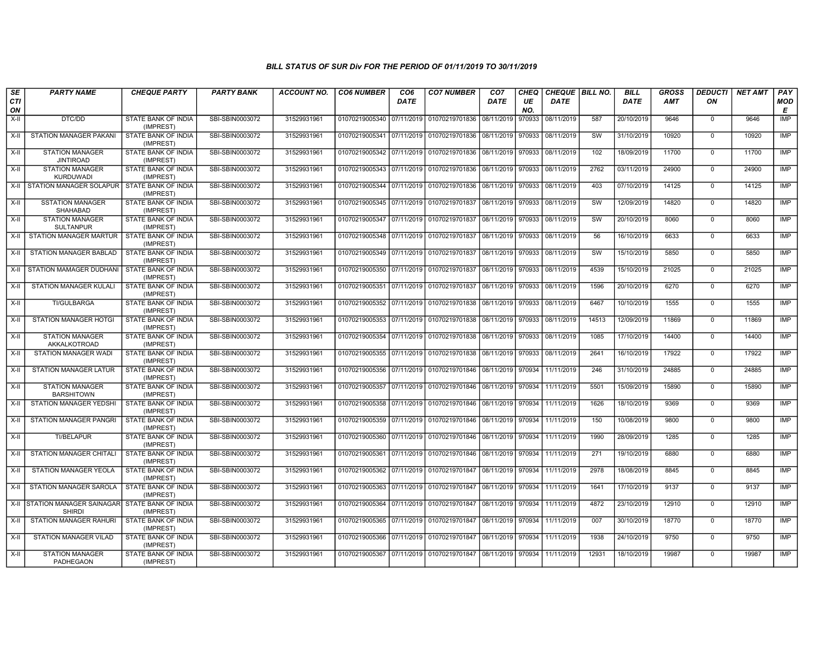| SE        | <b>PARTY NAME</b>                           | <b>CHEQUE PARTY</b>                     | <b>PARTY BANK</b> | <b>ACCOUNT NO.</b> | <b>CO6 NUMBER</b>                        | CO <sub>6</sub> | <b>CO7 NUMBER</b>                                          | CO <sub>7</sub>   | <b>CHEQ</b> | <b>CHEQUE   BILL NO.</b>         |                        | <b>BILL</b> | <b>GROSS</b> | <b>DEDUCTI</b> | <b>NET AMT</b> | <b>PAY</b> |
|-----------|---------------------------------------------|-----------------------------------------|-------------------|--------------------|------------------------------------------|-----------------|------------------------------------------------------------|-------------------|-------------|----------------------------------|------------------------|-------------|--------------|----------------|----------------|------------|
| CTI<br>ON |                                             |                                         |                   |                    |                                          | <b>DATE</b>     |                                                            | <b>DATE</b>       | UE<br>NO.   | <b>DATE</b>                      |                        | <b>DATE</b> | AMT          | ON             |                | MOD<br>Е   |
| $X-H$     | DTC/DD                                      | STATE BANK OF INDIA<br>(IMPREST)        | SBI-SBIN0003072   | 31529931961        | 01070219005340                           | 07/11/2019      | 01070219701836                                             | 08/11/2019        | 970933      | 08/11/2019                       | 587                    | 20/10/2019  | 9646         | $\mathbf{0}$   | 9646           | <b>IMP</b> |
| X-II      | <b>STATION MANAGER PAKANI</b>               | STATE BANK OF INDIA<br>(IMPREST)        | SBI-SBIN0003072   | 31529931961        | 01070219005341                           |                 | 07/11/2019 01070219701836 08/11/2019                       |                   | 970933      | 08/11/2019                       | SW                     | 31/10/2019  | 10920        | $\mathbf 0$    | 10920          | <b>IMP</b> |
| $X-H$     | <b>STATION MANAGER</b><br><b>JINTIROAD</b>  | <b>STATE BANK OF INDIA</b><br>(IMPREST) | SBI-SBIN0003072   | 31529931961        |                                          |                 | 01070219005342 07/11/2019 01070219701836 08/11/2019 970933 |                   |             | 08/11/2019                       | 102                    | 18/09/2019  | 11700        | $\mathbf{0}$   | 11700          | <b>IMP</b> |
| X-II      | <b>STATION MANAGER</b><br><b>KURDUWADI</b>  | STATE BANK OF INDIA<br>(IMPREST)        | SBI-SBIN0003072   | 31529931961        | 01070219005343 07/11/2019                |                 | 01070219701836                                             | 08/11/2019        | 970933      | 08/11/2019                       | 2762                   | 03/11/2019  | 24900        | $\mathbf{0}$   | 24900          | <b>IMP</b> |
| $X-H$     | STATION MANAGER SOLAPUR                     | STATE BANK OF INDIA<br>(IMPREST)        | SBI-SBIN0003072   | 31529931961        | 01070219005344                           | 07/11/2019      | 01070219701836                                             | 08/11/2019        | 970933      | 08/11/2019                       | 403                    | 07/10/2019  | 14125        | $\mathbf 0$    | 14125          | <b>IMP</b> |
| X-II      | <b>SSTATION MANAGER</b><br><b>SHAHABAD</b>  | STATE BANK OF INDIA<br>(IMPREST)        | SBI-SBIN0003072   | 31529931961        | 01070219005345 07/11/2019 01070219701837 |                 |                                                            | 08/11/2019 970933 |             | 08/11/2019                       | SW                     | 12/09/2019  | 14820        | $^{\circ}$     | 14820          | IMP        |
| $X-II$    | <b>STATION MANAGER</b><br><b>SULTANPUR</b>  | STATE BANK OF INDIA<br>(IMPREST)        | SBI-SBIN0003072   | 31529931961        | 01070219005347                           | 07/11/2019      | 01070219701837                                             | 08/11/2019        | 970933      | 08/11/2019                       | <b>SW</b>              | 20/10/2019  | 8060         | $\mathbf 0$    | 8060           | <b>IMP</b> |
| X-II      | STATION MANAGER MARTUR                      | STATE BANK OF INDIA<br>(IMPREST)        | SBI-SBIN0003072   | 31529931961        | 01070219005348 07/11/2019                |                 | 01070219701837                                             | 08/11/2019        | 970933      | 08/11/2019                       | 56                     | 16/10/2019  | 6633         | $\mathbf 0$    | 6633           | <b>IMP</b> |
| X-II      | <b>STATION MANAGER BABLAD</b>               | <b>STATE BANK OF INDIA</b><br>(IMPREST) | SBI-SBIN0003072   | 31529931961        | 01070219005349 07/11/2019 01070219701837 |                 |                                                            | 08/11/2019        | 970933      | 08/11/2019                       | $\overline{\text{sw}}$ | 15/10/2019  | 5850         | $\mathbf 0$    | 5850           | IMP        |
| X-II      | STATION MAMAGER DUDHANI                     | STATE BANK OF INDIA<br>(IMPREST)        | SBI-SBIN0003072   | 31529931961        | 01070219005350 07/11/2019 01070219701837 |                 |                                                            | 08/11/2019        | 970933      | 08/11/2019                       | 4539                   | 15/10/2019  | 21025        | $\mathbf{0}$   | 21025          | <b>IMP</b> |
| X-II      | STATION MANAGER KULALI                      | STATE BANK OF INDIA<br>(IMPREST)        | SBI-SBIN0003072   | 31529931961        | 01070219005351                           |                 | 07/11/2019 01070219701837                                  | 08/11/2019 970933 |             | 08/11/2019                       | 1596                   | 20/10/2019  | 6270         | $\mathbf{0}$   | 6270           | <b>IMP</b> |
| $X-H$     | <b>TI/GULBARGA</b>                          | STATE BANK OF INDIA<br>(IMPREST)        | SBI-SBIN0003072   | 31529931961        |                                          |                 | 01070219005352 07/11/2019 01070219701838 08/11/2019        |                   | 970933      | 08/11/2019                       | 6467                   | 10/10/2019  | 1555         | $\mathbf{0}$   | 1555           | <b>IMP</b> |
| $X-H$     | <b>STATION MANAGER HOTGI</b>                | STATE BANK OF INDIA<br>(IMPREST)        | SBI-SBIN0003072   | 31529931961        |                                          |                 | 01070219005353 07/11/2019 01070219701838 08/11/2019        |                   | 970933      | 08/11/2019                       | 14513                  | 12/09/2019  | 11869        | $\mathbf{0}$   | 11869          | IMP        |
| X-II      | <b>STATION MANAGER</b><br>AKKALKOTROAD      | STATE BANK OF INDIA<br>(IMPREST)        | SBI-SBIN0003072   | 31529931961        | 01070219005354                           | 07/11/2019      | 01070219701838                                             | 08/11/2019        | 970933      | 08/11/2019                       | 1085                   | 17/10/2019  | 14400        | $\mathbf 0$    | 14400          | <b>IMP</b> |
| $X-II$    | <b>STATION MANAGER WADI</b>                 | STATE BANK OF INDIA<br>(IMPREST)        | SBI-SBIN0003072   | 31529931961        | 01070219005355                           |                 | 07/11/2019 01070219701838 08/11/2019                       |                   | 970933      | 08/11/2019                       | 2641                   | 16/10/2019  | 17922        | $\mathbf{0}$   | 17922          | <b>IMP</b> |
| X-II      | STATION MANAGER LATUR                       | STATE BANK OF INDIA<br>(IMPREST)        | SBI-SBIN0003072   | 31529931961        |                                          |                 | 01070219005356 07/11/2019 01070219701846 08/11/2019 970934 |                   |             | 11/11/2019                       | 246                    | 31/10/2019  | 24885        | $\mathbf{0}$   | 24885          | IMP        |
| X-II      | <b>STATION MANAGER</b><br><b>BARSHITOWN</b> | STATE BANK OF INDIA<br>(IMPREST)        | SBI-SBIN0003072   | 31529931961        | 01070219005357                           | 07/11/2019      | 01070219701846                                             | 08/11/2019        | 970934      | 11/11/2019                       | 5501                   | 15/09/2019  | 15890        | $\mathbf{0}$   | 15890          | IMP        |
| X-II      | STATION MANAGER YEDSHI                      | STATE BANK OF INDIA<br>(IMPREST)        | SBI-SBIN0003072   | 31529931961        | 01070219005358 07/11/2019                |                 | 01070219701846 08/11/2019                                  |                   | 970934      | 11/11/2019                       | 1626                   | 18/10/2019  | 9369         | $\mathbf{0}$   | 9369           | <b>IMP</b> |
| $X-II$    | STATION MANAGER PANGRI                      | STATE BANK OF INDIA<br>(IMPREST)        | SBI-SBIN0003072   | 31529931961        | 01070219005359                           |                 | 07/11/2019 01070219701846                                  | 08/11/2019        | 970934      | 11/11/2019                       | 150                    | 10/08/2019  | 9800         | $\mathbf{0}$   | 9800           | <b>IMP</b> |
| X-II      | TI/BELAPUR                                  | STATE BANK OF INDIA<br>(IMPREST)        | SBI-SBIN0003072   | 31529931961        |                                          |                 | 01070219005360 07/11/2019 01070219701846 08/11/2019 970934 |                   |             | 11/11/2019                       | 1990                   | 28/09/2019  | 1285         | $\mathbf 0$    | 1285           | <b>IMP</b> |
| X-II      | STATION MANAGER CHITALI                     | <b>STATE BANK OF INDIA</b><br>(IMPREST) | SBI-SBIN0003072   | 31529931961        | 01070219005361                           |                 | 07/11/2019 01070219701846 08/11/2019                       |                   |             | 970934 11/11/2019                | 271                    | 19/10/2019  | 6880         | $\mathbf 0$    | 6880           | <b>IMP</b> |
| X-II      | STATION MANAGER YEOLA                       | STATE BANK OF INDIA<br>(IMPREST)        | SBI-SBIN0003072   | 31529931961        | 01070219005362 07/11/2019 01070219701847 |                 |                                                            | 08/11/2019        | 970934      | 11/11/2019                       | 2978                   | 18/08/2019  | 8845         | $\mathbf 0$    | 8845           | IMP        |
| $X-II$    | STATION MANAGER SAROLA                      | STATE BANK OF INDIA<br>(IMPREST)        | SBI-SBIN0003072   | 31529931961        | 01070219005363                           | 07/11/2019      | 01070219701847                                             | 08/11/2019        | 970934      | 11/11/2019                       | 1641                   | 17/10/2019  | 9137         | $\mathbf{0}$   | 9137           | <b>IMP</b> |
| X-II      | STATION MANAGER SAINAGAR<br><b>SHIRDI</b>   | STATE BANK OF INDIA<br>(IMPREST)        | SBI-SBIN0003072   | 31529931961        | 01070219005364                           |                 | 07/11/2019 01070219701847                                  | 08/11/2019        | 970934      | 11/11/2019                       | 4872                   | 23/10/2019  | 12910        | $\mathbf 0$    | 12910          | <b>IMP</b> |
| X-II      | STATION MANAGER RAHURI                      | <b>STATE BANK OF INDIA</b><br>(IMPREST) | SBI-SBIN0003072   | 31529931961        | 01070219005365 07/11/2019 01070219701847 |                 |                                                            | 08/11/2019 970934 |             | 11/11/2019                       | 007                    | 30/10/2019  | 18770        | $\mathbf{0}$   | 18770          | <b>IMP</b> |
| X-II      | STATION MANAGER VILAD                       | STATE BANK OF INDIA<br>(IMPREST)        | SBI-SBIN0003072   | 31529931961        | 01070219005366 07/11/2019                |                 | 01070219701847                                             | 08/11/2019        | 970934      | 11/11/2019                       | 1938                   | 24/10/2019  | 9750         | $\mathbf 0$    | 9750           | <b>IMP</b> |
| X-II      | <b>STATION MANAGER</b><br>PADHEGAON         | STATE BANK OF INDIA<br>(IMPREST)        | SBI-SBIN0003072   | 31529931961        | 01070219005367 07/11/2019 01070219701847 |                 |                                                            |                   |             | 08/11/2019   970934   11/11/2019 | 12931                  | 18/10/2019  | 19987        | $\mathbf{0}$   | 19987          | <b>IMP</b> |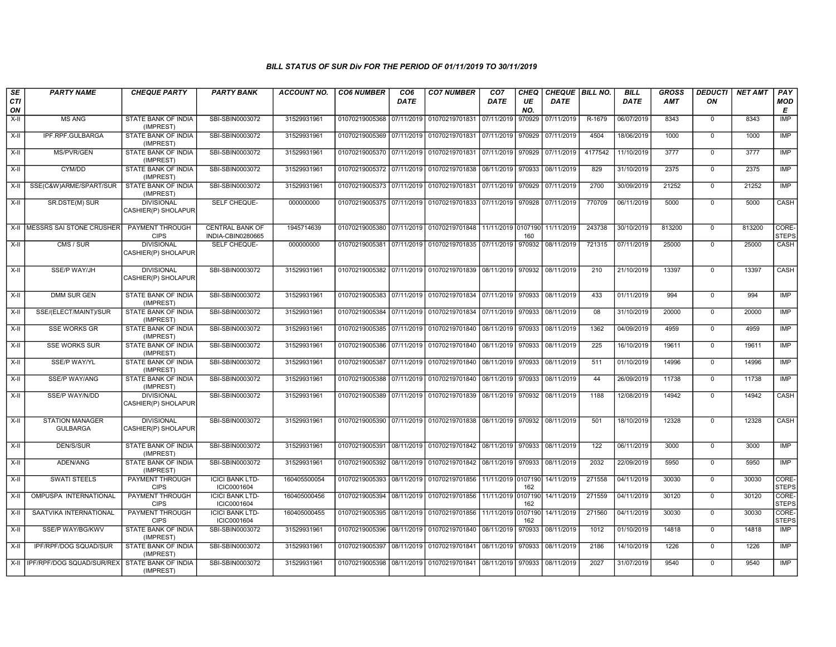| SE<br>CTI<br>ON | <b>PARTY NAME</b>                         | <b>CHEQUE PARTY</b>                      | <b>PARTY BANK</b>                           | <b>ACCOUNT NO.</b> | <b>CO6 NUMBER</b>                        | CO <sub>6</sub><br><b>DATE</b> | <b>CO7 NUMBER</b>                                                     | CO <sub>7</sub><br>DATE | <b>CHEQ</b><br>UE<br>NO. | CHEQUE   BILL NO.<br>DATE |         | <b>BILL</b><br><b>DATE</b> | <b>GROSS</b><br><b>AMT</b> | <b>DEDUCTI</b><br>ΟN | <b>NET AMT</b> | PAY<br>MOD<br>Е       |
|-----------------|-------------------------------------------|------------------------------------------|---------------------------------------------|--------------------|------------------------------------------|--------------------------------|-----------------------------------------------------------------------|-------------------------|--------------------------|---------------------------|---------|----------------------------|----------------------------|----------------------|----------------|-----------------------|
| $X-H$           | <b>MS ANG</b>                             | STATE BANK OF INDIA<br>(IMPREST)         | SBI-SBIN0003072                             | 31529931961        | 01070219005368 07/11/2019 01070219701831 |                                |                                                                       | 07/11/2019              | 970929                   | 07/11/2019                | R-1679  | 06/07/2019                 | 8343                       | $\mathbf 0$          | 8343           | IMP                   |
| $X-II$          | IPF.RPF.GULBARGA                          | STATE BANK OF INDIA<br>(IMPREST)         | SBI-SBIN0003072                             | 31529931961        |                                          |                                | 01070219005369 07/11/2019 01070219701831                              | 07/11/2019              | 970929                   | 07/11/2019                | 4504    | 18/06/2019                 | 1000                       | $\mathbf 0$          | 1000           | <b>IMP</b>            |
| $X-H$           | <b>MS/PVR/GEN</b>                         | STATE BANK OF INDIA<br>(IMPREST)         | SBI-SBIN0003072                             | 31529931961        | 01070219005370 07/11/2019 01070219701831 |                                |                                                                       | 07/11/2019 970929       |                          | 07/11/2019                | 4177542 | 11/10/2019                 | 3777                       | $\mathbf 0$          | 3777           | <b>IMP</b>            |
| X-II            | CYM/DD                                    | STATE BANK OF INDIA<br>(IMPREST)         | SBI-SBIN0003072                             | 31529931961        |                                          |                                | 01070219005372 07/11/2019 01070219701838                              | 08/11/2019              | 970933                   | 08/11/2019                | 829     | 31/10/2019                 | 2375                       | $\mathbf 0$          | 2375           | <b>IMP</b>            |
| X-II            | SSE(C&W)ARME/SPART/SUR                    | STATE BANK OF INDIA<br>(IMPREST)         | SBI-SBIN0003072                             | 31529931961        |                                          |                                | 01070219005373 07/11/2019 01070219701831                              | 07/11/2019              | 970929                   | 07/11/2019                | 2700    | 30/09/2019                 | 21252                      | $\mathbf 0$          | 21252          | IMP                   |
| X-II            | SR.DSTE(M) SUR                            | <b>DIVISIONAL</b><br>CASHIER(P) SHOLAPUR | SELF CHEQUE-                                | 000000000          |                                          |                                | 01070219005375 07/11/2019 01070219701833                              | 07/11/2019              | 970928                   | 07/11/2019                | 770709  | 06/11/2019                 | 5000                       | $\Omega$             | 5000           | CASH                  |
| $X-H$           | <b>IMESSRS SAI STONE CRUSHER</b>          | <b>PAYMENT THROUGH</b><br><b>CIPS</b>    | <b>CENTRAL BANK OF</b><br>INDIA-CBIN0280665 | 1945714639         |                                          |                                | 01070219005380 07/11/2019 01070219701848 11/11/2019 0107190           |                         | 160                      | 11/11/2019                | 243738  | 30/10/2019                 | 813200                     | $\mathbf 0$          | 813200         | CORE-<br><b>STEPS</b> |
| X-II            | CMS / SUR                                 | <b>DIVISIONAL</b><br>CASHIER(P) SHOLAPUR | SELF CHEQUE-                                | 000000000          |                                          |                                | 01070219005381 07/11/2019 01070219701835                              | 07/11/2019              | 970932                   | 08/11/2019                | 721315  | 07/11/2019                 | 25000                      | $\mathbf 0$          | 25000          | CASH                  |
| $X-H$           | SSE/P WAY/JH                              | <b>DIVISIONAL</b><br>CASHIER(P) SHOLAPUR | SBI-SBIN0003072                             | 31529931961        |                                          |                                | 01070219005382 07/11/2019 01070219701839 08/11/2019 970932 08/11/2019 |                         |                          |                           | 210     | 21/10/2019                 | 13397                      | 0                    | 13397          | CASH                  |
| $X-II$          | <b>DMM SUR GEN</b>                        | STATE BANK OF INDIA<br>(IMPREST)         | SBI-SBIN0003072                             | 31529931961        |                                          |                                | 01070219005383 07/11/2019 01070219701834 07/11/2019 970933            |                         |                          | 08/11/2019                | 433     | 01/11/2019                 | 994                        | $\mathbf 0$          | 994            | <b>IMP</b>            |
| $X-H$           | SSE/(ELECT/MAINT)/SUR                     | <b>STATE BANK OF INDIA</b><br>(IMPREST)  | SBI-SBIN0003072                             | 31529931961        |                                          |                                | 01070219005384 07/11/2019 01070219701834 07/11/2019 970933            |                         |                          | 08/11/2019                | 08      | 31/10/2019                 | 20000                      | $\mathbf 0$          | 20000          | <b>IMP</b>            |
| X-II            | <b>SSE WORKS GR</b>                       | <b>STATE BANK OF INDIA</b><br>(IMPREST)  | SBI-SBIN0003072                             | 31529931961        |                                          |                                | 01070219005385 07/11/2019 01070219701840                              | 08/11/2019              | 970933                   | 08/11/2019                | 1362    | 04/09/2019                 | 4959                       | $\mathbf 0$          | 4959           | IMP                   |
| $X-II$          | <b>SSE WORKS SUR</b>                      | STATE BANK OF INDIA<br>(IMPREST)         | SBI-SBIN0003072                             | 31529931961        |                                          |                                | 01070219005386 07/11/2019 01070219701840                              | 08/11/2019              | 970933                   | 08/11/2019                | 225     | 16/10/2019                 | 19611                      | $\mathbf 0$          | 19611          | <b>IMP</b>            |
| X-II            | <b>SSE/P WAY/YL</b>                       | STATE BANK OF INDIA<br>(IMPREST)         | SBI-SBIN0003072                             | 31529931961        |                                          |                                | 01070219005387 07/11/2019 01070219701840                              | 08/11/2019 970933       |                          | 08/11/2019                | 511     | 01/10/2019                 | 14996                      | $\mathbf 0$          | 14996          | IMP                   |
| $X-H$           | <b>SSE/P WAY/ANG</b>                      | <b>STATE BANK OF INDIA</b><br>(IMPREST)  | SBI-SBIN0003072                             | 31529931961        |                                          |                                | 01070219005388 07/11/2019 01070219701840                              | 08/11/2019              | 970933                   | 08/11/2019                | 44      | 26/09/2019                 | 11738                      | $\mathbf 0$          | 11738          | <b>IMP</b>            |
| X-II            | SSE/P WAY/N/DD                            | <b>DIVISIONAL</b><br>CASHIER(P) SHOLAPUR | SBI-SBIN0003072                             | 31529931961        |                                          |                                | 01070219005389 07/11/2019 01070219701839 08/11/2019 970932            |                         |                          | 08/11/2019                | 1188    | 12/08/2019                 | 14942                      | $\mathbf 0$          | 14942          | <b>CASH</b>           |
| X-II            | <b>STATION MANAGER</b><br><b>GULBARGA</b> | <b>DIVISIONAL</b><br>CASHIER(P) SHOLAPUR | SBI-SBIN0003072                             | 31529931961        |                                          |                                | 01070219005390 07/11/2019 01070219701838                              | 08/11/2019 970932       |                          | 08/11/2019                | 501     | 18/10/2019                 | 12328                      | $\mathbf 0$          | 12328          | CASH                  |
| $X-II$          | <b>DEN/S/SUR</b>                          | <b>STATE BANK OF INDIA</b><br>(IMPREST)  | SBI-SBIN0003072                             | 31529931961        |                                          |                                | 01070219005391 08/11/2019 01070219701842 08/11/2019 970933            |                         |                          | 08/11/2019                | 122     | 06/11/2019                 | 3000                       | $\mathbf 0$          | 3000           | IMP                   |
| X-II            | ADEN/ANG                                  | STATE BANK OF INDIA<br>(IMPREST)         | SBI-SBIN0003072                             | 31529931961        |                                          |                                | 01070219005392 08/11/2019 01070219701842 08/11/2019 970933            |                         |                          | 08/11/2019                | 2032    | 22/09/2019                 | 5950                       | $\mathbf 0$          | 5950           | <b>IMP</b>            |
| X-II            | <b>SWATI STEELS</b>                       | PAYMENT THROUGH<br><b>CIPS</b>           | <b>ICICI BANK LTD-</b><br>ICIC0001604       | 160405500054       |                                          |                                | 01070219005393 08/11/2019 01070219701856                              | 11/11/2019 0107190      | 162                      | 14/11/2019                | 271558  | 04/11/2019                 | 30030                      | $\mathbf 0$          | 30030          | CORE-<br><b>STEPS</b> |
| X-II            | OMPUSPA INTERNATIONAL                     | <b>PAYMENT THROUGH</b><br><b>CIPS</b>    | <b>ICICI BANK LTD-</b><br>ICIC0001604       | 160405000456       |                                          |                                | 01070219005394 08/11/2019 01070219701856                              | 11/11/2019              | 0107190<br>162           | 14/11/2019                | 271559  | 04/11/2019                 | 30120                      | $\mathsf 0$          | 30120          | CORE-<br><b>STEPS</b> |
| $X-II$          | SAATVIKA INTERNATIONAL                    | <b>PAYMENT THROUGH</b><br><b>CIPS</b>    | <b>ICICI BANK LTD-</b><br>ICIC0001604       | 160405000455       |                                          |                                | 01070219005395 08/11/2019 01070219701856                              | 11/11/2019              | 0107190<br>162           | 14/11/2019                | 271560  | 04/11/2019                 | 30030                      | $\mathbf 0$          | 30030          | CORE-<br><b>STEPS</b> |
| X-II            | SSE/P WAY/BG/KWV                          | STATE BANK OF INDIA<br>(IMPREST)         | SBI-SBIN0003072                             | 31529931961        |                                          |                                | 01070219005396 08/11/2019 01070219701840 08/11/2019                   |                         | 970933                   | 08/11/2019                | 1012    | 01/10/2019                 | 14818                      | $\mathbf 0$          | 14818          | <b>IMP</b>            |
| X-II            | IPF/RPF/DOG SQUAD/SUR                     | <b>STATE BANK OF INDIA</b><br>(IMPREST)  | SBI-SBIN0003072                             | 31529931961        | 01070219005397 08/11/2019 01070219701841 |                                |                                                                       | 08/11/2019              | 970933                   | 08/11/2019                | 2186    | 14/10/2019                 | 1226                       | $\mathbf 0$          | 1226           | IMP                   |
|                 | X-II   IPF/RPF/DOG SQUAD/SUR/REX          | STATE BANK OF INDIA<br>(IMPREST)         | SBI-SBIN0003072                             | 31529931961        |                                          |                                | 01070219005398 08/11/2019 01070219701841                              | 08/11/2019              | 970933                   | 08/11/2019                | 2027    | 31/07/2019                 | 9540                       | $\mathbf 0$          | 9540           | IMP                   |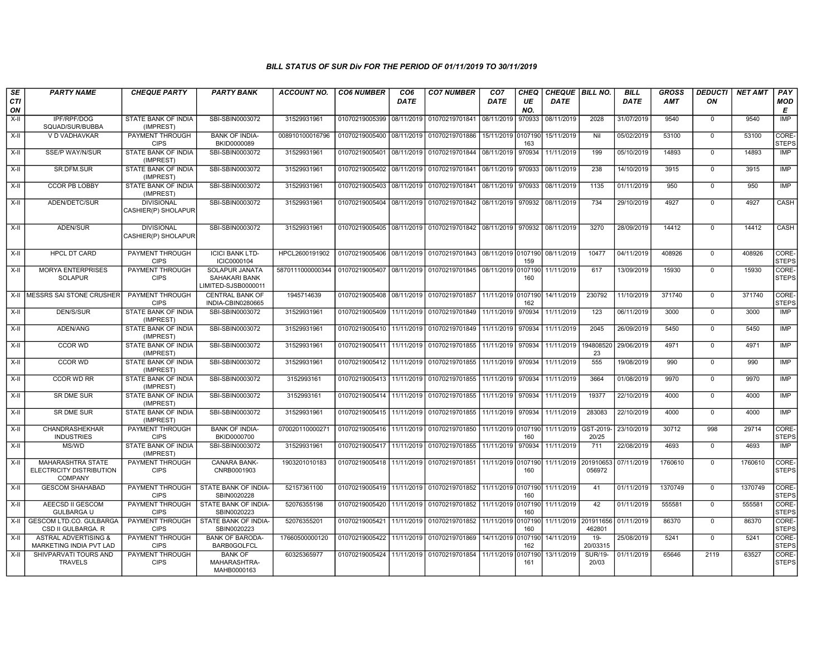| SE        | <b>PARTY NAME</b>                                                      | <b>CHEQUE PARTY</b>                      | <b>PARTY BANK</b>                                             | <b>ACCOUNT NO.</b> | <b>CO6 NUMBER</b>         | CO <sub>6</sub> | <b>CO7 NUMBER</b>                                           | CO <sub>7</sub>    | CHEQ           | <b>CHEQUE   BILL NO.</b> |                         | <b>BILL</b> | <b>GROSS</b> | <b>DEDUCTI</b> | <b>NET AMT</b> | PAY                   |
|-----------|------------------------------------------------------------------------|------------------------------------------|---------------------------------------------------------------|--------------------|---------------------------|-----------------|-------------------------------------------------------------|--------------------|----------------|--------------------------|-------------------------|-------------|--------------|----------------|----------------|-----------------------|
| CTI<br>ON |                                                                        |                                          |                                                               |                    |                           | DATE            |                                                             | DATE               | UE<br>NO.      | <b>DATE</b>              |                         | <b>DATE</b> | <b>AMT</b>   | ON             |                | <b>MOD</b><br>Е       |
| $X-II$    | IPF/RPF/DOG<br>SQUAD/SUR/BUBBA                                         | STATE BANK OF INDIA<br>(IMPREST)         | SBI-SBIN0003072                                               | 31529931961        | 01070219005399            | 08/11/2019      | 01070219701841                                              | 08/11/2019         | 970933         | 08/11/2019               | 2028                    | 31/07/2019  | 9540         | $\mathbf 0$    | 9540           | <b>IMP</b>            |
| $X-H$     | V D VADHAVKAR                                                          | PAYMENT THROUGH<br><b>CIPS</b>           | <b>BANK OF INDIA-</b><br>BKID0000089                          | 008910100016796    | 01070219005400            | 08/11/2019      | 01070219701886                                              | 15/11/2019 0107190 | 163            | 15/11/2019               | Nil                     | 05/02/2019  | 53100        | $\mathbf 0$    | 53100          | CORE-<br><b>STEPS</b> |
| X-II      | <b>SSE/P WAY/N/SUR</b>                                                 | STATE BANK OF INDIA<br>(IMPREST)         | SBI-SBIN0003072                                               | 31529931961        | 01070219005401            | 08/11/2019      | 01070219701844 08/11/2019                                   |                    | 970934         | 11/11/2019               | 199                     | 05/10/2019  | 14893        | $\mathbf 0$    | 14893          | IMP                   |
| X-II      | SR.DFM.SUR                                                             | STATE BANK OF INDIA<br>(IMPREST)         | SBI-SBIN0003072                                               | 31529931961        | 01070219005402            | 08/11/2019      | 01070219701841 08/11/2019                                   |                    | 970933         | 08/11/2019               | 238                     | 14/10/2019  | 3915         | $\mathbf 0$    | 3915           | IMP                   |
| X-II      | CCOR PB LOBBY                                                          | STATE BANK OF INDIA<br>(IMPREST)         | SBI-SBIN0003072                                               | 31529931961        | 01070219005403            | 08/11/2019      | 01070219701841                                              | 08/11/2019         | 970933         | 08/11/2019               | 1135                    | 01/11/2019  | 950          | $\Omega$       | 950            | IMP                   |
| X-II      | ADEN/DETC/SUR                                                          | <b>DIVISIONAL</b><br>CASHIER(P) SHOLAPUR | SBI-SBIN0003072                                               | 31529931961        |                           |                 | 01070219005404 08/11/2019 01070219701842                    | 08/11/2019 970932  |                | 08/11/2019               | 734                     | 29/10/2019  | 4927         | $\mathbf 0$    | 4927           | CASH                  |
| X-II      | ADEN/SUR                                                               | <b>DIVISIONAL</b><br>CASHIER(P) SHOLAPUR | SBI-SBIN0003072                                               | 31529931961        |                           |                 | 01070219005405 08/11/2019 01070219701842 08/11/2019 970932  |                    |                | 08/11/2019               | 3270                    | 28/09/2019  | 14412        | $\Omega$       | 14412          | CASH                  |
| $X-H$     | <b>HPCL DT CARD</b>                                                    | PAYMENT THROUGH<br><b>CIPS</b>           | <b>ICICI BANK LTD-</b><br>ICIC0000104                         | HPCL2600191902     | 01070219005406            | 08/11/2019      | 01070219701843 08/11/2019 0107190 08/11/2019                |                    | 159            |                          | 10477                   | 04/11/2019  | 408926       | $\mathbf 0$    | 408926         | CORE-<br><b>STEPS</b> |
| X-II      | <b>MORYA ENTERPRISES</b><br><b>SOLAPUR</b>                             | PAYMENT THROUGH<br><b>CIPS</b>           | <b>SOLAPUR JANATA</b><br>SAHAKARI BANK<br>LIMITED-SJSB0000011 | 5870111000000344   |                           |                 | 01070219005407 08/11/2019 01070219701845 08/11/2019 0107190 |                    | 160            | 11/11/2019               | 617                     | 13/09/2019  | 15930        | $\Omega$       | 15930          | CORE-<br><b>STEPS</b> |
|           | X-II MESSRS SAI STONE CRUSHER                                          | PAYMENT THROUGH<br><b>CIPS</b>           | <b>CENTRAL BANK OF</b><br>INDIA-CBIN0280665                   | 1945714639         |                           |                 | 01070219005408 08/11/2019 01070219701857 11/11/2019 0107190 |                    | 162            | 14/11/2019               | 230792                  | 11/10/2019  | 371740       | $\mathbf 0$    | 371740         | CORE-<br><b>STEPS</b> |
| $X-H$     | <b>DEN/S/SUR</b>                                                       | STATE BANK OF INDIA<br>(IMPREST)         | SBI-SBIN0003072                                               | 31529931961        | 01070219005409 11/11/2019 |                 | 01070219701849 11/11/2019                                   |                    | 970934         | 11/11/2019               | 123                     | 06/11/2019  | 3000         | $\mathbf 0$    | 3000           | IMP                   |
| X-II      | ADEN/ANG                                                               | STATE BANK OF INDIA<br>(IMPREST)         | SBI-SBIN0003072                                               | 31529931961        | 01070219005410            | 11/11/2019      | 01070219701849                                              | 11/11/2019         | 970934         | 11/11/2019               | 2045                    | 26/09/2019  | 5450         | $\Omega$       | 5450           | <b>IMP</b>            |
| X-II      | <b>CCOR WD</b>                                                         | STATE BANK OF INDIA<br>(IMPREST)         | SBI-SBIN0003072                                               | 31529931961        | 01070219005411            | 11/11/2019      | 01070219701855                                              | 11/11/2019         | 970934         | 11/11/2019               | 194808520<br>23         | 29/06/2019  | 4971         | $\Omega$       | 4971           | IMP                   |
| $X-H$     | <b>CCOR WD</b>                                                         | STATE BANK OF INDIA<br>(IMPREST)         | SBI-SBIN0003072                                               | 31529931961        | 01070219005412            |                 | 11/11/2019 01070219701855                                   | 11/11/2019         | 970934         | 11/11/2019               | 555                     | 19/08/2019  | 990          | $\overline{0}$ | 990            | <b>IMP</b>            |
| X-II      | <b>CCOR WD RR</b>                                                      | STATE BANK OF INDIA<br>(IMPREST)         | SBI-SBIN0003072                                               | 3152993161         | 01070219005413            | 11/11/2019      | 01070219701855                                              | 11/11/2019         | 970934         | 11/11/2019               | 3664                    | 01/08/2019  | 9970         | $\mathbf 0$    | 9970           | IMP                   |
| X-II      | SR DME SUR                                                             | STATE BANK OF INDIA<br>(IMPREST)         | SBI-SBIN0003072                                               | 3152993161         | 01070219005414            |                 | 11/11/2019 01070219701855                                   | 11/11/2019         | 970934         | 11/11/2019               | 19377                   | 22/10/2019  | 4000         | $\mathbf 0$    | 4000           | IMP                   |
| $X-II$    | SR DME SUR                                                             | STATE BANK OF INDIA<br>(IMPREST)         | SBI-SBIN0003072                                               | 31529931961        | 01070219005415 11/11/2019 |                 | 01070219701855                                              | 11/11/2019         | 970934         | 11/11/2019               | 283083                  | 22/10/2019  | 4000         | $\Omega$       | 4000           | <b>IMP</b>            |
| $X-II$    | <b>CHANDRASHEKHAR</b><br><b>INDUSTRIES</b>                             | PAYMENT THROUGH<br><b>CIPS</b>           | <b>BANK OF INDIA-</b><br>BKID0000700                          | 070020110000271    | 01070219005416            | 11/11/2019      | 01070219701850                                              | 11/11/2019 0107190 | 160            | 11/11/2019               | GST-2019-<br>20/25      | 23/10/2019  | 30712        | 998            | 29714          | CORE-<br><b>STEPS</b> |
| X-II      | MS/WD                                                                  | STATE BANK OF INDIA<br>(IMPREST)         | SBI-SBIN0003072                                               | 31529931961        | 01070219005417            | 11/11/2019      | 01070219701855                                              | 11/11/2019         | 970934         | 11/11/2019               | 711                     | 22/08/2019  | 4693         | $\mathbf 0$    | 4693           | IMP                   |
| $X-H$     | <b>MAHARASHTRA STATE</b><br>ELECTRICITY DISTRIBUTION<br><b>COMPANY</b> | <b>PAYMENT THROUGH</b><br><b>CIPS</b>    | <b>CANARA BANK-</b><br>CNRB0001903                            | 1903201010183      | 01070219005418 11/11/2019 |                 | 01070219701851 11/11/2019 0107190                           |                    | 160            | 11/11/2019               | 201910653<br>056972     | 07/11/2019  | 1760610      | $\Omega$       | 1760610        | CORE-<br><b>STEPS</b> |
| $X-II$    | <b>GESCOM SHAHABAD</b>                                                 | PAYMENT THROUGH<br><b>CIPS</b>           | STATE BANK OF INDIA-<br>SBIN0020228                           | 52157361100        | 01070219005419 11/11/2019 |                 | 01070219701852 11/11/2019 0107190                           |                    | 160            | 11/11/2019               | 41                      | 01/11/2019  | 1370749      | $\overline{0}$ | 1370749        | CORE-<br><b>STEPS</b> |
| X-II      | <b>AEECSD II GESCOM</b><br><b>GULBARGA U</b>                           | <b>PAYMENT THROUGH</b><br><b>CIPS</b>    | <b>STATE BANK OF INDIA-</b><br>SBIN0020223                    | 52076355198        | 01070219005420            |                 | 11/11/2019 01070219701852 11/11/2019 0107190 11/11/2019     |                    | 160            |                          | 42                      | 01/11/2019  | 555581       | $\mathbf 0$    | 555581         | CORE-<br><b>STEPS</b> |
| X-II      | <b>GESCOM LTD.CO. GULBARGA</b><br>CSD II GULBARGA. R                   | <b>PAYMENT THROUGH</b><br><b>CIPS</b>    | STATE BANK OF INDIA-<br>SBIN0020223                           | 52076355201        | 01070219005421            | 11/11/2019      | 01070219701852                                              | 11/11/2019         | 0107190<br>160 | 11/11/2019               | 201911656<br>462801     | 01/11/2019  | 86370        | $\mathbf 0$    | 86370          | CORE-<br><b>STEPS</b> |
| X-II      | <b>ASTRAL ADVERTISING &amp;</b><br>MARKETING INDIA PVT LAD             | PAYMENT THROUGH<br><b>CIPS</b>           | <b>BANK OF BARODA-</b><br><b>BARB0GOLFCL</b>                  | 17660500000120     | 01070219005422            |                 | 11/11/2019 01070219701869                                   | 14/11/2019         | 0107190<br>162 | 14/11/2019               | $19 -$<br>20/03315      | 25/08/2019  | 5241         | $\mathbf 0$    | 5241           | CORE-<br><b>STEPS</b> |
| X-II      | SHIVPARVATI TOURS AND<br><b>TRAVELS</b>                                | PAYMENT THROUGH<br><b>CIPS</b>           | <b>BANK OF</b><br>MAHARASHTRA-<br>MAHB0000163                 | 60325365977        | 01070219005424            | 11/11/2019      | 01070219701854                                              | 11/11/2019         | 0107190<br>161 | 13/11/2019               | <b>SUR/19-</b><br>20/03 | 01/11/2019  | 65646        | 2119           | 63527          | CORE-<br><b>STEPS</b> |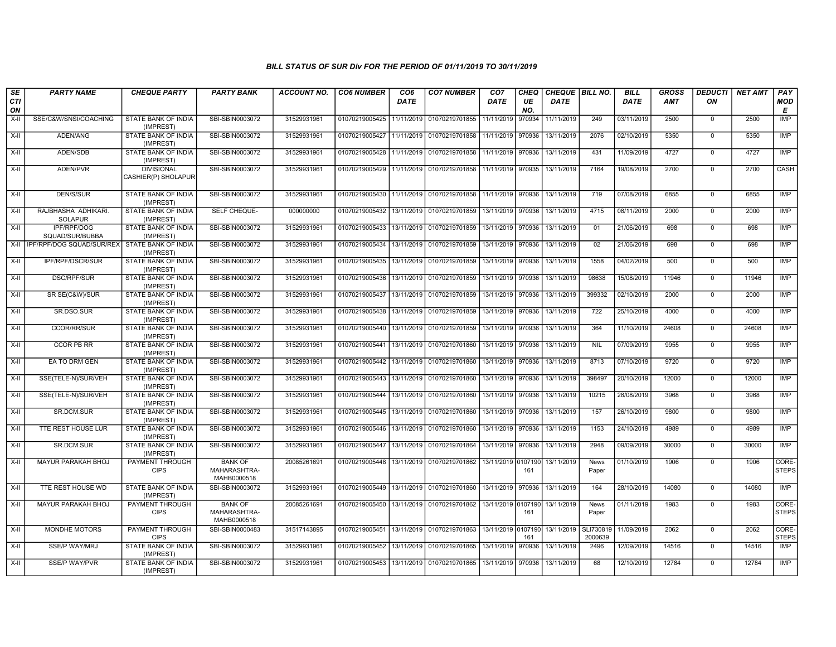| SE               | <b>PARTY NAME</b>                             | <b>CHEQUE PARTY</b>                      | <b>PARTY BANK</b>                             | <b>ACCOUNT NO.</b> | <b>CO6 NUMBER</b> | CO <sub>6</sub> | <b>CO7 NUMBER</b>                                           | CO <sub>7</sub>    | <b>CHEQ</b> | CHEQUE   BILL NO. |                      | <b>BILL</b> | <b>GROSS</b> | <b>DEDUCTI</b> | <b>NET AMT</b> | <b>PAY</b>            |
|------------------|-----------------------------------------------|------------------------------------------|-----------------------------------------------|--------------------|-------------------|-----------------|-------------------------------------------------------------|--------------------|-------------|-------------------|----------------------|-------------|--------------|----------------|----------------|-----------------------|
| <b>CTI</b><br>ON |                                               |                                          |                                               |                    |                   | DATE            |                                                             | DATE               | UE<br>NO.   | <b>DATE</b>       |                      | <b>DATE</b> | <b>AMT</b>   | ON             |                | <b>MOD</b><br>Е       |
| X-II             | SSE/C&W/SNSI/COACHING                         | STATE BANK OF INDIA<br>(IMPREST)         | SBI-SBIN0003072                               | 31529931961        | 01070219005425    | 11/11/2019      | 01070219701855                                              | 11/11/2019         | 970934      | 11/11/2019        | 249                  | 03/11/2019  | 2500         | $\mathbf 0$    | 2500           | <b>IMP</b>            |
| $X-II$           | ADEN/ANG                                      | STATE BANK OF INDIA<br>(IMPREST)         | SBI-SBIN0003072                               | 31529931961        | 01070219005427    | 11/11/2019      | 01070219701858                                              | 11/11/2019         | 970936      | 13/11/2019        | 2076                 | 02/10/2019  | 5350         | $\Omega$       | 5350           | <b>IMP</b>            |
| X-II             | ADEN/SDB                                      | STATE BANK OF INDIA<br>(IMPREST)         | SBI-SBIN0003072                               | 31529931961        |                   |                 | 01070219005428 11/11/2019 01070219701858                    | 11/11/2019 970936  |             | 13/11/2019        | 431                  | 11/09/2019  | 4727         | $\mathbf 0$    | 4727           | <b>IMP</b>            |
| $X-H$            | ADEN/PVR                                      | <b>DIVISIONAL</b><br>CASHIER(P) SHOLAPUR | SBI-SBIN0003072                               | 31529931961        | 01070219005429    | 11/11/2019      | 01070219701858 11/11/2019 970935                            |                    |             | 13/11/2019        | 7164                 | 19/08/2019  | 2700         | $\mathbf 0$    | 2700           | <b>CASH</b>           |
| $X-H$            | <b>DEN/S/SUR</b>                              | STATE BANK OF INDIA<br>(IMPREST)         | SBI-SBIN0003072                               | 31529931961        | 01070219005430    |                 | 11/11/2019 01070219701858 11/11/2019 970936                 |                    |             | 13/11/2019        | 719                  | 07/08/2019  | 6855         | $\mathbf 0$    | 6855           | <b>IMP</b>            |
| X-II             | RAJBHASHA ADHIKARI.<br><b>SOLAPUR</b>         | <b>STATE BANK OF INDIA</b><br>(IMPREST)  | SELF CHEQUE-                                  | 000000000          |                   |                 | 01070219005432   13/11/2019   01070219701859                | 13/11/2019 970936  |             | 13/11/2019        | 4715                 | 08/11/2019  | 2000         | $\mathbf 0$    | 2000           | <b>IMP</b>            |
| $X-H$            | <b>IPF/RPF/DOG</b><br>SQUAD/SUR/BUBBA         | <b>STATE BANK OF INDIA</b><br>(IMPREST)  | SBI-SBIN0003072                               | 31529931961        | 01070219005433    | 13/11/2019      | 01070219701859                                              | 13/11/2019 970936  |             | 13/11/2019        | 01                   | 21/06/2019  | 698          | $\mathbf 0$    | 698            | <b>IMP</b>            |
| X-II             | IPF/RPF/DOG SQUAD/SUR/REX STATE BANK OF INDIA | (IMPREST)                                | SBI-SBIN0003072                               | 31529931961        | 01070219005434    |                 | 13/11/2019 01070219701859                                   | 13/11/2019         | 970936      | 13/11/2019        | 02                   | 21/06/2019  | 698          | $\mathbf 0$    | 698            | IMP                   |
| $X-II$           | IPF/RPF/DSCR/SUR                              | STATE BANK OF INDIA<br>(IMPREST)         | SBI-SBIN0003072                               | 31529931961        | 01070219005435    | 13/11/2019      | 01070219701859                                              | 13/11/2019         | 970936      | 13/11/2019        | 1558                 | 04/02/2019  | 500          | $\mathbf 0$    | 500            | <b>IMP</b>            |
| $X-H$            | <b>DSC/RPF/SUR</b>                            | <b>STATE BANK OF INDIA</b><br>(IMPREST)  | SBI-SBIN0003072                               | 31529931961        | 01070219005436    |                 | 13/11/2019 01070219701859                                   | 13/11/2019         | 970936      | 13/11/2019        | 98638                | 15/08/2019  | 11946        | $\Omega$       | 11946          | <b>IMP</b>            |
| X-II             | SR SE(C&W)/SUR                                | <b>STATE BANK OF INDIA</b><br>(IMPREST)  | SBI-SBIN0003072                               | 31529931961        | 01070219005437    | 13/11/2019      | 01070219701859                                              | 13/11/2019 970936  |             | 13/11/2019        | 399332               | 02/10/2019  | 2000         | $\mathbf{0}$   | 2000           | <b>IMP</b>            |
| $X-II$           | SR.DSO.SUR                                    | <b>STATE BANK OF INDIA</b><br>(IMPREST)  | SBI-SBIN0003072                               | 31529931961        | 01070219005438    | 13/11/2019      | 01070219701859                                              | 13/11/2019         | 970936      | 13/11/2019        | 722                  | 25/10/2019  | 4000         | $\mathbf 0$    | 4000           | <b>IMP</b>            |
| $X-II$           | <b>CCOR/RR/SUR</b>                            | STATE BANK OF INDIA<br>(IMPREST)         | SBI-SBIN0003072                               | 31529931961        | 01070219005440    |                 | 13/11/2019 01070219701859                                   | 13/11/2019         | 970936      | 13/11/2019        | 364                  | 11/10/2019  | 24608        | $\mathbf 0$    | 24608          | <b>IMP</b>            |
| $X-H$            | <b>CCOR PB RR</b>                             | STATE BANK OF INDIA<br>(IMPREST)         | SBI-SBIN0003072                               | 31529931961        | 01070219005441    | 13/11/2019      | 01070219701860                                              | 13/11/2019 970936  |             | 13/11/2019        | <b>NIL</b>           | 07/09/2019  | 9955         | $\mathbf 0$    | 9955           | <b>IMP</b>            |
| X-II             | EA TO DRM GEN                                 | <b>STATE BANK OF INDIA</b><br>(IMPREST)  | SBI-SBIN0003072                               | 31529931961        | 01070219005442    |                 | 13/11/2019 01070219701860                                   | 13/11/2019 970936  |             | 13/11/2019        | 8713                 | 07/10/2019  | 9720         | $\mathbf 0$    | 9720           | <b>IMP</b>            |
| $X-H$            | SSE(TELE-N)/SUR/VEH                           | STATE BANK OF INDIA<br>(IMPREST)         | SBI-SBIN0003072                               | 31529931961        | 01070219005443    | 13/11/2019      | 01070219701860                                              | 13/11/2019         | 970936      | 13/11/2019        | 398497               | 20/10/2019  | 12000        | $\mathbf 0$    | 12000          | IMP                   |
| $X-II$           | SSE(TELE-N)/SUR/VEH                           | STATE BANK OF INDIA<br>(IMPREST)         | SBI-SBIN0003072                               | 31529931961        | 01070219005444    |                 | 13/11/2019 01070219701860                                   | 13/11/2019         | 970936      | 13/11/2019        | 10215                | 28/08/2019  | 3968         | $\Omega$       | 3968           | <b>IMP</b>            |
| X-II             | SR.DCM.SUR                                    | STATE BANK OF INDIA<br>(IMPREST)         | SBI-SBIN0003072                               | 31529931961        |                   |                 | 01070219005445   13/11/2019   01070219701860                | 13/11/2019 970936  |             | 13/11/2019        | 157                  | 26/10/2019  | 9800         | $\mathbf 0$    | 9800           | IMP                   |
| X-II             | TTE REST HOUSE LUR                            | STATE BANK OF INDIA<br>(IMPREST)         | SBI-SBIN0003072                               | 31529931961        | 01070219005446    | 13/11/2019      | 01070219701860                                              | 13/11/2019 970936  |             | 13/11/2019        | 1153                 | 24/10/2019  | 4989         | $\Omega$       | 4989           | IMP                   |
| $X-H$            | SR.DCM.SUR                                    | STATE BANK OF INDIA<br>(IMPREST)         | SBI-SBIN0003072                               | 31529931961        | 01070219005447    | 13/11/2019      | 01070219701864                                              | 13/11/2019         | 970936      | 13/11/2019        | 2948                 | 09/09/2019  | 30000        | $\mathbf 0$    | 30000          | <b>IMP</b>            |
| $X-II$           | MAYUR PARAKAH BHOJ                            | PAYMENT THROUGH<br><b>CIPS</b>           | <b>BANK OF</b><br>MAHARASHTRA-<br>MAHB0000518 | 20085261691        | 01070219005448    | 13/11/2019      | 01070219701862 13/11/2019 0107190                           |                    | 161         | 13/11/2019        | News<br>Paper        | 01/10/2019  | 1906         | $\Omega$       | 1906           | CORE-<br><b>STEPS</b> |
| $X-H$            | TTE REST HOUSE WD                             | <b>STATE BANK OF INDIA</b><br>(IMPREST)  | SBI-SBIN0003072                               | 31529931961        | 01070219005449    |                 | 13/11/2019 01070219701860                                   | 13/11/2019 970936  |             | 13/11/2019        | 164                  | 28/10/2019  | 14080        | $\Omega$       | 14080          | IMP                   |
| $X-II$           | MAYUR PARAKAH BHOJ                            | PAYMENT THROUGH<br><b>CIPS</b>           | <b>BANK OF</b><br>MAHARASHTRA-<br>MAHB0000518 | 20085261691        | 01070219005450    |                 | 13/11/2019 01070219701862                                   | 13/11/2019 0107190 | 161         | 13/11/2019        | News<br>Paper        | 01/11/2019  | 1983         | $\mathbf 0$    | 1983           | CORE-<br><b>STEPS</b> |
| X-II             | <b>MONDHE MOTORS</b>                          | PAYMENT THROUGH<br><b>CIPS</b>           | SBI-SBIN0000483                               | 31517143895        |                   |                 | 01070219005451 13/11/2019 01070219701863 13/11/2019 0107190 |                    | 161         | 13/11/2019        | SLI730819<br>2000639 | 11/09/2019  | 2062         | $\mathbf 0$    | 2062           | CORE-<br><b>STEPS</b> |
| $X-II$           | SSE/P WAY/MRJ                                 | <b>STATE BANK OF INDIA</b><br>(IMPREST)  | SBI-SBIN0003072                               | 31529931961        | 01070219005452    | 13/11/2019      | 01070219701865                                              | 13/11/2019         | 970936      | 13/11/2019        | 2496                 | 12/09/2019  | 14516        | $\Omega$       | 14516          | IMP                   |
| $X-H$            | <b>SSE/P WAY/PVR</b>                          | STATE BANK OF INDIA<br>(IMPREST)         | SBI-SBIN0003072                               | 31529931961        |                   |                 | 01070219005453 13/11/2019 01070219701865                    | 13/11/2019         | 970936      | 13/11/2019        | 68                   | 12/10/2019  | 12784        | $\Omega$       | 12784          | <b>IMP</b>            |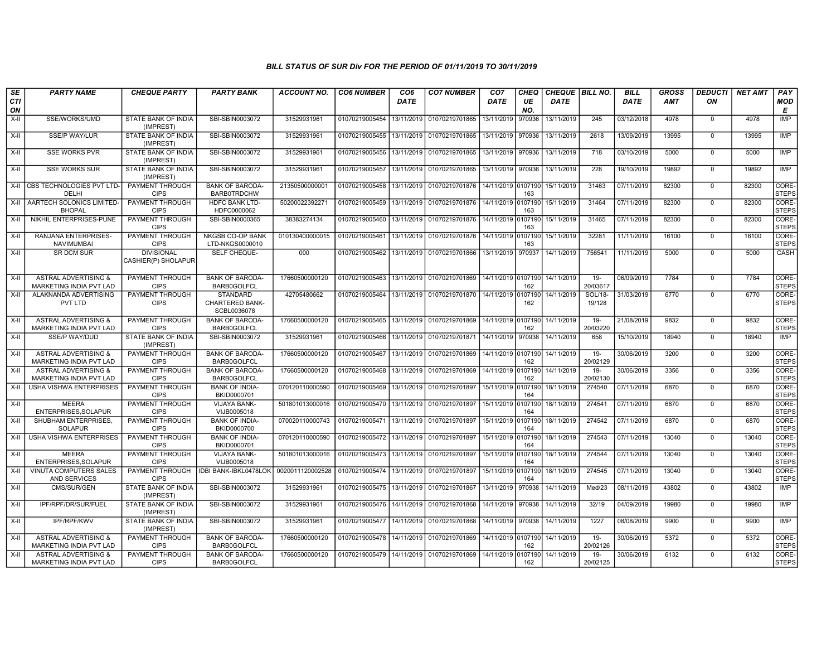| SE<br>CTI<br>ON | <b>PARTY NAME</b>                                                 | <b>CHEQUE PARTY</b>                      | <b>PARTY BANK</b>                                        | <b>ACCOUNT NO.</b> | <b>CO6 NUMBER</b>         | CO <sub>6</sub><br><b>DATE</b> | <b>CO7 NUMBER</b>                                 | CO <sub>7</sub><br><b>DATE</b> | CHEQ<br>UE<br>NO. | CHEQUE   BILL NO.<br><b>DATE</b> |                    | <b>BILL</b><br><b>DATE</b> | <b>GROSS</b><br>AMT | <b>DEDUCTI</b><br>ON | <b>NET AMT</b> | PAY<br>MOD<br>Е       |
|-----------------|-------------------------------------------------------------------|------------------------------------------|----------------------------------------------------------|--------------------|---------------------------|--------------------------------|---------------------------------------------------|--------------------------------|-------------------|----------------------------------|--------------------|----------------------------|---------------------|----------------------|----------------|-----------------------|
| X-II            | SSE/WORKS/UMD                                                     | STATE BANK OF INDIA<br>(IMPREST)         | SBI-SBIN0003072                                          | 31529931961        | 01070219005454            | 13/11/2019                     | 01070219701865                                    | 13/11/2019                     | 970936            | 13/11/2019                       | 245                | 03/12/2018                 | 4978                | $\mathbf 0$          | 4978           | <b>IMP</b>            |
| X-II            | SSE/P WAY/LUR                                                     | STATE BANK OF INDIA<br>(IMPREST)         | SBI-SBIN0003072                                          | 31529931961        | 01070219005455            | 13/11/2019                     | 01070219701865                                    | 13/11/2019                     | 970936            | 13/11/2019                       | 2618               | 13/09/2019                 | 13995               | $\overline{0}$       | 13995          | IMP                   |
| $X-H$           | <b>SSE WORKS PVR</b>                                              | <b>STATE BANK OF INDIA</b><br>(IMPREST)  | SBI-SBIN0003072                                          | 31529931961        | 01070219005456            | 13/11/2019                     | 01070219701865                                    | 13/11/2019                     | 970936            | 13/11/2019                       | 718                | 03/10/2019                 | 5000                | $\Omega$             | 5000           | IMP                   |
| X-II            | <b>SSE WORKS SUR</b>                                              | STATE BANK OF INDIA<br>(IMPREST)         | SBI-SBIN0003072                                          | 31529931961        | 01070219005457            | 13/11/2019                     | 01070219701865                                    | 13/11/2019                     | 970936            | 13/11/2019                       | 228                | 19/10/2019                 | 19892               | $\mathbf 0$          | 19892          | IMP                   |
|                 | X-II CBS TECHNOLOGIES PVT LTD<br>DELHI                            | PAYMENT THROUGH<br><b>CIPS</b>           | <b>BANK OF BARODA-</b><br><b>BARB0TRDCHW</b>             | 2135050000000      | 01070219005458            | 13/11/2019                     | 01070219701876                                    | 14/11/2019 0107190             | 163               | 15/11/2019                       | 31463              | 07/11/2019                 | 82300               | $\mathsf 0$          | 82300          | CORE-<br><b>STEPS</b> |
|                 | X-II AARTECH SOLONICS LIMITED<br><b>BHOPAL</b>                    | PAYMENT THROUGH<br><b>CIPS</b>           | <b>HDFC BANK LTD-</b><br>HDFC0000062                     | 50200022392271     | 01070219005459            | 13/11/2019                     | 01070219701876                                    | 14/11/2019 0107190             | 163               | 15/11/2019                       | 31464              | 07/11/2019                 | 82300               | $\mathbf 0$          | 82300          | CORE-<br><b>STEPS</b> |
| X-II            | NIKHIL ENTERPRISES-PUNE                                           | PAYMENT THROUGH<br><b>CIPS</b>           | SBI-SBIN0000365                                          | 38383274134        | 01070219005460            | 13/11/2019                     | 01070219701876   14/11/2019 0107190               |                                | 163               | 15/11/2019                       | 31465              | 07/11/2019                 | 82300               | $\Omega$             | 82300          | CORE-<br><b>STEPS</b> |
| $X-H$           | <b>RANJANA ENTERPRISES-</b><br>NAVIMUMBAI                         | <b>PAYMENT THROUGH</b><br><b>CIPS</b>    | <b>NKGSB CO-OP BANK</b><br>LTD-NKGS0000010               | 010130400000015    | 01070219005461            | 13/11/2019                     | 01070219701876                                    | 14/11/2019 0107190             | 163               | 15/11/2019                       | 32281              | 11/11/2019                 | 16100               | $\mathbf 0$          | 16100          | CORE-<br><b>STEPS</b> |
| X-II            | SR DCM SUR                                                        | <b>DIVISIONAL</b><br>CASHIER(P) SHOLAPUR | SELF CHEQUE-                                             | 000                | 01070219005462            |                                | 13/11/2019 01070219701866                         | 13/11/2019                     | 970937            | 14/11/2019                       | 756541             | 11/11/2019                 | 5000                | $\mathbf 0$          | 5000           | CASH                  |
| $X-H$           | <b>ASTRAL ADVERTISING &amp;</b><br><b>MARKETING INDIA PVT LAD</b> | PAYMENT THROUGH<br><b>CIPS</b>           | <b>BANK OF BARODA-</b><br><b>BARB0GOLFCL</b>             | 17660500000120     | 01070219005463            |                                | 13/11/2019   01070219701869   14/11/2019  0107190 |                                | 162               | 14/11/2019                       | $19 -$<br>20/03617 | 06/09/2019                 | 7784                | $\mathbf 0$          | 7784           | CORE-<br><b>STEPS</b> |
| X-II            | ALAKNANDA ADVERTISING<br>PVT LTD                                  | PAYMENT THROUGH<br><b>CIPS</b>           | <b>STANDARD</b><br><b>CHARTERED BANK-</b><br>SCBL0036078 | 42705480662        | 01070219005464            |                                | 13/11/2019 01070219701870 14/11/2019 0107190      |                                | 162               | 14/11/2019                       | SOL/18-<br>19/128  | 31/03/2019                 | 6770                | $\Omega$             | 6770           | CORE-<br><b>STEPS</b> |
| X-II            | <b>ASTRAL ADVERTISING &amp;</b><br><b>MARKETING INDIA PVT LAD</b> | <b>PAYMENT THROUGH</b><br><b>CIPS</b>    | <b>BANK OF BARODA</b><br><b>BARB0GOLFCL</b>              | 17660500000120     | 01070219005465            |                                | 13/11/2019   01070219701869   14/11/2019  0107190 |                                | 162               | 14/11/2019                       | 19-<br>20/03220    | 21/08/2019                 | 9832                | $\Omega$             | 9832           | CORE-<br><b>STEPS</b> |
| X-II            | SSE/P WAY/DUD                                                     | STATE BANK OF INDIA<br>(IMPREST)         | SBI-SBIN0003072                                          | 31529931961        | 01070219005466            | 13/11/2019                     | 01070219701871                                    | 14/11/2019                     | 970938            | 14/11/2019                       | 658                | 15/10/2019                 | 18940               | $\mathbf 0$          | 18940          | IMP                   |
| $X-II$          | <b>ASTRAL ADVERTISING &amp;</b><br><b>MARKETING INDIA PVT LAD</b> | PAYMENT THROUGH<br><b>CIPS</b>           | <b>BANK OF BARODA-</b><br><b>BARB0GOLFCL</b>             | 17660500000120     | 01070219005467            | 13/11/2019                     | 01070219701869                                    | 14/11/2019                     | 0107190<br>162    | 14/11/2019                       | $19 -$<br>20/02129 | 30/06/2019                 | 3200                | $\mathbf 0$          | 3200           | CORE-<br><b>STEPS</b> |
| X-II            | <b>ASTRAL ADVERTISING &amp;</b><br>MARKETING INDIA PVT LAD        | PAYMENT THROUGH<br><b>CIPS</b>           | <b>BANK OF BARODA-</b><br><b>BARB0GOLFCL</b>             | 17660500000120     | 01070219005468            | 13/11/2019                     | 01070219701869                                    | 14/11/2019   0107190           | 162               | 14/11/2019                       | $19 -$<br>20/02130 | 30/06/2019                 | 3356                | $\mathbf 0$          | 3356           | CORE-<br><b>STEPS</b> |
| $X-H$           | <b>USHA VISHWA ENTERPRISES</b>                                    | PAYMENT THROUGH<br><b>CIPS</b>           | <b>BANK OF INDIA-</b><br>BKID0000701                     | 070120110000590    | 01070219005469            | 13/11/2019                     | 01070219701897                                    | 15/11/2019                     | 0107190<br>164    | 18/11/2019                       | 274540             | 07/11/2019                 | 6870                | $\mathbf 0$          | 6870           | CORE-<br><b>STEPS</b> |
| X-II            | <b>MEERA</b><br>ENTERPRISES.SOLAPUR                               | PAYMENT THROUGH<br><b>CIPS</b>           | <b>VIJAYA BANK-</b><br>VIJB0005018                       | 501801013000016    | 01070219005470            | 13/11/2019                     | 01070219701897                                    | 15/11/2019                     | 0107190<br>164    | 18/11/2019                       | 274541             | 07/11/2019                 | 6870                | $\mathbf 0$          | 6870           | CORE-<br><b>STEPS</b> |
| X-II            | SHUBHAM ENTERPRISES,<br><b>SOLAPUR</b>                            | PAYMENT THROUGH<br><b>CIPS</b>           | <b>BANK OF INDIA-</b><br>BKID0000700                     | 070020110000743    | 01070219005471            | 13/11/2019                     | 01070219701897                                    | 15/11/2019                     | 0107190<br>164    | 18/11/2019                       | 274542             | 07/11/2019                 | 6870                | $\mathbf 0$          | 6870           | CORE-<br>STEPS        |
| $X-H$           | <b>USHA VISHWA ENTERPRISES</b>                                    | PAYMENT THROUGH<br><b>CIPS</b>           | <b>BANK OF INDIA-</b><br>BKID0000701                     | 070120110000590    | 01070219005472            | 13/11/2019                     | 01070219701897                                    | 15/11/2019 0107190             | 164               | 18/11/2019                       | 274543             | 07/11/2019                 | 13040               | $\mathbf 0$          | 13040          | CORE-<br><b>STEPS</b> |
| X-II            | <b>MEERA</b><br>ENTERPRISES.SOLAPUR                               | PAYMENT THROUGH<br><b>CIPS</b>           | <b>VIJAYA BANK-</b><br>VIJB0005018                       | 501801013000016    | 01070219005473            | 13/11/2019                     | 01070219701897                                    | 15/11/2019 0107190             | 164               | 18/11/2019                       | 274544             | 07/11/2019                 | 13040               | $\mathbf 0$          | 13040          | CORE-<br><b>STEPS</b> |
| X-II            | <b>VINUTA COMPUTERS SALES</b><br>AND SERVICES                     | PAYMENT THROUGH<br><b>CIPS</b>           | <b>IDBI BANK-IBKL0478LOK</b>                             | 0020011120002528   | 01070219005474            | 13/11/2019                     | 01070219701897                                    | 15/11/2019 0107190             | 164               | 18/11/2019                       | 274545             | 07/11/2019                 | 13040               | $\overline{0}$       | 13040          | CORE-<br><b>STEPS</b> |
| X-II            | CMS/SUR/GEN                                                       | STATE BANK OF INDIA<br>(IMPREST)         | SBI-SBIN0003072                                          | 31529931961        | 01070219005475            |                                | 13/11/2019 01070219701867                         | 13/11/2019                     | 970938            | 14/11/2019                       | Med/23             | 08/11/2019                 | 43802               | $\Omega$             | 43802          | IMP                   |
| X-II            | IPF/RPF/DR/SUR/FUEL                                               | STATE BANK OF INDIA<br>(IMPREST)         | SBI-SBIN0003072                                          | 31529931961        | 01070219005476            | 14/11/2019                     | 01070219701868                                    | 14/11/2019                     | 970938            | 14/11/2019                       | 32/19              | 04/09/2019                 | 19980               | $\mathbf 0$          | 19980          | <b>IMP</b>            |
| $X-II$          | IPF/RPF/KWV                                                       | STATE BANK OF INDIA<br>(IMPREST)         | SBI-SBIN0003072                                          | 31529931961        | 01070219005477            | 14/11/2019                     | 01070219701868                                    | 14/11/2019                     | 970938            | 14/11/2019                       | 1227               | 08/08/2019                 | 9900                | $\overline{0}$       | 9900           | <b>IMP</b>            |
| X-II            | <b>ASTRAL ADVERTISING &amp;</b><br><b>MARKETING INDIA PVT LAD</b> | PAYMENT THROUGH<br><b>CIPS</b>           | <b>BANK OF BARODA-</b><br><b>BARB0GOLFCL</b>             | 17660500000120     | 01070219005478 14/11/2019 |                                | 01070219701869   14/11/2019 0107190   14/11/2019  |                                | 162               |                                  | $19 -$<br>20/02126 | 30/06/2019                 | 5372                | $\mathbf 0$          | 5372           | CORE-<br><b>STEPS</b> |
| X-II            | <b>ASTRAL ADVERTISING &amp;</b><br>MARKETING INDIA PVT LAD        | PAYMENT THROUGH<br><b>CIPS</b>           | <b>BANK OF BARODA-</b><br><b>BARB0GOLFCL</b>             | 17660500000120     | 01070219005479 14/11/2019 |                                | 01070219701869   14/11/2019                       |                                | 0107190<br>162    | 14/11/2019                       | $19 -$<br>20/02125 | 30/06/2019                 | 6132                | $\Omega$             | 6132           | CORE-<br><b>STEPS</b> |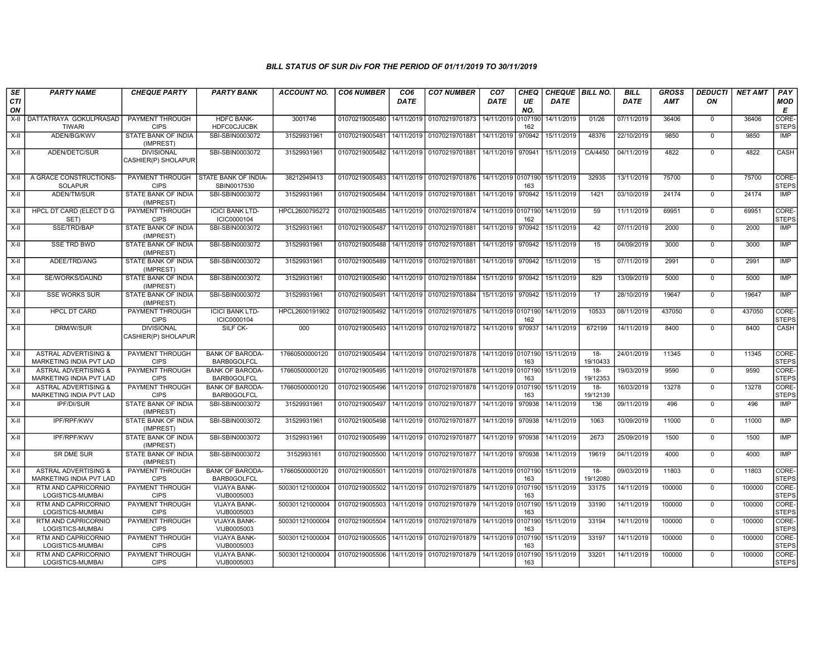| SE<br>CTI<br>ON | <b>PARTY NAME</b>                                                 | <b>CHEQUE PARTY</b>                      | <b>PARTY BANK</b>                            | <b>ACCOUNT NO.</b> | <b>CO6 NUMBER</b> | CO <sub>6</sub><br><b>DATE</b> | <b>CO7 NUMBER</b>                            | CO <sub>7</sub><br><b>DATE</b> | <b>CHEQ</b><br>UE<br>NO. | CHEQUE   BILL NO.<br><b>DATE</b> |                    | <b>BILL</b><br><b>DATE</b> | <b>GROSS</b><br><b>AMT</b> | <b>DEDUCTI</b><br>ON | <b>NET AMT</b> | PAY<br>MOD<br>Е       |
|-----------------|-------------------------------------------------------------------|------------------------------------------|----------------------------------------------|--------------------|-------------------|--------------------------------|----------------------------------------------|--------------------------------|--------------------------|----------------------------------|--------------------|----------------------------|----------------------------|----------------------|----------------|-----------------------|
| X-II            | DATTATRAYA GOKULPRASAD<br><b>TIWARI</b>                           | PAYMENT THROUGH<br><b>CIPS</b>           | <b>HDFC BANK-</b><br><b>HDFC0CJUCBK</b>      | 3001746            | 01070219005480    | 14/11/2019                     | 01070219701873                               | 14/11/2019                     | 0107190<br>162           | 14/11/2019                       | 01/26              | 07/11/2019                 | 36406                      | $\mathbf 0$          | 36406          | CORE-<br><b>STEPS</b> |
| X-II            | ADEN/BG/KWV                                                       | STATE BANK OF INDIA<br>(IMPREST)         | SBI-SBIN0003072                              | 31529931961        | 01070219005481    | 14/11/2019                     | 01070219701881                               | 14/11/2019                     | 970942                   | 15/11/2019                       | 48376              | 22/10/2019                 | 9850                       | $\overline{0}$       | 9850           | <b>IMP</b>            |
| X-II            | ADEN/DETC/SUR                                                     | <b>DIVISIONAL</b><br>CASHIER(P) SHOLAPUR | SBI-SBIN0003072                              | 31529931961        | 01070219005482    | 14/11/2019                     | 01070219701881                               | 14/11/2019 970941              |                          | 15/11/2019                       | CA/4450            | 04/11/2019                 | 4822                       | $\Omega$             | 4822           | CASH                  |
| $X-II$          | A GRACE CONSTRUCTIONS-<br><b>SOLAPUR</b>                          | PAYMENT THROUGH<br><b>CIPS</b>           | <b>STATE BANK OF INDIA-</b><br>SBIN0017530   | 38212949413        | 01070219005483    | 14/11/2019                     | 01070219701876 14/11/2019 0107190            |                                | 163                      | 15/11/2019                       | 32935              | 13/11/2019                 | 75700                      | $\Omega$             | 75700          | CORE-<br><b>STEPS</b> |
| X-II            | ADEN/TM/SUR                                                       | STATE BANK OF INDIA<br>(IMPREST)         | SBI-SBIN0003072                              | 31529931961        | 01070219005484    | 14/11/2019                     | 01070219701881                               | 14/11/2019                     | 970942                   | 15/11/2019                       | 1421               | 03/10/2019                 | 24174                      | $\mathbf 0$          | 24174          | <b>IMP</b>            |
| $X-H$           | <b>HPCL DT CARD (ELECT D G</b><br>SET)                            | <b>PAYMENT THROUGH</b><br><b>CIPS</b>    | <b>ICICI BANK LTD-</b><br>ICIC0000104        | HPCL2600795272     | 01070219005485    | 14/11/2019                     | 01070219701874 14/11/2019 0107190            |                                | 162                      | 14/11/2019                       | 59                 | 11/11/2019                 | 69951                      | $\Omega$             | 69951          | CORE-<br><b>STEPS</b> |
| X-II            | SSE/TRD/BAP                                                       | <b>STATE BANK OF INDIA</b><br>(IMPREST)  | SBI-SBIN0003072                              | 31529931961        | 01070219005487    | 14/11/2019                     | 01070219701881                               | 14/11/2019                     | 970942                   | 15/11/2019                       | 42                 | 07/11/2019                 | 2000                       | $\mathbf 0$          | 2000           | IMP                   |
| X-II            | <b>SSE TRD BWD</b>                                                | STATE BANK OF INDIA<br>(IMPREST)         | SBI-SBIN0003072                              | 31529931961        | 01070219005488    | 14/11/2019                     | 01070219701881                               | 14/11/2019                     | 970942                   | 15/11/2019                       | 15                 | 04/09/2019                 | 3000                       | $\mathbf 0$          | 3000           | <b>IMP</b>            |
| X-II            | ADEE/TRD/ANG                                                      | STATE BANK OF INDIA<br>(IMPREST)         | SBI-SBIN0003072                              | 31529931961        | 01070219005489    | 14/11/2019                     | 01070219701881                               | 14/11/2019 970942              |                          | 15/11/2019                       | 15                 | 07/11/2019                 | 2991                       | $\Omega$             | 2991           | <b>IMP</b>            |
| X-II            | SE/WORKS/DAUND                                                    | STATE BANK OF INDIA<br>(IMPREST)         | SBI-SBIN0003072                              | 31529931961        | 01070219005490    | 14/11/2019                     | 01070219701884                               | 15/11/2019                     | 970942                   | 15/11/2019                       | 829                | 13/09/2019                 | 5000                       | $\mathbf 0$          | 5000           | IMP                   |
| X-II            | <b>SSE WORKS SUR</b>                                              | STATE BANK OF INDIA<br>(IMPREST)         | SBI-SBIN0003072                              | 31529931961        | 01070219005491    | 14/11/2019                     | 01070219701884                               | 15/11/2019 970942              |                          | 15/11/2019                       | 17                 | 28/10/2019                 | 19647                      | $\Omega$             | 19647          | IMP                   |
| $X-H$           | <b>HPCL DT CARD</b>                                               | PAYMENT THROUGH<br><b>CIPS</b>           | <b>ICICI BANK LTD-</b><br>ICIC0000104        | HPCL2600191902     | 01070219005492    | 14/11/2019                     | 01070219701875                               | 14/11/2019 0107190             | 162                      | 14/11/2019                       | 10533              | 08/11/2019                 | 437050                     | $\mathbf 0$          | 437050         | CORE-<br>STEPS        |
| X-II            | DRM/W/SUR                                                         | <b>DIVISIONAL</b><br>CASHIER(P) SHOLAPUR | SILF CK-                                     | 000                | 01070219005493    | 14/11/2019                     | 01070219701872 14/11/2019 970937             |                                |                          | 14/11/2019                       | 672199             | 14/11/2019                 | 8400                       | $\mathbf 0$          | 8400           | CASH                  |
| $X-H$           | <b>ASTRAL ADVERTISING &amp;</b><br><b>MARKETING INDIA PVT LAD</b> | PAYMENT THROUGH<br><b>CIPS</b>           | <b>BANK OF BARODA-</b><br><b>BARB0GOLFCL</b> | 17660500000120     | 01070219005494    | 14/11/2019                     | 01070219701878 14/11/2019 0107190 15/11/2019 |                                | 163                      |                                  | $18 -$<br>19/10433 | 24/01/2019                 | 11345                      | $\mathbf 0$          | 11345          | CORE-<br><b>STEPS</b> |
| X-II            | <b>ASTRAL ADVERTISING &amp;</b><br>MARKETING INDIA PVT LAD        | PAYMENT THROUGH<br><b>CIPS</b>           | <b>BANK OF BARODA-</b><br><b>BARB0GOLFCL</b> | 17660500000120     | 01070219005495    | 14/11/2019                     | 01070219701878   14/11/2019 0107190          |                                | 163                      | 15/11/2019                       | $18 -$<br>19/12353 | 19/03/2019                 | 9590                       | $\mathbf 0$          | 9590           | CORE-<br><b>STEPS</b> |
| $X-II$          | <b>ASTRAL ADVERTISING &amp;</b><br>MARKETING INDIA PVT LAD        | PAYMENT THROUGH<br><b>CIPS</b>           | <b>BANK OF BARODA-</b><br><b>BARB0GOLFCL</b> | 17660500000120     | 01070219005496    | 14/11/2019                     | 01070219701878 14/11/2019                    |                                | 0107190<br>163           | 15/11/2019                       | $18 -$<br>19/12139 | 16/03/2019                 | 13278                      | $\overline{0}$       | 13278          | CORE-<br>STEPS        |
| X-II            | IPF/DI/SUR                                                        | STATE BANK OF INDIA<br>(IMPREST)         | SBI-SBIN0003072                              | 31529931961        | 01070219005497    | 14/11/2019                     | 01070219701877                               | 14/11/2019                     | 970938                   | 14/11/2019                       | 136                | 09/11/2019                 | 496                        | $\mathbf 0$          | 496            | IMP                   |
| $X-H$           | IPF/RPF/KWV                                                       | STATE BANK OF INDIA<br>(IMPREST)         | SBI-SBIN0003072                              | 31529931961        | 01070219005498    | 14/11/2019                     | 01070219701877                               | 14/11/2019 970938              |                          | 14/11/2019                       | 1063               | 10/09/2019                 | 11000                      | $\mathbf 0$          | 11000          | IMP                   |
| X-II            | IPF/RPF/KWV                                                       | STATE BANK OF INDIA<br>(IMPREST)         | SBI-SBIN0003072                              | 31529931961        | 01070219005499    | 14/11/2019                     | 01070219701877                               | 14/11/2019                     | 970938                   | 14/11/2019                       | 2673               | 25/09/2019                 | 1500                       | $\mathbf 0$          | 1500           | <b>IMP</b>            |
| X-II            | SR DME SUR                                                        | STATE BANK OF INDIA<br>(IMPREST)         | SBI-SBIN0003072                              | 3152993161         | 01070219005500    | 14/11/2019                     | 01070219701877                               | 14/11/2019   970938            |                          | 14/11/2019                       | 19619              | 04/11/2019                 | 4000                       | $\Omega$             | 4000           | <b>IMP</b>            |
| X-II            | <b>ASTRAL ADVERTISING &amp;</b><br><b>MARKETING INDIA PVT LAD</b> | PAYMENT THROUGH<br><b>CIPS</b>           | <b>BANK OF BARODA-</b><br><b>BARB0GOLFCL</b> | 17660500000120     | 01070219005501    | 14/11/2019                     | 01070219701878 14/11/2019 0107190            |                                | 163                      | 15/11/2019                       | $18-$<br>19/12080  | 09/03/2019                 | 11803                      | $\overline{0}$       | 11803          | CORE-<br><b>STEPS</b> |
| X-II            | RTM AND CAPRICORNIO<br>LOGISTICS-MUMBAI                           | PAYMENT THROUGH<br><b>CIPS</b>           | <b>VIJAYA BANK-</b><br>VIJB0005003           | 500301121000004    | 01070219005502    | 14/11/2019                     | 01070219701879 14/11/2019 0107190            |                                | 163                      | 15/11/2019                       | 33175              | 14/11/2019                 | 100000                     | $\Omega$             | 100000         | CORE-<br><b>STEPS</b> |
| X-II            | RTM AND CAPRICORNIO<br>LOGISTICS-MUMBAI                           | <b>PAYMENT THROUGH</b><br><b>CIPS</b>    | VIJAYA BANK-<br>VIJB0005003                  | 500301121000004    | 01070219005503    | 14/11/2019                     | 01070219701879                               | 14/11/2019                     | 0107190<br>163           | 15/11/2019                       | 33190              | 14/11/2019                 | 100000                     | $\mathbf 0$          | 100000         | CORE-<br><b>STEPS</b> |
| $X-II$          | RTM AND CAPRICORNIO<br>LOGISTICS-MUMBAI                           | PAYMENT THROUGH<br><b>CIPS</b>           | <b>VIJAYA BANK-</b><br>VIJB0005003           | 500301121000004    | 01070219005504    | 14/11/2019                     | 01070219701879                               | 14/11/2019 0107190             | 163                      | 15/11/2019                       | 33194              | 14/11/2019                 | 100000                     | $\overline{0}$       | 100000         | CORE-<br><b>STEPS</b> |
| $X-H$           | RTM AND CAPRICORNIO<br>LOGISTICS-MUMBAI                           | PAYMENT THROUGH<br><b>CIPS</b>           | <b>VIJAYA BANK-</b><br>VIJB0005003           | 500301121000004    | 01070219005505    | 14/11/2019                     | 01070219701879 14/11/2019 0107190            |                                | 163                      | 15/11/2019                       | 33197              | 14/11/2019                 | 100000                     | $\mathbf 0$          | 100000         | CORE-<br><b>STEPS</b> |
| X-II            | RTM AND CAPRICORNIO<br>LOGISTICS-MUMBAI                           | PAYMENT THROUGH<br><b>CIPS</b>           | VIJAYA BANK-<br>VIJB0005003                  | 500301121000004    | 01070219005506    | 14/11/2019                     | 01070219701879 14/11/2019 0107190            |                                | 163                      | 15/11/2019                       | 33201              | 14/11/2019                 | 100000                     | $\mathbf 0$          | 100000         | CORE-<br><b>STEPS</b> |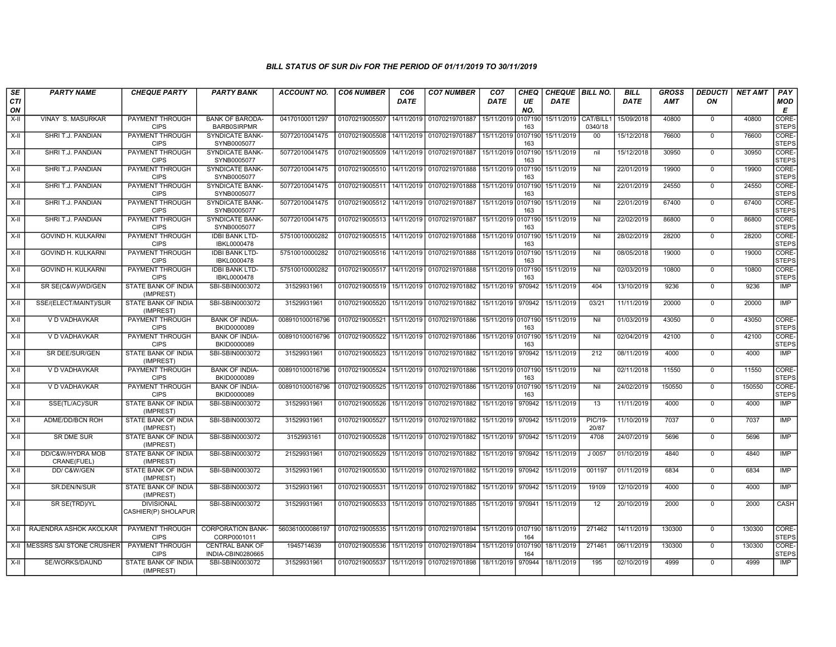| SE               | <b>PARTY NAME</b>               | <b>CHEQUE PARTY</b>                      | <b>PARTY BANK</b>                            | ACCOUNT NO.     | <b>CO6 NUMBER</b>         | CO <sub>6</sub> | <b>CO7 NUMBER</b>                                           | CO <sub>7</sub>    | <b>CHEQ</b>    | CHEQUE   BILL NO. |                      | <b>BILL</b> | GROSS  | <b>DEDUCTI</b> | <b>NET AMT</b> | <b>PAY</b>            |
|------------------|---------------------------------|------------------------------------------|----------------------------------------------|-----------------|---------------------------|-----------------|-------------------------------------------------------------|--------------------|----------------|-------------------|----------------------|-------------|--------|----------------|----------------|-----------------------|
| <b>CTI</b><br>ON |                                 |                                          |                                              |                 |                           | <b>DATE</b>     |                                                             | DATE               | UE<br>NO.      | <b>DATE</b>       |                      | <b>DATE</b> | AMT    | ΟN             |                | <b>MOD</b><br>E       |
| $X-I$            | VINAY S. MASURKAR               | PAYMENT THROUGH<br><b>CIPS</b>           | <b>BANK OF BARODA-</b><br><b>BARBOSIRPMR</b> | 04170100011297  | 01070219005507            | 14/11/2019      | 01070219701887                                              | 15/11/2019         | 0107190<br>163 | 15/11/2019        | CAT/BILL1<br>0340/18 | 15/09/2018  | 40800  | $\mathbf 0$    | 40800          | CORE-<br><b>STEPS</b> |
| X-II             | SHRI T.J. PANDIAN               | PAYMENT THROUGH<br><b>CIPS</b>           | SYNDICATE BANK-<br>SYNB0005077               | 50772010041475  | 01070219005508            | 14/11/2019      | 01070219701887                                              | 15/11/2019 0107190 | 163            | 15/11/2019        | $00\,$               | 15/12/2018  | 76600  | $\mathbf 0$    | 76600          | CORE-<br><b>STEPS</b> |
| X-II             | SHRI T.J. PANDIAN               | PAYMENT THROUGH<br><b>CIPS</b>           | <b>SYNDICATE BANK-</b><br>SYNB0005077        | 50772010041475  | 01070219005509            |                 | 14/11/2019 01070219701887                                   | 15/11/2019 0107190 | 163            | 15/11/2019        | nil                  | 15/12/2018  | 30950  | $\mathbf 0$    | 30950          | CORE-<br><b>STEPS</b> |
| X-II             | SHRI T.J. PANDIAN               | <b>PAYMENT THROUGH</b><br><b>CIPS</b>    | <b>SYNDICATE BANK-</b><br>SYNB0005077        | 50772010041475  | 01070219005510            | 14/11/2019      | 01070219701888                                              | 15/11/2019 0107190 | 163            | 15/11/2019        | Nil                  | 22/01/2019  | 19900  | $\mathbf 0$    | 19900          | CORE-<br><b>STEPS</b> |
| X-II             | SHRI T.J. PANDIAN               | PAYMENT THROUGH<br><b>CIPS</b>           | <b>SYNDICATE BANK-</b><br>SYNB0005077        | 50772010041475  | 01070219005511            |                 | 14/11/2019 01070219701888                                   | 15/11/2019 0107190 | 163            | 15/11/2019        | Nil                  | 22/01/2019  | 24550  | $\mathbf 0$    | 24550          | CORE-<br><b>STEPS</b> |
| X-II             | SHRI T.J. PANDIAN               | PAYMENT THROUGH<br><b>CIPS</b>           | <b>SYNDICATE BANK-</b><br>SYNB0005077        | 50772010041475  | 01070219005512            |                 | 14/11/2019 01070219701887                                   | 15/11/2019 0107190 | 163            | 15/11/2019        | Nil                  | 22/01/2019  | 67400  | $\mathbf{0}$   | 67400          | CORE-<br><b>STEPS</b> |
| X-II             | SHRI T.J. PANDIAN               | <b>PAYMENT THROUGH</b><br><b>CIPS</b>    | <b>SYNDICATE BANK-</b><br>SYNB0005077        | 50772010041475  |                           |                 | 01070219005513 14/11/2019 01070219701887                    | 15/11/2019 0107190 | 163            | 15/11/2019        | Nil                  | 22/02/2019  | 86800  | $\mathbf 0$    | 86800          | CORE-<br><b>STEPS</b> |
| $X-H$            | <b>GOVIND H. KULKARNI</b>       | <b>PAYMENT THROUGH</b><br><b>CIPS</b>    | <b>IDBI BANK LTD-</b><br>IBKL0000478         | 57510010000282  | 01070219005515 14/11/2019 |                 | 01070219701888                                              | 15/11/2019 0107190 | 163            | 15/11/2019        | Nil                  | 28/02/2019  | 28200  | $\overline{0}$ | 28200          | CORE-<br><b>STEPS</b> |
| $X-H$            | <b>GOVIND H. KULKARNI</b>       | <b>PAYMENT THROUGH</b><br><b>CIPS</b>    | <b>IDBI BANK LTD-</b><br>IBKL0000478         | 57510010000282  | 01070219005516            | 14/11/2019      | 01070219701888                                              | 15/11/2019 0107190 | 163            | 15/11/2019        | Nil                  | 08/05/2018  | 19000  | $\overline{0}$ | 19000          | CORE-<br><b>STEPS</b> |
| X-II             | GOVIND H. KULKARNI              | PAYMENT THROUGH<br><b>CIPS</b>           | <b>IDBI BANK LTD-</b><br>IBKL0000478         | 57510010000282  | 01070219005517 14/11/2019 |                 | 01070219701888                                              | 15/11/2019 0107190 | 163            | 15/11/2019        | Nil                  | 02/03/2019  | 10800  | $\mathbf 0$    | 10800          | CORE-<br><b>STEPS</b> |
| $X-H$            | SR SE(C&W)/WD/GEN               | <b>STATE BANK OF INDIA</b><br>(IMPREST)  | SBI-SBIN0003072                              | 31529931961     | 01070219005519            | 15/11/2019      | 01070219701882                                              | 15/11/2019         | 970942         | 15/11/2019        | 404                  | 13/10/2019  | 9236   | $\mathbf 0$    | 9236           | <b>IMP</b>            |
| X-II             | SSE/(ELECT/MAINT)/SUR           | <b>STATE BANK OF INDIA</b><br>(IMPREST)  | SBI-SBIN0003072                              | 31529931961     | 01070219005520            |                 | 15/11/2019 01070219701882                                   | 15/11/2019         | 970942         | 15/11/2019        | 03/21                | 11/11/2019  | 20000  | $\mathbf 0$    | 20000          | <b>IMP</b>            |
| $X-H$            | V D VADHAVKAR                   | <b>PAYMENT THROUGH</b><br><b>CIPS</b>    | <b>BANK OF INDIA-</b><br>BKID0000089         | 008910100016796 | 01070219005521            | 15/11/2019      | 01070219701886 15/11/2019 0107190                           |                    | 163            | 15/11/2019        | Nil                  | 01/03/2019  | 43050  | $\overline{0}$ | 43050          | CORE-<br><b>STEPS</b> |
| X-II             | V D VADHAVKAR                   | PAYMENT THROUGH<br><b>CIPS</b>           | <b>BANK OF INDIA-</b><br>BKID0000089         | 008910100016796 | 01070219005522            |                 | 15/11/2019 01070219701886                                   | 15/11/2019 0107190 | 163            | 15/11/2019        | Nil                  | 02/04/2019  | 42100  | $\Omega$       | 42100          | CORE-<br><b>STEPS</b> |
| $X-H$            | SR DEE/SUR/GEN                  | STATE BANK OF INDIA<br>(IMPREST)         | SBI-SBIN0003072                              | 31529931961     | 01070219005523            |                 | 15/11/2019 01070219701882                                   | 15/11/2019 970942  |                | 15/11/2019        | 212                  | 08/11/2019  | 4000   | $\overline{0}$ | 4000           | <b>IMP</b>            |
| $X-H$            | V D VADHAVKAR                   | <b>PAYMENT THROUGH</b><br><b>CIPS</b>    | <b>BANK OF INDIA-</b><br>BKID0000089         | 008910100016796 | 01070219005524            | 15/11/2019      | 01070219701886                                              | 15/11/2019 0107190 | 163            | 15/11/2019        | Nil                  | 02/11/2018  | 11550  | $\overline{0}$ | 11550          | CORE-<br><b>STEPS</b> |
| X-II             | V D VADHAVKAR                   | <b>PAYMENT THROUGH</b><br><b>CIPS</b>    | <b>BANK OF INDIA-</b><br>BKID0000089         | 008910100016796 | 01070219005525            |                 | 15/11/2019 01070219701886                                   | 15/11/2019 0107190 | 163            | 15/11/2019        | Nil                  | 24/02/2019  | 150550 | $\mathbf 0$    | 150550         | CORE-<br><b>STEPS</b> |
| X-II             | SSE(TL/AC)/SUR                  | STATE BANK OF INDIA<br>(IMPREST)         | SBI-SBIN0003072                              | 31529931961     | 01070219005526            | 15/11/2019      | 01070219701882                                              | 15/11/2019         | 970942         | 15/11/2019        | 13                   | 11/11/2019  | 4000   | $\mathbf 0$    | 4000           | <b>IMP</b>            |
| $X-II$           | ADME/DD/BCN ROH                 | STATE BANK OF INDIA<br>(IMPREST)         | SBI-SBIN0003072                              | 31529931961     | 01070219005527            |                 | 15/11/2019 01070219701882                                   | 15/11/2019 970942  |                | 15/11/2019        | PIC/19-<br>20/87     | 11/10/2019  | 7037   | $\mathbf 0$    | 7037           | <b>IMP</b>            |
| $X-H$            | <b>SR DME SUR</b>               | <b>STATE BANK OF INDIA</b><br>(IMPREST)  | SBI-SBIN0003072                              | 3152993161      | 01070219005528            | 15/11/2019      | 01070219701882                                              | 15/11/2019         | 970942         | 15/11/2019        | 4708                 | 24/07/2019  | 5696   | $\overline{0}$ | 5696           | IMP                   |
| X-II             | DD/C&W/HYDRA MOB<br>CRANE(FUEL) | <b>STATE BANK OF INDIA</b><br>(IMPREST)  | SBI-SBIN0003072                              | 21529931961     | 01070219005529            |                 | 15/11/2019 01070219701882                                   | 15/11/2019 970942  |                | 15/11/2019        | $J$ 0057             | 01/10/2019  | 4840   | $\Omega$       | 4840           | IMP                   |
| X-II             | DD/C&W/GEN                      | STATE BANK OF INDIA<br>(IMPREST)         | SBI-SBIN0003072                              | 31529931961     | 01070219005530            |                 | 15/11/2019 01070219701882                                   | 15/11/2019 970942  |                | 15/11/2019        | 001197               | 01/11/2019  | 6834   | $\mathbf 0$    | 6834           | IMP                   |
| X-II             | SR.DEN/N/SUR                    | STATE BANK OF INDIA<br>(IMPREST)         | SBI-SBIN0003072                              | 31529931961     | 01070219005531            | 15/11/2019      | 01070219701882                                              | 15/11/2019         | 970942         | 15/11/2019        | 19109                | 12/10/2019  | 4000   | $\overline{0}$ | 4000           | IMP                   |
| $X-H$            | SR SE(TRD)/YL                   | <b>DIVISIONAL</b><br>CASHIER(P) SHOLAPUR | SBI-SBIN0003072                              | 31529931961     | 01070219005533            |                 | 15/11/2019 01070219701885                                   | 15/11/2019 970941  |                | 15/11/2019        | 12                   | 20/10/2019  | 2000   | $\mathbf 0$    | 2000           | CASH                  |
| $X-H$            | RAJENDRA ASHOK AKOLKAR          | PAYMENT THROUGH<br><b>CIPS</b>           | <b>CORPORATION BANK-</b><br>CORP0001011      | 560361000086197 |                           |                 | 01070219005535 15/11/2019 01070219701894 15/11/2019 0107190 |                    | 164            | 18/11/2019        | 271462               | 14/11/2019  | 130300 | $\mathbf 0$    | 130300         | CORE-<br><b>STEPS</b> |
|                  | X-II MESSRS SAI STONE CRUSHER   | <b>PAYMENT THROUGH</b><br><b>CIPS</b>    | <b>CENTRAL BANK OF</b><br>INDIA-CBIN0280665  | 1945714639      | 01070219005536            |                 | 15/11/2019 01070219701894                                   | 15/11/2019 0107190 | 164            | 18/11/2019        | 271461               | 06/11/2019  | 130300 | $\overline{0}$ | 130300         | CORE-<br><b>STEPS</b> |
| $X-H$            | SE/WORKS/DAUND                  | <b>STATE BANK OF INDIA</b><br>(IMPREST)  | SBI-SBIN0003072                              | 31529931961     |                           |                 | 01070219005537 15/11/2019 01070219701898 18/11/2019 970944  |                    |                | 18/11/2019        | 195                  | 02/10/2019  | 4999   | $\mathbf 0$    | 4999           | IMP                   |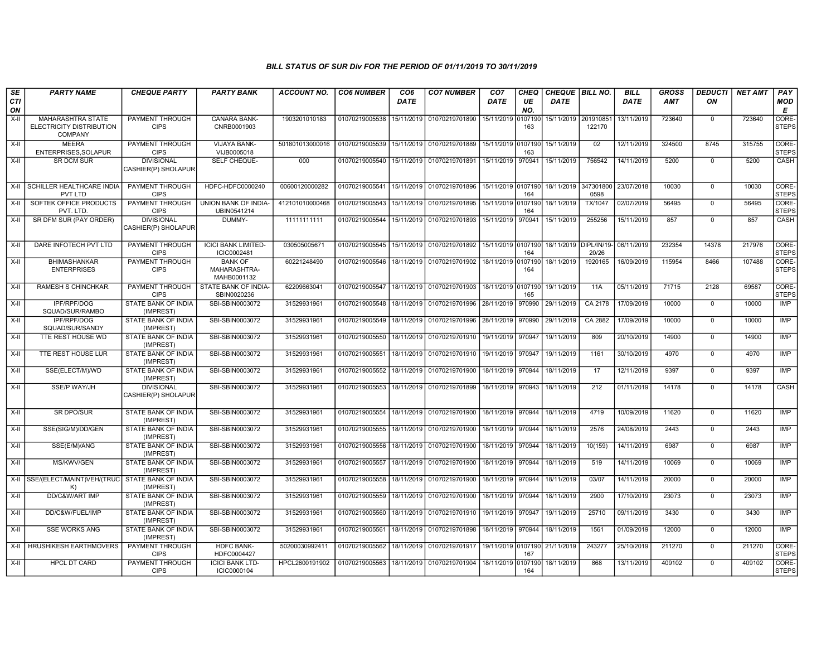| SE<br><b>CTI</b> | <b>PARTY NAME</b>                                                      | <b>CHEQUE PARTY</b>                      | <b>PARTY BANK</b>                             | <b>ACCOUNT NO.</b> | <b>CO6 NUMBER</b> | CO <sub>6</sub><br><b>DATE</b> | <b>CO7 NUMBER</b>                            | CO <sub>7</sub><br>DATE | <b>CHEQ</b><br>UE | CHEQUE BILL NO.<br>DATE |                                              | <b>BILL</b><br><b>DATE</b> | <b>GROSS</b><br>AMT | <b>DEDUCTI</b><br>ON | <b>NET AMT</b> | PAY<br><b>MOD</b>     |
|------------------|------------------------------------------------------------------------|------------------------------------------|-----------------------------------------------|--------------------|-------------------|--------------------------------|----------------------------------------------|-------------------------|-------------------|-------------------------|----------------------------------------------|----------------------------|---------------------|----------------------|----------------|-----------------------|
| ON               |                                                                        |                                          |                                               |                    |                   |                                |                                              |                         | NO.               |                         |                                              |                            |                     |                      |                | E                     |
| X-II             | <b>MAHARASHTRA STATE</b><br>ELECTRICITY DISTRIBUTION<br><b>COMPANY</b> | PAYMENT THROUGH<br><b>CIPS</b>           | CANARA BANK-<br>CNRB0001903                   | 1903201010183      | 01070219005538    | 15/11/2019                     | 01070219701890                               | 15/11/2019              | 0107190<br>163    | 15/11/2019              | 201910851<br>122170                          | 13/11/2019                 | 723640              | $\Omega$             | 723640         | CORE-<br><b>STEPS</b> |
| $X-H$            | <b>MEERA</b><br>ENTERPRISES, SOLAPUR                                   | <b>PAYMENT THROUGH</b><br><b>CIPS</b>    | VIJAYA BANK-<br>VIJB0005018                   | 501801013000016    | 01070219005539    | 15/11/2019                     | 01070219701889                               | 15/11/2019 0107190      | 163               | 15/11/2019              | 02                                           | 12/11/2019                 | 324500              | 8745                 | 315755         | CORE-<br><b>STEPS</b> |
| $X-II$           | <b>SR DCM SUR</b>                                                      | <b>DIVISIONAL</b><br>CASHIER(P) SHOLAPUR | SELF CHEQUE-                                  | 000                | 01070219005540    | 15/11/2019                     | 01070219701891                               | 15/11/2019 970941       |                   | 15/11/2019              | 756542                                       | 14/11/2019                 | 5200                | $\overline{0}$       | 5200           | CASH                  |
| $X-H$            | SCHILLER HEALTHCARE INDIA<br>PVT LTD                                   | <b>PAYMENT THROUGH</b><br><b>CIPS</b>    | HDFC-HDFC0000240                              | 00600120000282     | 01070219005541    | 15/11/2019                     | 01070219701896                               | 15/11/2019 0107190      | 164               | 18/11/2019              | 347301800<br>0598                            | 23/07/2018                 | 10030               | $\Omega$             | 10030          | CORE-<br><b>STEPS</b> |
| $X-H$            | SOFTEK OFFICE PRODUCTS<br>PVT. LTD.                                    | <b>PAYMENT THROUGH</b><br><b>CIPS</b>    | <b>UNION BANK OF INDIA-</b><br>UBIN0541214    | 412101010000468    | 01070219005543    | 15/11/2019                     | 01070219701895                               | 15/11/2019 0107190      | 164               | 18/11/2019              | <b>TX/1047</b>                               | 02/07/2019                 | 56495               | $\mathbf 0$          | 56495          | CORE-<br><b>STEPS</b> |
| X-II             | SR DFM SUR (PAY ORDER)                                                 | <b>DIVISIONAL</b><br>CASHIER(P) SHOLAPUR | DUMMY-                                        | 11111111111        | 01070219005544    | 15/11/2019                     | 01070219701893                               | 15/11/2019 970941       |                   | 15/11/2019              | 255256                                       | 15/11/2019                 | 857                 | $\mathbf 0$          | 857            | CASH                  |
| $X-H$            | DARE INFOTECH PVT LTD                                                  | PAYMENT THROUGH<br><b>CIPS</b>           | <b>ICICI BANK LIMITED-</b><br>ICIC0002481     | 030505005671       | 01070219005545    |                                | 15/11/2019 01070219701892 15/11/2019 0107190 |                         | 164               |                         | 18/11/2019   DIPL/IN/19- 06/11/2019<br>20/26 |                            | 232354              | 14378                | 217976         | CORE-<br><b>STEPS</b> |
| X-II             | <b>BHIMASHANKAR</b><br><b>ENTERPRISES</b>                              | PAYMENT THROUGH<br><b>CIPS</b>           | <b>BANK OF</b><br>MAHARASHTRA-<br>MAHB0001132 | 60221248490        | 01070219005546    | 18/11/2019                     | 01070219701902                               | 18/11/2019 0107190      | 164               | 18/11/2019              | 1920165                                      | 16/09/2019                 | 115954              | 8466                 | 107488         | CORE-<br><b>STEPS</b> |
| X-II             | <b>RAMESH S CHINCHKAR.</b>                                             | PAYMENT THROUGH<br><b>CIPS</b>           | STATE BANK OF INDIA-<br>SBIN0020236           | 62209663041        | 01070219005547    | 18/11/2019                     | 01070219701903                               | 18/11/2019 0107190      | 165               | 19/11/2019              | 11A                                          | 05/11/2019                 | 71715               | 2128                 | 69587          | CORE-<br><b>STEPS</b> |
| X-II             | IPF/RPF/DOG<br>SQUAD/SUR/RAMBO                                         | <b>STATE BANK OF INDIA</b><br>(IMPREST)  | SBI-SBIN0003072                               | 31529931961        | 01070219005548    | 18/11/2019                     | 01070219701996                               | 28/11/2019              | 970990            | 29/11/2019              | CA 2178                                      | 17/09/2019                 | 10000               | $\mathbf 0$          | 10000          | IMP                   |
| X-II             | <b>IPF/RPF/DOG</b><br>SQUAD/SUR/SANDY                                  | STATE BANK OF INDIA<br>(IMPREST)         | SBI-SBIN0003072                               | 31529931961        | 01070219005549    | 18/11/2019                     | 01070219701996                               | 28/11/2019 970990       |                   | 29/11/2019              | CA 2882                                      | 17/09/2019                 | 10000               | $\mathbf 0$          | 10000          | IMP                   |
| $X-II$           | TTE REST HOUSE WD                                                      | STATE BANK OF INDIA<br>(IMPREST)         | SBI-SBIN0003072                               | 31529931961        | 01070219005550    | 18/11/2019                     | 01070219701910   19/11/2019   970947         |                         |                   | 19/11/2019              | 809                                          | 20/10/2019                 | 14900               | $\mathbf 0$          | 14900          | <b>IMP</b>            |
| $X-H$            | TTE REST HOUSE LUR                                                     | <b>STATE BANK OF INDIA</b><br>(IMPREST)  | SBI-SBIN0003072                               | 31529931961        | 01070219005551    | 18/11/2019                     | 01070219701910                               | 19/11/2019 970947       |                   | 19/11/2019              | 1161                                         | 30/10/2019                 | 4970                | $\mathbf 0$          | 4970           | IMP                   |
| $X-H$            | SSE(ELECT/M)/WD                                                        | <b>STATE BANK OF INDIA</b><br>(IMPREST)  | SBI-SBIN0003072                               | 31529931961        | 01070219005552    | 18/11/2019                     | 01070219701900                               | 18/11/2019 970944       |                   | 18/11/2019              | 17                                           | 12/11/2019                 | 9397                | $\mathbf 0$          | 9397           | IMP                   |
| X-II             | SSE/P WAY/JH                                                           | <b>DIVISIONAL</b><br>CASHIER(P) SHOLAPUR | SBI-SBIN0003072                               | 31529931961        | 01070219005553    |                                | 18/11/2019 01070219701899                    | 18/11/2019 970943       |                   | 18/11/2019              | 212                                          | 01/11/2019                 | 14178               | $\Omega$             | 14178          | CASH                  |
| $X-H$            | <b>SR DPO/SUR</b>                                                      | STATE BANK OF INDIA<br>(IMPREST)         | SBI-SBIN0003072                               | 31529931961        | 01070219005554    | 18/11/2019                     | 01070219701900   18/11/2019   970944         |                         |                   | 18/11/2019              | 4719                                         | 10/09/2019                 | 11620               | $\mathbf 0$          | 11620          | IMP                   |
| X-II             | SSE(SIG/M)/DD/GEN                                                      | STATE BANK OF INDIA<br>(IMPREST)         | SBI-SBIN0003072                               | 31529931961        | 01070219005555    | 18/11/2019                     | 01070219701900                               | 18/11/2019 970944       |                   | 18/11/2019              | 2576                                         | 24/08/2019                 | 2443                | $\Omega$             | 2443           | <b>IMP</b>            |
| $X-II$           | SSE(E/M)/ANG                                                           | STATE BANK OF INDIA<br>(IMPREST)         | SBI-SBIN0003072                               | 31529931961        | 01070219005556    | 18/11/2019                     | 01070219701900                               | 18/11/2019 970944       |                   | 18/11/2019              | 10(159)                                      | 14/11/2019                 | 6987                | $\mathbf 0$          | 6987           | <b>IMP</b>            |
| $X-II$           | MS/KWV/GEN                                                             | <b>STATE BANK OF INDIA</b><br>(IMPREST)  | SBI-SBIN0003072                               | 31529931961        | 01070219005557    | 18/11/2019                     | 01070219701900                               | 18/11/2019 970944       |                   | 18/11/2019              | 519                                          | 14/11/2019                 | 10069               | $\overline{0}$       | 10069          | <b>IMP</b>            |
| $X-H$            | SSE/(ELECT/MAINT)VEH/(TRUC STATE BANK OF INDIA<br>K)                   | (IMPREST)                                | SBI-SBIN0003072                               | 31529931961        | 01070219005558    | 18/11/2019                     | 01070219701900 18/11/2019 970944             |                         |                   | 18/11/2019              | 03/07                                        | 14/11/2019                 | 20000               | $\mathbf 0$          | 20000          | IMP                   |
| X-II             | DD/C&W/ART IMP                                                         | STATE BANK OF INDIA<br>(IMPREST)         | SBI-SBIN0003072                               | 31529931961        | 01070219005559    | 18/11/2019                     | 01070219701900                               | 18/11/2019              | 970944            | 18/11/2019              | 2900                                         | 17/10/2019                 | 23073               | $\Omega$             | 23073          | IMP                   |
| X-II             | DD/C&W/FUEL/IMP                                                        | STATE BANK OF INDIA<br>(IMPREST)         | SBI-SBIN0003072                               | 31529931961        | 01070219005560    | 18/11/2019                     | 01070219701910 19/11/2019 970947             |                         |                   | 19/11/2019              | 25710                                        | 09/11/2019                 | 3430                | $\overline{0}$       | 3430           | IMP                   |
| X-II             | <b>SSE WORKS ANG</b>                                                   | STATE BANK OF INDIA<br>(IMPREST)         | SBI-SBIN0003072                               | 31529931961        | 01070219005561    | 18/11/2019                     | 01070219701898                               | 18/11/2019 970944       |                   | 18/11/2019              | 1561                                         | 01/09/2019                 | 12000               | $\mathbf 0$          | 12000          | <b>IMP</b>            |
| $X-H$            | <b>HRUSHIKESH EARTHMOVERS</b>                                          | PAYMENT THROUGH<br><b>CIPS</b>           | <b>HDFC BANK-</b><br>HDFC0004427              | 50200030992411     | 01070219005562    | 18/11/2019                     | 01070219701917   19/11/2019 0107190          |                         | 167               | 21/11/2019              | 243277                                       | 25/10/2019                 | 211270              | $\mathbf 0$          | 211270         | CORE-<br><b>STEPS</b> |
| X-II             | <b>HPCL DT CARD</b>                                                    | PAYMENT THROUGH<br><b>CIPS</b>           | <b>ICICI BANK LTD-</b><br>ICIC0000104         | HPCL2600191902     | 01070219005563    | 18/11/2019                     | 01070219701904                               | 18/11/2019 0107190      | 164               | 18/11/2019              | 868                                          | 13/11/2019                 | 409102              | $\mathbf 0$          | 409102         | CORE-<br><b>STEPS</b> |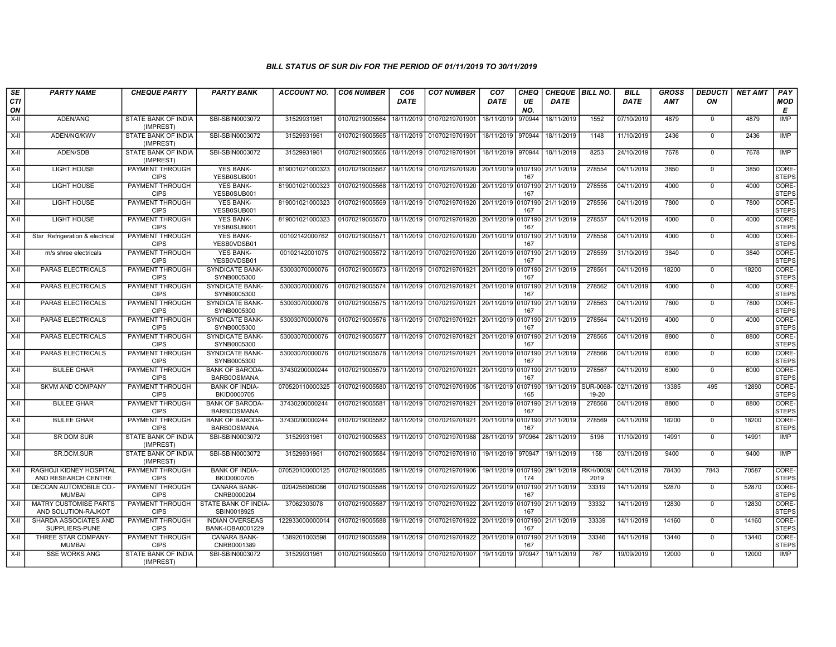| SE        | <b>PARTY NAME</b>                                   | <b>CHEQUE PARTY</b>                     | <b>PARTY BANK</b>                          | <b>ACCOUNT NO.</b> | <b>CO6 NUMBER</b> | CO <sub>6</sub> | <b>CO7 NUMBER</b>                           | CO <sub>7</sub>    | CHEQ      | CHEQUE   BILL NO. |                          | <b>BILL</b> | <b>GROSS</b> | <b>DEDUCTI</b> | <b>NET AMT</b> | <b>PAY</b>            |
|-----------|-----------------------------------------------------|-----------------------------------------|--------------------------------------------|--------------------|-------------------|-----------------|---------------------------------------------|--------------------|-----------|-------------------|--------------------------|-------------|--------------|----------------|----------------|-----------------------|
| CTI<br>ON |                                                     |                                         |                                            |                    |                   | <b>DATE</b>     |                                             | <b>DATE</b>        | UE<br>NO. | <b>DATE</b>       |                          | <b>DATE</b> | AMT          | ON             |                | <b>MOD</b><br>E       |
| $X-H$     | ADEN/ANG                                            | STATE BANK OF INDIA<br>(IMPREST)        | SBI-SBIN0003072                            | 31529931961        | 01070219005564    | 18/11/2019      | 01070219701901                              | 18/11/2019         | 970944    | 18/11/2019        | 1552                     | 07/10/2019  | 4879         | $\mathbf 0$    | 4879           | IMP                   |
| $X-II$    | ADEN/NG/KWV                                         | STATE BANK OF INDIA<br>(IMPREST)        | SBI-SBIN0003072                            | 31529931961        | 01070219005565    | 18/11/2019      | 01070219701901                              | 18/11/2019 970944  |           | 18/11/2019        | 1148                     | 11/10/2019  | 2436         | $\Omega$       | 2436           | <b>IMP</b>            |
| $X-II$    | ADEN/SDB                                            | <b>STATE BANK OF INDIA</b><br>(IMPREST) | SBI-SBIN0003072                            | 31529931961        | 01070219005566    | 18/11/2019      | 01070219701901                              | 18/11/2019 970944  |           | 18/11/2019        | 8253                     | 24/10/2019  | 7678         | $\Omega$       | 7678           | <b>IMP</b>            |
| X-II      | <b>LIGHT HOUSE</b>                                  | PAYMENT THROUGH<br><b>CIPS</b>          | <b>YES BANK-</b><br>YESB0SUB001            | 819001021000323    | 01070219005567    | 18/11/2019      | 01070219701920                              | 20/11/2019 0107190 | 167       | 21/11/2019        | 278554                   | 04/11/2019  | 3850         | $\mathbf 0$    | 3850           | CORE-<br><b>STEPS</b> |
| $X-II$    | <b>LIGHT HOUSE</b>                                  | PAYMENT THROUGH<br><b>CIPS</b>          | <b>YES BANK-</b><br>YESB0SUB001            | 819001021000323    | 01070219005568    | 18/11/2019      | 01070219701920 20/11/2019 0107190           |                    | 167       | 21/11/2019        | 278555                   | 04/11/2019  | 4000         | $\Omega$       | 4000           | CORE-<br><b>STEPS</b> |
| X-II      | LIGHT HOUSE                                         | PAYMENT THROUGH<br><b>CIPS</b>          | <b>YES BANK-</b><br>YESB0SUB001            | 819001021000323    | 01070219005569    | 18/11/2019      | 01070219701920 20/11/2019 0107190           |                    | 167       | 21/11/2019        | 278556                   | 04/11/2019  | 7800         | $\mathbf 0$    | 7800           | CORE-<br><b>STEPS</b> |
| $X-II$    | <b>LIGHT HOUSE</b>                                  | PAYMENT THROUGH<br><b>CIPS</b>          | <b>YES BANK-</b><br>YESB0SUB001            | 819001021000323    | 01070219005570    | 18/11/2019      | 01070219701920 20/11/2019 0107190           |                    | 167       | 21/11/2019        | 278557                   | 04/11/2019  | 4000         | $\overline{0}$ | 4000           | CORE-<br><b>STEPS</b> |
| X-II      | Star Refrigeration & electrical                     | <b>PAYMENT THROUGH</b><br><b>CIPS</b>   | <b>YES BANK-</b><br>YESB0VDSB01            | 00102142000762     | 01070219005571    | 18/11/2019      | 01070219701920 20/11/2019 0107190           |                    | 167       | 21/11/2019        | 278558                   | 04/11/2019  | 4000         | $\mathbf 0$    | 4000           | CORE-<br><b>STEPS</b> |
| X-II      | m/s shree electricals                               | <b>PAYMENT THROUGH</b><br><b>CIPS</b>   | <b>YES BANK-</b><br>YESB0VDSB01            | 00102142001075     | 01070219005572    | 18/11/2019      | 01070219701920                              | 20/11/2019 0107190 | 167       | 21/11/2019        | 278559                   | 31/10/2019  | 3840         | $\mathbf 0$    | 3840           | CORE-<br><b>STEPS</b> |
| $X-H$     | PARAS ELECTRICALS                                   | PAYMENT THROUGH<br><b>CIPS</b>          | <b>SYNDICATE BANK-</b><br>SYNB0005300      | 53003070000076     | 01070219005573    | 18/11/2019      | 01070219701921 20/11/2019 0107190           |                    | 167       | 21/11/2019        | 278561                   | 04/11/2019  | 18200        | $\mathbf 0$    | 18200          | CORE-<br><b>STEPS</b> |
| $X-II$    | PARAS ELECTRICALS                                   | PAYMENT THROUGH<br><b>CIPS</b>          | SYNDICATE BANK-<br>SYNB0005300             | 53003070000076     | 01070219005574    | 18/11/2019      | 01070219701921 20/11/2019 0107190           |                    | 167       | 21/11/2019        | 278562                   | 04/11/2019  | 4000         | $\Omega$       | 4000           | CORE-<br><b>STEPS</b> |
| $X-H$     | PARAS ELECTRICALS                                   | PAYMENT THROUGH<br><b>CIPS</b>          | SYNDICATE BANK-<br>SYNB0005300             | 53003070000076     | 01070219005575    | 18/11/2019      | 01070219701921 20/11/2019 0107190           |                    | 167       | 21/11/2019        | 278563                   | 04/11/2019  | 7800         | $\mathbf 0$    | 7800           | CORE-<br><b>STEPS</b> |
| X-II      | PARAS ELECTRICALS                                   | <b>PAYMENT THROUGH</b><br><b>CIPS</b>   | <b>SYNDICATE BANK-</b><br>SYNB0005300      | 53003070000076     | 01070219005576    | 18/11/2019      | 01070219701921 20/11/2019 0107190           |                    | 167       | 21/11/2019        | 278564                   | 04/11/2019  | 4000         | $\Omega$       | 4000           | CORE-<br><b>STEPS</b> |
| X-II      | PARAS ELECTRICALS                                   | PAYMENT THROUGH<br><b>CIPS</b>          | SYNDICATE BANK-<br>SYNB0005300             | 53003070000076     | 01070219005577    | 18/11/2019      | 01070219701921 20/11/2019 0107190           |                    | 167       | 21/11/2019        | 278565                   | 04/11/2019  | 8800         | $\mathbf 0$    | 8800           | CORE-<br><b>STEPS</b> |
| $X-II$    | PARAS ELECTRICALS                                   | PAYMENT THROUGH<br><b>CIPS</b>          | <b>SYNDICATE BANK-</b><br>SYNB0005300      | 53003070000076     | 01070219005578    | 18/11/2019      | 01070219701921 20/11/2019 0107190           |                    | 167       | 21/11/2019        | 278566                   | 04/11/2019  | 6000         | $\mathbf 0$    | 6000           | CORE-<br><b>STEPS</b> |
| X-II      | <b>BIJLEE GHAR</b>                                  | <b>PAYMENT THROUGH</b><br><b>CIPS</b>   | <b>BANK OF BARODA</b><br>BARB0OSMANA       | 37430200000244     | 01070219005579    | 18/11/2019      | 01070219701921 20/11/2019 0107190           |                    | 167       | 21/11/2019        | 278567                   | 04/11/2019  | 6000         | $\Omega$       | 6000           | CORE-<br><b>STEPS</b> |
| $X-H$     | <b>SKVM AND COMPANY</b>                             | <b>PAYMENT THROUGH</b><br><b>CIPS</b>   | <b>BANK OF INDIA-</b><br>BKID0000705       | 070520110000325    | 01070219005580    | 18/11/2019      | 01070219701905                              | 18/11/2019 0107190 | 165       | 19/11/2019        | <b>SUR-0068</b><br>19-20 | 02/11/2019  | 13385        | 495            | 12890          | CORE-<br><b>STEPS</b> |
| X-II      | <b>BIJLEE GHAR</b>                                  | PAYMENT THROUGH<br><b>CIPS</b>          | <b>BANK OF BARODA-</b><br>BARB0OSMANA      | 37430200000244     | 01070219005581    | 18/11/2019      | 01070219701921 20/11/2019 0107190           |                    | 167       | 21/11/2019        | 278568                   | 04/11/2019  | 8800         | $\mathbf 0$    | 8800           | CORE-<br><b>STEPS</b> |
| $X-II$    | <b>BIJLEE GHAR</b>                                  | <b>PAYMENT THROUGH</b><br><b>CIPS</b>   | <b>BANK OF BARODA-</b><br>BARB0OSMANA      | 37430200000244     | 01070219005582    | 18/11/2019      | 01070219701921 20/11/2019 0107190           |                    | 167       | 21/11/2019        | 278569                   | 04/11/2019  | 18200        | $\mathbf 0$    | 18200          | CORE-<br><b>STEPS</b> |
| X-II      | SR DOM SUR                                          | STATE BANK OF INDIA<br>(IMPREST)        | SBI-SBIN0003072                            | 31529931961        | 01070219005583    | 19/11/2019      | 01070219701988 28/11/2019                   |                    | 970964    | 28/11/2019        | 5196                     | 11/10/2019  | 14991        | $\mathbf 0$    | 14991          | IMP                   |
| $X-H$     | SR.DCM.SUR                                          | <b>STATE BANK OF INDIA</b><br>(IMPREST) | SBI-SBIN0003072                            | 31529931961        | 01070219005584    | 19/11/2019      | 01070219701910 19/11/2019 970947            |                    |           | 19/11/2019        | 158                      | 03/11/2019  | 9400         | $\Omega$       | 9400           | IMP                   |
| X-II      | RAGHOJI KIDNEY HOSPITAL<br>AND RESEARCH CENTRE      | PAYMENT THROUGH<br><b>CIPS</b>          | <b>BANK OF INDIA-</b><br>BKID0000705       | 070520100000125    | 01070219005585    | 19/11/2019      | 01070219701906                              | 19/11/2019 0107190 | 174       | 29/11/2019        | <b>RKH/0009</b><br>2019  | 04/11/2019  | 78430        | 7843           | 70587          | CORE-<br><b>STEPS</b> |
| $X-II$    | DECCAN AUTOMOBILE CO.<br><b>MUMBAI</b>              | PAYMENT THROUGH<br><b>CIPS</b>          | CANARA BANK-<br>CNRB0000204                | 0204256060086      | 01070219005586    | 19/11/2019      | 01070219701922 20/11/2019 0107190           |                    | 167       | 21/11/2019        | 33319                    | 14/11/2019  | 52870        | $\mathbf 0$    | 52870          | CORE-<br><b>STEPS</b> |
| X-II      | <b>MATRY CUSTOMISE PARTS</b><br>AND SOLUTION-RAJKOT | PAYMENT THROUGH<br><b>CIPS</b>          | STATE BANK OF INDIA-<br>SBIN0018925        | 37062303078        | 01070219005587    | 19/11/2019      | 01070219701922 20/11/2019 0107190           |                    | 167       | 21/11/2019        | 33332                    | 14/11/2019  | 12830        | $\mathbf 0$    | 12830          | CORE-<br><b>STEPS</b> |
| $X-H$     | <b>SHARDA ASSOCIATES AND</b><br>SUPPLIERS-PUNE      | <b>PAYMENT THROUGH</b><br><b>CIPS</b>   | <b>INDIAN OVERSEAS</b><br>BANK-IOBA0001229 | 122933000000014    | 01070219005588    | 19/11/2019      | 01070219701922 20/11/2019 0107190           |                    | 167       | 21/11/2019        | 33339                    | 14/11/2019  | 14160        | $\Omega$       | 14160          | CORE-<br><b>STEPS</b> |
| X-II      | THREE STAR COMPANY-<br><b>MUMBAI</b>                | PAYMENT THROUGH<br><b>CIPS</b>          | <b>CANARA BANK-</b><br>CNRB0001389         | 1389201003598      | 01070219005589    | 19/11/2019      | 01070219701922 20/11/2019 0107190           |                    | 167       | 21/11/2019        | 33346                    | 14/11/2019  | 13440        | $\Omega$       | 13440          | CORE-<br><b>STEPS</b> |
| X-II      | <b>SSE WORKS ANG</b>                                | STATE BANK OF INDIA<br>(IMPREST)        | SBI-SBIN0003072                            | 31529931961        | 01070219005590    |                 | 19/11/2019 01070219701907 19/11/2019 970947 |                    |           | 19/11/2019        | 767                      | 19/09/2019  | 12000        | $\Omega$       | 12000          | <b>IMP</b>            |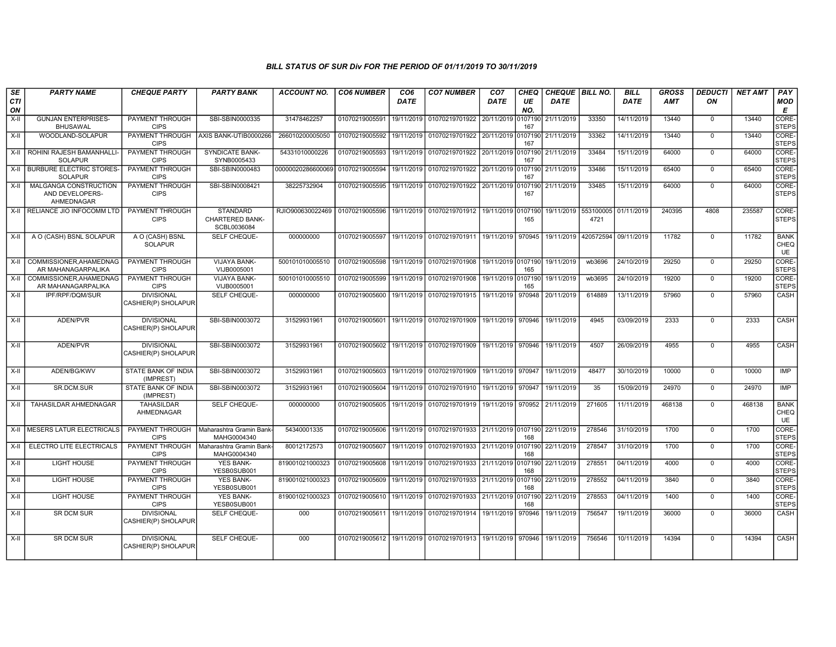| SE               | <b>PARTY NAME</b>                                      | <b>CHEQUE PARTY</b>                      | <b>PARTY BANK</b>                                         | <b>ACCOUNT NO.</b>                                                   | <b>CO6 NUMBER</b> | CO <sub>6</sub> | <b>CO7 NUMBER</b>                                       | CO <sub>7</sub>    | CHEQ           | CHEQUE BILL NO. |                                         | <b>BILL</b> | <b>GROSS</b> | <b>DEDUCTI</b> | <b>NET AMT</b> | PAY                       |
|------------------|--------------------------------------------------------|------------------------------------------|-----------------------------------------------------------|----------------------------------------------------------------------|-------------------|-----------------|---------------------------------------------------------|--------------------|----------------|-----------------|-----------------------------------------|-------------|--------------|----------------|----------------|---------------------------|
| <b>CTI</b><br>ON |                                                        |                                          |                                                           |                                                                      |                   | DATE            |                                                         | DATE               | UE<br>NO.      | DATE            |                                         | DATE        | <b>AMT</b>   | ON             |                | <b>MOD</b><br>E           |
| X-II             | <b>GUNJAN ENTERPRISES-</b><br><b>BHUSAWAL</b>          | PAYMENT THROUGH<br><b>CIPS</b>           | SBI-SBIN0000335                                           | 31478462257                                                          | 01070219005591    | 19/11/2019      | 01070219701922                                          | 20/11/2019         | 107190<br>167  | 21/11/2019      | 33350                                   | 14/11/2019  | 13440        | $\mathbf 0$    | 13440          | CORE-<br><b>STEPS</b>     |
| X-II             | WOODLAND-SOLAPUR                                       | <b>CIPS</b>                              | PAYMENT THROUGH AXIS BANK-UTIB0000266                     | 266010200005050                                                      | 01070219005592    | 19/11/2019      | 01070219701922                                          | 20/11/2019         | 0107190<br>167 | 21/11/2019      | 33362                                   | 14/11/2019  | 13440        | $\Omega$       | 13440          | CORE-<br><b>STEPS</b>     |
| $X-II$           | ROHINI RAJESH BAMANHALLI<br><b>SOLAPUR</b>             | PAYMENT THROUGH<br><b>CIPS</b>           | <b>SYNDICATE BANK-</b><br>SYNB0005433                     | 54331010000226                                                       | 01070219005593    | 19/11/2019      | 01070219701922                                          | 20/11/2019         | 0107190<br>167 | 21/11/2019      | 33484                                   | 15/11/2019  | 64000        | $\mathbf 0$    | 64000          | CORE-<br><b>STEPS</b>     |
| $X-H$            | <b>BURBURE ELECTRIC STORES-</b><br><b>SOLAPUR</b>      | <b>PAYMENT THROUGH</b><br><b>CIPS</b>    | SBI-SBIN0000483                                           | 00000020286600069 01070219005594                                     |                   | 19/11/2019      | 01070219701922 20/11/2019 0107190                       |                    | 167            | 21/11/2019      | 33486                                   | 15/11/2019  | 65400        | $\Omega$       | 65400          | CORE-<br><b>STEPS</b>     |
| $X-II$           | MALGANGA CONSTRUCTION<br>AND DEVELOPERS-<br>AHMEDNAGAR | PAYMENT THROUGH<br><b>CIPS</b>           | SBI-SBIN0008421                                           | 38225732904                                                          | 01070219005595    | 19/11/2019      | 01070219701922                                          | 20/11/2019         | 0107190<br>167 | 21/11/2019      | 33485                                   | 15/11/2019  | 64000        | $\mathbf 0$    | 64000          | CORE-<br><b>STEPS</b>     |
| $X-H$            | RELIANCE JIO INFOCOMM LTD                              | PAYMENT THROUGH<br><b>CIPS</b>           | <b>STANDARD</b><br><b>CHARTERED BANK-</b><br>SCBL0036084  | RJIO900630022469 01070219005596 19/11/2019 01070219701912 19/11/2019 |                   |                 |                                                         |                    | 0107190<br>165 |                 | 19/11/2019 553100005 01/11/2019<br>4721 |             | 240395       | 4808           | 235587         | CORE-<br><b>STEPS</b>     |
| X-II             | A O (CASH) BSNL SOLAPUR                                | A O (CASH) BSNL<br><b>SOLAPUR</b>        | SELF CHEQUE-                                              | 000000000                                                            | 01070219005597    |                 | 19/11/2019 01070219701911 19/11/2019                    |                    | 970945         | 19/11/2019      | 420572594 09/11/2019                    |             | 11782        | $\mathbf 0$    | 11782          | <b>BANK</b><br>CHEQ<br>UE |
| $X-II$           | COMMISSIONER.AHAMEDNAG<br>AR MAHANAGARPALIKA           | PAYMENT THROUGH<br><b>CIPS</b>           | <b>VIJAYA BANK-</b><br>VIJB0005001                        | 500101010005510                                                      | 01070219005598    |                 | 19/11/2019 01070219701908                               | 19/11/2019 0107190 | 165            | 19/11/2019      | wb3696                                  | 24/10/2019  | 29250        | $\Omega$       | 29250          | CORE-<br><b>STEPS</b>     |
| $X-H$            | COMMISSIONER.AHAMEDNAG<br>AR MAHANAGARPALIKA           | PAYMENT THROUGH<br><b>CIPS</b>           | <b>VIJAYA BANK-</b><br>VIJB0005001                        | 500101010005510                                                      | 01070219005599    | 19/11/2019      | 01070219701908                                          | 19/11/2019         | 0107190<br>165 | 19/11/2019      | wb3695                                  | 24/10/2019  | 19200        | $\mathbf 0$    | 19200          | CORE-<br><b>STEPS</b>     |
| $X-H$            | IPF/RPF/DQM/SUR                                        | <b>DIVISIONAL</b><br>CASHIER(P) SHOLAPUR | SELF CHEQUE-                                              | 000000000                                                            | 01070219005600    | 19/11/2019      | 01070219701915                                          | 19/11/2019         | 970948         | 20/11/2019      | 614889                                  | 13/11/2019  | 57960        | $\mathbf 0$    | 57960          | <b>CASH</b>               |
| $X-II$           | ADEN/PVR                                               | <b>DIVISIONAL</b><br>CASHIER(P) SHOLAPUR | SBI-SBIN0003072                                           | 31529931961                                                          | 01070219005601    | 19/11/2019      | 01070219701909                                          | 19/11/2019         | 970946         | 19/11/2019      | 4945                                    | 03/09/2019  | 2333         | $\mathbf 0$    | 2333           | CASH                      |
| $X-H$            | ADEN/PVR                                               | <b>DIVISIONAL</b><br>CASHIER(P) SHOLAPUR | SBI-SBIN0003072                                           | 31529931961                                                          | 01070219005602    |                 | 19/11/2019 01070219701909                               | 19/11/2019         | 970946         | 19/11/2019      | 4507                                    | 26/09/2019  | 4955         | $\mathbf 0$    | 4955           | <b>CASH</b>               |
| $X-H$            | ADEN/BG/KWV                                            | STATE BANK OF INDIA<br>(IMPREST)         | SBI-SBIN0003072                                           | 31529931961                                                          | 01070219005603    | 19/11/2019      | 01070219701909                                          | 19/11/2019         | 970947         | 19/11/2019      | 48477                                   | 30/10/2019  | 10000        | $\mathbf 0$    | 10000          | <b>IMP</b>                |
| $X-H$            | SR.DCM.SUR                                             | STATE BANK OF INDIA<br>(IMPREST)         | SBI-SBIN0003072                                           | 31529931961                                                          | 01070219005604    | 19/11/2019      | 01070219701910                                          | 19/11/2019         | 970947         | 19/11/2019      | 35                                      | 15/09/2019  | 24970        | $\mathbf 0$    | 24970          | IMP                       |
| $X-H$            | TAHASILDAR AHMEDNAGAR                                  | <b>TAHASILDAR</b><br>AHMEDNAGAR          | SELF CHEQUE-                                              | 000000000                                                            | 01070219005605    |                 | 19/11/2019 01070219701919                               | 19/11/2019         | 970952         | 21/11/2019      | 271605                                  | 11/11/2019  | 468138       | $\Omega$       | 468138         | <b>BANK</b><br>CHEQ<br>UE |
| $X-H$            | <b>MESERS LATUR ELECTRICALS</b>                        | <b>CIPS</b>                              | PAYMENT THROUGH   Maharashtra Gramin Bank-<br>MAHG0004340 | 54340001335                                                          | 01070219005606    |                 | 19/11/2019 01070219701933 21/11/2019 0107190 22/11/2019 |                    | 168            |                 | 278546                                  | 31/10/2019  | 1700         | $\mathbf 0$    | 1700           | CORE-<br><b>STEPS</b>     |
| X-II             | ELECTRO LITE ELECTRICALS                               | PAYMENT THROUGH<br><b>CIPS</b>           | Maharashtra Gramin Bank-<br>MAHG0004340                   | 80012172573                                                          | 01070219005607    | 19/11/2019      | 01070219701933                                          | 21/11/2019         | 0107190<br>168 | 22/11/2019      | 278547                                  | 31/10/2019  | 1700         | $\mathbf 0$    | 1700           | CORE-<br><b>STEPS</b>     |
| $X-H$            | <b>LIGHT HOUSE</b>                                     | <b>PAYMENT THROUGH</b><br><b>CIPS</b>    | <b>YES BANK-</b><br>YESB0SUB001                           | 819001021000323                                                      | 01070219005608    | 19/11/2019      | 01070219701933                                          | 21/11/2019         | 0107190<br>168 | 22/11/2019      | 278551                                  | 04/11/2019  | 4000         | $\mathbf 0$    | 4000           | CORE-<br><b>STEPS</b>     |
| $X-II$           | <b>LIGHT HOUSE</b>                                     | PAYMENT THROUGH<br><b>CIPS</b>           | <b>YES BANK-</b><br>YESB0SUB001                           | 819001021000323                                                      | 01070219005609    |                 | 19/11/2019 01070219701933 21/11/2019                    |                    | 107190<br>168  | 22/11/2019      | 278552                                  | 04/11/2019  | 3840         | $\mathbf 0$    | 3840           | CORE-<br><b>STEPS</b>     |
| X-II             | <b>LIGHT HOUSE</b>                                     | PAYMENT THROUGH<br><b>CIPS</b>           | <b>YES BANK-</b><br>YESB0SUB001                           | 819001021000323                                                      | 01070219005610    | 19/11/2019      | 01070219701933                                          | 21/11/2019         | 0107190<br>168 | 22/11/2019      | 278553                                  | 04/11/2019  | 1400         | $\mathbf 0$    | 1400           | CORE-<br><b>STEPS</b>     |
| $X-H$            | <b>SR DCM SUR</b>                                      | <b>DIVISIONAL</b><br>CASHIER(P) SHOLAPUR | SELF CHEQUE-                                              | 000                                                                  | 01070219005611    | 19/11/2019      | 01070219701914                                          | 19/11/2019         | 970946         | 19/11/2019      | 756547                                  | 19/11/2019  | 36000        | $\mathbf 0$    | 36000          | CASH                      |
| $X-II$           | <b>SR DCM SUR</b>                                      | <b>DIVISIONAL</b><br>CASHIER(P) SHOLAPUR | SELF CHEQUE-                                              | 000                                                                  | 01070219005612    | 19/11/2019      | 01070219701913                                          | 19/11/2019         | 970946         | 19/11/2019      | 756546                                  | 10/11/2019  | 14394        | $\mathbf 0$    | 14394          | CASH                      |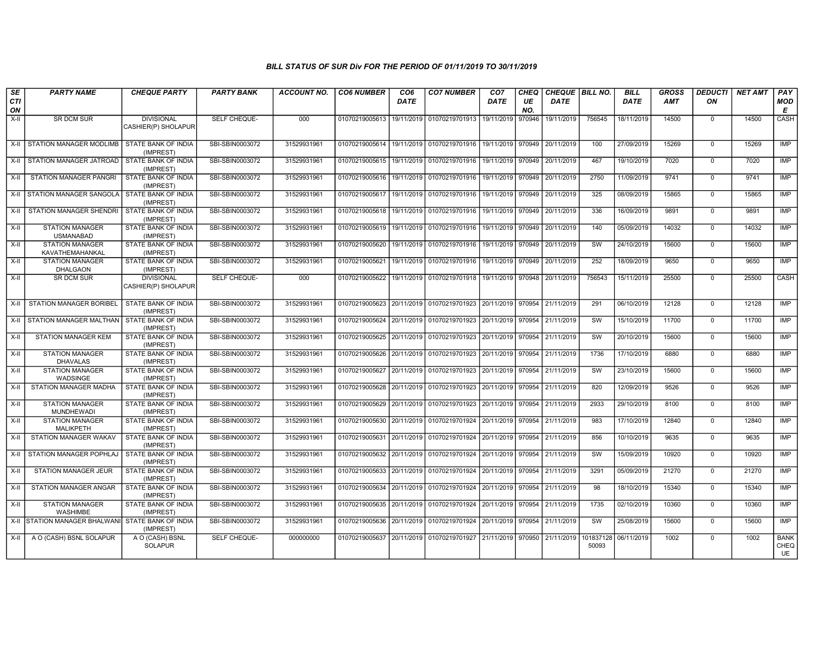| $\overline{\mathsf{S}\mathsf{E}}$<br><b>CTI</b><br>ON | <b>PARTY NAME</b>                                 | <b>CHEQUE PARTY</b>                      | <b>PARTY BANK</b> | <b>ACCOUNT NO.</b> | <b>CO6 NUMBER</b> | CO <sub>6</sub><br><b>DATE</b> | <b>CO7 NUMBER</b>                                              | CO <sub>7</sub><br>DATE | CHEQ<br>UE<br>NO. | CHEQUE   BILL NO.<br><b>DATE</b> |                    | <b>BILL</b><br><b>DATE</b> | <b>GROSS</b><br><b>AMT</b> | <b>DEDUCTI</b><br>ON | <b>NET AMT</b> | PAY<br><b>MOD</b><br>E    |
|-------------------------------------------------------|---------------------------------------------------|------------------------------------------|-------------------|--------------------|-------------------|--------------------------------|----------------------------------------------------------------|-------------------------|-------------------|----------------------------------|--------------------|----------------------------|----------------------------|----------------------|----------------|---------------------------|
| X-II                                                  | <b>SR DCM SUR</b>                                 | <b>DIVISIONAL</b><br>CASHIER(P) SHOLAPUR | SELF CHEQUE-      | 000                | 01070219005613    | 19/11/2019                     | 01070219701913                                                 | 19/11/2019              | 970946            | 19/11/2019                       | 756545             | 18/11/2019                 | 14500                      | $\mathbf{0}$         | 14500          | CASH                      |
|                                                       | X-II STATION MANAGER MODLIMB                      | <b>STATE BANK OF INDIA</b><br>(IMPREST)  | SBI-SBIN0003072   | 31529931961        | 01070219005614    |                                | 19/11/2019   01070219701916   19/11/2019   970949   20/11/2019 |                         |                   |                                  | 100                | 27/09/2019                 | 15269                      | $\mathbf 0$          | 15269          | <b>IMP</b>                |
|                                                       | X-II STATION MANAGER JATROAD STATE BANK OF INDIA  | (IMPREST)                                | SBI-SBIN0003072   | 31529931961        | 01070219005615    | 19/11/2019                     | 01070219701916 19/11/2019                                      |                         | 970949            | 20/11/2019                       | 467                | 19/10/2019                 | 7020                       | $\mathbf 0$          | 7020           | IMP                       |
| $X-H$                                                 | STATION MANAGER PANGRI                            | STATE BANK OF INDIA<br>(IMPREST)         | SBI-SBIN0003072   | 31529931961        | 01070219005616    | 19/11/2019                     | 01070219701916                                                 | 19/11/2019              |                   | 970949 20/11/2019                | 2750               | 11/09/2019                 | 9741                       | $\mathbf 0$          | 9741           | <b>IMP</b>                |
| X-II                                                  | STATION MANAGER SANGOLA                           | STATE BANK OF INDIA<br>(IMPREST)         | SBI-SBIN0003072   | 31529931961        | 01070219005617    | 19/11/2019                     | 01070219701916                                                 |                         |                   | 19/11/2019 970949 20/11/2019     | 325                | 08/09/2019                 | 15865                      | $\mathbf 0$          | 15865          | <b>IMP</b>                |
|                                                       | X-II   STATION MANAGER SHENDRI                    | <b>STATE BANK OF INDIA</b><br>(IMPREST)  | SBI-SBIN0003072   | 31529931961        | 01070219005618    | 19/11/2019                     | 01070219701916                                                 | 19/11/2019              | 970949            | 20/11/2019                       | 336                | 16/09/2019                 | 9891                       | $\Omega$             | 9891           | IMP                       |
| $X-H$                                                 | <b>STATION MANAGER</b><br><b>USMANABAD</b>        | <b>STATE BANK OF INDIA</b><br>(IMPREST)  | SBI-SBIN0003072   | 31529931961        | 01070219005619    | 19/11/2019                     | 01070219701916 19/11/2019                                      |                         |                   | 970949 20/11/2019                | 140                | 05/09/2019                 | 14032                      | $\mathbf 0$          | 14032          | IMP                       |
| X-II                                                  | <b>STATION MANAGER</b><br>KAVATHEMAHANKAL         | STATE BANK OF INDIA<br>(IMPREST)         | SBI-SBIN0003072   | 31529931961        | 01070219005620    | 19/11/2019                     | 01070219701916                                                 |                         |                   | 19/11/2019 970949 20/11/2019     | SW                 | 24/10/2019                 | 15600                      | $\mathbf 0$          | 15600          | IMP                       |
| X-II                                                  | <b>STATION MANAGER</b><br><b>DHALGAON</b>         | STATE BANK OF INDIA<br>(IMPREST)         | SBI-SBIN0003072   | 31529931961        | 01070219005621    | 19/11/2019                     | 01070219701916                                                 | 19/11/2019              | 970949            | 20/11/2019                       | 252                | 18/09/2019                 | 9650                       | $\mathbf 0$          | 9650           | IMP                       |
| X-II                                                  | <b>SR DCM SUR</b>                                 | <b>DIVISIONAL</b><br>CASHIER(P) SHOLAPUR | SELF CHEQUE-      | 000                | 01070219005622    | 19/11/2019                     | 01070219701918                                                 |                         |                   | 19/11/2019 970948 20/11/2019     | 756543             | 15/11/2019                 | 25500                      | $\mathbf 0$          | 25500          | <b>CASH</b>               |
|                                                       | X-II STATION MANAGER BORIBEL                      | STATE BANK OF INDIA<br>(IMPREST)         | SBI-SBIN0003072   | 31529931961        | 01070219005623    |                                | 20/11/2019 01070219701923 20/11/2019 970954 21/11/2019         |                         |                   |                                  | 291                | 06/10/2019                 | 12128                      | $\mathbf 0$          | 12128          | IMP                       |
|                                                       | X-II STATION MANAGER MALTHAN                      | STATE BANK OF INDIA<br>(IMPREST)         | SBI-SBIN0003072   | 31529931961        | 01070219005624    |                                | 20/11/2019 01070219701923 20/11/2019                           |                         | 970954            | 21/11/2019                       | SW                 | 15/10/2019                 | 11700                      | $^{\circ}$           | 11700          | <b>IMP</b>                |
| X-II                                                  | <b>STATION MANAGER KEM</b>                        | <b>STATE BANK OF INDIA</b><br>(IMPREST)  | SBI-SBIN0003072   | 31529931961        | 01070219005625    | 20/11/2019                     | 01070219701923                                                 | 20/11/2019              | 970954            | 21/11/2019                       | sw                 | 20/10/2019                 | 15600                      | $\mathbf 0$          | 15600          | <b>IMP</b>                |
| X-II                                                  | <b>STATION MANAGER</b><br><b>DHAVALAS</b>         | STATE BANK OF INDIA<br>(IMPREST)         | SBI-SBIN0003072   | 31529931961        | 01070219005626    | 20/11/2019                     | 01070219701923                                                 | 20/11/2019 970954       |                   | 21/11/2019                       | 1736               | 17/10/2019                 | 6880                       | $\Omega$             | 6880           | IMP                       |
| X-II                                                  | <b>STATION MANAGER</b><br>WADSINGE                | <b>STATE BANK OF INDIA</b><br>(IMPREST)  | SBI-SBIN0003072   | 31529931961        | 01070219005627    | 20/11/2019                     | 01070219701923                                                 | 20/11/2019              | 970954            | 21/11/2019                       | SW                 | 23/10/2019                 | 15600                      | $\mathbf 0$          | 15600          | IMP                       |
| X-II                                                  | STATION MANAGER MADHA                             | STATE BANK OF INDIA<br>(IMPREST)         | SBI-SBIN0003072   | 31529931961        | 01070219005628    | 20/11/2019                     | 01070219701923                                                 | 20/11/2019 970954       |                   | 21/11/2019                       | 820                | 12/09/2019                 | 9526                       | $\mathbf 0$          | 9526           | <b>IMP</b>                |
| X-II                                                  | <b>STATION MANAGER</b><br><b>MUNDHEWADI</b>       | <b>STATE BANK OF INDIA</b><br>(IMPREST)  | SBI-SBIN0003072   | 31529931961        | 01070219005629    | 20/11/2019                     | 01070219701923                                                 | 20/11/2019              | 970954            | 21/11/2019                       | 2933               | 29/10/2019                 | 8100                       | $^{\circ}$           | 8100           | <b>IMP</b>                |
| $X-H$                                                 | <b>STATION MANAGER</b><br>MALIKPETH               | STATE BANK OF INDIA<br>(IMPREST)         | SBI-SBIN0003072   | 31529931961        | 01070219005630    | 20/11/2019                     | 01070219701924                                                 | 20/11/2019              | 970954            | 21/11/2019                       | 983                | 17/10/2019                 | 12840                      | $\mathbf 0$          | 12840          | IMP                       |
| X-II                                                  | STATION MANAGER WAKAV                             | STATE BANK OF INDIA<br>(IMPREST)         | SBI-SBIN0003072   | 31529931961        | 01070219005631    | 20/11/2019                     | 01070219701924 20/11/2019 970954                               |                         |                   | 21/11/2019                       | 856                | 10/10/2019                 | 9635                       | $^{\circ}$           | 9635           | <b>IMP</b>                |
| $X-H$                                                 | STATION MANAGER POPHLA.                           | <b>STATE BANK OF INDIA</b><br>(IMPREST)  | SBI-SBIN0003072   | 31529931961        | 01070219005632    | 20/11/2019                     | 01070219701924 20/11/2019 970954                               |                         |                   | 21/11/2019                       | SW                 | 15/09/2019                 | 10920                      | $\mathbf 0$          | 10920          | IMP                       |
| X-II                                                  | <b>STATION MANAGER JEUR</b>                       | STATE BANK OF INDIA<br>(IMPREST)         | SBI-SBIN0003072   | 31529931961        | 01070219005633    | 20/11/2019                     | 01070219701924                                                 | 20/11/2019              | 970954            | 21/11/2019                       | 3291               | 05/09/2019                 | 21270                      | $\mathbf 0$          | 21270          | IMP                       |
| X-II                                                  | <b>STATION MANAGER ANGAR</b>                      | <b>STATE BANK OF INDIA</b><br>(IMPREST)  | SBI-SBIN0003072   | 31529931961        | 01070219005634    | 20/11/2019                     | 01070219701924                                                 | 20/11/2019              | 970954            | 21/11/2019                       | 98                 | 18/10/2019                 | 15340                      | $\mathbf 0$          | 15340          | IMP                       |
| X-II                                                  | <b>STATION MANAGER</b><br>WASHIMBE                | STATE BANK OF INDIA<br>(IMPREST)         | SBI-SBIN0003072   | 31529931961        | 01070219005635    | 20/11/2019                     | 01070219701924                                                 | 20/11/2019 970954       |                   | 21/11/2019                       | 1735               | 02/10/2019                 | 10360                      | $^{\circ}$           | 10360          | IMP                       |
|                                                       | X-II STATION MANAGER BHALWANI STATE BANK OF INDIA | (IMPREST)                                | SBI-SBIN0003072   | 31529931961        | 01070219005636    | 20/11/2019                     | 01070219701924                                                 | 20/11/2019              | 970954            | 21/11/2019                       | <b>SW</b>          | 25/08/2019                 | 15600                      | $\mathbf 0$          | 15600          | <b>IMP</b>                |
| $X-H$                                                 | A O (CASH) BSNL SOLAPUR                           | A O (CASH) BSNL<br><b>SOLAPUR</b>        | SELF CHEQUE-      | 000000000          | 01070219005637    | 20/11/2019                     | 01070219701927                                                 | 21/11/2019              | 970950            | 21/11/2019                       | 101837128<br>50093 | 06/11/2019                 | 1002                       | 0                    | 1002           | <b>BANK</b><br>CHEQ<br>UE |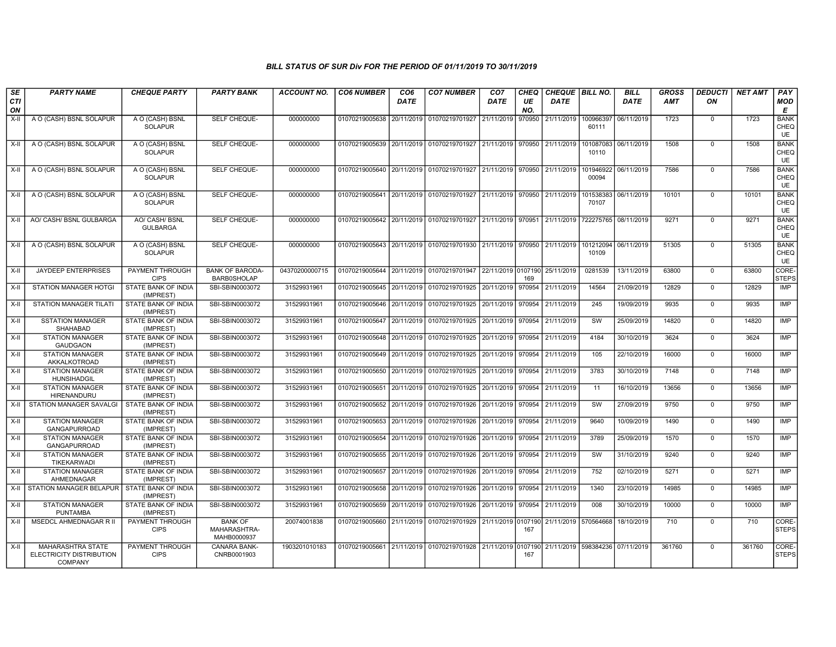| SE<br><b>CTI</b><br>ON | <b>PARTY NAME</b>                                                      | <b>CHEQUE PARTY</b>                      | <b>PARTY BANK</b>                             | <b>ACCOUNT NO.</b> | <b>CO6 NUMBER</b>                        | CO <sub>6</sub><br><b>DATE</b> | <b>CO7 NUMBER</b>                                                                           | CO <sub>7</sub><br><b>DATE</b> | <b>CHEQ</b><br>UE<br>NO. | CHEQUE   BILL NO.<br><b>DATE</b> |                    | <b>BILL</b><br><b>DATE</b> | <b>GROSS</b><br><b>AMT</b> | <b>DEDUCTI</b><br>ON | <b>NET AMT</b> | PAY<br>MOD<br>E           |
|------------------------|------------------------------------------------------------------------|------------------------------------------|-----------------------------------------------|--------------------|------------------------------------------|--------------------------------|---------------------------------------------------------------------------------------------|--------------------------------|--------------------------|----------------------------------|--------------------|----------------------------|----------------------------|----------------------|----------------|---------------------------|
| $X-II$                 | A O (CASH) BSNL SOLAPUR                                                | A O (CASH) BSNL<br><b>SOLAPUR</b>        | SELF CHEQUE-                                  | 000000000          |                                          |                                | 01070219005638 20/11/2019 01070219701927                                                    | 21/11/2019                     | 970950                   | 21/11/2019                       | 100966397<br>60111 | 06/11/2019                 | 1723                       | $\mathbf 0$          | 1723           | <b>BANK</b><br>CHEQ<br>UE |
| $X-H$                  | A O (CASH) BSNL SOLAPUR                                                | A O (CASH) BSNL<br><b>SOLAPUR</b>        | SELF CHEQUE-                                  | 000000000          |                                          |                                | 01070219005639 20/11/2019 01070219701927 21/11/2019 970950                                  |                                |                          | 21/11/2019                       | 101087083<br>10110 | 06/11/2019                 | 1508                       | $\Omega$             | 1508           | <b>BANK</b><br>CHEQ<br>UE |
| X-II                   | A O (CASH) BSNL SOLAPUR                                                | A O (CASH) BSNL<br><b>SOLAPUR</b>        | SELF CHEQUE-                                  | 000000000          | 01070219005640 20/11/2019 01070219701927 |                                |                                                                                             | 21/11/2019                     | 970950                   | 21/11/2019                       | 101946922<br>00094 | 06/11/2019                 | 7586                       | $\Omega$             | 7586           | <b>BANK</b><br>CHEQ<br>UE |
| X-II                   | A O (CASH) BSNL SOLAPUR                                                | A O (CASH) BSNL<br><b>SOLAPUR</b>        | SELF CHEQUE-                                  | 000000000          |                                          |                                | 01070219005641 20/11/2019 01070219701927 21/11/2019 970950                                  |                                |                          | 21/11/2019                       | 101538383<br>70107 | 06/11/2019                 | 10101                      | $\Omega$             | 10101          | <b>BANK</b><br>CHEQ<br>UE |
| $X-H$                  | AO/ CASH/ BSNL GULBARGA                                                | <b>AO/ CASH/ BSNL</b><br><b>GULBARGA</b> | <b>SELF CHEQUE-</b>                           | 000000000          |                                          |                                | 01070219005642 20/11/2019 01070219701927                                                    | 21/11/2019 970951              |                          | 21/11/2019                       | 722275765          | 08/11/2019                 | 9271                       | $\Omega$             | 9271           | <b>BANK</b><br>CHEQ<br>UE |
| X-II                   | A O (CASH) BSNL SOLAPUR                                                | A O (CASH) BSNL<br><b>SOLAPUR</b>        | SELF CHEQUE-                                  | 000000000          |                                          |                                | 01070219005643 20/11/2019 01070219701930 21/11/2019                                         |                                | 970950                   | 21/11/2019                       | 101212094<br>10109 | 06/11/2019                 | 51305                      | $\mathbf 0$          | 51305          | <b>BANK</b><br>CHEQ<br>UE |
| X-II                   | <b>JAYDEEP ENTERPRISES</b>                                             | PAYMENT THROUGH<br><b>CIPS</b>           | <b>BANK OF BARODA-</b><br><b>BARB0SHOLAP</b>  | 04370200000715     |                                          |                                | 01070219005644 20/11/2019 01070219701947 22/11/2019 0107190                                 |                                | 169                      | 25/11/2019                       | 0281539            | 13/11/2019                 | 63800                      | $\Omega$             | 63800          | CORE-<br><b>STEPS</b>     |
| $X-II$                 | <b>STATION MANAGER HOTGI</b>                                           | <b>STATE BANK OF INDIA</b><br>(IMPREST)  | SBI-SBIN0003072                               | 31529931961        |                                          |                                | 01070219005645 20/11/2019 01070219701925 20/11/2019                                         |                                | 970954                   | 21/11/2019                       | 14564              | 21/09/2019                 | 12829                      | $\mathbf 0$          | 12829          | <b>IMP</b>                |
| $X-H$                  | <b>STATION MANAGER TILATI</b>                                          | STATE BANK OF INDIA<br>(IMPREST)         | SBI-SBIN0003072                               | 31529931961        |                                          |                                | 01070219005646 20/11/2019 01070219701925                                                    | 20/11/2019                     | 970954                   | 21/11/2019                       | 245                | 19/09/2019                 | 9935                       | $\mathbf 0$          | 9935           | IMP                       |
| X-II                   | <b>SSTATION MANAGER</b><br>SHAHABAD                                    | STATE BANK OF INDIA<br>(IMPREST)         | SBI-SBIN0003072                               | 31529931961        | 01070219005647 20/11/2019                |                                | 01070219701925 20/11/2019 970954                                                            |                                |                          | 21/11/2019                       | SW                 | 25/09/2019                 | 14820                      | $\Omega$             | 14820          | IMP                       |
| $X-H$                  | <b>STATION MANAGER</b><br><b>GAUDGAON</b>                              | STATE BANK OF INDIA<br>(IMPREST)         | SBI-SBIN0003072                               | 31529931961        |                                          |                                | 01070219005648 20/11/2019 01070219701925                                                    | 20/11/2019                     | 970954                   | 21/11/2019                       | 4184               | 30/10/2019                 | 3624                       | $\Omega$             | 3624           | <b>IMP</b>                |
| $X-II$                 | <b>STATION MANAGER</b><br>AKKALKOTROAD                                 | STATE BANK OF INDIA<br>(IMPREST)         | SBI-SBIN0003072                               | 31529931961        | 01070219005649 20/11/2019                |                                | 01070219701925 20/11/2019                                                                   |                                | 970954                   | 21/11/2019                       | 105                | 22/10/2019                 | 16000                      | $\mathbf 0$          | 16000          | <b>IMP</b>                |
| $X-H$                  | <b>STATION MANAGER</b><br><b>HUNSIHADGIL</b>                           | STATE BANK OF INDIA<br>(IMPREST)         | SBI-SBIN0003072                               | 31529931961        |                                          |                                | 01070219005650 20/11/2019 01070219701925 20/11/2019                                         |                                | 970954                   | 21/11/2019                       | 3783               | 30/10/2019                 | 7148                       | $\mathbf 0$          | 7148           | <b>IMP</b>                |
| X-II                   | <b>STATION MANAGER</b><br><b>HIRENANDURU</b>                           | STATE BANK OF INDIA<br>(IMPREST)         | SBI-SBIN0003072                               | 31529931961        |                                          |                                | 01070219005651 20/11/2019 01070219701925                                                    | 20/11/2019                     | 970954                   | 21/11/2019                       | 11                 | 16/10/2019                 | 13656                      | $\mathbf 0$          | 13656          | <b>IMP</b>                |
| X-II                   | STATION MANAGER SAVALGI                                                | STATE BANK OF INDIA<br>(IMPREST)         | SBI-SBIN0003072                               | 31529931961        | 01070219005652                           | 20/11/2019                     | 01070219701926                                                                              | 20/11/2019                     | 970954                   | 21/11/2019                       | SW                 | 27/09/2019                 | 9750                       | $\Omega$             | 9750           | IMP                       |
| $X-II$                 | <b>STATION MANAGER</b><br><b>GANGAPURROAD</b>                          | STATE BANK OF INDIA<br>(IMPREST)         | SBI-SBIN0003072                               | 31529931961        |                                          |                                | 01070219005653 20/11/2019 01070219701926 20/11/2019 970954                                  |                                |                          | 21/11/2019                       | 9640               | 10/09/2019                 | 1490                       | $\Omega$             | 1490           | <b>IMP</b>                |
| X-II                   | <b>STATION MANAGER</b><br>GANGAPURROAD                                 | STATE BANK OF INDIA<br>(IMPREST)         | SBI-SBIN0003072                               | 31529931961        | 01070219005654 20/11/2019                |                                | 01070219701926 20/11/2019                                                                   |                                | 970954                   | 21/11/2019                       | 3789               | 25/09/2019                 | 1570                       | $\mathbf 0$          | 1570           | <b>IMP</b>                |
| $X-H$                  | <b>STATION MANAGER</b><br>TIKEKARWADI                                  | <b>STATE BANK OF INDIA</b><br>(IMPREST)  | SBI-SBIN0003072                               | 31529931961        |                                          |                                | 01070219005655 20/11/2019 01070219701926                                                    | 20/11/2019                     | 970954                   | 21/11/2019                       | SW                 | 31/10/2019                 | 9240                       | $\mathbf 0$          | 9240           | <b>IMP</b>                |
| X-II                   | <b>STATION MANAGER</b><br>AHMEDNAGAR                                   | STATE BANK OF INDIA<br>(IMPREST)         | SBI-SBIN0003072                               | 31529931961        |                                          |                                | 01070219005657 20/11/2019 01070219701926 20/11/2019 970954                                  |                                |                          | 21/11/2019                       | 752                | 02/10/2019                 | 5271                       | $\mathbf 0$          | 5271           | <b>IMP</b>                |
| X-II                   | STATION MANAGER BELAPUR                                                | STATE BANK OF INDIA<br>(IMPREST)         | SBI-SBIN0003072                               | 31529931961        | 01070219005658                           | 20/11/2019                     | 01070219701926                                                                              | 20/11/2019                     | 970954                   | 21/11/2019                       | 1340               | 23/10/2019                 | 14985                      | $\mathbf 0$          | 14985          | IMP                       |
| X-II                   | <b>STATION MANAGER</b><br><b>PUNTAMBA</b>                              | STATE BANK OF INDIA<br>(IMPREST)         | SBI-SBIN0003072                               | 31529931961        |                                          |                                | 01070219005659 20/11/2019 01070219701926 20/11/2019 970954                                  |                                |                          | 21/11/2019                       | 008                | 30/10/2019                 | 10000                      | $\Omega$             | 10000          | <b>IMP</b>                |
| X-II                   | <b>MSEDCL AHMEDNAGAR R II</b>                                          | <b>PAYMENT THROUGH</b><br><b>CIPS</b>    | <b>BANK OF</b><br>MAHARASHTRA-<br>MAHB0000937 | 20074001838        |                                          |                                | 01070219005660 21/11/2019 01070219701929 21/11/2019 0107190                                 |                                | 167                      | 21/11/2019 570564668             |                    | 18/10/2019                 | 710                        | $\Omega$             | 710            | CORE-<br><b>STEPS</b>     |
| $X-II$                 | <b>MAHARASHTRA STATE</b><br>ELECTRICITY DISTRIBUTION<br><b>COMPANY</b> | PAYMENT THROUGH<br><b>CIPS</b>           | CANARA BANK-<br>CNRB0001903                   | 1903201010183      |                                          |                                | 01070219005661 21/11/2019 01070219701928 21/11/2019 0107190 21/11/2019 598384236 07/11/2019 |                                | 167                      |                                  |                    |                            | 361760                     | $\Omega$             | 361760         | CORE-<br><b>STEPS</b>     |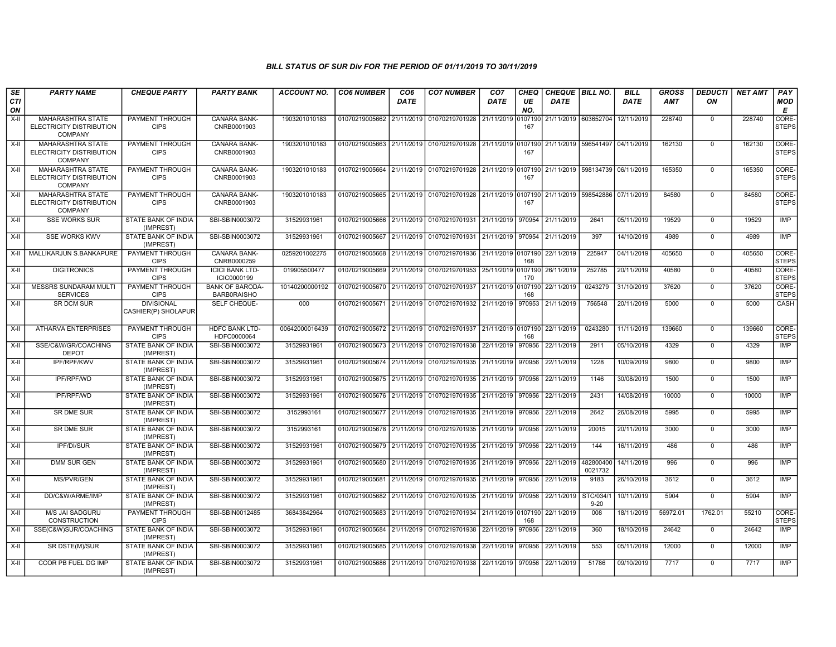| <b>SE</b><br>CTI<br>ON | <b>PARTY NAME</b>                                                      | <b>CHEQUE PARTY</b>                      | <b>PARTY BANK</b>                            | <b>ACCOUNT NO.</b> | <b>CO6 NUMBER</b>                        | CO <sub>6</sub><br>DATE | <b>CO7 NUMBER</b>                                                                           | CO <sub>7</sub><br><b>DATE</b> | <b>CHEQ</b><br>UE<br>NO. | CHEQUE BILL NO.<br><b>DATE</b> |                      | <b>BILL</b><br><b>DATE</b> | <b>GROSS</b><br><b>AMT</b> | <b>DEDUCTI</b><br>ON | <b>NET AMT</b> | PAY<br><b>MOD</b><br>E |
|------------------------|------------------------------------------------------------------------|------------------------------------------|----------------------------------------------|--------------------|------------------------------------------|-------------------------|---------------------------------------------------------------------------------------------|--------------------------------|--------------------------|--------------------------------|----------------------|----------------------------|----------------------------|----------------------|----------------|------------------------|
| $X-II$                 | <b>MAHARASHTRA STATE</b><br>ELECTRICITY DISTRIBUTION<br><b>COMPANY</b> | PAYMENT THROUGH<br><b>CIPS</b>           | <b>CANARA BANK-</b><br>CNRB0001903           | 1903201010183      |                                          |                         | 01070219005662 21/11/2019 01070219701928                                                    | 21/11/2019                     | 0107190<br>167           |                                | 21/11/2019 603652704 | 12/11/2019                 | 228740                     | $\mathbf 0$          | 228740         | CORE-<br><b>STEPS</b>  |
| X-II                   | <b>MAHARASHTRA STATE</b><br>ELECTRICITY DISTRIBUTION<br><b>COMPANY</b> | PAYMENT THROUGH<br><b>CIPS</b>           | <b>CANARA BANK-</b><br>CNRB0001903           | 1903201010183      |                                          |                         | 01070219005663 21/11/2019 01070219701928 21/11/2019 0107190 21/11/2019 596541497 04/11/2019 |                                | 167                      |                                |                      |                            | 162130                     | $\Omega$             | 162130         | CORE-<br><b>STEPS</b>  |
| $X-II$                 | MAHARASHTRA STATE<br>ELECTRICITY DISTRIBUTION<br><b>COMPANY</b>        | PAYMENT THROUGH<br><b>CIPS</b>           | CANARA BANK-<br>CNRB0001903                  | 1903201010183      |                                          |                         | 01070219005664 21/11/2019 01070219701928 21/11/2019 0107190 21/11/2019 598134739 06/11/2019 |                                | 167                      |                                |                      |                            | 165350                     | $\mathbf 0$          | 165350         | CORE-<br><b>STEPS</b>  |
| $X-II$                 | MAHARASHTRA STATE<br>ELECTRICITY DISTRIBUTION<br><b>COMPANY</b>        | PAYMENT THROUGH<br><b>CIPS</b>           | <b>CANARA BANK-</b><br>CNRB0001903           | 1903201010183      |                                          |                         | 01070219005665 21/11/2019 01070219701928 21/11/2019 0107190 21/11/2019 598542886            |                                | 167                      |                                |                      | 07/11/2019                 | 84580                      | $\Omega$             | 84580          | CORE-<br><b>STEPS</b>  |
| X-II                   | <b>SSE WORKS SUR</b>                                                   | STATE BANK OF INDIA<br>(IMPREST)         | SBI-SBIN0003072                              | 31529931961        |                                          |                         | 01070219005666 21/11/2019 01070219701931 21/11/2019 970954                                  |                                |                          | 21/11/2019                     | 2641                 | 05/11/2019                 | 19529                      | $\Omega$             | 19529          | IMP                    |
| X-II                   | <b>SSE WORKS KWV</b>                                                   | STATE BANK OF INDIA<br>(IMPREST)         | SBI-SBIN0003072                              | 31529931961        | 01070219005667 21/11/2019 01070219701931 |                         |                                                                                             | 21/11/2019                     | 970954                   | 21/11/2019                     | 397                  | 14/10/2019                 | 4989                       | $\Omega$             | 4989           | <b>IMP</b>             |
| X-II                   | MALLIKARJUN S.BANKAPURE                                                | PAYMENT THROUGH<br><b>CIPS</b>           | CANARA BANK-<br>CNRB0000259                  | 0259201002275      | 01070219005668 21/11/2019                |                         | 01070219701936 21/11/2019 0107190                                                           |                                | 168                      | 22/11/2019                     | 225947               | 04/11/2019                 | 405650                     | $\Omega$             | 405650         | CORE-<br><b>STEPS</b>  |
| $X-II$                 | <b>DIGITRONICS</b>                                                     | PAYMENT THROUGH<br><b>CIPS</b>           | <b>ICICI BANK LTD-</b><br>ICIC0000199        | 019905500477       |                                          |                         | 01070219005669 21/11/2019 01070219701953 25/11/2019 0107190                                 |                                | 170                      | 26/11/2019                     | 252785               | 20/11/2019                 | 40580                      | $\mathbf 0$          | 40580          | CORE-<br><b>STEPS</b>  |
| $X-II$                 | <b>MESSRS SUNDARAM MULTI</b><br><b>SERVICES</b>                        | PAYMENT THROUGH<br><b>CIPS</b>           | <b>BANK OF BARODA-</b><br><b>BARB0RAISHO</b> | 10140200000192     | 01070219005670 21/11/2019                |                         | 01070219701937                                                                              | 21/11/2019 0107190             | 168                      | 22/11/2019                     | 0243279              | 31/10/2019                 | 37620                      | $\Omega$             | 37620          | CORE-<br><b>STEPS</b>  |
| $X-H$                  | <b>SR DCM SUR</b>                                                      | <b>DIVISIONAL</b><br>CASHIER(P) SHOLAPUR | SELF CHEQUE-                                 | 000                |                                          |                         | 01070219005671 21/11/2019 01070219701932 21/11/2019                                         |                                | 970953                   | 21/11/2019                     | 756548               | 20/11/2019                 | 5000                       | $\Omega$             | 5000           | <b>CASH</b>            |
| $X-H$                  | <b>ATHARVA ENTERPRISES</b>                                             | PAYMENT THROUGH<br><b>CIPS</b>           | <b>HDFC BANK LTD-</b><br>HDFC0000064         | 00642000016439     |                                          |                         | 01070219005672 21/11/2019 01070219701937 21/11/2019 0107190 22/11/2019                      |                                | 168                      |                                | 0243280              | 11/11/2019                 | 139660                     | $\Omega$             | 139660         | CORE-<br><b>STEPS</b>  |
| $X-H$                  | SSE/C&W/GR/COACHING<br><b>DEPOT</b>                                    | <b>STATE BANK OF INDIA</b><br>(IMPREST)  | SBI-SBIN0003072                              | 31529931961        | 01070219005673 21/11/2019                |                         | 01070219701938                                                                              | 22/11/2019                     | 970956                   | 22/11/2019                     | 2911                 | 05/10/2019                 | 4329                       | $\mathbf 0$          | 4329           | IMP                    |
| X-II                   | <b>IPF/RPF/KWV</b>                                                     | STATE BANK OF INDIA<br>(IMPREST)         | SBI-SBIN0003072                              | 31529931961        |                                          |                         | 01070219005674 21/11/2019 01070219701935 21/11/2019                                         |                                | 970956                   | 22/11/2019                     | 1228                 | 10/09/2019                 | 9800                       | $\mathbf 0$          | 9800           | IMP                    |
| $X-II$                 | IPF/RPF/WD                                                             | <b>STATE BANK OF INDIA</b><br>(IMPREST)  | SBI-SBIN0003072                              | 31529931961        | 01070219005675 21/11/2019                |                         | 01070219701935                                                                              | 21/11/2019                     | 970956                   | 22/11/2019                     | 1146                 | 30/08/2019                 | 1500                       | $\mathbf 0$          | 1500           | <b>IMP</b>             |
| X-II                   | IPF/RPF/WD                                                             | <b>STATE BANK OF INDIA</b><br>(IMPREST)  | SBI-SBIN0003072                              | 31529931961        |                                          |                         | 01070219005676 21/11/2019 01070219701935                                                    | 21/11/2019                     | 970956                   | 22/11/2019                     | 2431                 | 14/08/2019                 | 10000                      | $\Omega$             | 10000          | IMP                    |
| X-II                   | SR DME SUR                                                             | STATE BANK OF INDIA<br>(IMPREST)         | SBI-SBIN0003072                              | 3152993161         |                                          |                         | 01070219005677 21/11/2019 01070219701935                                                    | 21/11/2019 970956              |                          | 22/11/2019                     | 2642                 | 26/08/2019                 | 5995                       | $\mathbf 0$          | 5995           | IMP                    |
| X-II                   | SR DME SUR                                                             | STATE BANK OF INDIA<br>(IMPREST)         | SBI-SBIN0003072                              | 3152993161         | 01070219005678 21/11/2019                |                         | 01070219701935 21/11/2019                                                                   |                                | 970956                   | 22/11/2019                     | 20015                | 20/11/2019                 | 3000                       | $\Omega$             | 3000           | <b>IMP</b>             |
| $X-II$                 | IPF/DI/SUR                                                             | STATE BANK OF INDIA<br>(IMPREST)         | SBI-SBIN0003072                              | 31529931961        |                                          |                         | 01070219005679 21/11/2019 01070219701935 21/11/2019                                         |                                | 970956                   | 22/11/2019                     | 144                  | 16/11/2019                 | 486                        | $\Omega$             | 486            | <b>IMP</b>             |
| $X-II$                 | <b>DMM SUR GEN</b>                                                     | <b>STATE BANK OF INDIA</b><br>(IMPREST)  | SBI-SBIN0003072                              | 31529931961        | 01070219005680 21/11/2019                |                         | 01070219701935 21/11/2019 970956                                                            |                                |                          | 22/11/2019                     | 482800400<br>0021732 | 14/11/2019                 | 996                        | $\Omega$             | 996            | IMP                    |
| X-II                   | <b>MS/PVR/GEN</b>                                                      | STATE BANK OF INDIA<br>(IMPREST)         | SBI-SBIN0003072                              | 31529931961        |                                          |                         | 01070219005681 21/11/2019 01070219701935 21/11/2019 970956                                  |                                |                          | 22/11/2019                     | 9183                 | 26/10/2019                 | 3612                       | $\Omega$             | 3612           | <b>IMP</b>             |
| X-II                   | DD/C&W/ARME/IMP                                                        | STATE BANK OF INDIA<br>(IMPREST)         | SBI-SBIN0003072                              | 31529931961        | 01070219005682                           | 21/11/2019              | 01070219701935 21/11/2019                                                                   |                                | 970956                   | 22/11/2019                     | STC/034/<br>$9 - 20$ | 10/11/2019                 | 5904                       | $\Omega$             | 5904           | <b>IMP</b>             |
| $X-II$                 | M/S JAI SADGURU<br><b>CONSTRUCTION</b>                                 | PAYMENT THROUGH<br><b>CIPS</b>           | SBI-SBIN0012485                              | 36843842964        |                                          |                         | 01070219005683 21/11/2019 01070219701934 21/11/2019 0107190 22/11/2019                      |                                | 168                      |                                | 008                  | 18/11/2019                 | 56972.01                   | 1762.01              | 55210          | CORE-<br><b>STEPS</b>  |
| X-II                   | SSE(C&W)SUR/COACHING                                                   | STATE BANK OF INDIA<br>(IMPREST)         | SBI-SBIN0003072                              | 31529931961        | 01070219005684 21/11/2019                |                         | 01070219701938 22/11/2019                                                                   |                                | 970956                   | 22/11/2019                     | 360                  | 18/10/2019                 | 24642                      | $\mathbf 0$          | 24642          | IMP                    |
| X-II                   | SR DSTE(M)/SUR                                                         | <b>STATE BANK OF INDIA</b><br>(IMPREST)  | SBI-SBIN0003072                              | 31529931961        |                                          |                         | 01070219005685 21/11/2019 01070219701938 22/11/2019 970956                                  |                                |                          | 22/11/2019                     | 553                  | 05/11/2019                 | 12000                      | $\Omega$             | 12000          | IMP                    |
| X-II                   | CCOR PB FUEL DG IMP                                                    | STATE BANK OF INDIA<br>(IMPREST)         | SBI-SBIN0003072                              | 31529931961        |                                          |                         | 01070219005686 21/11/2019 01070219701938                                                    | 22/11/2019                     | 970956                   | 22/11/2019                     | 51786                | 09/10/2019                 | 7717                       | $\Omega$             | 7717           | IMP                    |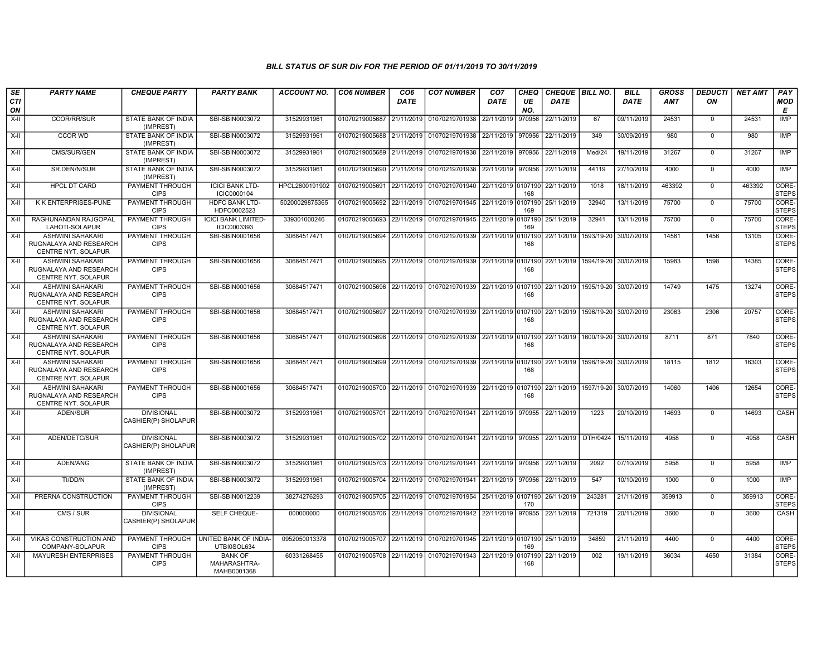| SE<br><b>CTI</b><br>ON | <b>PARTY NAME</b>                                                               | <b>CHEQUE PARTY</b>                      | <b>PARTY BANK</b>                             | <b>ACCOUNT NO.</b> | <b>CO6 NUMBER</b>                        | CO <sub>6</sub><br><b>DATE</b> | <b>CO7 NUMBER</b>                                                                            | CO <sub>7</sub><br><b>DATE</b> | <b>CHEQ</b><br>UE<br>NO. | CHEQUE BILL NO.<br><b>DATE</b>       |                                      | <b>BILL</b><br><b>DATE</b> | GROSS<br><b>AMT</b> | <b>DEDUCTI</b><br>ON | <b>NET AMT</b> | PAY<br><b>MOD</b><br>Е |
|------------------------|---------------------------------------------------------------------------------|------------------------------------------|-----------------------------------------------|--------------------|------------------------------------------|--------------------------------|----------------------------------------------------------------------------------------------|--------------------------------|--------------------------|--------------------------------------|--------------------------------------|----------------------------|---------------------|----------------------|----------------|------------------------|
| X-II                   | <b>CCOR/RR/SUR</b>                                                              | STATE BANK OF INDIA<br>(IMPREST)         | SBI-SBIN0003072                               | 31529931961        | 01070219005687 21/11/2019 01070219701938 |                                |                                                                                              | 22/11/2019                     | 970956                   | 22/11/2019                           | 67                                   | 09/11/2019                 | 24531               | $\mathbf 0$          | 24531          | <b>IMP</b>             |
| X-II                   | CCOR WD                                                                         | STATE BANK OF INDIA<br>(IMPREST)         | SBI-SBIN0003072                               | 31529931961        | 01070219005688 21/11/2019                |                                | 01070219701938 22/11/2019 970956                                                             |                                |                          | 22/11/2019                           | 349                                  | 30/09/2019                 | 980                 | $\Omega$             | 980            | <b>IMP</b>             |
| $X-H$                  | CMS/SUR/GEN                                                                     | STATE BANK OF INDIA<br>(IMPREST)         | SBI-SBIN0003072                               | 31529931961        |                                          |                                | 01070219005689 21/11/2019 01070219701938 22/11/2019 970956                                   |                                |                          | 22/11/2019                           | Med/24                               | 19/11/2019                 | 31267               | $\Omega$             | 31267          | <b>IMP</b>             |
| X-II                   | SR.DEN/N/SUR                                                                    | STATE BANK OF INDIA<br>(IMPREST)         | SBI-SBIN0003072                               | 31529931961        |                                          |                                | 01070219005690 21/11/2019 01070219701938 22/11/2019 970956                                   |                                |                          | 22/11/2019                           | 44119                                | 27/10/2019                 | 4000                | $\Omega$             | 4000           | <b>IMP</b>             |
| X-II                   | <b>HPCL DT CARD</b>                                                             | PAYMENT THROUGH<br><b>CIPS</b>           | <b>ICICI BANK LTD-</b><br>ICIC0000104         | HPCL2600191902     | 01070219005691                           |                                | 22/11/2019 01070219701940 22/11/2019 0107190                                                 |                                | 168                      | 22/11/2019                           | 1018                                 | 18/11/2019                 | 463392              | $\Omega$             | 463392         | CORE-<br><b>STEPS</b>  |
| X-II                   | K K ENTERPRISES-PUNE                                                            | PAYMENT THROUGH<br><b>CIPS</b>           | <b>HDFC BANK LTD-</b><br>HDFC0002523          | 50200029875365     | 01070219005692 22/11/2019                |                                | 01070219701945 22/11/2019 0107190                                                            |                                | 169                      | 25/11/2019                           | 32940                                | 13/11/2019                 | 75700               | $\mathbf 0$          | 75700          | CORE-<br><b>STEPS</b>  |
| X-II                   | RAGHUNANDAN RAJGOPAL<br>LAHOTI-SOLAPUR                                          | PAYMENT THROUGH<br><b>CIPS</b>           | <b>ICICI BANK LIMITED-</b><br>ICIC0003393     | 339301000246       |                                          |                                | 01070219005693 22/11/2019 01070219701945 22/11/2019 0107190                                  |                                | 169                      | 25/11/2019                           | 32941                                | 13/11/2019                 | 75700               | $\mathbf 0$          | 75700          | CORE-<br><b>STEPS</b>  |
| X-II                   | <b>ASHWINI SAHAKARI</b><br>RUGNALAYA AND RESEARCH<br>CENTRE NYT. SOLAPUR        | PAYMENT THROUGH<br><b>CIPS</b>           | SBI-SBIN0001656                               | 30684517471        | 01070219005694 22/11/2019 01070219701939 |                                |                                                                                              | 22/11/2019                     | 0107190<br>168           | 22/11/2019                           | 1593/19-20                           | 30/07/2019                 | 14561               | 1456                 | 13105          | CORE-<br><b>STEPS</b>  |
| $X-H$                  | <b>ASHWINI SAHAKARI</b><br>RUGNALAYA AND RESEARCH<br>CENTRE NYT. SOLAPUR        | PAYMENT THROUGH<br><b>CIPS</b>           | SBI-SBIN0001656                               | 30684517471        |                                          |                                | 01070219005695 22/11/2019 01070219701939 22/11/2019 0107190 22/11/2019 1594/19-20 30/07/2019 |                                | 168                      |                                      |                                      |                            | 15983               | 1598                 | 14385          | CORE-<br><b>STEPS</b>  |
| $X-I$                  | <b>ASHWINI SAHAKARI</b><br>RUGNALAYA AND RESEARCH<br><b>CENTRE NYT, SOLAPUR</b> | PAYMENT THROUGH<br><b>CIPS</b>           | SBI-SBIN0001656                               | 30684517471        |                                          |                                | 01070219005696 22/11/2019 01070219701939 22/11/2019 0107190                                  |                                | 168                      | 22/11/2019                           | 1595/19-20 30/07/2019                |                            | 14749               | 1475                 | 13274          | CORE-<br><b>STEPS</b>  |
| $X-H$                  | <b>ASHWINI SAHAKARI</b><br>RUGNALAYA AND RESEARCH<br><b>CENTRE NYT, SOLAPUR</b> | <b>PAYMENT THROUGH</b><br><b>CIPS</b>    | SBI-SBIN0001656                               | 30684517471        |                                          |                                | 01070219005697 22/11/2019 01070219701939 22/11/2019 0107190 22/11/2019 1596/19-20 30/07/2019 |                                | 168                      |                                      |                                      |                            | 23063               | 2306                 | 20757          | CORE-<br><b>STEPS</b>  |
| X-II                   | <b>ASHWINI SAHAKARI</b><br>RUGNALAYA AND RESEARCH<br>CENTRE NYT. SOLAPUR        | <b>PAYMENT THROUGH</b><br><b>CIPS</b>    | SBI-SBIN0001656                               | 30684517471        |                                          |                                | 01070219005698 22/11/2019 01070219701939 22/11/2019 0107190                                  |                                | 168                      |                                      | 22/11/2019   1600/19-20   30/07/2019 |                            | 8711                | 871                  | 7840           | CORE-<br><b>STEPS</b>  |
| X-II                   | <b>ASHWINI SAHAKARI</b><br>RUGNALAYA AND RESEARCH<br>CENTRE NYT. SOLAPUR        | PAYMENT THROUGH<br><b>CIPS</b>           | SBI-SBIN0001656                               | 30684517471        |                                          |                                | 01070219005699 22/11/2019 01070219701939 22/11/2019 0107190                                  |                                | 168                      | 22/11/2019                           |                                      | 1598/19-20 30/07/2019      | 18115               | 1812                 | 16303          | CORE-<br><b>STEPS</b>  |
| $X-H$                  | ASHWINI SAHAKARI<br>RUGNALAYA AND RESEARCH<br>CENTRE NYT. SOLAPUR               | <b>PAYMENT THROUGH</b><br><b>CIPS</b>    | SBI-SBIN0001656                               | 30684517471        |                                          |                                | 01070219005700 22/11/2019 01070219701939 22/11/2019 0107190                                  |                                | 168                      | 22/11/2019   1597/19-20   30/07/2019 |                                      |                            | 14060               | 1406                 | 12654          | CORE-<br><b>STEPS</b>  |
| X-II                   | ADEN/SUR                                                                        | <b>DIVISIONAL</b><br>CASHIER(P) SHOLAPUR | SBI-SBIN0003072                               | 31529931961        |                                          |                                | 01070219005701 22/11/2019 01070219701941 22/11/2019 970955                                   |                                |                          | 22/11/2019                           | 1223                                 | 20/10/2019                 | 14693               | $\mathbf 0$          | 14693          | CASH                   |
| X-II                   | ADEN/DETC/SUR                                                                   | <b>DIVISIONAL</b><br>CASHIER(P) SHOLAPUR | SBI-SBIN0003072                               | 31529931961        |                                          |                                | 01070219005702 22/11/2019 01070219701941 22/11/2019 970955                                   |                                |                          | 22/11/2019 DTH/0424                  |                                      | 15/11/2019                 | 4958                | $\mathbf 0$          | 4958           | CASH                   |
| $X-H$                  | ADEN/ANG                                                                        | <b>STATE BANK OF INDIA</b><br>(IMPREST)  | SBI-SBIN0003072                               | 31529931961        |                                          |                                | 01070219005703 22/11/2019 01070219701941 22/11/2019 970956                                   |                                |                          | 22/11/2019                           | 2092                                 | 07/10/2019                 | 5958                | $\mathbf 0$          | 5958           | IMP                    |
| X-II                   | TI/DD/N                                                                         | STATE BANK OF INDIA<br>(IMPREST)         | SBI-SBIN0003072                               | 31529931961        |                                          |                                | 01070219005704 22/11/2019 01070219701941 22/11/2019 970956                                   |                                |                          | 22/11/2019                           | 547                                  | 10/10/2019                 | 1000                | $\mathbf 0$          | 1000           | <b>IMP</b>             |
| $X-II$                 | PRERNA CONSTRUCTION                                                             | PAYMENT THROUGH<br><b>CIPS</b>           | SBI-SBIN0012239                               | 38274276293        |                                          |                                | 01070219005705 22/11/2019 01070219701954                                                     | 25/11/2019 0107190             | 170                      | 26/11/2019                           | 243281                               | 21/11/2019                 | 359913              | $\overline{0}$       | 359913         | CORE-<br><b>STEPS</b>  |
| X-II                   | CMS / SUR                                                                       | <b>DIVISIONAL</b><br>CASHIER(P) SHOLAPUR | <b>SELF CHEQUE-</b>                           | 000000000          |                                          |                                | 01070219005706 22/11/2019 01070219701942 22/11/2019                                          |                                | 970955                   | 22/11/2019                           | 721319                               | 20/11/2019                 | 3600                | $\Omega$             | 3600           | CASH                   |
| X-II                   | VIKAS CONSTRUCTION AND<br>COMPANY-SOLAPUR                                       | PAYMENT THROUGH<br><b>CIPS</b>           | UNITED BANK OF INDIA-<br>UTBI0SOL634          | 0952050013378      |                                          |                                | 01070219005707 22/11/2019 01070219701945 22/11/2019 0107190                                  |                                | 169                      | 25/11/2019                           | 34859                                | 21/11/2019                 | 4400                | $\mathbf 0$          | 4400           | CORE-<br><b>STEPS</b>  |
| X-II                   | <b>MAYURESH ENTERPRISES</b>                                                     | PAYMENT THROUGH<br><b>CIPS</b>           | <b>BANK OF</b><br>MAHARASHTRA-<br>MAHB0001368 | 60331268455        |                                          |                                | 01070219005708 22/11/2019 01070219701943 22/11/2019                                          |                                | 0107190<br>168           | 22/11/2019                           | 002                                  | 19/11/2019                 | 36034               | 4650                 | 31384          | CORE-<br><b>STEPS</b>  |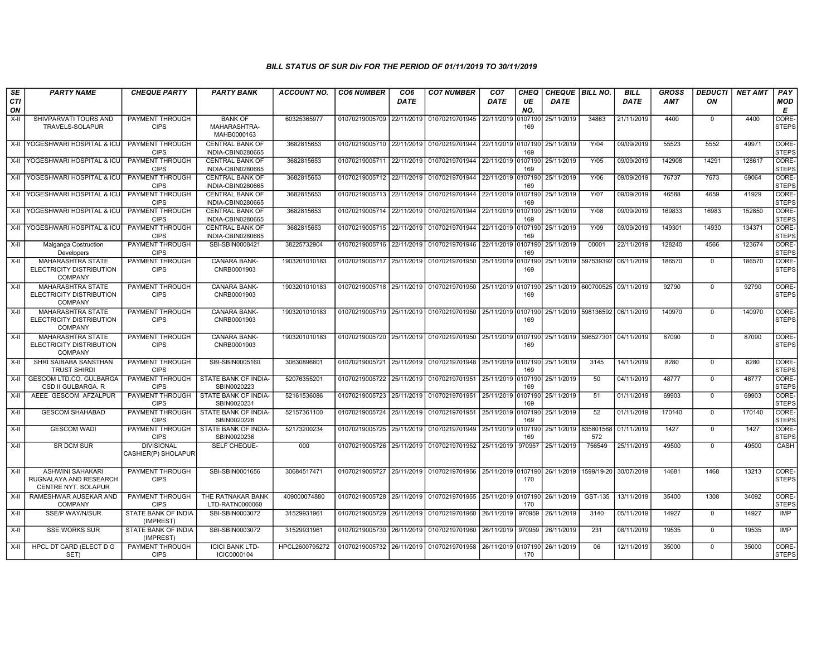| SE               | <b>PARTY NAME</b>                                                        | <b>CHEQUE PARTY</b>                      | <b>PARTY BANK</b>                             | <b>ACCOUNT NO.</b> | <b>CO6 NUMBER</b>                        | CO <sub>6</sub> | <b>CO7 NUMBER</b>                                                                           | CO <sub>7</sub>    | <b>CHEQ</b>    | <b>CHEQUE   BILL NO.</b>            |                                     | <b>BILL</b> | GROSS  | <b>DEDUCTI</b> | <b>NET AMT</b> | <b>PAY</b>            |
|------------------|--------------------------------------------------------------------------|------------------------------------------|-----------------------------------------------|--------------------|------------------------------------------|-----------------|---------------------------------------------------------------------------------------------|--------------------|----------------|-------------------------------------|-------------------------------------|-------------|--------|----------------|----------------|-----------------------|
| <b>CTI</b><br>ON |                                                                          |                                          |                                               |                    |                                          | DATE            |                                                                                             | DATE               | UE<br>NO.      | DATE                                |                                     | <b>DATE</b> | AMT    | ON             |                | MOD<br>Е              |
| X-II             | SHIVPARVATI TOURS AND<br>TRAVELS-SOLAPUR                                 | PAYMENT THROUGH<br><b>CIPS</b>           | <b>BANK OF</b><br>MAHARASHTRA-<br>MAHB0000163 | 60325365977        |                                          |                 | 01070219005709 22/11/2019 01070219701945                                                    | 22/11/2019         | 0107190<br>169 | 25/11/2019                          | 34863                               | 21/11/2019  | 4400   | $^{\circ}$     | 4400           | CORE-<br>STEPS        |
|                  | X-II YOGESHWARI HOSPITAL & ICU                                           | PAYMENT THROUGH<br><b>CIPS</b>           | <b>CENTRAL BANK OF</b><br>INDIA-CBIN0280665   | 3682815653         |                                          |                 | 01070219005710 22/11/2019 01070219701944 22/11/2019 0107190                                 |                    | 169            | 25/11/2019                          | Y/04                                | 09/09/2019  | 55523  | 5552           | 49971          | CORE-<br><b>STEPS</b> |
|                  | X-II YOGESHWARI HOSPITAL & ICU                                           | PAYMENT THROUGH<br><b>CIPS</b>           | <b>CENTRAL BANK OF</b><br>INDIA-CBIN0280665   | 3682815653         |                                          |                 | 01070219005711 22/11/2019 01070219701944 22/11/2019 0107190 25/11/2019                      |                    | 169            |                                     | Y/05                                | 09/09/2019  | 142908 | 14291          | 128617         | CORE-<br>STEPS        |
|                  | X-II YOGESHWARI HOSPITAL & ICU                                           | PAYMENT THROUGH<br><b>CIPS</b>           | <b>CENTRAL BANK OF</b><br>INDIA-CBIN0280665   | 3682815653         |                                          |                 | 01070219005712 22/11/2019 01070219701944                                                    | 22/11/2019 0107190 | 169            | 25/11/2019                          | Y/06                                | 09/09/2019  | 76737  | 7673           | 69064          | CORE-<br><b>STEPS</b> |
|                  | X-II YOGESHWARI HOSPITAL & ICU                                           | PAYMENT THROUGH<br><b>CIPS</b>           | <b>CENTRAL BANK OF</b><br>INDIA-CBIN0280665   | 3682815653         |                                          |                 | 01070219005713 22/11/2019 01070219701944                                                    | 22/11/2019 0107190 | 169            | 25/11/2019                          | Y/07                                | 09/09/2019  | 46588  | 4659           | 41929          | CORE-<br><b>STEPS</b> |
|                  | X-II YOGESHWARI HOSPITAL & ICU                                           | PAYMENT THROUGH<br><b>CIPS</b>           | <b>CENTRAL BANK OF</b><br>INDIA-CBIN0280665   | 3682815653         |                                          |                 | 01070219005714 22/11/2019 01070219701944 22/11/2019 0107190                                 |                    | 169            | 25/11/2019                          | Y/08                                | 09/09/2019  | 169833 | 16983          | 152850         | CORE-<br><b>STEPS</b> |
|                  | X-II YOGESHWARI HOSPITAL & ICU                                           | <b>PAYMENT THROUGH</b><br><b>CIPS</b>    | <b>CENTRAL BANK OF</b><br>INDIA-CBIN0280665   | 3682815653         |                                          |                 | 01070219005715 22/11/2019 01070219701944                                                    | 22/11/2019 0107190 | 169            | 25/11/2019                          | Y/09                                | 09/09/2019  | 149301 | 14930          | 134371         | CORE-<br><b>STEPS</b> |
| X-II             | Malganga Costruction<br>Developers                                       | PAYMENT THROUGH<br><b>CIPS</b>           | SBI-SBIN0008421                               | 38225732904        |                                          |                 | 01070219005716 22/11/2019 01070219701946                                                    | 22/11/2019 0107190 | 169            | 25/11/2019                          | 00001                               | 22/11/2019  | 128240 | 4566           | 123674         | CORE-<br><b>STEPS</b> |
| X-II             | MAHARASHTRA STATE<br>ELECTRICITY DISTRIBUTION<br><b>COMPANY</b>          | PAYMENT THROUGH<br><b>CIPS</b>           | CANARA BANK-<br>CNRB0001903                   | 1903201010183      |                                          |                 | 01070219005717 25/11/2019 01070219701950 25/11/2019 0107190                                 |                    | 169            |                                     | 25/11/2019   597539392   06/11/2019 |             | 186570 | $^{\circ}$     | 186570         | CORE-<br><b>STEPS</b> |
| X-II             | <b>MAHARASHTRA STATE</b><br>ELECTRICITY DISTRIBUTION<br><b>COMPANY</b>   | PAYMENT THROUGH<br><b>CIPS</b>           | CANARA BANK-<br>CNRB0001903                   | 1903201010183      |                                          |                 | 01070219005718 25/11/2019 01070219701950 25/11/2019 0107190                                 |                    | 169            | 25/11/2019   600700525   09/11/2019 |                                     |             | 92790  | $\mathbf 0$    | 92790          | CORE-<br><b>STEPS</b> |
| X-II             | MAHARASHTRA STATE<br>ELECTRICITY DISTRIBUTION<br><b>COMPANY</b>          | PAYMENT THROUGH<br><b>CIPS</b>           | CANARA BANK-<br>CNRB0001903                   | 1903201010183      |                                          |                 | 01070219005719 25/11/2019 01070219701950 25/11/2019 0107190 25/11/2019 598136592 06/11/2019 |                    | 169            |                                     |                                     |             | 140970 | $\mathbf 0$    | 140970         | CORE-<br><b>STEPS</b> |
| X-II             | MAHARASHTRA STATE<br>ELECTRICITY DISTRIBUTION<br><b>COMPANY</b>          | PAYMENT THROUGH<br><b>CIPS</b>           | CANARA BANK-<br>CNRB0001903                   | 1903201010183      |                                          |                 | 01070219005720 25/11/2019 01070219701950 25/11/2019 0107190                                 |                    | 169            |                                     | 25/11/2019 596527301 04/11/2019     |             | 87090  | $\mathbf 0$    | 87090          | CORE-<br><b>STEPS</b> |
| X-II             | SHRI SAIBABA SANSTHAN<br><b>TRUST SHIRDI</b>                             | PAYMENT THROUGH<br><b>CIPS</b>           | SBI-SBIN0005160                               | 30630896801        |                                          |                 | 01070219005721 25/11/2019 01070219701948                                                    | 25/11/2019 0107190 | 169            | 25/11/2019                          | 3145                                | 14/11/2019  | 8280   | $\mathbf 0$    | 8280           | CORE-<br><b>STEPS</b> |
| X-II             | <b>GESCOM LTD.CO. GULBARGA</b><br>CSD II GULBARGA. R                     | <b>PAYMENT THROUGH</b><br><b>CIPS</b>    | STATE BANK OF INDIA-<br>SBIN0020223           | 52076355201        |                                          |                 | 01070219005722 25/11/2019 01070219701951                                                    | 25/11/2019 0107190 | 169            | 25/11/2019                          | 50                                  | 04/11/2019  | 48777  | $^{\circ}$     | 48777          | CORE-<br><b>STEPS</b> |
| X-II             | AEEE GESCOM AFZALPUR                                                     | PAYMENT THROUGH<br><b>CIPS</b>           | STATE BANK OF INDIA-<br>SBIN0020231           | 52161536086        | 01070219005723 25/11/2019 01070219701951 |                 |                                                                                             |                    | 169            | 25/11/2019 0107190 25/11/2019       | 51                                  | 01/11/2019  | 69903  | $\mathbf{0}$   | 69903          | CORE-<br><b>STEPS</b> |
| X-II             | <b>GESCOM SHAHABAD</b>                                                   | <b>PAYMENT THROUGH</b><br><b>CIPS</b>    | STATE BANK OF INDIA-<br>SBIN0020228           | 52157361100        | 01070219005724 25/11/2019 01070219701951 |                 |                                                                                             | 25/11/2019 0107190 | 169            | 25/11/2019                          | 52                                  | 01/11/2019  | 170140 | $\Omega$       | 170140         | CORE-<br><b>STEPS</b> |
| X-II             | <b>GESCOM WADI</b>                                                       | PAYMENT THROUGH<br><b>CIPS</b>           | STATE BANK OF INDIA-<br>SBIN0020236           | 52173200234        |                                          |                 | 01070219005725 25/11/2019 01070219701949 25/11/2019 0107190                                 |                    | 169            | 25/11/2019                          | 835801568<br>572                    | 01/11/2019  | 1427   | $^{\circ}$     | 1427           | CORE-<br>STEPS        |
| X-II             | <b>SR DCM SUR</b>                                                        | <b>DIVISIONAL</b><br>CASHIER(P) SHOLAPUR | SELF CHEQUE-                                  | 000                |                                          |                 | 01070219005726 25/11/2019 01070219701952 25/11/2019                                         |                    | 970957         | 25/11/2019                          | 756549                              | 25/11/2019  | 49500  | $\Omega$       | 49500          | CASH                  |
| X-II             | <b>ASHWINI SAHAKARI</b><br>RUGNALAYA AND RESEARCH<br>CENTRE NYT. SOLAPUR | PAYMENT THROUGH<br><b>CIPS</b>           | SBI-SBIN0001656                               | 30684517471        |                                          |                 | 01070219005727 25/11/2019 01070219701956 25/11/2019 0107190 26/11/2019                      |                    | 170            |                                     | 1599/19-20                          | 30/07/2019  | 14681  | 1468           | 13213          | CORE-<br><b>STEPS</b> |
| X-II             | RAMESHWAR AUSEKAR AND<br><b>COMPANY</b>                                  | PAYMENT THROUGH<br><b>CIPS</b>           | THE RATNAKAR BANK<br>LTD-RATN0000060          | 409000074880       |                                          |                 | 01070219005728 25/11/2019 01070219701955 25/11/2019 0107190                                 |                    | 170            | 26/11/2019                          | GST-135                             | 13/11/2019  | 35400  | 1308           | 34092          | CORE-<br>STEPS        |
| X-II             | <b>SSE/P WAY/N/SUR</b>                                                   | <b>STATE BANK OF INDIA</b><br>(IMPREST)  | SBI-SBIN0003072                               | 31529931961        |                                          |                 | 01070219005729 26/11/2019 01070219701960                                                    | 26/11/2019         | 970959         | 26/11/2019                          | 3140                                | 05/11/2019  | 14927  | $^{\circ}$     | 14927          | IMP                   |
| X-II             | <b>SSE WORKS SUR</b>                                                     | STATE BANK OF INDIA<br>(IMPREST)         | SBI-SBIN0003072                               | 31529931961        |                                          |                 | 01070219005730 26/11/2019 01070219701960                                                    | 26/11/2019         | 970959         | 26/11/2019                          | 231                                 | 08/11/2019  | 19535  | $\mathbf 0$    | 19535          | IMP                   |
| $X-H$            | HPCL DT CARD (ELECT D G<br>SET)                                          | PAYMENT THROUGH<br><b>CIPS</b>           | <b>ICICI BANK LTD-</b><br>ICIC0000104         | HPCL2600795272     |                                          |                 | 01070219005732   26/11/2019   01070219701958   26/11/2019   0107190                         |                    | 170            | 26/11/2019                          | 06                                  | 12/11/2019  | 35000  | $^{\circ}$     | 35000          | CORE-<br><b>STEPS</b> |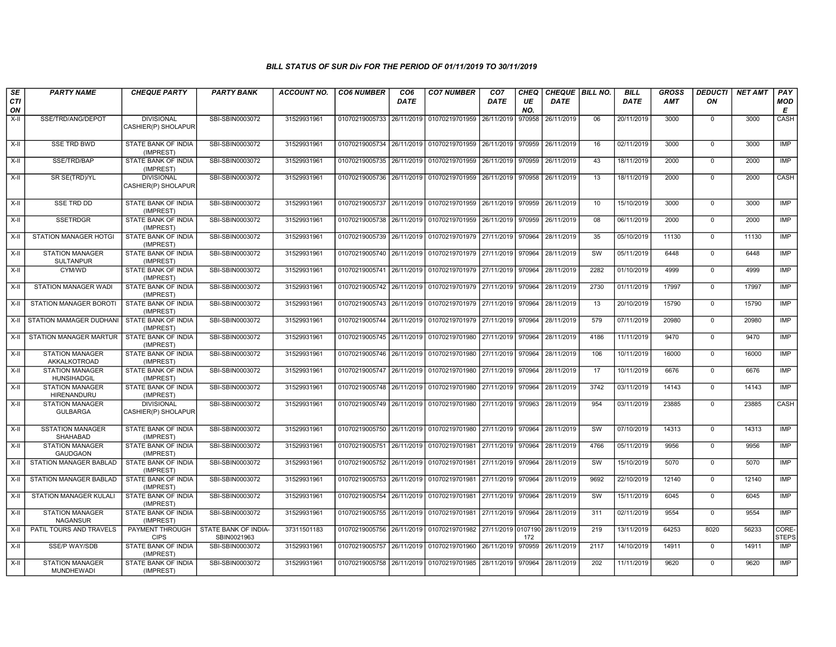| SE<br>CTI<br>ON | <b>PARTY NAME</b>                             | <b>CHEQUE PARTY</b>                      | <b>PARTY BANK</b>                   | <b>ACCOUNT NO.</b> | <b>CO6 NUMBER</b>                        | CO <sub>6</sub><br><b>DATE</b> | <b>CO7 NUMBER</b>                                           | CO <sub>7</sub><br>DATE | <b>CHEQ</b><br>UE<br>NO. | CHEQUE   BILL NO.<br>DATE |      | <b>BILL</b><br><b>DATE</b> | <b>GROSS</b><br><b>AMT</b> | <b>DEDUCTI</b><br>ΟN | <b>NET AMT</b> | PAY<br>MOD<br>Е       |
|-----------------|-----------------------------------------------|------------------------------------------|-------------------------------------|--------------------|------------------------------------------|--------------------------------|-------------------------------------------------------------|-------------------------|--------------------------|---------------------------|------|----------------------------|----------------------------|----------------------|----------------|-----------------------|
| $X-H$           | SSE/TRD/ANG/DEPOT                             | <b>DIVISIONAL</b><br>CASHIER(P) SHOLAPUR | SBI-SBIN0003072                     | 31529931961        | 01070219005733 26/11/2019 01070219701959 |                                |                                                             | 26/11/2019              | 970958                   | 26/11/2019                | 06   | 20/11/2019                 | 3000                       | $\mathbf 0$          | 3000           | CASH                  |
| X-II            | <b>SSE TRD BWD</b>                            | STATE BANK OF INDIA<br>(IMPREST)         | SBI-SBIN0003072                     | 31529931961        |                                          |                                | 01070219005734 26/11/2019 01070219701959 26/11/2019 970959  |                         |                          | 26/11/2019                | 16   | 02/11/2019                 | 3000                       | $\mathbf 0$          | 3000           | IMP                   |
| $X-H$           | SSE/TRD/BAP                                   | STATE BANK OF INDIA<br>(IMPREST)         | SBI-SBIN0003072                     | 31529931961        |                                          |                                | 01070219005735 26/11/2019 01070219701959                    | 26/11/2019              | 970959                   | 26/11/2019                | 43   | 18/11/2019                 | 2000                       | $\mathbf 0$          | 2000           | IMP                   |
| $X-II$          | SR SE(TRD)/YL                                 | <b>DIVISIONAL</b><br>CASHIER(P) SHOLAPUR | SBI-SBIN0003072                     | 31529931961        | 01070219005736 26/11/2019 01070219701959 |                                |                                                             | 26/11/2019 970958       |                          | 26/11/2019                | 13   | 18/11/2019                 | 2000                       | $\mathbf 0$          | 2000           | CASH                  |
| X-II            | <b>SSE TRD DD</b>                             | <b>STATE BANK OF INDIA</b><br>(IMPREST)  | SBI-SBIN0003072                     | 31529931961        |                                          |                                | 01070219005737 26/11/2019 01070219701959 26/11/2019 970959  |                         |                          | 26/11/2019                | 10   | 15/10/2019                 | 3000                       | $\mathbf 0$          | 3000           | IMP                   |
| X-II            | <b>SSETRDGR</b>                               | STATE BANK OF INDIA<br>(IMPREST)         | SBI-SBIN0003072                     | 31529931961        | 01070219005738 26/11/2019 01070219701959 |                                |                                                             | 26/11/2019              | 970959                   | 26/11/2019                | 08   | 06/11/2019                 | 2000                       | $\mathbf 0$          | 2000           | IMP                   |
| X-II            | STATION MANAGER HOTGI                         | STATE BANK OF INDIA<br>(IMPREST)         | SBI-SBIN0003072                     | 31529931961        | 01070219005739 26/11/2019 01070219701979 |                                |                                                             | 27/11/2019              | 970964                   | 28/11/2019                | 35   | 05/10/2019                 | 11130                      | $\mathbf 0$          | 11130          | <b>IMP</b>            |
| $X-H$           | <b>STATION MANAGER</b><br><b>SULTANPUR</b>    | <b>STATE BANK OF INDIA</b><br>(IMPREST)  | SBI-SBIN0003072                     | 31529931961        |                                          |                                | 01070219005740 26/11/2019 01070219701979                    | 27/11/2019              | 970964                   | 28/11/2019                | SW   | 05/11/2019                 | 6448                       | $\mathbf 0$          | 6448           | IMP                   |
| X-II            | CYM/WD                                        | <b>STATE BANK OF INDIA</b><br>(IMPREST)  | SBI-SBIN0003072                     | 31529931961        |                                          |                                | 01070219005741 26/11/2019 01070219701979 27/11/2019 970964  |                         |                          | 28/11/2019                | 2282 | 01/10/2019                 | 4999                       | $\mathbf 0$          | 4999           | <b>IMP</b>            |
| X-II            | <b>STATION MANAGER WADI</b>                   | STATE BANK OF INDIA<br>(IMPREST)         | SBI-SBIN0003072                     | 31529931961        |                                          |                                | 01070219005742 26/11/2019 01070219701979 27/11/2019         |                         | 970964                   | 28/11/2019                | 2730 | 01/11/2019                 | 17997                      | $\Omega$             | 17997          | <b>IMP</b>            |
| X-II            | STATION MANAGER BOROTI                        | STATE BANK OF INDIA<br>(IMPREST)         | SBI-SBIN0003072                     | 31529931961        |                                          |                                | 01070219005743 26/11/2019 01070219701979                    | 27/11/2019              | 970964                   | 28/11/2019                | 13   | 20/10/2019                 | 15790                      | $\mathbf 0$          | 15790          | IMP                   |
| $X-II$          | STATION MAMAGER DUDHANI   STATE BANK OF INDIA | (IMPREST)                                | SBI-SBIN0003072                     | 31529931961        | 01070219005744 26/11/2019 01070219701979 |                                |                                                             | 27/11/2019              | 970964                   | 28/11/2019                | 579  | 07/11/2019                 | 20980                      | $\mathbf 0$          | 20980          | IMP                   |
| X-II            | <b>STATION MANAGER MARTUR</b>                 | STATE BANK OF INDIA<br>(IMPREST)         | SBI-SBIN0003072                     | 31529931961        |                                          |                                | 01070219005745 26/11/2019 01070219701980                    | 27/11/2019 970964       |                          | 28/11/2019                | 4186 | 11/11/2019                 | 9470                       | $\mathbf 0$          | 9470           | <b>IMP</b>            |
| X-II            | <b>STATION MANAGER</b><br>AKKALKOTROAD        | STATE BANK OF INDIA<br>(IMPREST)         | SBI-SBIN0003072                     | 31529931961        | 01070219005746 26/11/2019 01070219701980 |                                |                                                             | 27/11/2019 970964       |                          | 28/11/2019                | 106  | 10/11/2019                 | 16000                      | $\Omega$             | 16000          | <b>IMP</b>            |
| $X-II$          | <b>STATION MANAGER</b><br>HUNSIHADGIL         | STATE BANK OF INDIA<br>(IMPREST)         | SBI-SBIN0003072                     | 31529931961        |                                          |                                | 01070219005747 26/11/2019 01070219701980                    | 27/11/2019              | 970964                   | 28/11/2019                | 17   | 10/11/2019                 | 6676                       | $\Omega$             | 6676           | IMP                   |
| $X-II$          | <b>STATION MANAGER</b><br>HIRENANDURU         | STATE BANK OF INDIA<br>(IMPREST)         | SBI-SBIN0003072                     | 31529931961        | 01070219005748 26/11/2019 01070219701980 |                                |                                                             | 27/11/2019 970964       |                          | 28/11/2019                | 3742 | 03/11/2019                 | 14143                      | $\mathbf 0$          | 14143          | <b>IMP</b>            |
| $X-H$           | <b>STATION MANAGER</b><br><b>GULBARGA</b>     | <b>DIVISIONAL</b><br>CASHIER(P) SHOLAPUR | SBI-SBIN0003072                     | 31529931961        | 01070219005749 26/11/2019 01070219701980 |                                |                                                             | 27/11/2019 970963       |                          | 28/11/2019                | 954  | 03/11/2019                 | 23885                      | $\mathbf 0$          | 23885          | <b>CASH</b>           |
| $X-II$          | <b>SSTATION MANAGER</b><br><b>SHAHABAD</b>    | STATE BANK OF INDIA<br>(IMPREST)         | SBI-SBIN0003072                     | 31529931961        |                                          |                                | 01070219005750 26/11/2019 01070219701980                    | 27/11/2019              | 970964                   | 28/11/2019                | SW   | 07/10/2019                 | 14313                      | $\Omega$             | 14313          | <b>IMP</b>            |
| $X-H$           | <b>STATION MANAGER</b><br><b>GAUDGAON</b>     | STATE BANK OF INDIA<br>(IMPREST)         | SBI-SBIN0003072                     | 31529931961        | 01070219005751 26/11/2019 01070219701981 |                                |                                                             | 27/11/2019              | 970964                   | 28/11/2019                | 4766 | 05/11/2019                 | 9956                       | $\mathbf 0$          | 9956           | <b>IMP</b>            |
| $X-H$           | <b>STATION MANAGER BABLAD</b>                 | <b>STATE BANK OF INDIA</b><br>(IMPREST)  | SBI-SBIN0003072                     | 31529931961        | 01070219005752 26/11/2019 01070219701981 |                                |                                                             | 27/11/2019              | 970964                   | 28/11/2019                | SW   | 15/10/2019                 | 5070                       | $\mathbf 0$          | 5070           | IMP                   |
| X-II            | STATION MANAGER BABLAD                        | STATE BANK OF INDIA<br>(IMPREST)         | SBI-SBIN0003072                     | 31529931961        | 01070219005753 26/11/2019 01070219701981 |                                |                                                             | 27/11/2019 970964       |                          | 28/11/2019                | 9692 | 22/10/2019                 | 12140                      | $\mathbf 0$          | 12140          | IMP                   |
| X-II            | <b>STATION MANAGER KULALI</b>                 | STATE BANK OF INDIA<br>(IMPREST)         | SBI-SBIN0003072                     | 31529931961        | 01070219005754 26/11/2019 01070219701981 |                                |                                                             | 27/11/2019              | 970964                   | 28/11/2019                | SW   | 15/11/2019                 | 6045                       | $\Omega$             | 6045           | <b>IMP</b>            |
| $X-H$           | <b>STATION MANAGER</b><br><b>NAGANSUR</b>     | <b>STATE BANK OF INDIA</b><br>(IMPREST)  | SBI-SBIN0003072                     | 31529931961        |                                          |                                | 01070219005755 26/11/2019 01070219701981                    | 27/11/2019 970964       |                          | 28/11/2019                | 311  | 02/11/2019                 | 9554                       | $\mathbf 0$          | 9554           | <b>IMP</b>            |
| X-II            | PATIL TOURS AND TRAVELS                       | PAYMENT THROUGH<br><b>CIPS</b>           | STATE BANK OF INDIA-<br>SBIN0021963 | 37311501183        |                                          |                                | 01070219005756 26/11/2019 01070219701982 27/11/2019 0107190 |                         | 172                      | 28/11/2019                | 219  | 13/11/2019                 | 64253                      | 8020                 | 56233          | CORE-<br><b>STEPS</b> |
| X-II            | <b>SSE/P WAY/SDB</b>                          | STATE BANK OF INDIA<br>(IMPREST)         | SBI-SBIN0003072                     | 31529931961        |                                          |                                | 01070219005757 26/11/2019 01070219701960                    | 26/11/2019              | 970959                   | 26/11/2019                | 2117 | 14/10/2019                 | 14911                      | $\mathbf 0$          | 14911          | <b>IMP</b>            |
| X-II            | <b>STATION MANAGER</b><br><b>MUNDHEWADI</b>   | STATE BANK OF INDIA<br>(IMPREST)         | SBI-SBIN0003072                     | 31529931961        |                                          |                                | 01070219005758 26/11/2019 01070219701985 28/11/2019         |                         | 970964                   | 28/11/2019                | 202  | 11/11/2019                 | 9620                       | $\mathbf 0$          | 9620           | <b>IMP</b>            |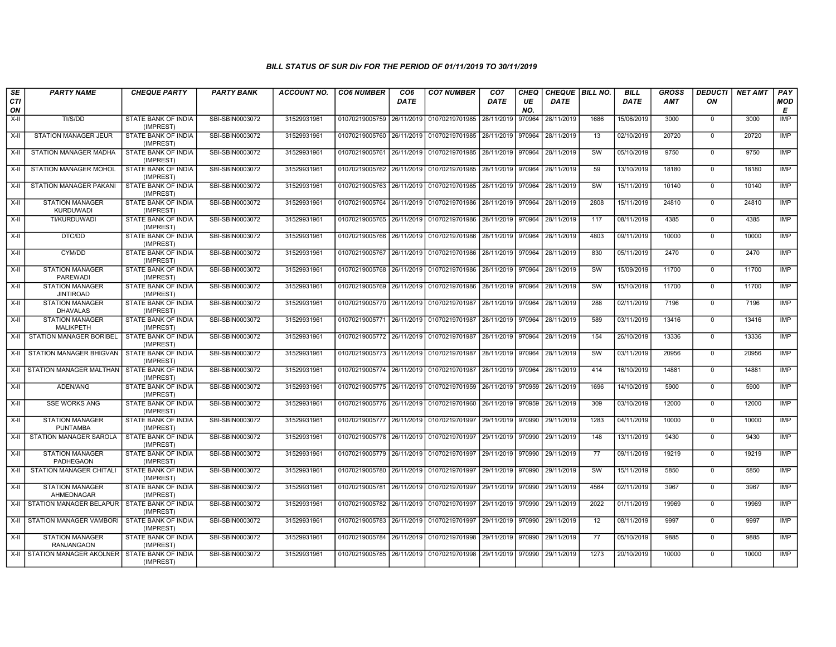| SE        | <b>PARTY NAME</b>                                | <b>CHEQUE PARTY</b>                     | <b>PARTY BANK</b> | <b>ACCOUNT NO.</b> | <b>CO6 NUMBER</b>                        | CO <sub>6</sub> | <b>CO7 NUMBER</b>                                   | CO <sub>7</sub>   | CHEQ      | CHEQUE   BILL NO. |      | <b>BILL</b> | <b>GROSS</b> | <b>DEDUCTI</b> | <b>NET AMT</b> | <b>PAY</b> |
|-----------|--------------------------------------------------|-----------------------------------------|-------------------|--------------------|------------------------------------------|-----------------|-----------------------------------------------------|-------------------|-----------|-------------------|------|-------------|--------------|----------------|----------------|------------|
| CTI<br>ON |                                                  |                                         |                   |                    |                                          | <b>DATE</b>     |                                                     | <b>DATE</b>       | UE<br>NO. | <b>DATE</b>       |      | <b>DATE</b> | AMT          | ON             |                | MOD<br>Е   |
| $X-H$     | TI/S/DD                                          | <b>STATE BANK OF INDIA</b><br>(IMPREST) | SBI-SBIN0003072   | 31529931961        | 01070219005759 26/11/2019 01070219701985 |                 |                                                     | 28/11/2019        | 970964    | 28/11/2019        | 1686 | 15/06/2019  | 3000         | $\mathbf 0$    | 3000           | <b>IMP</b> |
| X-II      | STATION MANAGER JEUR                             | STATE BANK OF INDIA<br>(IMPREST)        | SBI-SBIN0003072   | 31529931961        |                                          |                 | 01070219005760 26/11/2019 01070219701985 28/11/2019 |                   | 970964    | 28/11/2019        | 13   | 02/10/2019  | 20720        | $\mathbf 0$    | 20720          | <b>IMP</b> |
| $X-H$     | <b>STATION MANAGER MADHA</b>                     | <b>STATE BANK OF INDIA</b><br>(IMPREST) | SBI-SBIN0003072   | 31529931961        |                                          |                 | 01070219005761 26/11/2019 01070219701985            | 28/11/2019 970964 |           | 28/11/2019        | SW   | 05/10/2019  | 9750         | $\mathbf 0$    | 9750           | <b>IMP</b> |
| X-II      | STATION MANAGER MOHOL                            | STATE BANK OF INDIA<br>(IMPREST)        | SBI-SBIN0003072   | 31529931961        | 01070219005762 26/11/2019 01070219701985 |                 |                                                     | 28/11/2019        | 970964    | 28/11/2019        | 59   | 13/10/2019  | 18180        | $\mathbf 0$    | 18180          | IMP        |
| $X-H$     | STATION MANAGER PAKANI                           | STATE BANK OF INDIA<br>(IMPREST)        | SBI-SBIN0003072   | 31529931961        |                                          |                 | 01070219005763 26/11/2019 01070219701985            | 28/11/2019        | 970964    | 28/11/2019        | SW   | 15/11/2019  | 10140        | $\mathbf 0$    | 10140          | <b>IMP</b> |
| X-II      | <b>STATION MANAGER</b><br><b>KURDUWADI</b>       | STATE BANK OF INDIA<br>(IMPREST)        | SBI-SBIN0003072   | 31529931961        | 01070219005764 26/11/2019 01070219701986 |                 |                                                     | 28/11/2019 970964 |           | 28/11/2019        | 2808 | 15/11/2019  | 24810        | $\mathbf 0$    | 24810          | IMP        |
| $X-II$    | TI/KURDUWADI                                     | STATE BANK OF INDIA<br>(IMPREST)        | SBI-SBIN0003072   | 31529931961        | 01070219005765 26/11/2019                |                 | 01070219701986                                      | 28/11/2019        | 970964    | 28/11/2019        | 117  | 08/11/2019  | 4385         | $\mathbf 0$    | 4385           | <b>IMP</b> |
| X-II      | DTC/DD                                           | STATE BANK OF INDIA<br>(IMPREST)        | SBI-SBIN0003072   | 31529931961        |                                          |                 | 01070219005766   26/11/2019   01070219701986        | 28/11/2019        | 970964    | 28/11/2019        | 4803 | 09/11/2019  | 10000        | $\mathbf 0$    | 10000          | <b>IMP</b> |
| X-II      | CYM/DD                                           | <b>STATE BANK OF INDIA</b><br>(IMPREST) | SBI-SBIN0003072   | 31529931961        | 01070219005767 26/11/2019 01070219701986 |                 |                                                     | 28/11/2019 970964 |           | 28/11/2019        | 830  | 05/11/2019  | 2470         | $\mathbf 0$    | 2470           | IMP        |
| X-II      | <b>STATION MANAGER</b><br>PAREWADI               | STATE BANK OF INDIA<br>(IMPREST)        | SBI-SBIN0003072   | 31529931961        | 01070219005768 26/11/2019 01070219701986 |                 |                                                     | 28/11/2019 970964 |           | 28/11/2019        | SW   | 15/09/2019  | 11700        | $\mathbf 0$    | 11700          | <b>IMP</b> |
| X-II      | <b>STATION MANAGER</b><br><b>JINTIROAD</b>       | STATE BANK OF INDIA<br>(IMPREST)        | SBI-SBIN0003072   | 31529931961        | 01070219005769 26/11/2019 01070219701986 |                 |                                                     | 28/11/2019 970964 |           | 28/11/2019        | SW   | 15/10/2019  | 11700        | $\mathbf 0$    | 11700          | <b>IMP</b> |
| X-II      | <b>STATION MANAGER</b><br><b>DHAVALAS</b>        | STATE BANK OF INDIA<br>(IMPREST)        | SBI-SBIN0003072   | 31529931961        | 01070219005770 26/11/2019 01070219701987 |                 |                                                     | 28/11/2019 970964 |           | 28/11/2019        | 288  | 02/11/2019  | 7196         | $\mathbf 0$    | 7196           | IMP        |
| X-II      | <b>STATION MANAGER</b><br>MALIKPETH              | <b>STATE BANK OF INDIA</b><br>(IMPREST) | SBI-SBIN0003072   | 31529931961        | 01070219005771 26/11/2019 01070219701987 |                 |                                                     | 28/11/2019 970964 |           | 28/11/2019        | 589  | 03/11/2019  | 13416        | $\Omega$       | 13416          | IMP        |
| X-II      | STATION MANAGER BORIBEL                          | STATE BANK OF INDIA<br>(IMPREST)        | SBI-SBIN0003072   | 31529931961        | 01070219005772 26/11/2019 01070219701987 |                 |                                                     | 28/11/2019        | 970964    | 28/11/2019        | 154  | 26/10/2019  | 13336        | 0              | 13336          | IMP        |
| $X-H$     | <b>STATION MANAGER BHIGVAN</b>                   | STATE BANK OF INDIA<br>(IMPREST)        | SBI-SBIN0003072   | 31529931961        | 01070219005773 26/11/2019 01070219701987 |                 |                                                     | 28/11/2019        | 970964    | 28/11/2019        | SW   | 03/11/2019  | 20956        | $\mathbf 0$    | 20956          | IMP        |
| X-II      | STATION MANAGER MALTHAN   STATE BANK OF INDIA    | (IMPREST)                               | SBI-SBIN0003072   | 31529931961        | 01070219005774 26/11/2019 01070219701987 |                 |                                                     | 28/11/2019 970964 |           | 28/11/2019        | 414  | 16/10/2019  | 14881        | $\mathbf 0$    | 14881          | IMP        |
| X-II      | ADEN/ANG                                         | STATE BANK OF INDIA<br>(IMPREST)        | SBI-SBIN0003072   | 31529931961        | 01070219005775 26/11/2019 01070219701959 |                 |                                                     | 26/11/2019        | 970959    | 26/11/2019        | 1696 | 14/10/2019  | 5900         | $\mathbf 0$    | 5900           | IMP        |
| X-II      | <b>SSE WORKS ANG</b>                             | STATE BANK OF INDIA<br>(IMPREST)        | SBI-SBIN0003072   | 31529931961        |                                          |                 | 01070219005776 26/11/2019 01070219701960            | 26/11/2019        | 970959    | 26/11/2019        | 309  | 03/10/2019  | 12000        | $\Omega$       | 12000          | IMP        |
| $X-II$    | <b>STATION MANAGER</b><br><b>PUNTAMBA</b>        | STATE BANK OF INDIA<br>(IMPREST)        | SBI-SBIN0003072   | 31529931961        | 01070219005777 26/11/2019 01070219701997 |                 |                                                     | 29/11/2019 970990 |           | 29/11/2019        | 1283 | 04/11/2019  | 10000        | $\mathbf 0$    | 10000          | <b>IMP</b> |
| X-II      | STATION MANAGER SAROLA                           | STATE BANK OF INDIA<br>(IMPREST)        | SBI-SBIN0003072   | 31529931961        | 01070219005778 26/11/2019 01070219701997 |                 |                                                     | 29/11/2019        | 970990    | 29/11/2019        | 148  | 13/11/2019  | 9430         | $\mathbf 0$    | 9430           | IMP        |
| $X-H$     | <b>STATION MANAGER</b><br>PADHEGAON              | STATE BANK OF INDIA<br>(IMPREST)        | SBI-SBIN0003072   | 31529931961        | 01070219005779 26/11/2019 01070219701997 |                 |                                                     | 29/11/2019        | 970990    | 29/11/2019        | 77   | 09/11/2019  | 19219        | $\mathbf 0$    | 19219          | <b>IMP</b> |
| X-II      | STATION MANAGER CHITALI                          | STATE BANK OF INDIA<br>(IMPREST)        | SBI-SBIN0003072   | 31529931961        | 01070219005780 26/11/2019 01070219701997 |                 |                                                     | 29/11/2019        | 970990    | 29/11/2019        | SW   | 15/11/2019  | 5850         | 0              | 5850           | IMP        |
| $X-II$    | <b>STATION MANAGER</b><br>AHMEDNAGAR             | STATE BANK OF INDIA<br>(IMPREST)        | SBI-SBIN0003072   | 31529931961        | 01070219005781 26/11/2019 01070219701997 |                 |                                                     | 29/11/2019        | 970990    | 29/11/2019        | 4564 | 02/11/2019  | 3967         | $\Omega$       | 3967           | <b>IMP</b> |
| X-II      | STATION MANAGER BELAPUR                          | STATE BANK OF INDIA<br>(IMPREST)        | SBI-SBIN0003072   | 31529931961        | 01070219005782 26/11/2019 01070219701997 |                 |                                                     | 29/11/2019        | 970990    | 29/11/2019        | 2022 | 01/11/2019  | 19969        | 0              | 19969          | IMP        |
| X-II      | STATION MANAGER VAMBORI                          | <b>STATE BANK OF INDIA</b><br>(IMPREST) | SBI-SBIN0003072   | 31529931961        | 01070219005783 26/11/2019 01070219701997 |                 |                                                     | 29/11/2019        | 970990    | 29/11/2019        | 12   | 08/11/2019  | 9997         | $\mathbf 0$    | 9997           | IMP        |
| X-II      | <b>STATION MANAGER</b><br><b>RANJANGAON</b>      | STATE BANK OF INDIA<br>(IMPREST)        | SBI-SBIN0003072   | 31529931961        |                                          |                 | 01070219005784 26/11/2019 01070219701998            | 29/11/2019        | 970990    | 29/11/2019        | 77   | 05/10/2019  | 9885         | $\Omega$       | 9885           | IMP        |
|           | X-II STATION MANAGER AKOLNER STATE BANK OF INDIA | (IMPREST)                               | SBI-SBIN0003072   | 31529931961        |                                          |                 | 01070219005785 26/11/2019 01070219701998 29/11/2019 |                   | 970990    | 29/11/2019        | 1273 | 20/10/2019  | 10000        | $\mathbf 0$    | 10000          | <b>IMP</b> |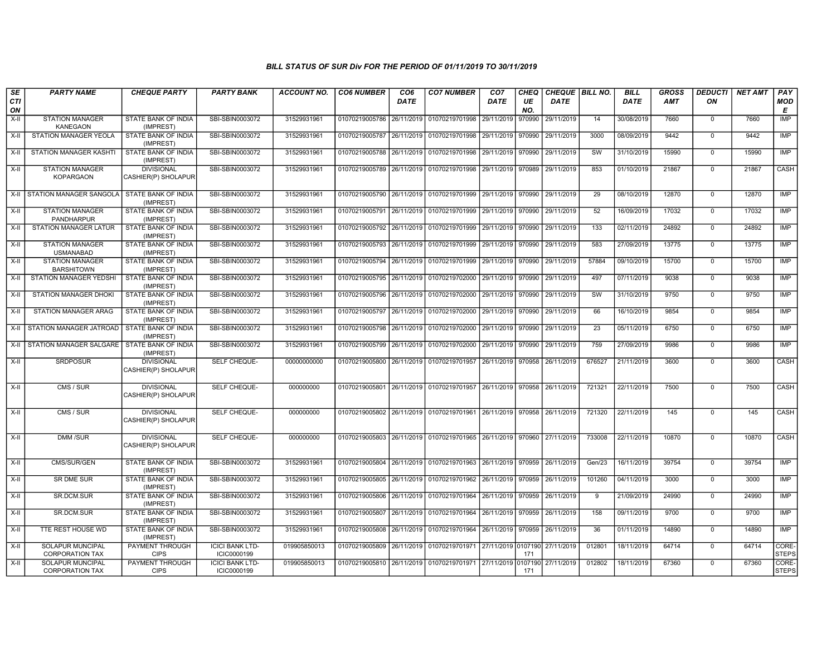| <b>SE</b><br>CTI<br>ON | <b>PARTY NAME</b>                           | <b>CHEQUE PARTY</b>                      | <b>PARTY BANK</b>                     | <b>ACCOUNT NO.</b> | <b>CO6 NUMBER</b>         | CO <sub>6</sub><br><b>DATE</b> | <b>CO7 NUMBER</b>                                          | CO <sub>7</sub><br><b>DATE</b> | CHEQ<br>UE<br>NO. | CHEQUE   BILL NO.<br><b>DATE</b> |           | <b>BILL</b><br><b>DATE</b> | <b>GROSS</b><br><b>AMT</b> | <b>DEDUCTI</b><br>ON | <b>NET AMT</b> | PAY<br><b>MOD</b><br>Е |
|------------------------|---------------------------------------------|------------------------------------------|---------------------------------------|--------------------|---------------------------|--------------------------------|------------------------------------------------------------|--------------------------------|-------------------|----------------------------------|-----------|----------------------------|----------------------------|----------------------|----------------|------------------------|
| X-II                   | <b>STATION MANAGER</b><br><b>KANEGAON</b>   | STATE BANK OF INDIA<br>(IMPREST)         | SBI-SBIN0003072                       | 31529931961        | 01070219005786            | 26/11/2019                     | 01070219701998                                             | 29/11/2019                     | 970990            | 29/11/2019                       | 14        | 30/08/2019                 | 7660                       | $\mathbf 0$          | 7660           | <b>IMP</b>             |
| X-II                   | STATION MANAGER YEOLA                       | STATE BANK OF INDIA<br>(IMPREST)         | SBI-SBIN0003072                       | 31529931961        | 01070219005787            | 26/11/2019                     | 01070219701998 29/11/2019                                  |                                | 970990            | 29/11/2019                       | 3000      | 08/09/2019                 | 9442                       | $\mathbf 0$          | 9442           | IMP                    |
| $X-II$                 | STATION MANAGER KASHTI                      | STATE BANK OF INDIA<br>(IMPREST)         | SBI-SBIN0003072                       | 31529931961        | 01070219005788 26/11/2019 |                                | 01070219701998 29/11/2019 970990                           |                                |                   | 29/11/2019                       | <b>SW</b> | 31/10/2019                 | 15990                      | $\mathbf 0$          | 15990          | <b>IMP</b>             |
| X-II                   | <b>STATION MANAGER</b><br><b>KOPARGAON</b>  | <b>DIVISIONAL</b><br>CASHIER(P) SHOLAPUR | SBI-SBIN0003072                       | 31529931961        | 01070219005789 26/11/2019 |                                | 01070219701998 29/11/2019                                  |                                | 970989            | 29/11/2019                       | 853       | 01/10/2019                 | 21867                      | $\mathbf 0$          | 21867          | <b>CASH</b>            |
|                        | X-II STATION MANAGER SANGOLA                | STATE BANK OF INDIA<br>(IMPREST)         | SBI-SBIN0003072                       | 31529931961        | 01070219005790            | 26/11/2019                     | 01070219701999 29/11/2019 970990                           |                                |                   | 29/11/2019                       | 29        | 08/10/2019                 | 12870                      | $\mathbf 0$          | 12870          | <b>IMP</b>             |
| X-II                   | <b>STATION MANAGER</b><br>PANDHARPUR        | STATE BANK OF INDIA<br>(IMPREST)         | SBI-SBIN0003072                       | 31529931961        | 01070219005791 26/11/2019 |                                | 01070219701999 29/11/2019 970990                           |                                |                   | 29/11/2019                       | 52        | 16/09/2019                 | 17032                      | $\mathbf 0$          | 17032          | IMP                    |
| X-II                   | <b>STATION MANAGER LATUR</b>                | <b>STATE BANK OF INDIA</b><br>(IMPREST)  | SBI-SBIN0003072                       | 31529931961        | 01070219005792            | 26/11/2019                     | 01070219701999 29/11/2019                                  |                                | 970990            | 29/11/2019                       | 133       | 02/11/2019                 | 24892                      | $\mathbf 0$          | 24892          | IMP                    |
| X-II                   | <b>STATION MANAGER</b><br><b>USMANABAD</b>  | STATE BANK OF INDIA<br>(IMPREST)         | SBI-SBIN0003072                       | 31529931961        | 01070219005793            | 26/11/2019                     | 01070219701999 29/11/2019 970990                           |                                |                   | 29/11/2019                       | 583       | 27/09/2019                 | 13775                      | $\mathbf 0$          | 13775          | IMP                    |
| X-II                   | <b>STATION MANAGER</b><br><b>BARSHITOWN</b> | STATE BANK OF INDIA<br>(IMPREST)         | SBI-SBIN0003072                       | 31529931961        | 01070219005794            | 26/11/2019                     | 01070219701999                                             | 29/11/2019                     | 970990            | 29/11/2019                       | 57884     | 09/10/2019                 | 15700                      | $\mathbf 0$          | 15700          | <b>IMP</b>             |
| $X-H$                  | STATION MANAGER YEDSHI                      | STATE BANK OF INDIA<br>(IMPREST)         | SBI-SBIN0003072                       | 31529931961        | 01070219005795            | 26/11/2019                     | 01070219702000 29/11/2019 970990                           |                                |                   | 29/11/2019                       | 497       | 07/11/2019                 | 9038                       | $\mathbf 0$          | 9038           | <b>IMP</b>             |
| $X-II$                 | <b>STATION MANAGER DHOKI</b>                | <b>STATE BANK OF INDIA</b><br>(IMPREST)  | SBI-SBIN0003072                       | 31529931961        | 01070219005796            | 26/11/2019                     | 01070219702000 29/11/2019 970990                           |                                |                   | 29/11/2019                       | SW        | 31/10/2019                 | 9750                       | $\overline{0}$       | 9750           | <b>IMP</b>             |
| X-II                   | <b>STATION MANAGER ARAG</b>                 | STATE BANK OF INDIA<br>(IMPREST)         | SBI-SBIN0003072                       | 31529931961        | 01070219005797            | 26/11/2019                     | 01070219702000 29/11/2019 970990                           |                                |                   | 29/11/2019                       | 66        | 16/10/2019                 | 9854                       | $\mathbf 0$          | 9854           | IMP                    |
| X-II                   | STATION MANAGER JATROAD                     | STATE BANK OF INDIA<br>(IMPREST)         | SBI-SBIN0003072                       | 31529931961        | 01070219005798            | 26/11/2019                     | 01070219702000                                             | 29/11/2019   970990            |                   | 29/11/2019                       | 23        | 05/11/2019                 | 6750                       | $\mathbf 0$          | 6750           | <b>IMP</b>             |
|                        | X-II STATION MANAGER SALGARE                | STATE BANK OF INDIA<br>(IMPREST)         | SBI-SBIN0003072                       | 31529931961        | 01070219005799            | 26/11/2019                     | 01070219702000 29/11/2019 970990                           |                                |                   | 29/11/2019                       | 759       | 27/09/2019                 | 9986                       | $\mathbf 0$          | 9986           | <b>IMP</b>             |
| X-II                   | <b>SRDPOSUR</b>                             | <b>DIVISIONAL</b><br>CASHIER(P) SHOLAPUR | SELF CHEQUE-                          | 00000000000        |                           |                                | 01070219005800 26/11/2019 01070219701957 26/11/2019 970958 |                                |                   | 26/11/2019                       | 676527    | 21/11/2019                 | 3600                       | $\Omega$             | 3600           | CASH                   |
| X-II                   | CMS / SUR                                   | <b>DIVISIONAL</b><br>CASHIER(P) SHOLAPUR | SELF CHEQUE-                          | 000000000          |                           |                                | 01070219005801 26/11/2019 01070219701957 26/11/2019 970958 |                                |                   | 26/11/2019                       | 721321    | 22/11/2019                 | 7500                       | $\mathbf 0$          | 7500           | CASH                   |
| X-II                   | CMS / SUR                                   | <b>DIVISIONAL</b><br>CASHIER(P) SHOLAPUR | SELF CHEQUE-                          | 000000000          |                           |                                | 01070219005802 26/11/2019 01070219701961 26/11/2019 970958 |                                |                   | 26/11/2019                       | 721320    | 22/11/2019                 | 145                        | $\mathbf 0$          | 145            | CASH                   |
| X-II                   | <b>DMM/SUR</b>                              | <b>DIVISIONAL</b><br>CASHIER(P) SHOLAPUR | SELF CHEQUE-                          | 000000000          |                           |                                | 01070219005803 26/11/2019 01070219701965 26/11/2019 970960 |                                |                   | 27/11/2019                       | 733008    | 22/11/2019                 | 10870                      | $\overline{0}$       | 10870          | CASH                   |
| $X-H$                  | CMS/SUR/GEN                                 | STATE BANK OF INDIA<br>(IMPREST)         | SBI-SBIN0003072                       | 31529931961        | 01070219005804            | 26/11/2019                     | 01070219701963 26/11/2019 970959                           |                                |                   | 26/11/2019                       | Gen/23    | 16/11/2019                 | 39754                      | $\mathbf 0$          | 39754          | <b>IMP</b>             |
| X-II                   | SR DME SUR                                  | STATE BANK OF INDIA<br>(IMPREST)         | SBI-SBIN0003072                       | 31529931961        | 01070219005805 26/11/2019 |                                | 01070219701962 26/11/2019 970959                           |                                |                   | 26/11/2019                       | 101260    | 04/11/2019                 | 3000                       | $\mathbf 0$          | 3000           | IMP                    |
| X-II                   | SR.DCM.SUR                                  | STATE BANK OF INDIA<br>(IMPREST)         | SBI-SBIN0003072                       | 31529931961        | 01070219005806            | 26/11/2019                     | 01070219701964 26/11/2019                                  |                                | 970959            | 26/11/2019                       | 9         | 21/09/2019                 | 24990                      | $\mathbf 0$          | 24990          | <b>IMP</b>             |
| X-II                   | SR.DCM.SUR                                  | STATE BANK OF INDIA<br>(IMPREST)         | SBI-SBIN0003072                       | 31529931961        | 01070219005807            | 26/11/2019                     | 01070219701964                                             | 26/11/2019 970959              |                   | 26/11/2019                       | 158       | 09/11/2019                 | 9700                       | $\mathbf 0$          | 9700           | IMP                    |
| X-II                   | TTE REST HOUSE WD                           | STATE BANK OF INDIA<br>(IMPREST)         | SBI-SBIN0003072                       | 31529931961        | 01070219005808            | 26/11/2019                     | 01070219701964 26/11/2019                                  |                                | 970959            | 26/11/2019                       | 36        | 01/11/2019                 | 14890                      | $\mathbf 0$          | 14890          | IMP                    |
| X-II                   | SOLAPUR MUNCIPAL<br><b>CORPORATION TAX</b>  | PAYMENT THROUGH<br><b>CIPS</b>           | <b>ICICI BANK LTD-</b><br>ICIC0000199 | 019905850013       | 01070219005809            | 26/11/2019                     | 01070219701971 27/11/2019 0107190 27/11/2019               |                                | 171               |                                  | 012801    | 18/11/2019                 | 64714                      | $\mathbf 0$          | 64714          | CORE-<br><b>STEPS</b>  |
| $X-H$                  | SOLAPUR MUNCIPAL<br><b>CORPORATION TAX</b>  | PAYMENT THROUGH<br><b>CIPS</b>           | <b>ICICI BANK LTD-</b><br>ICIC0000199 | 019905850013       | 01070219005810 26/11/2019 |                                | 01070219701971 27/11/2019                                  |                                | 0107190<br>171    | 27/11/2019                       | 012802    | 18/11/2019                 | 67360                      | $\mathbf 0$          | 67360          | CORE-<br><b>STEPS</b>  |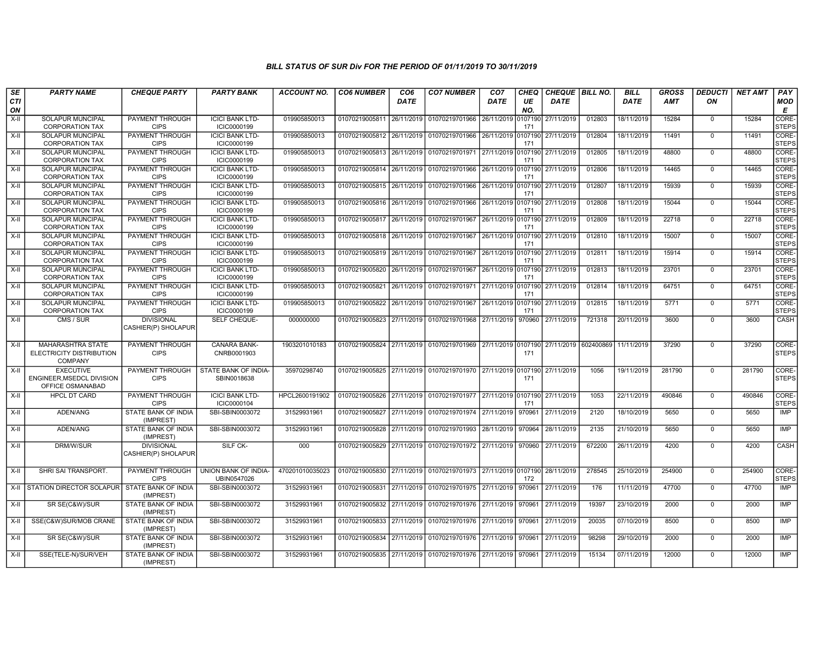| SE               | <b>PARTY NAME</b>                                                | <b>CHEQUE PARTY</b>                      | <b>PARTY BANK</b>                     | <b>ACCOUNT NO.</b> | <b>CO6 NUMBER</b>         | CO <sub>6</sub> | <b>CO7 NUMBER</b>                                           | CO <sub>7</sub>    | CHEQ           | CHEQUE   BILL NO. |                      | <b>BILL</b> | <b>GROSS</b> | <b>DEDUCTI</b> | <b>NET AMT</b> | <b>PAY</b>            |
|------------------|------------------------------------------------------------------|------------------------------------------|---------------------------------------|--------------------|---------------------------|-----------------|-------------------------------------------------------------|--------------------|----------------|-------------------|----------------------|-------------|--------------|----------------|----------------|-----------------------|
| <b>CTI</b><br>ON |                                                                  |                                          |                                       |                    |                           | <b>DATE</b>     |                                                             | <b>DATE</b>        | UE<br>NO.      | <b>DATE</b>       |                      | <b>DATE</b> | AMT          | ON             |                | <b>MOD</b><br>E       |
| $X-H$            | <b>SOLAPUR MUNCIPAL</b><br><b>CORPORATION TAX</b>                | PAYMENT THROUGH<br><b>CIPS</b>           | <b>ICICI BANK LTD-</b><br>ICIC0000199 | 019905850013       | 01070219005811 26/11/2019 |                 | 01070219701966                                              | 26/11/2019         | 0107190<br>171 | 27/11/2019        | 012803               | 18/11/2019  | 15284        | $\mathbf 0$    | 15284          | CORE-<br><b>STEPS</b> |
| $X-H$            | <b>SOLAPUR MUNCIPAL</b><br><b>CORPORATION TAX</b>                | PAYMENT THROUGH<br><b>CIPS</b>           | <b>ICICI BANK LTD-</b><br>ICIC0000199 | 019905850013       | 01070219005812 26/11/2019 |                 | 01070219701966 26/11/2019 0107190                           |                    | 171            | 27/11/2019        | 012804               | 18/11/2019  | 11491        | $\Omega$       | 11491          | CORE-<br><b>STEPS</b> |
| $X-II$           | <b>SOLAPUR MUNCIPAL</b><br><b>CORPORATION TAX</b>                | PAYMENT THROUGH<br><b>CIPS</b>           | <b>ICICI BANK LTD-</b><br>ICIC0000199 | 019905850013       | 01070219005813 26/11/2019 |                 | 01070219701971 27/11/2019 0107190                           |                    | 171            | 27/11/2019        | 012805               | 18/11/2019  | 48800        | $\mathbf 0$    | 48800          | CORE-<br><b>STEPS</b> |
| X-II             | <b>SOLAPUR MUNCIPAL</b><br><b>CORPORATION TAX</b>                | <b>PAYMENT THROUGH</b><br><b>CIPS</b>    | <b>ICICI BANK LTD-</b><br>ICIC0000199 | 019905850013       | 01070219005814 26/11/2019 |                 | 01070219701966                                              | 26/11/2019 0107190 | 171            | 27/11/2019        | 012806               | 18/11/2019  | 14465        | $\mathbf 0$    | 14465          | CORE-<br><b>STEPS</b> |
| $X-H$            | <b>SOLAPUR MUNCIPAL</b><br><b>CORPORATION TAX</b>                | PAYMENT THROUGH<br><b>CIPS</b>           | <b>ICICI BANK LTD-</b><br>ICIC0000199 | 019905850013       | 01070219005815            | 26/11/2019      | 01070219701966                                              | 26/11/2019 0107190 | 171            | 27/11/2019        | 012807               | 18/11/2019  | 15939        | $\Omega$       | 15939          | CORE-<br><b>STEPS</b> |
| $X-H$            | <b>SOLAPUR MUNCIPAL</b><br><b>CORPORATION TAX</b>                | PAYMENT THROUGH<br><b>CIPS</b>           | <b>ICICI BANK LTD-</b><br>ICIC0000199 | 019905850013       | 01070219005816 26/11/2019 |                 | 01070219701966 26/11/2019 0107190                           |                    | 171            | 27/11/2019        | 012808               | 18/11/2019  | 15044        | $\mathbf 0$    | 15044          | CORE-<br><b>STEPS</b> |
| $X-II$           | SOLAPUR MUNCIPAL<br><b>CORPORATION TAX</b>                       | PAYMENT THROUGH<br><b>CIPS</b>           | <b>ICICI BANK LTD-</b><br>ICIC0000199 | 019905850013       | 01070219005817 26/11/2019 |                 | 01070219701967 26/11/2019 0107190                           |                    | 171            | 27/11/2019        | 012809               | 18/11/2019  | 22718        | $\overline{0}$ | 22718          | CORE-<br><b>STEPS</b> |
| $X-H$            | <b>SOLAPUR MUNCIPAL</b><br><b>CORPORATION TAX</b>                | PAYMENT THROUGH<br><b>CIPS</b>           | <b>ICICI BANK LTD-</b><br>ICIC0000199 | 019905850013       | 01070219005818 26/11/2019 |                 | 01070219701967 26/11/2019 0107190                           |                    | 171            | 27/11/2019        | 012810               | 18/11/2019  | 15007        | $\mathbf 0$    | 15007          | CORE-<br><b>STEPS</b> |
| X-II             | <b>SOLAPUR MUNCIPAL</b><br><b>CORPORATION TAX</b>                | PAYMENT THROUGH<br><b>CIPS</b>           | <b>ICICI BANK LTD-</b><br>ICIC0000199 | 019905850013       | 01070219005819 26/11/2019 |                 | 01070219701967 26/11/2019 0107190                           |                    | 171            | 27/11/2019        | 012811               | 18/11/2019  | 15914        | $\mathbf 0$    | 15914          | CORE-<br><b>STEPS</b> |
| $X-II$           | <b>SOLAPUR MUNCIPAL</b><br><b>CORPORATION TAX</b>                | PAYMENT THROUGH<br><b>CIPS</b>           | <b>ICICI BANK LTD-</b><br>ICIC0000199 | 019905850013       | 01070219005820            | 26/11/2019      | 01070219701967 26/11/2019 0107190                           |                    | 171            | 27/11/2019        | 012813               | 18/11/2019  | 23701        | $\Omega$       | 23701          | CORE-<br><b>STEPS</b> |
| $X-H$            | <b>SOLAPUR MUNCIPAL</b><br><b>CORPORATION TAX</b>                | <b>PAYMENT THROUGH</b><br><b>CIPS</b>    | <b>ICICI BANK LTD-</b><br>ICIC0000199 | 019905850013       | 01070219005821            | 26/11/2019      | 01070219701971 27/11/2019 0107190                           |                    | 171            | 27/11/2019        | 012814               | 18/11/2019  | 64751        | $\mathbf 0$    | 64751          | CORE-<br><b>STEPS</b> |
| $X-H$            | <b>SOLAPUR MUNCIPAL</b><br><b>CORPORATION TAX</b>                | <b>PAYMENT THROUGH</b><br><b>CIPS</b>    | <b>ICICI BANK LTD-</b><br>ICIC0000199 | 019905850013       | 01070219005822 26/11/2019 |                 | 01070219701967 26/11/2019 0107190                           |                    | 171            | 27/11/2019        | 012815               | 18/11/2019  | 5771         | $\overline{0}$ | 5771           | CORE-<br><b>STEPS</b> |
| $X-H$            | CMS / SUR                                                        | <b>DIVISIONAL</b><br>CASHIER(P) SHOLAPUR | <b>SELF CHEQUE-</b>                   | 000000000          | 01070219005823            | 27/11/2019      | 01070219701968 27/11/2019                                   |                    | 970960         | 27/11/2019        | 721318               | 20/11/2019  | 3600         | $\mathbf 0$    | 3600           | <b>CASH</b>           |
| $X-H$            | <b>MAHARASHTRA STATE</b><br>ELECTRICITY DISTRIBUTION<br>COMPANY  | <b>PAYMENT THROUGH</b><br><b>CIPS</b>    | <b>CANARA BANK-</b><br>CNRB0001903    | 1903201010183      |                           |                 | 01070219005824 27/11/2019 01070219701969 27/11/2019 0107190 |                    | 171            |                   | 27/11/2019 602400869 | 11/11/2019  | 37290        | $\Omega$       | 37290          | CORE-<br><b>STEPS</b> |
| $X-II$           | <b>EXECUTIVE</b><br>ENGINEER MSEDCL DIVISION<br>OFFICE OSMANABAD | PAYMENT THROUGH<br><b>CIPS</b>           | STATE BANK OF INDIA-<br>SBIN0018638   | 35970298740        |                           |                 | 01070219005825 27/11/2019 01070219701970 27/11/2019 0107190 |                    | 171            | 27/11/2019        | 1056                 | 19/11/2019  | 281790       | $\mathbf 0$    | 281790         | CORE-<br><b>STEPS</b> |
| $X-H$            | <b>HPCL DT CARD</b>                                              | <b>PAYMENT THROUGH</b><br><b>CIPS</b>    | <b>ICICI BANK LTD-</b><br>ICIC0000104 | HPCL2600191902     | 01070219005826 27/11/2019 |                 | 01070219701977 27/11/2019 0107190                           |                    | 171            | 27/11/2019        | 1053                 | 22/11/2019  | 490846       | $\mathbf 0$    | 490846         | CORE-<br><b>STEPS</b> |
| X-II             | ADEN/ANG                                                         | STATE BANK OF INDIA<br>(IMPREST)         | SBI-SBIN0003072                       | 31529931961        | 01070219005827 27/11/2019 |                 | 01070219701974 27/11/2019                                   |                    | 970961         | 27/11/2019        | 2120                 | 18/10/2019  | 5650         | $\mathbf 0$    | 5650           | <b>IMP</b>            |
| X-II             | ADEN/ANG                                                         | STATE BANK OF INDIA<br>(IMPREST)         | SBI-SBIN0003072                       | 31529931961        | 01070219005828 27/11/2019 |                 | 01070219701993 28/11/2019 970964                            |                    |                | 28/11/2019        | 2135                 | 21/10/2019  | 5650         | $\Omega$       | 5650           | <b>IMP</b>            |
| X-II             | DRM/W/SUR                                                        | <b>DIVISIONAL</b><br>CASHIER(P) SHOLAPUR | SILF CK-                              | 000                | 01070219005829            | 27/11/2019      | 01070219701972 27/11/2019 970960                            |                    |                | 27/11/2019        | 672200               | 26/11/2019  | 4200         | $\mathbf 0$    | 4200           | CASH                  |
| $X-II$           | SHRI SAI TRANSPORT.                                              | PAYMENT THROUGH<br><b>CIPS</b>           | UNION BANK OF INDIA-<br>UBIN0547026   | 470201010035023    | 01070219005830 27/11/2019 |                 | 01070219701973 27/11/2019 0107190                           |                    | 172            | 28/11/2019        | 278545               | 25/10/2019  | 254900       | $\overline{0}$ | 254900         | CORE-<br><b>STEPS</b> |
| $X-H$            | <b>STATION DIRECTOR SOLAPUR</b>                                  | STATE BANK OF INDIA<br>(IMPREST)         | SBI-SBIN0003072                       | 31529931961        | 01070219005831 27/11/2019 |                 | 01070219701975 27/11/2019                                   |                    | 970961         | 27/11/2019        | 176                  | 11/11/2019  | 47700        | $\mathbf 0$    | 47700          | <b>IMP</b>            |
| X-II             | SR SE(C&W)/SUR                                                   | STATE BANK OF INDIA<br>(IMPREST)         | SBI-SBIN0003072                       | 31529931961        | 01070219005832            | 27/11/2019      | 01070219701976 27/11/2019 970961                            |                    |                | 27/11/2019        | 19397                | 23/10/2019  | 2000         | $\mathbf 0$    | 2000           | <b>IMP</b>            |
| X-II             | SSE(C&W)SUR/MOB CRANE                                            | STATE BANK OF INDIA<br>(IMPREST)         | SBI-SBIN0003072                       | 31529931961        | 01070219005833            | 27/11/2019      | 01070219701976 27/11/2019 970961                            |                    |                | 27/11/2019        | 20035                | 07/10/2019  | 8500         | $\mathbf 0$    | 8500           | IMP                   |
| $X-II$           | SR SE(C&W)/SUR                                                   | STATE BANK OF INDIA<br>(IMPREST)         | SBI-SBIN0003072                       | 31529931961        | 01070219005834            | 27/11/2019      | 01070219701976 27/11/2019 970961                            |                    |                | 27/11/2019        | 98298                | 29/10/2019  | 2000         | $\Omega$       | 2000           | <b>IMP</b>            |
| $X-H$            | SSE(TELE-N)/SUR/VEH                                              | STATE BANK OF INDIA<br>(IMPREST)         | SBI-SBIN0003072                       | 31529931961        | 01070219005835 27/11/2019 |                 | 01070219701976 27/11/2019 970961                            |                    |                | 27/11/2019        | 15134                | 07/11/2019  | 12000        | $\mathbf 0$    | 12000          | IMP                   |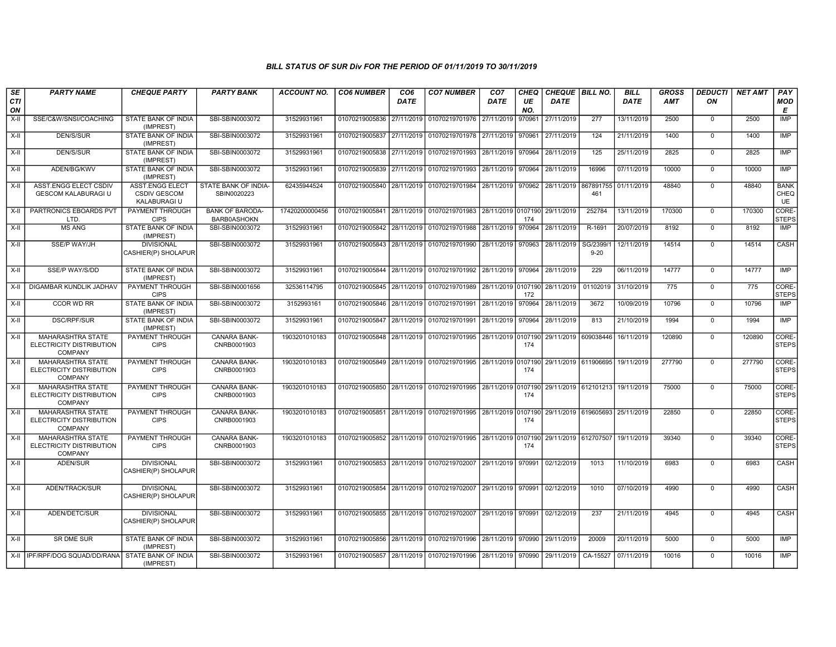| SE               | <b>PARTY NAME</b>                                                      | <b>CHEQUE PARTY</b>                                           | <b>PARTY BANK</b>                            | <b>ACCOUNT NO.</b> | <b>CO6 NUMBER</b>         | CO <sub>6</sub> | <b>CO7 NUMBER</b>                                                                           | CO <sub>7</sub>    | <b>CHEQ</b> | CHEQUE   BILL NO.    |                      | <b>BILL</b> | <b>GROSS</b> | <b>DEDUCTI</b> | <b>NET AMT</b> | <b>PAY</b>                  |
|------------------|------------------------------------------------------------------------|---------------------------------------------------------------|----------------------------------------------|--------------------|---------------------------|-----------------|---------------------------------------------------------------------------------------------|--------------------|-------------|----------------------|----------------------|-------------|--------------|----------------|----------------|-----------------------------|
| <b>CTI</b><br>ON |                                                                        |                                                               |                                              |                    |                           | <b>DATE</b>     |                                                                                             | <b>DATE</b>        | UE<br>NO.   | <b>DATE</b>          |                      | <b>DATE</b> | AMT          | ON             |                | <b>MOD</b><br>Е             |
| $X-II$           | SSE/C&W/SNSI/COACHING                                                  | STATE BANK OF INDIA<br>(IMPREST)                              | SBI-SBIN0003072                              | 31529931961        | 01070219005836 27/11/2019 |                 | 01070219701976                                                                              | 27/11/2019         | 970961      | 27/11/2019           | 277                  | 13/11/2019  | 2500         | $\mathbf 0$    | 2500           | <b>IMP</b>                  |
| $X-II$           | <b>DEN/S/SUR</b>                                                       | STATE BANK OF INDIA<br>(IMPREST)                              | SBI-SBIN0003072                              | 31529931961        | 01070219005837 27/11/2019 |                 | 01070219701978 27/11/2019 970961                                                            |                    |             | 27/11/2019           | 124                  | 21/11/2019  | 1400         | $\mathbf 0$    | 1400           | <b>IMP</b>                  |
| X-II             | <b>DEN/S/SUR</b>                                                       | STATE BANK OF INDIA<br>(IMPREST)                              | SBI-SBIN0003072                              | 31529931961        |                           |                 | 01070219005838 27/11/2019 01070219701993 28/11/2019 970964                                  |                    |             | 28/11/2019           | 125                  | 25/11/2019  | 2825         | $\Omega$       | 2825           | <b>IMP</b>                  |
| X-II             | ADEN/BG/KWV                                                            | STATE BANK OF INDIA<br>(IMPREST)                              | SBI-SBIN0003072                              | 31529931961        |                           |                 | 01070219005839 27/11/2019 01070219701993                                                    | 28/11/2019         | 970964      | 28/11/2019           | 16996                | 07/11/2019  | 10000        | $\mathbf 0$    | 10000          | IMP                         |
| X-II             | ASST.ENGG ELECT CSDIV<br><b>GESCOM KALABURAGI U</b>                    | <b>ASST.ENGG ELECT</b><br><b>CSDIV GESCOM</b><br>KALABURAGI U | STATE BANK OF INDIA-<br>SBIN0020223          | 62435944524        |                           |                 | 01070219005840 28/11/2019 01070219701984 28/11/2019 970962                                  |                    |             | 28/11/2019 867891755 | 461                  | 01/11/2019  | 48840        | $\Omega$       | 48840          | <b>BANK</b><br>CHEQ<br>UE   |
| $X-H$            | PARTRONICS EBOARDS PVT<br>LTD.                                         | PAYMENT THROUGH<br><b>CIPS</b>                                | <b>BANK OF BARODA-</b><br><b>BARB0ASHOKN</b> | 17420200000456     |                           |                 | 01070219005841 28/11/2019 01070219701983 28/11/2019 0107190 29/11/2019                      |                    | 174         |                      | 252784               | 13/11/2019  | 170300       | $\mathbf 0$    | 170300         | <b>CORE</b><br><b>STEPS</b> |
| $X-H$            | <b>MS ANG</b>                                                          | <b>STATE BANK OF INDIA</b><br>(IMPREST)                       | SBI-SBIN0003072                              | 31529931961        |                           |                 | 01070219005842 28/11/2019 01070219701988 28/11/2019                                         |                    | 970964      | 28/11/2019           | R-1691               | 20/07/2019  | 8192         | $\Omega$       | 8192           | IMP                         |
| $X-II$           | <b>SSE/P WAY/JH</b>                                                    | <b>DIVISIONAL</b><br>CASHIER(P) SHOLAPUR                      | SBI-SBIN0003072                              | 31529931961        | 01070219005843            |                 | 28/11/2019 01070219701990 28/11/2019 970963                                                 |                    |             | 28/11/2019           | SG/2399/<br>$9 - 20$ | 12/11/2019  | 14514        | $\Omega$       | 14514          | CASH                        |
| $X-H$            | <b>SSE/P WAY/S/DD</b>                                                  | <b>STATE BANK OF INDIA</b><br>(IMPREST)                       | SBI-SBIN0003072                              | 31529931961        |                           |                 | 01070219005844 28/11/2019 01070219701992 28/11/2019 970964                                  |                    |             | 28/11/2019           | 229                  | 06/11/2019  | 14777        | $\Omega$       | 14777          | <b>IMP</b>                  |
| $X-H$            | DIGAMBAR KUNDLIK JADHAV                                                | PAYMENT THROUGH<br><b>CIPS</b>                                | SBI-SBIN0001656                              | 32536114795        |                           |                 | 01070219005845 28/11/2019 01070219701989                                                    | 28/11/2019 0107190 | 172         | 28/11/2019           | 01102019             | 31/10/2019  | 775          | $\mathbf 0$    | 775            | CORE-<br><b>STEPS</b>       |
| $X-II$           | <b>CCOR WD RR</b>                                                      | <b>STATE BANK OF INDIA</b><br>(IMPREST)                       | SBI-SBIN0003072                              | 3152993161         | 01070219005846 28/11/2019 |                 | 01070219701991 28/11/2019 970964                                                            |                    |             | 28/11/2019           | 3672                 | 10/09/2019  | 10796        | $\mathbf 0$    | 10796          | <b>IMP</b>                  |
| $X-H$            | <b>DSC/RPF/SUR</b>                                                     | STATE BANK OF INDIA<br>(IMPREST)                              | SBI-SBIN0003072                              | 31529931961        |                           |                 | 01070219005847 28/11/2019 01070219701991 28/11/2019 970964                                  |                    |             | 28/11/2019           | 813                  | 21/10/2019  | 1994         | $\mathbf 0$    | 1994           | <b>IMP</b>                  |
| $X-H$            | <b>MAHARASHTRA STATE</b><br>ELECTRICITY DISTRIBUTION<br><b>COMPANY</b> | PAYMENT THROUGH<br><b>CIPS</b>                                | <b>CANARA BANK-</b><br>CNRB0001903           | 1903201010183      |                           |                 | 01070219005848 28/11/2019 01070219701995 28/11/2019 0107190 29/11/2019 609038446            |                    | 174         |                      |                      | 16/11/2019  | 120890       | $\mathbf 0$    | 120890         | CORE-<br><b>STEPS</b>       |
| $X-II$           | MAHARASHTRA STATE<br>ELECTRICITY DISTRIBUTION<br><b>COMPANY</b>        | PAYMENT THROUGH<br><b>CIPS</b>                                | <b>CANARA BANK-</b><br>CNRB0001903           | 1903201010183      |                           |                 | 01070219005849 28/11/2019 01070219701995 28/11/2019 0107190 29/11/2019 611906695            |                    | 174         |                      |                      | 19/11/2019  | 277790       | $\overline{0}$ | 277790         | CORE-<br><b>STEPS</b>       |
| $X-II$           | MAHARASHTRA STATE<br>ELECTRICITY DISTRIBUTION<br><b>COMPANY</b>        | PAYMENT THROUGH<br><b>CIPS</b>                                | CANARA BANK-<br>CNRB0001903                  | 1903201010183      |                           |                 | 01070219005850 28/11/2019 01070219701995 28/11/2019 0107190                                 |                    | 174         | 29/11/2019 612101213 |                      | 19/11/2019  | 75000        | $\mathbf 0$    | 75000          | CORE-<br><b>STEPS</b>       |
| $X-H$            | MAHARASHTRA STATE<br>ELECTRICITY DISTRIBUTION<br><b>COMPANY</b>        | <b>PAYMENT THROUGH</b><br><b>CIPS</b>                         | CANARA BANK-<br>CNRB0001903                  | 1903201010183      |                           |                 | 01070219005851 28/11/2019 01070219701995 28/11/2019 0107190 29/11/2019 619605693 25/11/2019 |                    | 174         |                      |                      |             | 22850        | $\Omega$       | 22850          | CORE-<br><b>STEPS</b>       |
| X-II             | MAHARASHTRA STATE<br>ELECTRICITY DISTRIBUTION<br>COMPANY               | PAYMENT THROUGH<br><b>CIPS</b>                                | CANARA BANK-<br>CNRB0001903                  | 1903201010183      |                           |                 | 01070219005852 28/11/2019 01070219701995 28/11/2019 0107190                                 |                    | 174         | 29/11/2019 612707507 |                      | 19/11/2019  | 39340        | $\Omega$       | 39340          | CORE-<br><b>STEPS</b>       |
| X-II             | ADEN/SUR                                                               | <b>DIVISIONAL</b><br>CASHIER(P) SHOLAPUR                      | SBI-SBIN0003072                              | 31529931961        |                           |                 | 01070219005853 28/11/2019 01070219702007                                                    | 29/11/2019 970991  |             | 02/12/2019           | 1013                 | 11/10/2019  | 6983         | $\Omega$       | 6983           | CASH                        |
| $X-H$            | ADEN/TRACK/SUR                                                         | <b>DIVISIONAL</b><br>CASHIER(P) SHOLAPUR                      | SBI-SBIN0003072                              | 31529931961        |                           |                 | 01070219005854 28/11/2019 01070219702007                                                    | 29/11/2019 970991  |             | 02/12/2019           | 1010                 | 07/10/2019  | 4990         | $\mathbf 0$    | 4990           | CASH                        |
| X-II             | ADEN/DETC/SUR                                                          | <b>DIVISIONAL</b><br>CASHIER(P) SHOLAPUR                      | SBI-SBIN0003072                              | 31529931961        |                           |                 | 01070219005855 28/11/2019 01070219702007                                                    | 29/11/2019 970991  |             | 02/12/2019           | 237                  | 21/11/2019  | 4945         | $\mathbf 0$    | 4945           | CASH                        |
| $X-II$           | SR DME SUR                                                             | STATE BANK OF INDIA<br>(IMPREST)                              | SBI-SBIN0003072                              | 31529931961        |                           |                 | 01070219005856 28/11/2019 01070219701996 28/11/2019 970990                                  |                    |             | 29/11/2019           | 20009                | 20/11/2019  | 5000         | $\mathbf 0$    | 5000           | <b>IMP</b>                  |
|                  | X-II   IPF/RPF/DOG SQUAD/DD/RANA   STATE BANK OF INDIA                 | (IMPREST)                                                     | SBI-SBIN0003072                              | 31529931961        |                           |                 | 01070219005857 28/11/2019 01070219701996 28/11/2019 970990                                  |                    |             | 29/11/2019           | CA-15527             | 07/11/2019  | 10016        | $\Omega$       | 10016          | IMP                         |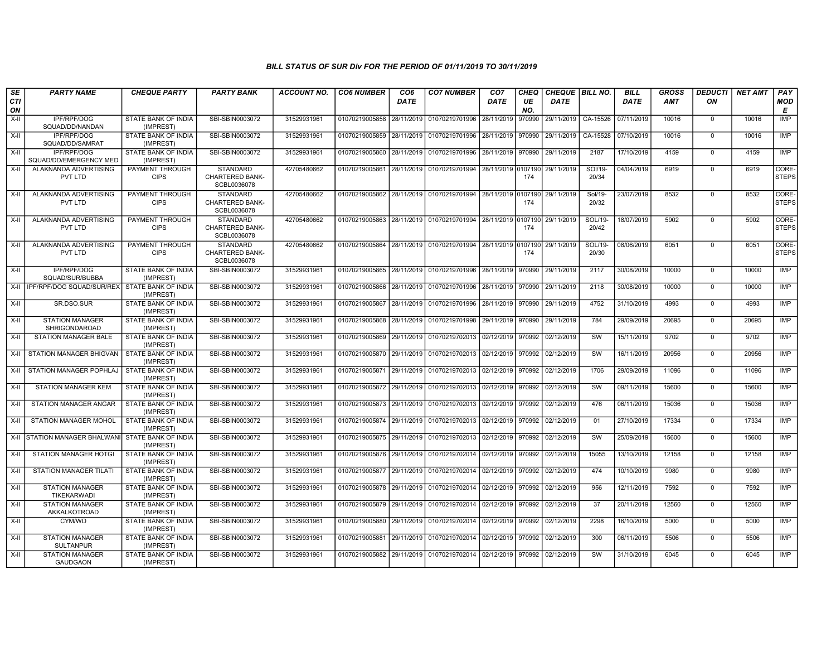| SE        | <b>PARTY NAME</b>                          | <b>CHEQUE PARTY</b>                     | <b>PARTY BANK</b>                                        | ACCOUNT NO. | <b>CO6 NUMBER</b>         | CO <sub>6</sub> | <b>CO7 NUMBER</b>                                           | CO <sub>7</sub>     | <b>CHEQ</b> | CHEQUE   BILL NO. |                  | <b>BILL</b> | <b>GROSS</b> | <b>DEDUCTI</b> | <b>NET AMT</b> | <b>PAY</b>            |
|-----------|--------------------------------------------|-----------------------------------------|----------------------------------------------------------|-------------|---------------------------|-----------------|-------------------------------------------------------------|---------------------|-------------|-------------------|------------------|-------------|--------------|----------------|----------------|-----------------------|
| CTI<br>ON |                                            |                                         |                                                          |             |                           | <b>DATE</b>     |                                                             | <b>DATE</b>         | UE<br>NO.   | <b>DATE</b>       |                  | <b>DATE</b> | AMT          | ON             |                | MOD<br>E              |
| X-II      | IPF/RPF/DOG<br>SQUAD/DD/NANDAN             | STATE BANK OF INDIA<br>(IMPREST)        | SBI-SBIN0003072                                          | 31529931961 | 01070219005858            | 28/11/2019      | 01070219701996                                              | 28/11/2019          | 970990      | 29/11/2019        | CA-15526         | 07/11/2019  | 10016        | $\mathbf 0$    | 10016          | <b>IMP</b>            |
| X-II      | IPF/RPF/DOG<br>SQUAD/DD/SAMRAT             | STATE BANK OF INDIA<br>(IMPREST)        | SBI-SBIN0003072                                          | 31529931961 | 01070219005859 28/11/2019 |                 | 01070219701996 28/11/2019 970990                            |                     |             | 29/11/2019        | CA-15528         | 07/10/2019  | 10016        | $\Omega$       | 10016          | <b>IMP</b>            |
| X-II      | IPF/RPF/DOG<br>SQUAD/DD/EMERGENCY MED      | STATE BANK OF INDIA<br>(IMPREST)        | SBI-SBIN0003072                                          | 31529931961 | 01070219005860            | 28/11/2019      | 01070219701996                                              | 28/11/2019          | 970990      | 29/11/2019        | 2187             | 17/10/2019  | 4159         | $\mathbf 0$    | 4159           | IMP                   |
| X-II      | ALAKNANDA ADVERTISING<br>PVT LTD           | PAYMENT THROUGH<br><b>CIPS</b>          | <b>STANDARD</b><br><b>CHARTERED BANK-</b><br>SCBL0036078 | 42705480662 | 01070219005861            | 28/11/2019      | 01070219701994                                              | 28/11/2019 0107190  | 174         | 29/11/2019        | SOI/19-<br>20/34 | 04/04/2019  | 6919         | $\mathbf 0$    | 6919           | CORE-<br><b>STEPS</b> |
| $X-II$    | ALAKNANDA ADVERTISING<br>PVT LTD           | PAYMENT THROUGH<br><b>CIPS</b>          | <b>STANDARD</b><br>CHARTERED BANK-<br>SCBL0036078        | 42705480662 | 01070219005862            | 28/11/2019      | 01070219701994 28/11/2019 0107190 29/11/2019                |                     | 174         |                   | Sol/19-<br>20/32 | 23/07/2019  | 8532         | $\overline{0}$ | 8532           | CORE-<br><b>STEPS</b> |
| $X-II$    | ALAKNANDA ADVERTISING<br>PVT LTD           | PAYMENT THROUGH<br><b>CIPS</b>          | <b>STANDARD</b><br>CHARTERED BANK-<br>SCBL0036078        | 42705480662 | 01070219005863 28/11/2019 |                 | 01070219701994 28/11/2019 0107190                           |                     | 174         | 29/11/2019        | SOL/19-<br>20/42 | 18/07/2019  | 5902         | $\mathbf 0$    | 5902           | CORE-<br><b>STEPS</b> |
| $X-H$     | ALAKNANDA ADVERTISING<br>PVT LTD           | PAYMENT THROUGH<br><b>CIPS</b>          | <b>STANDARD</b><br><b>CHARTERED BANK-</b><br>SCBL0036078 | 42705480662 |                           |                 | 01070219005864 28/11/2019 01070219701994 28/11/2019 0107190 |                     | 174         | 29/11/2019        | SOL/19-<br>20/30 | 08/06/2019  | 6051         | $\Omega$       | 6051           | CORE-<br><b>STEPS</b> |
| $X-H$     | <b>IPF/RPF/DOG</b><br>SQUAD/SUR/BUBBA      | STATE BANK OF INDIA<br>(IMPREST)        | SBI-SBIN0003072                                          | 31529931961 | 01070219005865            | 28/11/2019      | 01070219701996                                              | 28/11/2019 970990   |             | 29/11/2019        | 2117             | 30/08/2019  | 10000        | $\Omega$       | 10000          | IMP                   |
|           | X-II   IPF/RPF/DOG SQUAD/SUR/REX           | STATE BANK OF INDIA<br>(IMPREST)        | SBI-SBIN0003072                                          | 31529931961 | 01070219005866            | 28/11/2019      | 01070219701996                                              | 28/11/2019 970990   |             | 29/11/2019        | 2118             | 30/08/2019  | 10000        | $\mathbf 0$    | 10000          | <b>IMP</b>            |
| X-II      | SR.DSO.SUR                                 | <b>STATE BANK OF INDIA</b><br>(IMPREST) | SBI-SBIN0003072                                          | 31529931961 | 01070219005867 28/11/2019 |                 | 01070219701996 28/11/2019                                   |                     | 970990      | 29/11/2019        | 4752             | 31/10/2019  | 4993         | $\mathbf 0$    | 4993           | <b>IMP</b>            |
| X-II      | <b>STATION MANAGER</b><br>SHRIGONDAROAD    | STATE BANK OF INDIA<br>(IMPREST)        | SBI-SBIN0003072                                          | 31529931961 | 01070219005868            | 28/11/2019      | 01070219701998                                              | 29/11/2019   970990 |             | 29/11/2019        | 784              | 29/09/2019  | 20695        | $\Omega$       | 20695          | <b>IMP</b>            |
| $X-II$    | STATION MANAGER BALE                       | STATE BANK OF INDIA<br>(IMPREST)        | SBI-SBIN0003072                                          | 31529931961 | 01070219005869            | 29/11/2019      | 01070219702013                                              | 02/12/2019          | 970992      | 02/12/2019        | SW               | 15/11/2019  | 9702         | $\mathbf 0$    | 9702           | <b>IMP</b>            |
|           | X-II STATION MANAGER BHIGVAN               | STATE BANK OF INDIA<br>(IMPREST)        | SBI-SBIN0003072                                          | 31529931961 | 01070219005870 29/11/2019 |                 | 01070219702013 02/12/2019                                   |                     | 970992      | 02/12/2019        | SW               | 16/11/2019  | 20956        | $\Omega$       | 20956          | IMP                   |
|           | X-II STATION MANAGER POPHLAJ               | STATE BANK OF INDIA<br>(IMPREST)        | SBI-SBIN0003072                                          | 31529931961 |                           |                 | 01070219005871 29/11/2019 01070219702013 02/12/2019 970992  |                     |             | 02/12/2019        | 1706             | 29/09/2019  | 11096        | $\Omega$       | 11096          | <b>IMP</b>            |
| X-II      | STATION MANAGER KEM                        | STATE BANK OF INDIA<br>(IMPREST)        | SBI-SBIN0003072                                          | 31529931961 | 01070219005872 29/11/2019 |                 | 01070219702013 02/12/2019                                   |                     | 970992      | 02/12/2019        | SW               | 09/11/2019  | 15600        | $\mathbf 0$    | 15600          | <b>IMP</b>            |
| $X-II$    | <b>STATION MANAGER ANGAR</b>               | <b>STATE BANK OF INDIA</b><br>(IMPREST) | SBI-SBIN0003072                                          | 31529931961 | 01070219005873            | 29/11/2019      | 01070219702013 02/12/2019                                   |                     | 970992      | 02/12/2019        | 476              | 06/11/2019  | 15036        | $\Omega$       | 15036          | IMP                   |
| X-II      | STATION MANAGER MOHOL                      | STATE BANK OF INDIA<br>(IMPREST)        | SBI-SBIN0003072                                          | 31529931961 | 01070219005874            | 29/11/2019      | 01070219702013 02/12/2019 970992                            |                     |             | 02/12/2019        | 01               | 27/10/2019  | 17334        | $\Omega$       | 17334          | <b>IMP</b>            |
|           | X-II STATION MANAGER BHALWAN               | <b>STATE BANK OF INDIA</b><br>(IMPREST) | SBI-SBIN0003072                                          | 31529931961 | 01070219005875 29/11/2019 |                 | 01070219702013 02/12/2019 970992                            |                     |             | 02/12/2019        | sw               | 25/09/2019  | 15600        | $\mathbf 0$    | 15600          | IMP                   |
| X-II      | <b>STATION MANAGER HOTGI</b>               | STATE BANK OF INDIA<br>(IMPREST)        | SBI-SBIN0003072                                          | 31529931961 | 01070219005876 29/11/2019 |                 | 01070219702014                                              | 02/12/2019 970992   |             | 02/12/2019        | 15055            | 13/10/2019  | 12158        | $\Omega$       | 12158          | <b>IMP</b>            |
| X-II      | <b>STATION MANAGER TILATI</b>              | STATE BANK OF INDIA<br>(IMPREST)        | SBI-SBIN0003072                                          | 31529931961 | 01070219005877            | 29/11/2019      | 01070219702014 02/12/2019                                   |                     | 970992      | 02/12/2019        | 474              | 10/10/2019  | 9980         | $\mathbf 0$    | 9980           | <b>IMP</b>            |
| X-II      | <b>STATION MANAGER</b><br>TIKEKARWADI      | STATE BANK OF INDIA<br>(IMPREST)        | SBI-SBIN0003072                                          | 31529931961 | 01070219005878 29/11/2019 |                 | 01070219702014 02/12/2019                                   |                     | 970992      | 02/12/2019        | 956              | 12/11/2019  | 7592         | $\Omega$       | 7592           | <b>IMP</b>            |
| $X-II$    | <b>STATION MANAGER</b><br>AKKALKOTROAD     | STATE BANK OF INDIA<br>(IMPREST)        | SBI-SBIN0003072                                          | 31529931961 | 01070219005879            | 29/11/2019      | 01070219702014 02/12/2019                                   |                     | 970992      | 02/12/2019        | 37               | 20/11/2019  | 12560        | $\mathbf 0$    | 12560          | IMP                   |
| X-II      | CYM/WD                                     | <b>STATE BANK OF INDIA</b><br>(IMPREST) | SBI-SBIN0003072                                          | 31529931961 | 01070219005880            | 29/11/2019      | 01070219702014 02/12/2019                                   |                     | 970992      | 02/12/2019        | 2298             | 16/10/2019  | 5000         | $\Omega$       | 5000           | <b>IMP</b>            |
| X-II      | <b>STATION MANAGER</b><br><b>SULTANPUR</b> | STATE BANK OF INDIA<br>(IMPREST)        | SBI-SBIN0003072                                          | 31529931961 | 01070219005881            | 29/11/2019      | 01070219702014 02/12/2019 970992                            |                     |             | 02/12/2019        | 300              | 06/11/2019  | 5506         | $\Omega$       | 5506           | <b>IMP</b>            |
| X-II      | <b>STATION MANAGER</b><br><b>GAUDGAON</b>  | STATE BANK OF INDIA<br>(IMPREST)        | SBI-SBIN0003072                                          | 31529931961 | 01070219005882 29/11/2019 |                 | 01070219702014 02/12/2019                                   |                     | 970992      | 02/12/2019        | SW               | 31/10/2019  | 6045         | $\mathbf 0$    | 6045           | <b>IMP</b>            |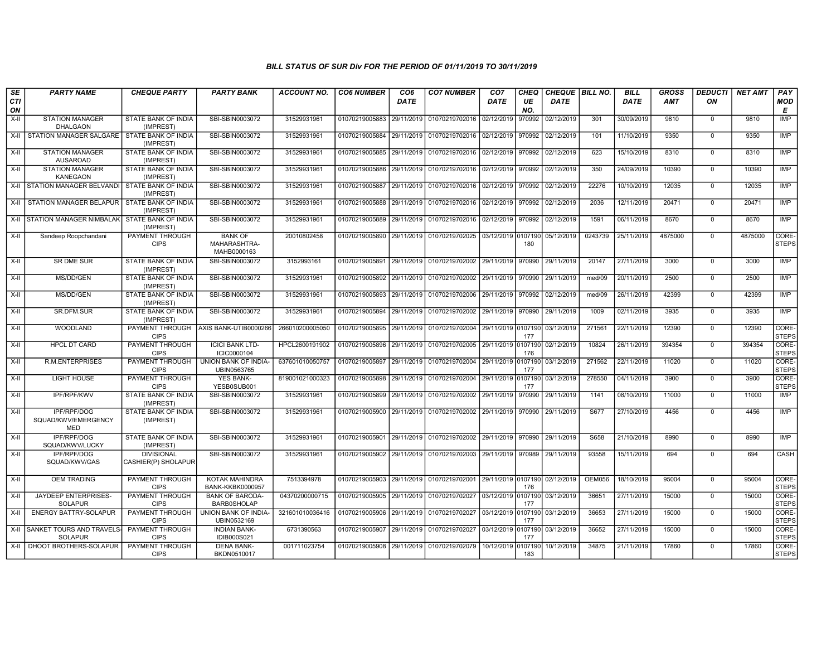| SE<br>CTI | <b>PARTY NAME</b>                                       | <b>CHEQUE PARTY</b>                      | <b>PARTY BANK</b>                                | <b>ACCOUNT NO.</b> | <b>CO6 NUMBER</b>         | CO <sub>6</sub><br>DATE | <b>CO7 NUMBER</b>                 | CO <sub>7</sub><br>DATE | <b>CHEQ</b><br>UE | CHEQUE BILL NO.<br><b>DATE</b> |               | <b>BILL</b><br>DATE | <b>GROSS</b><br><b>AMT</b> | <b>DEDUCTI</b><br>ON | <b>NET AMT</b> | PAY<br><b>MOD</b>     |
|-----------|---------------------------------------------------------|------------------------------------------|--------------------------------------------------|--------------------|---------------------------|-------------------------|-----------------------------------|-------------------------|-------------------|--------------------------------|---------------|---------------------|----------------------------|----------------------|----------------|-----------------------|
| ON        |                                                         |                                          |                                                  |                    |                           |                         |                                   |                         | NO.               |                                |               |                     |                            |                      |                | E                     |
| X-II      | <b>STATION MANAGER</b><br><b>DHALGAON</b>               | STATE BANK OF INDIA<br>(IMPREST)         | SBI-SBIN0003072                                  | 31529931961        | 01070219005883            | 29/11/2019              | 01070219702016 02/12/2019         |                         | 970992            | 02/12/2019                     | 301           | 30/09/2019          | 9810                       | $\mathbf 0$          | 9810           | <b>IMP</b>            |
| $X-H$     | <b>STATION MANAGER SALGARE</b>                          | STATE BANK OF INDIA<br>(IMPREST)         | SBI-SBIN0003072                                  | 31529931961        | 01070219005884            | 29/11/2019              | 01070219702016 02/12/2019         |                         | 970992            | 02/12/2019                     | 101           | 11/10/2019          | 9350                       | $\mathbf 0$          | 9350           | IMP                   |
| $X-II$    | <b>STATION MANAGER</b><br><b>AUSAROAD</b>               | STATE BANK OF INDIA<br>(IMPREST)         | SBI-SBIN0003072                                  | 31529931961        | 01070219005885            | 29/11/2019              | 01070219702016 02/12/2019         |                         | 970992            | 02/12/2019                     | 623           | 15/10/2019          | 8310                       | $\mathbf 0$          | 8310           | <b>IMP</b>            |
| X-II      | <b>STATION MANAGER</b><br>KANEGAON                      | STATE BANK OF INDIA<br>(IMPREST)         | SBI-SBIN0003072                                  | 31529931961        | 01070219005886            | 29/11/2019              | 01070219702016 02/12/2019 970992  |                         |                   | 02/12/2019                     | 350           | 24/09/2019          | 10390                      | $\mathbf 0$          | 10390          | <b>IMP</b>            |
|           | X-II STATION MANAGER BELVAND                            | STATE BANK OF INDIA<br>(IMPREST)         | SBI-SBIN0003072                                  | 31529931961        | 01070219005887            | 29/11/2019              | 01070219702016 02/12/2019         |                         | 970992            | 02/12/2019                     | 22276         | 10/10/2019          | 12035                      | $\mathbf 0$          | 12035          | <b>IMP</b>            |
| $X-H$     | STATION MANAGER BELAPUR                                 | STATE BANK OF INDIA<br>(IMPREST)         | SBI-SBIN0003072                                  | 31529931961        | 01070219005888            | 29/11/2019              | 01070219702016 02/12/2019         |                         | 970992            | 02/12/2019                     | 2036          | 12/11/2019          | 20471                      | $\mathbf 0$          | 20471          | IMP                   |
|           | X-II STATION MANAGER NIMBALAK                           | STATE BANK OF INDIA<br>(IMPREST)         | SBI-SBIN0003072                                  | 31529931961        | 01070219005889            | 29/11/2019              | 01070219702016 02/12/2019 970992  |                         |                   | 02/12/2019                     | 1591          | 06/11/2019          | 8670                       | $\Omega$             | 8670           | <b>IMP</b>            |
| X-II      | Sandeep Roopchandani                                    | PAYMENT THROUGH<br><b>CIPS</b>           | <b>BANK OF</b><br>MAHARASHTRA-<br>MAHB0000163    | 20010802458        | 01070219005890 29/11/2019 |                         | 01070219702025 03/12/2019 0107190 |                         | 180               | 05/12/2019                     | 0243739       | 25/11/2019          | 4875000                    | $\mathbf 0$          | 4875000        | CORE-<br><b>STEPS</b> |
| X-II      | SR DME SUR                                              | STATE BANK OF INDIA<br>(IMPREST)         | SBI-SBIN0003072                                  | 3152993161         | 01070219005891            | 29/11/2019              | 01070219702002 29/11/2019         |                         | 970990            | 29/11/2019                     | 20147         | 27/11/2019          | 3000                       | $\mathbf 0$          | 3000           | <b>IMP</b>            |
| X-II      | MS/DD/GEN                                               | <b>STATE BANK OF INDIA</b><br>(IMPREST)  | SBI-SBIN0003072                                  | 31529931961        | 01070219005892            | 29/11/2019              | 01070219702002 29/11/2019 970990  |                         |                   | 29/11/2019                     | med/09        | 20/11/2019          | 2500                       | $\Omega$             | 2500           | IMP                   |
| $X-H$     | MS/DD/GEN                                               | <b>STATE BANK OF INDIA</b><br>(IMPREST)  | SBI-SBIN0003072                                  | 31529931961        | 01070219005893            | 29/11/2019              | 01070219702006                    | 29/11/2019   970992     |                   | 02/12/2019                     | med/09        | 26/11/2019          | 42399                      | $\mathbf 0$          | 42399          | IMP                   |
| X-II      | SR.DFM.SUR                                              | STATE BANK OF INDIA<br>(IMPREST)         | SBI-SBIN0003072                                  | 31529931961        | 01070219005894            | 29/11/2019              | 01070219702002 29/11/2019         |                         | 970990            | 29/11/2019                     | 1009          | 02/11/2019          | 3935                       | $\mathbf 0$          | 3935           | IMP                   |
| X-II      | WOODLAND                                                | PAYMENT THROUGH<br><b>CIPS</b>           | AXIS BANK-UTIB0000266                            | 266010200005050    | 01070219005895            | 29/11/2019              | 01070219702004 29/11/2019 0107190 |                         | 177               | 03/12/2019                     | 271561        | 22/11/2019          | 12390                      | $\Omega$             | 12390          | CORE-<br><b>STEPS</b> |
| X-II      | HPCL DT CARD                                            | PAYMENT THROUGH<br><b>CIPS</b>           | <b>ICICI BANK LTD-</b><br>ICIC0000104            | HPCL2600191902     | 01070219005896            | 29/11/2019              | 01070219702005 29/11/2019 0107190 |                         | 176               | 02/12/2019                     | 10824         | 26/11/2019          | 394354                     | $\mathbf 0$          | 394354         | CORE-<br><b>STEPS</b> |
| X-II      | R.M.ENTERPRISES                                         | PAYMENT THROUGH<br><b>CIPS</b>           | UNION BANK OF INDIA-<br>UBIN0563765              | 637601010050757    | 01070219005897            | 29/11/2019              | 01070219702004 29/11/2019 0107190 |                         | 177               | 03/12/2019                     | 271562        | 22/11/2019          | 11020                      | $\mathbf 0$          | 11020          | CORE-<br><b>STEPS</b> |
| X-II      | <b>LIGHT HOUSE</b>                                      | PAYMENT THROUGH<br><b>CIPS</b>           | <b>YES BANK-</b><br>YESB0SUB001                  | 819001021000323    | 01070219005898            | 29/11/2019              | 01070219702004 29/11/2019 0107190 |                         | 177               | 03/12/2019                     | 278550        | 04/11/2019          | 3900                       | $\Omega$             | 3900           | CORE-<br><b>STEPS</b> |
| $X-II$    | IPF/RPF/KWV                                             | STATE BANK OF INDIA<br>(IMPREST)         | SBI-SBIN0003072                                  | 31529931961        | 01070219005899            | 29/11/2019              | 01070219702002                    | 29/11/2019              | 970990            | 29/11/2019                     | 1141          | 08/10/2019          | 11000                      | $\mathbf 0$          | 11000          | <b>IMP</b>            |
| X-II      | <b>IPF/RPF/DOG</b><br>SQUAD/KWV/EMERGENCY<br><b>MED</b> | STATE BANK OF INDIA<br>(IMPREST)         | SBI-SBIN0003072                                  | 31529931961        | 01070219005900 29/11/2019 |                         | 01070219702002 29/11/2019 970990  |                         |                   | 29/11/2019                     | S677          | 27/10/2019          | 4456                       | $\Omega$             | 4456           | <b>IMP</b>            |
| X-II      | IPF/RPF/DOG<br>SQUAD/KWV/LUCKY                          | STATE BANK OF INDIA<br>(IMPREST)         | SBI-SBIN0003072                                  | 31529931961        | 01070219005901            | 29/11/2019              | 01070219702002 29/11/2019 970990  |                         |                   | 29/11/2019                     | S658          | 21/10/2019          | 8990                       | $\mathbf 0$          | 8990           | <b>IMP</b>            |
| X-II      | IPF/RPF/DOG<br>SQUAD/KWV/GAS                            | <b>DIVISIONAL</b><br>CASHIER(P) SHOLAPUR | SBI-SBIN0003072                                  | 31529931961        | 01070219005902            | 29/11/2019              | 01070219702003 29/11/2019 970989  |                         |                   | 29/11/2019                     | 93558         | 15/11/2019          | 694                        | $\Omega$             | 694            | CASH                  |
| X-II      | <b>OEM TRADING</b>                                      | PAYMENT THROUGH<br><b>CIPS</b>           | <b>KOTAK MAHINDRA</b><br><b>BANK-KKBK0000957</b> | 7513394978         | 01070219005903            | 29/11/2019              | 01070219702001 29/11/2019 0107190 |                         | 176               | 02/12/2019                     | <b>OEM056</b> | 18/10/2019          | 95004                      | $\mathbf 0$          | 95004          | CORE-<br><b>STEPS</b> |
| $X-II$    | JAYDEEP ENTERPRISES-<br><b>SOLAPUR</b>                  | PAYMENT THROUGH<br><b>CIPS</b>           | <b>BANK OF BARODA-</b><br><b>BARB0SHOLAP</b>     | 04370200000715     | 01070219005905            | 29/11/2019              | 01070219702027 03/12/2019 0107190 |                         | 177               | 03/12/2019                     | 36651         | 27/11/2019          | 15000                      | $\mathbf 0$          | 15000          | CORE-<br><b>STEPS</b> |
| $X-H$     | <b>ENERGY BATTRY-SOLAPUR</b>                            | <b>PAYMENT THROUGH</b><br><b>CIPS</b>    | UNION BANK OF INDIA-<br>UBIN0532169              | 321601010036416    | 01070219005906            | 29/11/2019              | 01070219702027 03/12/2019 0107190 |                         | 177               | 03/12/2019                     | 36653         | 27/11/2019          | 15000                      | $\mathbf 0$          | 15000          | CORE-<br><b>STEPS</b> |
| X-II      | SANKET TOURS AND TRAVELS-<br><b>SOLAPUR</b>             | <b>PAYMENT THROUGH</b><br><b>CIPS</b>    | <b>INDIAN BANK-</b><br>IDIB000S021               | 6731390563         | 01070219005907 29/11/2019 |                         | 01070219702027 03/12/2019 0107190 |                         | 177               | 03/12/2019                     | 36652         | 27/11/2019          | 15000                      | $\mathbf 0$          | 15000          | CORE-<br><b>STEPS</b> |
| $X-H$     | DHOOT BROTHERS-SOLAPUR                                  | PAYMENT THROUGH<br><b>CIPS</b>           | <b>DENA BANK-</b><br>BKDN0510017                 | 001711023754       | 01070219005908            | 29/11/2019              | 01070219702079 10/12/2019         |                         | 0107190<br>183    | 10/12/2019                     | 34875         | 21/11/2019          | 17860                      | $\mathbf 0$          | 17860          | CORE-<br><b>STEPS</b> |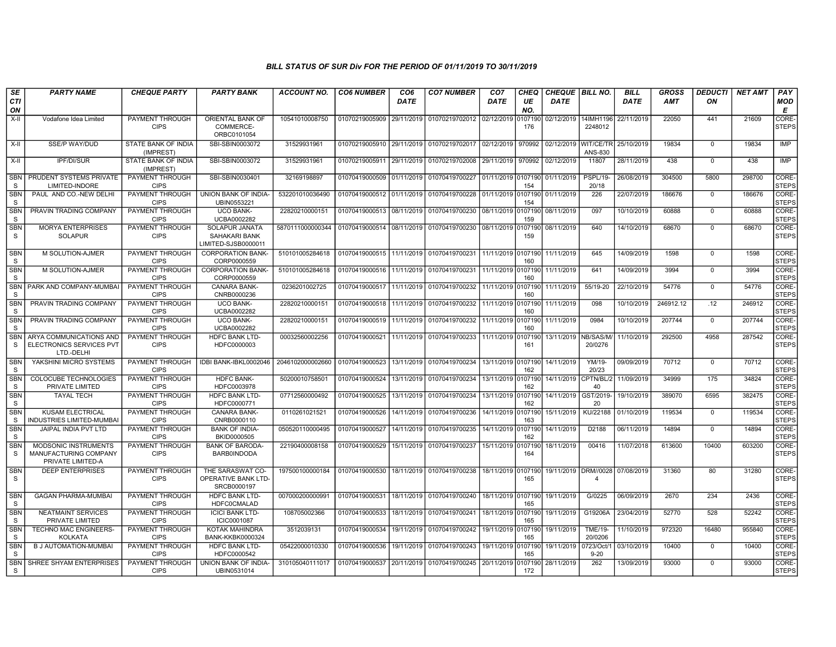| SE                         | <b>PARTY NAME</b>                                                         | <b>CHEQUE PARTY</b>                   | <b>PARTY BANK</b>                                      | ACCOUNT NO.      | <b>CO6 NUMBER</b>         | CO <sub>6</sub> | <b>CO7 NUMBER</b>                 | CO <sub>7</sub>    | <b>CHEQ</b>    | CHEQUE   BILL NO. |                             | <b>BILL</b> | <b>GROSS</b> | <b>DEDUCTI</b> | <b>NET AMT</b> | <b>PAY</b>            |
|----------------------------|---------------------------------------------------------------------------|---------------------------------------|--------------------------------------------------------|------------------|---------------------------|-----------------|-----------------------------------|--------------------|----------------|-------------------|-----------------------------|-------------|--------------|----------------|----------------|-----------------------|
| CTI<br>ON                  |                                                                           |                                       |                                                        |                  |                           | <b>DATE</b>     |                                   | <b>DATE</b>        | UE<br>NO.      | <b>DATE</b>       |                             | <b>DATE</b> | <b>AMT</b>   | ON             |                | <b>MOD</b><br>Е       |
| X-II                       | Vodafone Idea Limited                                                     | PAYMENT THROUGH<br><b>CIPS</b>        | ORIENTAL BANK OF<br>COMMERCE-<br>ORBC0101054           | 10541010008750   | 01070219005909            | 29/11/2019      | 01070219702012                    | 02/12/2019         | 107190<br>176  | 02/12/2019        | 14IMH1196<br>2248012        | 22/11/2019  | 22050        | 441            | 21609          | CORE-<br><b>STEPS</b> |
| X-II                       | <b>SSE/P WAY/DUD</b>                                                      | STATE BANK OF INDIA<br>(IMPREST)      | SBI-SBIN0003072                                        | 31529931961      | 01070219005910 29/11/2019 |                 | 01070219702017 02/12/2019         |                    | 970992         | 02/12/2019        | <b>WIT/CE/TR</b><br>ANS-830 | 25/10/2019  | 19834        | $\mathbf 0$    | 19834          | IMP                   |
| X-II                       | <b>IPF/DI/SUR</b>                                                         | STATE BANK OF INDIA<br>(IMPREST)      | SBI-SBIN0003072                                        | 31529931961      | 01070219005911            | 29/11/2019      | 01070219702008                    | 29/11/2019         | 970992         | 02/12/2019        | 11807                       | 28/11/2019  | 438          | $\Omega$       | 438            | IMP                   |
| SBN<br><sub>S</sub>        | PRUDENT SYSTEMS PRIVATE<br>LIMITED-INDORE                                 | PAYMENT THROUGH<br><b>CIPS</b>        | SBI-SBIN0030401                                        | 32169198897      | 01070419000509            | 01/11/2019      | 01070419700227                    | 01/11/2019 0107190 | 154            | 01/11/2019        | PSPL/19-<br>20/18           | 26/08/2019  | 304500       | 5800           | 298700         | CORE-<br><b>STEPS</b> |
| <b>SBN</b><br>S            | PAUL AND CO.-NEW DELHI                                                    | PAYMENT THROUGH<br><b>CIPS</b>        | UNION BANK OF INDIA-<br>UBIN0553221                    | 532201010036490  | 01070419000512            | 01/11/2019      | 01070419700228                    | 01/11/2019 0107190 | 154            | 01/11/2019        | 226                         | 22/07/2019  | 186676       | $\mathbf 0$    | 186676         | CORE-<br><b>STEPS</b> |
| <b>SBN</b><br>S.           | PRAVIN TRADING COMPANY                                                    | PAYMENT THROUGH<br><b>CIPS</b>        | <b>UCO BANK-</b><br>UCBA0002282                        | 22820210000151   | 01070419000513            | 08/11/2019      | 01070419700230                    | 08/11/2019 0107190 | 159            | 08/11/2019        | 097                         | 10/10/2019  | 60888        | $\Omega$       | 60888          | CORE-<br><b>STEPS</b> |
| <b>SBN</b><br>S.           | <b>MORYA ENTERPRISES</b><br><b>SOLAPUR</b>                                | PAYMENT THROUGH<br><b>CIPS</b>        | SOLAPUR JANATA<br>SAHAKARI BANK<br>LIMITED-SJSB0000011 | 5870111000000344 | 01070419000514 08/11/2019 |                 | 01070419700230 08/11/2019 0107190 |                    | 159            | 08/11/2019        | 640                         | 14/10/2019  | 68670        | $\mathbf 0$    | 68670          | CORE-<br><b>STEPS</b> |
| <b>SBN</b><br>S            | M SOLUTION-AJMER                                                          | PAYMENT THROUGH<br><b>CIPS</b>        | <b>CORPORATION BANK-</b><br>CORP0000559                | 510101005284618  | 01070419000515            | 11/11/2019      | 01070419700231                    | 11/11/2019 0107190 | 160            | 11/11/2019        | 645                         | 14/09/2019  | 1598         | $\mathbf 0$    | 1598           | CORE-<br><b>STEPS</b> |
| <b>SBN</b><br>S            | M SOLUTION-AJMER                                                          | <b>PAYMENT THROUGH</b><br><b>CIPS</b> | <b>CORPORATION BANK-</b><br>CORP0000559                | 510101005284618  | 01070419000516            | 11/11/2019      | 01070419700231                    | 11/11/2019 0107190 | 160            | 11/11/2019        | 641                         | 14/09/2019  | 3994         | $\mathbf 0$    | 3994           | CORE-<br><b>STEPS</b> |
| SBN<br>S                   | PARK AND COMPANY-MUMBA                                                    | PAYMENT THROUGH<br><b>CIPS</b>        | <b>CANARA BANK-</b><br>CNRB0000236                     | 0236201002725    | 01070419000517            | 11/11/2019      | 01070419700232                    | 11/11/2019 0107190 | 160            | 11/11/2019        | 55/19-20                    | 22/10/2019  | 54776        | $\mathbf 0$    | 54776          | CORE-<br><b>STEPS</b> |
| <b>SBN</b><br>S.           | PRAVIN TRADING COMPANY                                                    | PAYMENT THROUGH<br><b>CIPS</b>        | <b>UCO BANK-</b><br>UCBA0002282                        | 22820210000151   | 01070419000518            | 11/11/2019      | 01070419700232                    | 11/11/2019 0107190 | 160            | 11/11/2019        | 098                         | 10/10/2019  | 246912.12    | .12            | 246912         | CORE-<br><b>STEPS</b> |
| <b>SBN</b><br>S.           | PRAVIN TRADING COMPANY                                                    | PAYMENT THROUGH<br><b>CIPS</b>        | <b>UCO BANK-</b><br>UCBA0002282                        | 22820210000151   | 01070419000519            | 11/11/2019      | 01070419700232                    | 11/11/2019         | 0107190<br>160 | 11/11/2019        | 0984                        | 10/10/2019  | 207744       | $\overline{0}$ | 207744         | CORE-<br><b>STEPS</b> |
| <b>SBN</b><br><b>S</b>     | ARYA COMMUNICATIONS AND<br>ELECTRONICS SERVICES PVT<br>LTD.-DELHI         | <b>PAYMENT THROUGH</b><br><b>CIPS</b> | <b>HDFC BANK LTD-</b><br>HDFC0000003                   | 00032560002256   | 01070419000521            | 11/11/2019      | 01070419700233                    | 11/11/2019         | 0107190<br>161 | 13/11/2019        | NB/SAS/M/<br>20/0276        | 11/10/2019  | 292500       | 4958           | 287542         | CORE-<br><b>STEPS</b> |
| <b>SBN</b><br>S.           | YAKSHINI MICRO SYSTEMS                                                    | PAYMENT THROUGH<br><b>CIPS</b>        | IDBI BANK-IBKL0002046                                  | 2046102000002660 | 01070419000523            | 13/11/2019      | 01070419700234 13/11/2019 0107190 |                    | 162            | 14/11/2019        | YM/19-<br>20/23             | 09/09/2019  | 70712        | $\Omega$       | 70712          | CORE-<br><b>STEPS</b> |
| SBN<br>S                   | <b>COLOCUBE TECHNOLOGIES</b><br>PRIVATE LIMITED                           | PAYMENT THROUGH<br><b>CIPS</b>        | HDFC BANK-<br>HDFC0003978                              | 50200010758501   | 01070419000524            | 13/11/2019      | 01070419700234                    | 13/11/2019 0107190 | 162            | 14/11/2019        | CPTN/BL/2<br>40             | 11/09/2019  | 34999        | 175            | 34824          | CORE-<br><b>STEPS</b> |
| <b>SBN</b><br><sub>S</sub> | <b>TAYAL TECH</b>                                                         | <b>PAYMENT THROUGH</b><br><b>CIPS</b> | <b>HDFC BANK LTD-</b><br>HDFC0000771                   | 07712560000492   | 01070419000525            | 13/11/2019      | 01070419700234                    | 13/11/2019         | 0107190<br>162 | 14/11/2019        | GST/2019-<br>20             | 19/10/2019  | 389070       | 6595           | 382475         | CORE-<br><b>STEPS</b> |
| <b>SBN</b><br>S            | <b>KUSAM ELECTRICAL</b><br>INDUSTRIES LIMITED-MUMBA                       | PAYMENT THROUGH<br><b>CIPS</b>        | <b>CANARA BANK-</b><br>CNRB0000110                     | 0110261021521    | 01070419000526            | 14/11/2019      | 01070419700236                    | 14/11/2019         | 0107190<br>163 | 15/11/2019        | KU/22188                    | 01/10/2019  | 119534       | $\mathbf 0$    | 119534         | CORE-<br><b>STEPS</b> |
| <b>SBN</b><br><sub>S</sub> | JAIPAL INDIA PVT LTD                                                      | PAYMENT THROUGH<br><b>CIPS</b>        | <b>BANK OF INDIA-</b><br>BKID0000505                   | 050520110000495  | 01070419000527            | 14/11/2019      | 01070419700235                    | 14/11/2019 0107190 | 162            | 14/11/2019        | D2188                       | 06/11/2019  | 14894        | $\Omega$       | 14894          | CORE-<br><b>STEPS</b> |
| <b>SBN</b><br><sub>S</sub> | <b>MODSONIC INSTRUMENTS</b><br>MANUFACTURING COMPANY<br>PRIVATE LIMITED-A | PAYMENT THROUGH<br><b>CIPS</b>        | <b>BANK OF BARODA</b><br><b>BARB0INDODA</b>            | 22190400008158   | 01070419000529            | 15/11/2019      | 01070419700237                    | 15/11/2019         | 0107190<br>164 | 18/11/2019        | 00416                       | 11/07/2018  | 613600       | 10400          | 603200         | CORE-<br><b>STEPS</b> |
| <b>SBN</b><br>S.           | <b>DEEP ENTERPRISES</b>                                                   | PAYMENT THROUGH<br><b>CIPS</b>        | THE SARASWAT CO-<br>OPERATIVE BANK LTD-<br>SRCB0000197 | 197500100000184  | 01070419000530            | 18/11/2019      | 01070419700238                    | 18/11/2019 0107190 | 165            |                   | 19/11/2019 DRM//0028<br>4   | 07/08/2019  | 31360        | 80             | 31280          | CORE-<br><b>STEPS</b> |
| SBN<br>S                   | <b>GAGAN PHARMA-MUMBAI</b>                                                | PAYMENT THROUGH<br><b>CIPS</b>        | <b>HDFC BANK LTD-</b><br><b>HDFC0CMALAD</b>            | 007000200000991  | 01070419000531            | 18/11/2019      | 01070419700240                    | 18/11/2019 0107190 | 165            | 19/11/2019        | G/0225                      | 06/09/2019  | 2670         | 234            | 2436           | CORE-<br><b>STEPS</b> |
| <b>SBN</b><br><sub>S</sub> | <b>NEATMAINT SERVICES</b><br>PRIVATE LIMITED                              | PAYMENT THROUGH<br><b>CIPS</b>        | <b>ICICI BANK LTD-</b><br>ICIC0001087                  | 108705002366     | 01070419000533            | 18/11/2019      | 01070419700241                    | 18/11/2019         | 0107190<br>165 | 19/11/2019        | G19206A                     | 23/04/2019  | 52770        | 528            | 52242          | CORE-<br><b>STEPS</b> |
| <b>SBN</b><br><sub>S</sub> | <b>TECHNO MAC ENGINEERS-</b><br><b>KOLKATA</b>                            | PAYMENT THROUGH<br><b>CIPS</b>        | <b>KOTAK MAHINDRA</b><br><b>BANK-KKBK0000324</b>       | 3512039131       | 01070419000534            | 19/11/2019      | 01070419700242                    | 19/11/2019         | 0107190<br>165 | 19/11/2019        | <b>TME/19-</b><br>20/0206   | 11/10/2019  | 972320       | 16480          | 955840         | CORE-<br><b>STEPS</b> |
| <b>SBN</b><br>S            | <b>B J AUTOMATION-MUMBAI</b>                                              | PAYMENT THROUGH<br><b>CIPS</b>        | <b>HDFC BANK LTD-</b><br>HDFC0000542                   | 05422000010330   | 01070419000536            | 19/11/2019      | 01070419700243                    | 19/11/2019 0107190 | 165            | 19/11/2019        | 0723/Oct/1<br>$9 - 20$      | 03/10/2019  | 10400        | $\mathbf 0$    | 10400          | CORE-<br><b>STEPS</b> |
| SBN<br>S.                  | SHREE SHYAM ENTERPRISES                                                   | PAYMENT THROUGH<br><b>CIPS</b>        | UNION BANK OF INDIA-<br>UBIN0531014                    | 310105040111017  | 01070419000537            | 20/11/2019      | 01070419700245 20/11/2019 0107190 |                    | 172            | 28/11/2019        | 262                         | 13/09/2019  | 93000        | $\mathbf 0$    | 93000          | CORE-<br><b>STEPS</b> |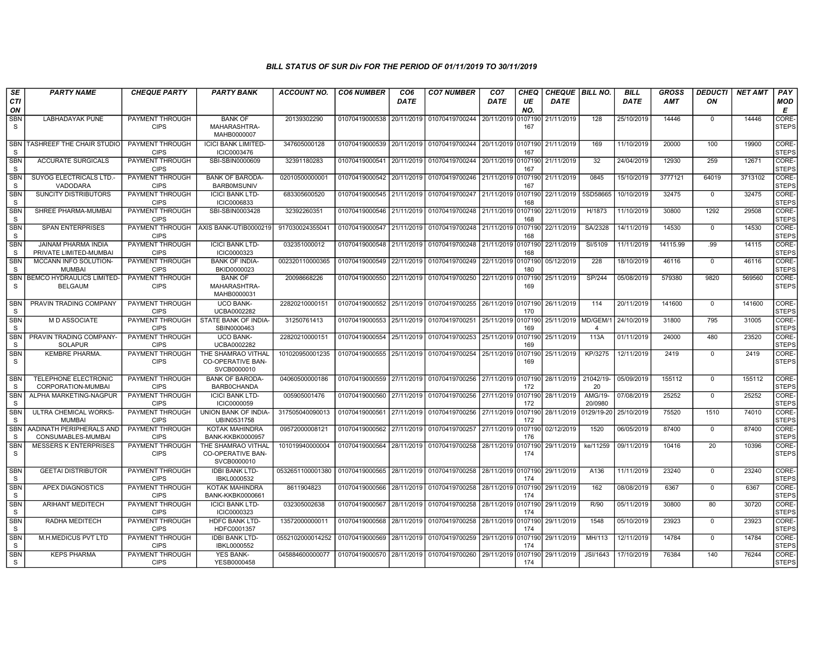| SE                         | <b>PARTY NAME</b>                                  | <b>CHEQUE PARTY</b>                   | <b>PARTY BANK</b>                                             | <b>ACCOUNT NO.</b> | <b>CO6 NUMBER</b>           | CO <sub>6</sub> | <b>CO7 NUMBER</b>                                   | CO <sub>7</sub>    | CHEQ           | CHEQUE   BILL NO.   |                    | BILL        | <b>GROSS</b> | <b>DEDUCTI</b> | <b>NET AMT</b> | PAY                   |
|----------------------------|----------------------------------------------------|---------------------------------------|---------------------------------------------------------------|--------------------|-----------------------------|-----------------|-----------------------------------------------------|--------------------|----------------|---------------------|--------------------|-------------|--------------|----------------|----------------|-----------------------|
| <b>CTI</b><br>ON           |                                                    |                                       |                                                               |                    |                             | <b>DATE</b>     |                                                     | <b>DATE</b>        | UE<br>NO.      | <b>DATE</b>         |                    | <b>DATE</b> | <b>AMT</b>   | ON             |                | MOD<br>Е              |
| SBN<br>S                   | <b>LABHADAYAK PUNE</b>                             | PAYMENT THROUGH<br><b>CIPS</b>        | <b>BANK OF</b><br>MAHARASHTRA-<br>MAHB0000007                 | 20139302290        | 01070419000538              | 20/11/2019      | 01070419700244                                      | 20/11/2019         | 107190<br>167  | 21/11/2019          | 128                | 25/10/2019  | 14446        | $\Omega$       | 14446          | CORE-<br><b>STEPS</b> |
| <b>SBN</b><br>S            | TASHREEF THE CHAIR STUDIO                          | PAYMENT THROUGH<br><b>CIPS</b>        | <b>ICICI BANK LIMITED-</b><br>ICIC0003476                     | 347605000128       |                             |                 | 01070419000539 20/11/2019 01070419700244 20/11/2019 |                    | 0107190<br>167 | 21/11/2019          | 169                | 11/10/2019  | 20000        | 100            | 19900          | CORE-<br><b>STEPS</b> |
| <b>SBN</b><br><sub>S</sub> | <b>ACCURATE SURGICALS</b>                          | PAYMENT THROUGH<br><b>CIPS</b>        | SBI-SBIN0000609                                               | 32391180283        | 01070419000541              | 20/11/2019      | 01070419700244                                      | 20/11/2019         | 0107190<br>167 | 21/11/2019          | 32                 | 24/04/2019  | 12930        | 259            | 12671          | CORE-<br><b>STEPS</b> |
| SBN<br>S                   | SUYOG ELECTRICALS LTD.<br>VADODARA                 | PAYMENT THROUGH<br><b>CIPS</b>        | <b>BANK OF BARODA-</b><br><b>BARBOMSUNIV</b>                  | 0201050000000      | 01070419000542 20/11/2019   |                 | 01070419700246                                      | 21/11/2019 0107190 | 167            | 21/11/2019          | 0845               | 15/10/2019  | 3777121      | 64019          | 3713102        | CORE-<br><b>STEPS</b> |
| <b>SBN</b><br>S            | <b>SUNCITY DISTRIBUTORS</b>                        | PAYMENT THROUGH<br><b>CIPS</b>        | <b>ICICI BANK LTD-</b><br>ICIC0006833                         | 683305600520       | 01070419000545 21/11/2019   |                 | 01070419700247                                      | 21/11/2019         | 107190<br>168  | 22/11/2019          | 5SD58665           | 10/10/2019  | 32475        | $\mathbf 0$    | 32475          | CORE-<br><b>STEPS</b> |
| <b>SBN</b><br>S.           | SHREE PHARMA-MUMBAI                                | PAYMENT THROUGH<br><b>CIPS</b>        | SBI-SBIN0003428                                               | 32392260351        | 01070419000546              | 21/11/2019      | 01070419700248                                      | l 21/11/2019       | 0107190<br>168 | 22/11/2019          | H/1873             | 11/10/2019  | 30800        | 1292           | 29508          | CORE-<br><b>STEPS</b> |
| <b>SBN</b><br>S            | <b>SPAN ENTERPRISES</b>                            | <b>CIPS</b>                           | PAYMENT THROUGH AXIS BANK-UTIB0000219                         | 91703002435504     | 01070419000547              | 21/11/2019      | 01070419700248                                      | 21/11/2019         | 0107190<br>168 | 22/11/2019          | SA/2328            | 14/11/2019  | 14530        | $\mathbf 0$    | 14530          | CORE-<br><b>STEPS</b> |
| <b>SBN</b><br><sub>S</sub> | JAINAM PHARMA INDIA<br>PRIVATE LIMITED-MUMBAI      | PAYMENT THROUGH<br><b>CIPS</b>        | <b>ICICI BANK LTD-</b><br>ICIC0000323                         | 032351000012       | 01070419000548              | 21/11/2019      | 01070419700248                                      | 21/11/2019         | 0107190<br>168 | 22/11/2019          | SI/5109            | 11/11/2019  | 14115.99     | .99            | 14115          | CORE-<br><b>STEPS</b> |
| SBN<br>S.                  | MCCANN INFO SOLUTION-<br><b>MUMBAI</b>             | PAYMENT THROUGH<br><b>CIPS</b>        | <b>BANK OF INDIA-</b><br>BKID0000023                          | 002320110000365    | 01070419000549              | 22/11/2019      | 01070419700249                                      | 22/11/2019         | 0107190<br>180 | 05/12/2019          | 228                | 18/10/2019  | 46116        | $\Omega$       | 46116          | CORE-<br><b>STEPS</b> |
| <b>SBN</b><br>S            | <b>BEMCO HYDRAULICS LIMITED-</b><br><b>BELGAUM</b> | PAYMENT THROUGH<br><b>CIPS</b>        | <b>BANK OF</b><br>MAHARASHTRA-<br>MAHB0000031                 | 20098668226        | 01070419000550              | 22/11/2019      | 01070419700250                                      | 22/11/2019         | 0107190<br>169 | 25/11/2019          | <b>SP/244</b>      | 05/08/2019  | 579380       | 9820           | 569560         | CORE-<br><b>STEPS</b> |
| <b>SBN</b><br><sub>S</sub> | PRAVIN TRADING COMPANY                             | PAYMENT THROUGH<br><b>CIPS</b>        | <b>UCO BANK-</b><br>UCBA0002282                               | 22820210000151     | 01070419000552 25/11/2019   |                 | 01070419700255                                      | 26/11/2019         | 0107190<br>170 | 26/11/2019          | 114                | 20/11/2019  | 141600       | $\Omega$       | 141600         | CORE-<br><b>STEPS</b> |
| <b>SBN</b><br>S.           | M D ASSOCIATE                                      | PAYMENT THROUGH<br><b>CIPS</b>        | STATE BANK OF INDIA-<br>SBIN0000463                           | 31250761413        | 01070419000553              |                 | 25/11/2019 01070419700251                           | 25/11/2019         | 0107190<br>169 | 25/11/2019 MD/GEM/1 | 4                  | 24/10/2019  | 31800        | 795            | 31005          | CORE-<br><b>STEPS</b> |
| <b>SBN</b><br>S            | PRAVIN TRADING COMPANY-<br><b>SOLAPUR</b>          | PAYMENT THROUGH<br><b>CIPS</b>        | <b>UCO BANK-</b><br>UCBA0002282                               | 22820210000151     | 01070419000554              | 25/11/2019      | 01070419700253                                      | 25/11/2019         | 0107190<br>169 | 25/11/2019          | 113A               | 01/11/2019  | 24000        | 480            | 23520          | CORE-<br><b>STEPS</b> |
| SBN<br>S                   | <b>KEMBRE PHARMA</b>                               | PAYMENT THROUGH<br><b>CIPS</b>        | THE SHAMRAO VITHAL<br><b>CO-OPERATIVE BAN-</b><br>SVCB0000010 | 101020950001235    | 01070419000555              | 25/11/2019      | 01070419700254                                      | 25/11/2019         | 0107190<br>169 | 25/11/2019          | KP/3275            | 12/11/2019  | 2419         | $\mathbf 0$    | 2419           | CORE-<br><b>STEPS</b> |
| <b>SBN</b><br>S            | <b>TELEPHONE ELECTRONIC</b><br>CORPORATION-MUMBAI  | PAYMENT THROUGH<br><b>CIPS</b>        | <b>BANK OF BARODA-</b><br><b>BARB0CHANDA</b>                  | 04060500000186     | 01070419000559              | 27/11/2019      | 01070419700256                                      | 27/11/2019 0107190 | 172            | 28/11/2019          | 21042/19-<br>20    | 05/09/2019  | 155112       | $\mathbf{0}$   | 155112         | CORE-<br><b>STEPS</b> |
| <b>SBN</b><br>S            | ALPHA MARKETING-NAGPUR                             | PAYMENT THROUGH<br><b>CIPS</b>        | <b>ICICI BANK LTD-</b><br>ICIC0000059                         | 005905001476       | 01070419000560              | 27/11/2019      | 01070419700256                                      | 27/11/2019         | 0107190<br>172 | 28/11/2019          | AMG/19-<br>20/0980 | 07/08/2019  | 25252        | $\Omega$       | 25252          | CORE-<br><b>STEPS</b> |
| SBN<br>S.                  | ULTRA CHEMICAL WORKS-<br><b>MUMBAI</b>             | PAYMENT THROUGH<br><b>CIPS</b>        | UNION BANK OF INDIA-<br>UBIN0531758                           | 317505040090013    | 01070419000561              | 27/11/2019      | 01070419700256                                      | 27/11/2019         | 0107190<br>172 | 28/11/2019          | 0129/19-20         | 25/10/2019  | 75520        | 1510           | 74010          | CORE-<br><b>STEPS</b> |
| <b>SBN</b><br>S            | AADINATH PERIPHERALS AND<br>CONSUMABLES-MUMBAI     | PAYMENT THROUGH<br><b>CIPS</b>        | KOTAK MAHINDRA<br><b>BANK-KKBK0000957</b>                     | 09572000008121     | 01070419000562              | 27/11/2019      | 01070419700257                                      | 27/11/2019         | 0107190<br>176 | 02/12/2019          | 1520               | 06/05/2019  | 87400        | $\mathbf 0$    | 87400          | CORE-<br><b>STEPS</b> |
| <b>SBN</b><br>S            | <b>MESSERS K ENTERPRISES</b>                       | PAYMENT THROUGH<br><b>CIPS</b>        | THE SHAMRAO VITHAL<br>CO-OPERATIVE BAN-<br>SVCB0000010        | 101019940000004    | 01070419000564              | 28/11/2019      | 01070419700258                                      | 28/11/2019         | 0107190<br>174 | 29/11/2019          | ke/11259           | 09/11/2019  | 10416        | 20             | 10396          | CORE-<br><b>STEPS</b> |
| SBN<br>S.                  | <b>GEETAI DISTRIBUTOR</b>                          | PAYMENT THROUGH<br><b>CIPS</b>        | <b>IDBI BANK LTD-</b><br>IBKL0000532                          | 0532651100001380   | 01070419000565 28/11/2019 3 |                 | 01070419700258                                      | 28/11/2019         | 0107190<br>174 | 29/11/2019          | A136               | 11/11/2019  | 23240        | $\mathbf 0$    | 23240          | CORE-<br><b>STEPS</b> |
| <b>SBN</b><br>S.           | <b>APEX DIAGNOSTICS</b>                            | <b>PAYMENT THROUGH</b><br><b>CIPS</b> | <b>KOTAK MAHINDRA</b><br>BANK-KKBK0000661                     | 8611904823         | 01070419000566              | 28/11/2019      | 01070419700258                                      | 28/11/2019         | 0107190<br>174 | 29/11/2019          | 162                | 08/08/2019  | 6367         | $\mathbf{0}$   | 6367           | CORE-<br><b>STEPS</b> |
| <b>SBN</b><br>S            | <b>ARIHANT MEDITECH</b>                            | PAYMENT THROUGH<br><b>CIPS</b>        | <b>ICICI BANK LTD-</b><br>ICIC0000323                         | 032305002638       | 01070419000567              | 28/11/2019      | 01070419700258                                      | 28/11/2019         | 0107190<br>174 | 29/11/2019          | R/90               | 05/11/2019  | 30800        | 80             | 30720          | CORE-<br><b>STEPS</b> |
| SBN<br>S.                  | RADHA MEDITECH                                     | PAYMENT THROUGH<br><b>CIPS</b>        | <b>HDFC BANK LTD-</b><br>HDFC0001357                          | 13572000000011     | 01070419000568              | 28/11/2019      | 01070419700258                                      | 28/11/2019         | 0107190<br>174 | 29/11/2019          | 1548               | 05/10/2019  | 23923        | $\mathbf{0}$   | 23923          | CORE-<br><b>STEPS</b> |
| <b>SBN</b><br>S            | M.H.MEDICUS PVT LTD                                | PAYMENT THROUGH<br><b>CIPS</b>        | <b>IDBI BANK LTD-</b><br>IBKL0000552                          | 0552102000014252   | 01070419000569              | 28/11/2019      | 01070419700259                                      | 29/11/2019         | 0107190<br>174 | 29/11/2019          | MH/113             | 12/11/2019  | 14784        | $\Omega$       | 14784          | CORE-<br><b>STEPS</b> |
| <b>SBN</b><br>S            | <b>KEPS PHARMA</b>                                 | PAYMENT THROUGH<br><b>CIPS</b>        | <b>YES BANK-</b><br>YESB0000458                               | 045884600000077    | 01070419000570 28/11/2019   |                 | 01070419700260                                      | 29/11/2019         | 0107190<br>174 | 29/11/2019          | JSI/1643           | 17/10/2019  | 76384        | 140            | 76244          | CORE-<br><b>STEPS</b> |